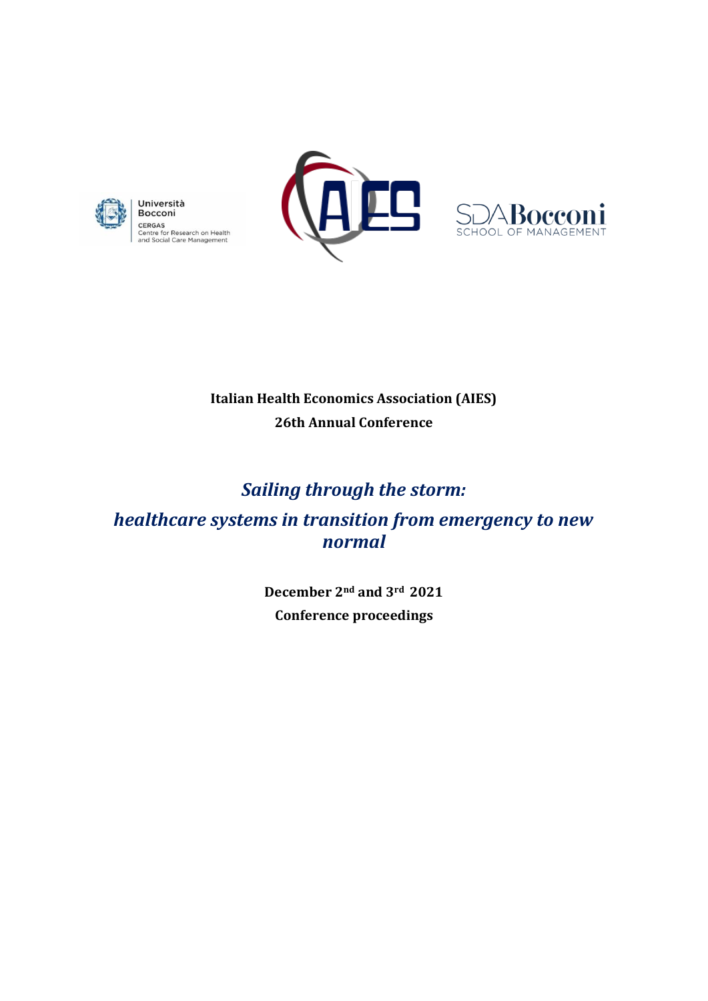





## **Italian Health Economics Association (AIES) 26th Annual Conference**

# *Sailing through the storm:*

*healthcare systems in transition from emergency to new normal*

> **December 2nd and 3rd 2021 Conference proceedings**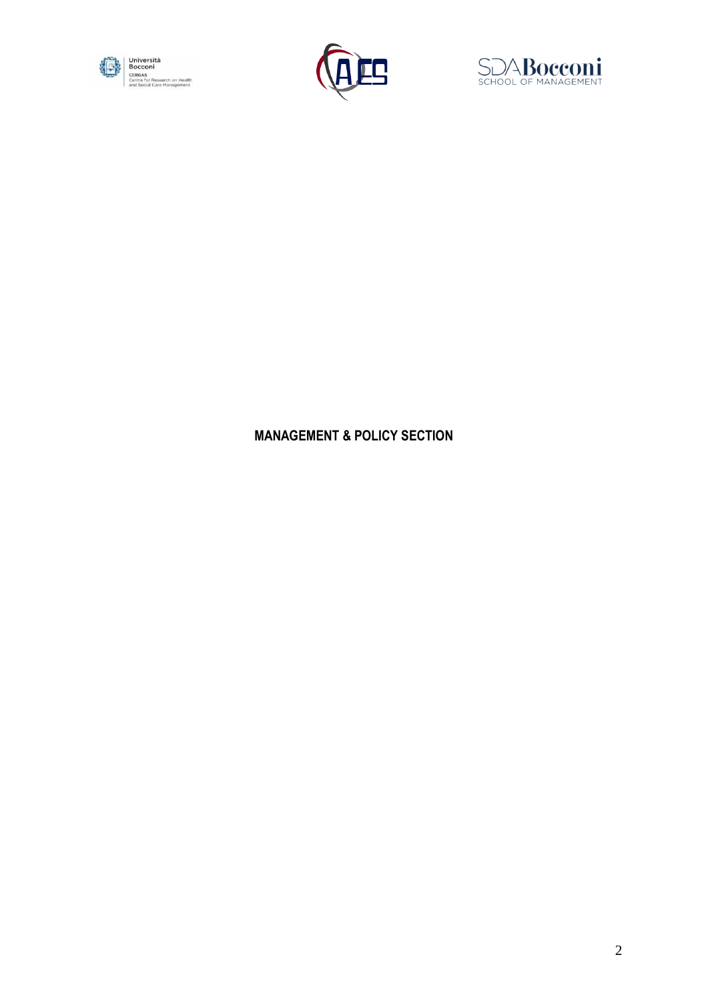





## **MANAGEMENT & POLICY SECTION**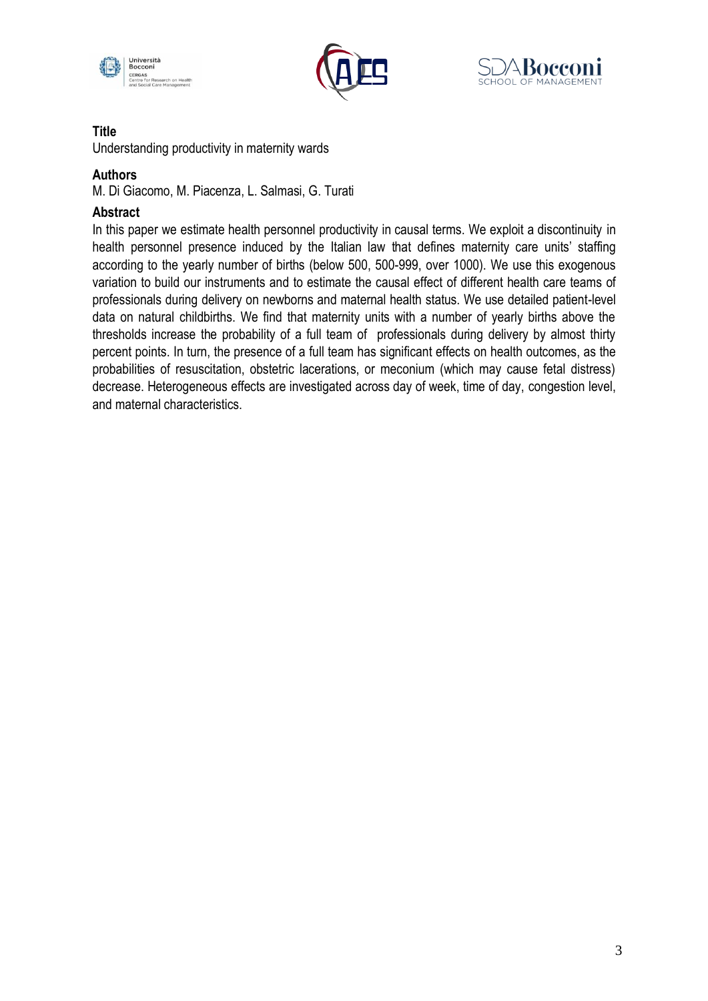





Understanding productivity in maternity wards

## **Authors**

M. Di Giacomo, M. Piacenza, L. Salmasi, G. Turati

## **Abstract**

In this paper we estimate health personnel productivity in causal terms. We exploit a discontinuity in health personnel presence induced by the Italian law that defines maternity care units' staffing according to the yearly number of births (below 500, 500-999, over 1000). We use this exogenous variation to build our instruments and to estimate the causal effect of different health care teams of professionals during delivery on newborns and maternal health status. We use detailed patient-level data on natural childbirths. We find that maternity units with a number of yearly births above the thresholds increase the probability of a full team of professionals during delivery by almost thirty percent points. In turn, the presence of a full team has significant effects on health outcomes, as the probabilities of resuscitation, obstetric lacerations, or meconium (which may cause fetal distress) decrease. Heterogeneous effects are investigated across day of week, time of day, congestion level, and maternal characteristics.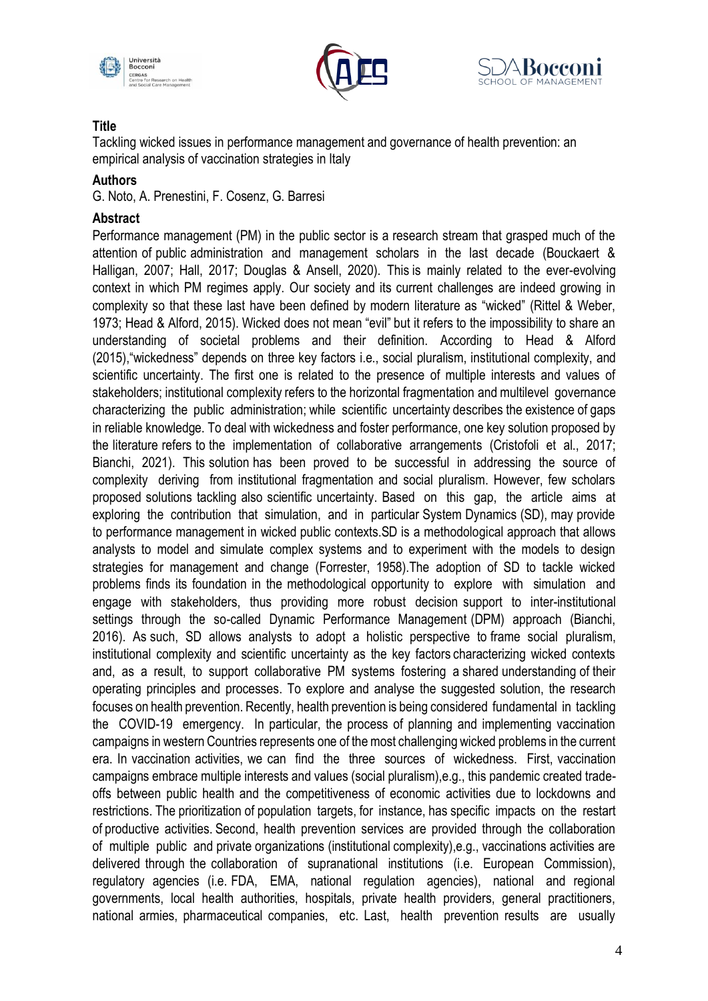





Tackling wicked issues in performance management and governance of health prevention: an empirical analysis of vaccination strategies in Italy

#### **Authors**

G. Noto, A. Prenestini, F. Cosenz, G. Barresi

#### **Abstract**

Performance management (PM) in the public sector is a research stream that grasped much of the attention of public administration and management scholars in the last decade (Bouckaert & Halligan, 2007; Hall, 2017; Douglas & Ansell, 2020). This is mainly related to the ever-evolving context in which PM regimes apply. Our society and its current challenges are indeed growing in complexity so that these last have been defined by modern literature as "wicked" (Rittel & Weber, 1973; Head & Alford, 2015). Wicked does not mean "evil" but it refers to the impossibility to share an understanding of societal problems and their definition. According to Head & Alford (2015),"wickedness" depends on three key factors i.e., social pluralism, institutional complexity, and scientific uncertainty. The first one is related to the presence of multiple interests and values of stakeholders; institutional complexity refers to the horizontal fragmentation and multilevel governance characterizing the public administration; while scientific uncertainty describes the existence of gaps in reliable knowledge. To deal with wickedness and foster performance, one key solution proposed by the literature refers to the implementation of collaborative arrangements (Cristofoli et al., 2017; Bianchi, 2021). This solution has been proved to be successful in addressing the source of complexity deriving from institutional fragmentation and social pluralism. However, few scholars proposed solutions tackling also scientific uncertainty. Based on this gap, the article aims at exploring the contribution that simulation, and in particular System Dynamics (SD), may provide to performance management in wicked public contexts.SD is a methodological approach that allows analysts to model and simulate complex systems and to experiment with the models to design strategies for management and change (Forrester, 1958).The adoption of SD to tackle wicked problems finds its foundation in the methodological opportunity to explore with simulation and engage with stakeholders, thus providing more robust decision support to inter-institutional settings through the so-called Dynamic Performance Management (DPM) approach (Bianchi, 2016). As such, SD allows analysts to adopt a holistic perspective to frame social pluralism, institutional complexity and scientific uncertainty as the key factors characterizing wicked contexts and, as a result, to support collaborative PM systems fostering a shared understanding of their operating principles and processes. To explore and analyse the suggested solution, the research focuses on health prevention. Recently, health prevention is being considered fundamental in tackling the COVID-19 emergency. In particular, the process of planning and implementing vaccination campaigns in western Countries represents one of the most challenging wicked problems in the current era. In vaccination activities, we can find the three sources of wickedness. First, vaccination campaigns embrace multiple interests and values (social pluralism),e.g., this pandemic created tradeoffs between public health and the competitiveness of economic activities due to lockdowns and restrictions. The prioritization of population targets, for instance, has specific impacts on the restart of productive activities. Second, health prevention services are provided through the collaboration of multiple public and private organizations (institutional complexity),e.g., vaccinations activities are delivered through the collaboration of supranational institutions (i.e. European Commission), regulatory agencies (i.e. FDA, EMA, national regulation agencies), national and regional governments, local health authorities, hospitals, private health providers, general practitioners, national armies, pharmaceutical companies, etc. Last, health prevention results are usually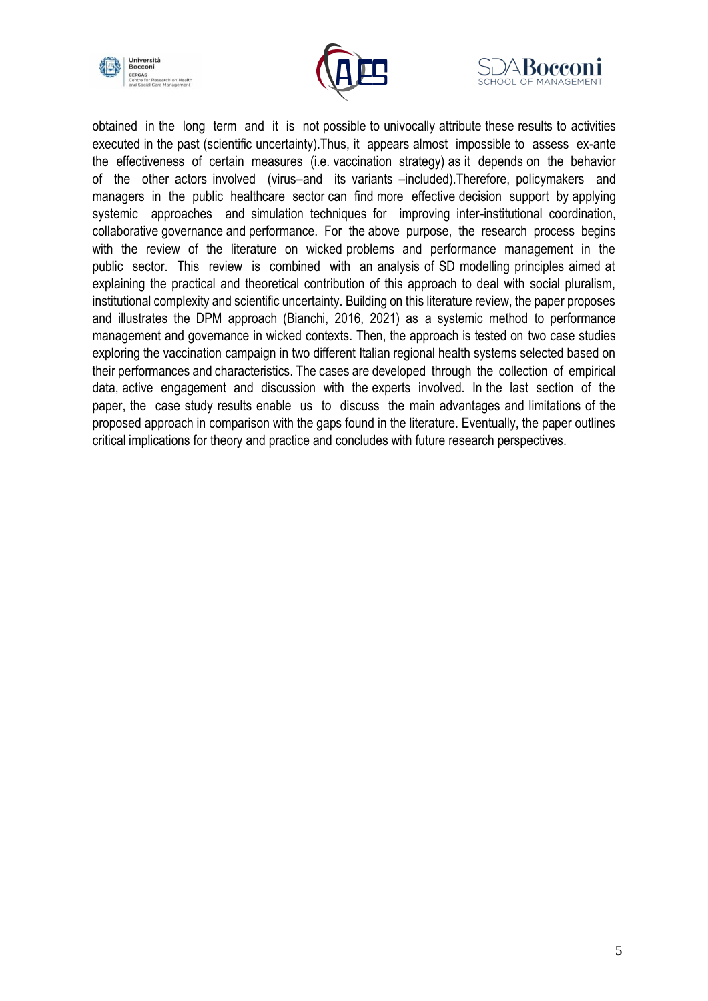





obtained in the long term and it is not possible to univocally attribute these results to activities executed in the past (scientific uncertainty).Thus, it appears almost impossible to assess ex-ante the effectiveness of certain measures (i.e. vaccination strategy) as it depends on the behavior of the other actors involved (virus–and its variants –included).Therefore, policymakers and managers in the public healthcare sector can find more effective decision support by applying systemic approaches and simulation techniques for improving inter-institutional coordination, collaborative governance and performance. For the above purpose, the research process begins with the review of the literature on wicked problems and performance management in the public sector. This review is combined with an analysis of SD modelling principles aimed at explaining the practical and theoretical contribution of this approach to deal with social pluralism, institutional complexity and scientific uncertainty. Building on this literature review, the paper proposes and illustrates the DPM approach (Bianchi, 2016, 2021) as a systemic method to performance management and governance in wicked contexts. Then, the approach is tested on two case studies exploring the vaccination campaign in two different Italian regional health systems selected based on their performances and characteristics. The cases are developed through the collection of empirical data, active engagement and discussion with the experts involved. In the last section of the paper, the case study results enable us to discuss the main advantages and limitations of the proposed approach in comparison with the gaps found in the literature. Eventually, the paper outlines critical implications for theory and practice and concludes with future research perspectives.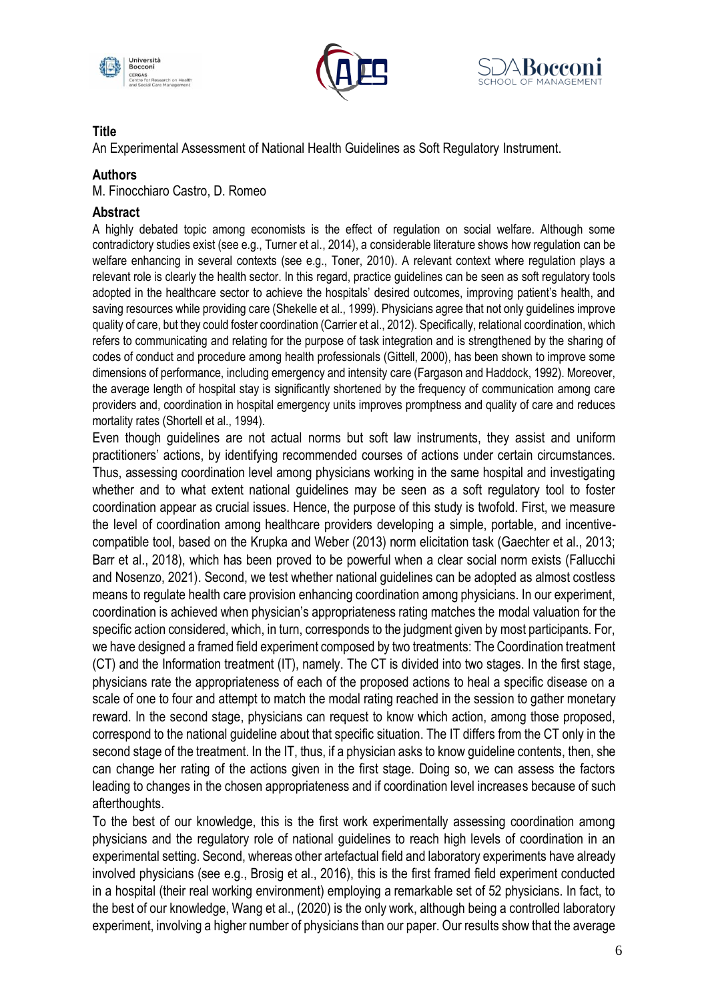





An Experimental Assessment of National Health Guidelines as Soft Regulatory Instrument.

#### **Authors**

M. Finocchiaro Castro, D. Romeo

#### **Abstract**

A highly debated topic among economists is the effect of regulation on social welfare. Although some contradictory studies exist (see e.g., Turner et al., 2014), a considerable literature shows how regulation can be welfare enhancing in several contexts (see e.g., Toner, 2010). A relevant context where regulation plays a relevant role is clearly the health sector. In this regard, practice guidelines can be seen as soft regulatory tools adopted in the healthcare sector to achieve the hospitals' desired outcomes, improving patient's health, and saving resources while providing care (Shekelle et al., 1999). Physicians agree that not only guidelines improve quality of care, but they could foster coordination (Carrier et al., 2012). Specifically, relational coordination, which refers to communicating and relating for the purpose of task integration and is strengthened by the sharing of codes of conduct and procedure among health professionals (Gittell, 2000), has been shown to improve some dimensions of performance, including emergency and intensity care (Fargason and Haddock, 1992). Moreover, the average length of hospital stay is significantly shortened by the frequency of communication among care providers and, coordination in hospital emergency units improves promptness and quality of care and reduces mortality rates (Shortell et al., 1994).

Even though guidelines are not actual norms but soft law instruments, they assist and uniform practitioners' actions, by identifying recommended courses of actions under certain circumstances. Thus, assessing coordination level among physicians working in the same hospital and investigating whether and to what extent national guidelines may be seen as a soft regulatory tool to foster coordination appear as crucial issues. Hence, the purpose of this study is twofold. First, we measure the level of coordination among healthcare providers developing a simple, portable, and incentivecompatible tool, based on the Krupka and Weber (2013) norm elicitation task (Gaechter et al., 2013; Barr et al., 2018), which has been proved to be powerful when a clear social norm exists (Fallucchi and Nosenzo, 2021). Second, we test whether national guidelines can be adopted as almost costless means to regulate health care provision enhancing coordination among physicians. In our experiment, coordination is achieved when physician's appropriateness rating matches the modal valuation for the specific action considered, which, in turn, corresponds to the judgment given by most participants. For, we have designed a framed field experiment composed by two treatments: The Coordination treatment (CT) and the Information treatment (IT), namely. The CT is divided into two stages. In the first stage, physicians rate the appropriateness of each of the proposed actions to heal a specific disease on a scale of one to four and attempt to match the modal rating reached in the session to gather monetary reward. In the second stage, physicians can request to know which action, among those proposed, correspond to the national guideline about that specific situation. The IT differs from the CT only in the second stage of the treatment. In the IT, thus, if a physician asks to know guideline contents, then, she can change her rating of the actions given in the first stage. Doing so, we can assess the factors leading to changes in the chosen appropriateness and if coordination level increases because of such afterthoughts.

To the best of our knowledge, this is the first work experimentally assessing coordination among physicians and the regulatory role of national guidelines to reach high levels of coordination in an experimental setting. Second, whereas other artefactual field and laboratory experiments have already involved physicians (see e.g., Brosig et al., 2016), this is the first framed field experiment conducted in a hospital (their real working environment) employing a remarkable set of 52 physicians. In fact, to the best of our knowledge, Wang et al., (2020) is the only work, although being a controlled laboratory experiment, involving a higher number of physicians than our paper. Our results show that the average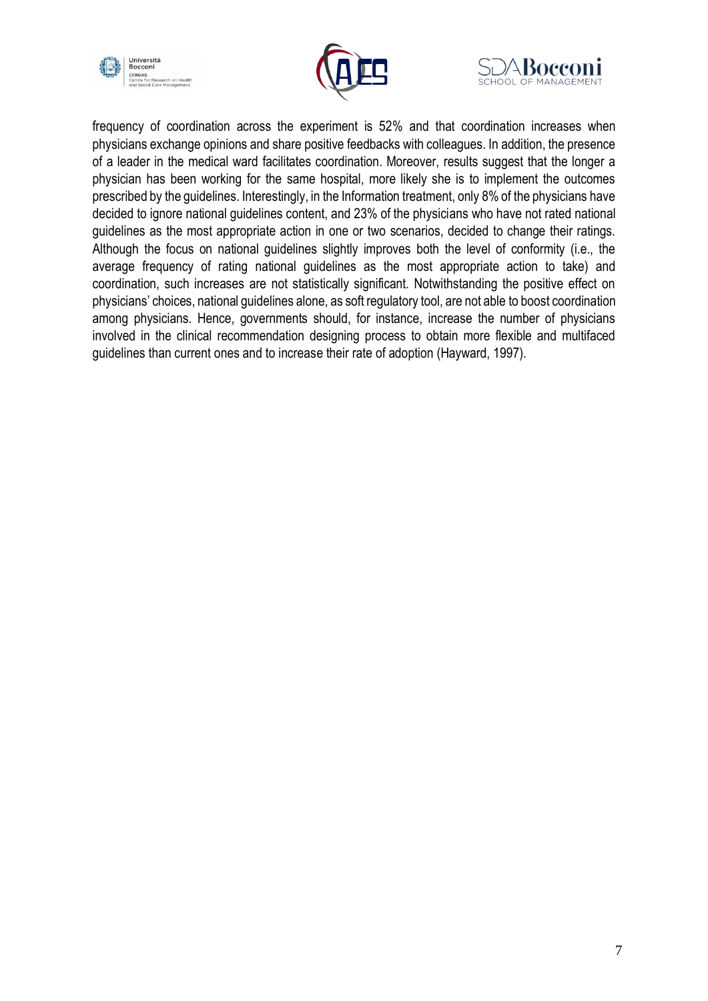





frequency of coordination across the experiment is 52% and that coordination increases when physicians exchange opinions and share positive feedbacks with colleagues. In addition, the presence of a leader in the medical ward facilitates coordination. Moreover, results suggest that the longer a physician has been working for the same hospital, more likely she is to implement the outcomes prescribed by the guidelines. Interestingly, in the Information treatment, only 8% of the physicians have decided to ignore national guidelines content, and 23% of the physicians who have not rated national guidelines as the most appropriate action in one or two scenarios, decided to change their ratings. Although the focus on national guidelines slightly improves both the level of conformity (i.e., the average frequency of rating national guidelines as the most appropriate action to take) and coordination, such increases are not statistically significant. Notwithstanding the positive effect on physicians' choices, national guidelines alone, as soft regulatory tool, are not able to boost coordination among physicians. Hence, governments should, for instance, increase the number of physicians involved in the clinical recommendation designing process to obtain more flexible and multifaced guidelines than current ones and to increase their rate of adoption (Hayward, 1997).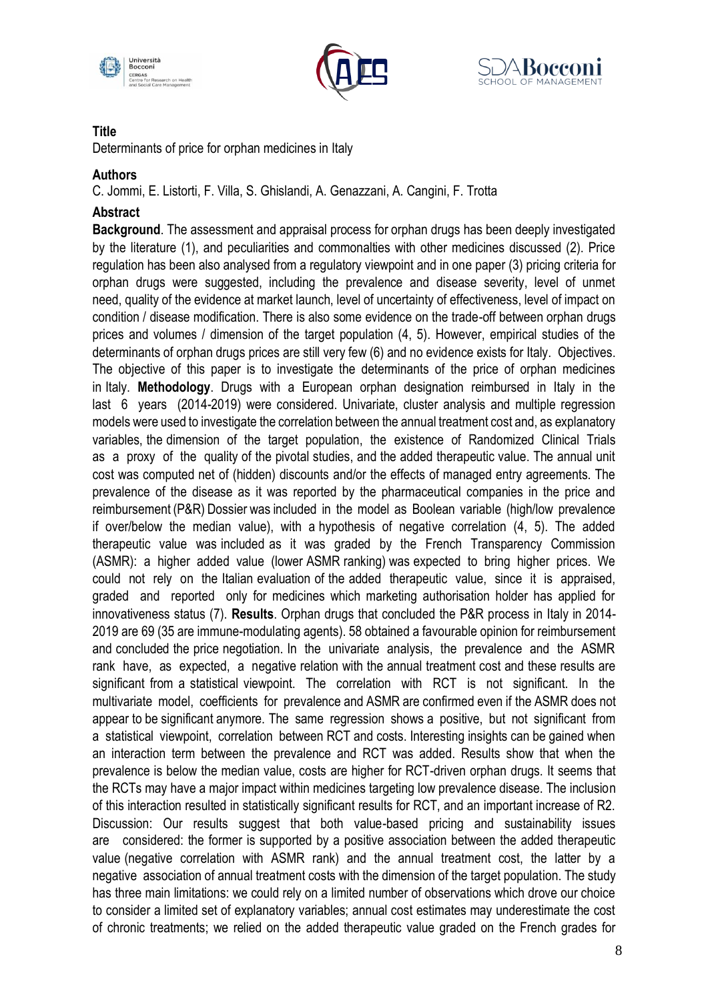





Determinants of price for orphan medicines in Italy

## **Authors**

C. Jommi, E. Listorti, F. Villa, S. Ghislandi, A. Genazzani, A. Cangini, F. Trotta

## **Abstract**

**Background**. The assessment and appraisal process for orphan drugs has been deeply investigated by the literature (1), and peculiarities and commonalties with other medicines discussed (2). Price regulation has been also analysed from a regulatory viewpoint and in one paper (3) pricing criteria for orphan drugs were suggested, including the prevalence and disease severity, level of unmet need, quality of the evidence at market launch, level of uncertainty of effectiveness, level of impact on condition / disease modification. There is also some evidence on the trade-off between orphan drugs prices and volumes / dimension of the target population (4, 5). However, empirical studies of the determinants of orphan drugs prices are still very few (6) and no evidence exists for Italy. Objectives. The objective of this paper is to investigate the determinants of the price of orphan medicines in Italy. **Methodology**. Drugs with a European orphan designation reimbursed in Italy in the last 6 years (2014-2019) were considered. Univariate, cluster analysis and multiple regression models were used to investigate the correlation between the annual treatment cost and, as explanatory variables, the dimension of the target population, the existence of Randomized Clinical Trials as a proxy of the quality of the pivotal studies, and the added therapeutic value. The annual unit cost was computed net of (hidden) discounts and/or the effects of managed entry agreements. The prevalence of the disease as it was reported by the pharmaceutical companies in the price and reimbursement (P&R) Dossier was included in the model as Boolean variable (high/low prevalence if over/below the median value), with a hypothesis of negative correlation (4, 5). The added therapeutic value was included as it was graded by the French Transparency Commission (ASMR): a higher added value (lower ASMR ranking) was expected to bring higher prices. We could not rely on the Italian evaluation of the added therapeutic value, since it is appraised, graded and reported only for medicines which marketing authorisation holder has applied for innovativeness status (7). **Results**. Orphan drugs that concluded the P&R process in Italy in 2014- 2019 are 69 (35 are immune-modulating agents). 58 obtained a favourable opinion for reimbursement and concluded the price negotiation. In the univariate analysis, the prevalence and the ASMR rank have, as expected, a negative relation with the annual treatment cost and these results are significant from a statistical viewpoint. The correlation with RCT is not significant. In the multivariate model, coefficients for prevalence and ASMR are confirmed even if the ASMR does not appear to be significant anymore. The same regression shows a positive, but not significant from a statistical viewpoint, correlation between RCT and costs. Interesting insights can be gained when an interaction term between the prevalence and RCT was added. Results show that when the prevalence is below the median value, costs are higher for RCT-driven orphan drugs. It seems that the RCTs may have a major impact within medicines targeting low prevalence disease. The inclusion of this interaction resulted in statistically significant results for RCT, and an important increase of R2. Discussion: Our results suggest that both value-based pricing and sustainability issues are considered: the former is supported by a positive association between the added therapeutic value (negative correlation with ASMR rank) and the annual treatment cost, the latter by a negative association of annual treatment costs with the dimension of the target population. The study has three main limitations: we could rely on a limited number of observations which drove our choice to consider a limited set of explanatory variables; annual cost estimates may underestimate the cost of chronic treatments; we relied on the added therapeutic value graded on the French grades for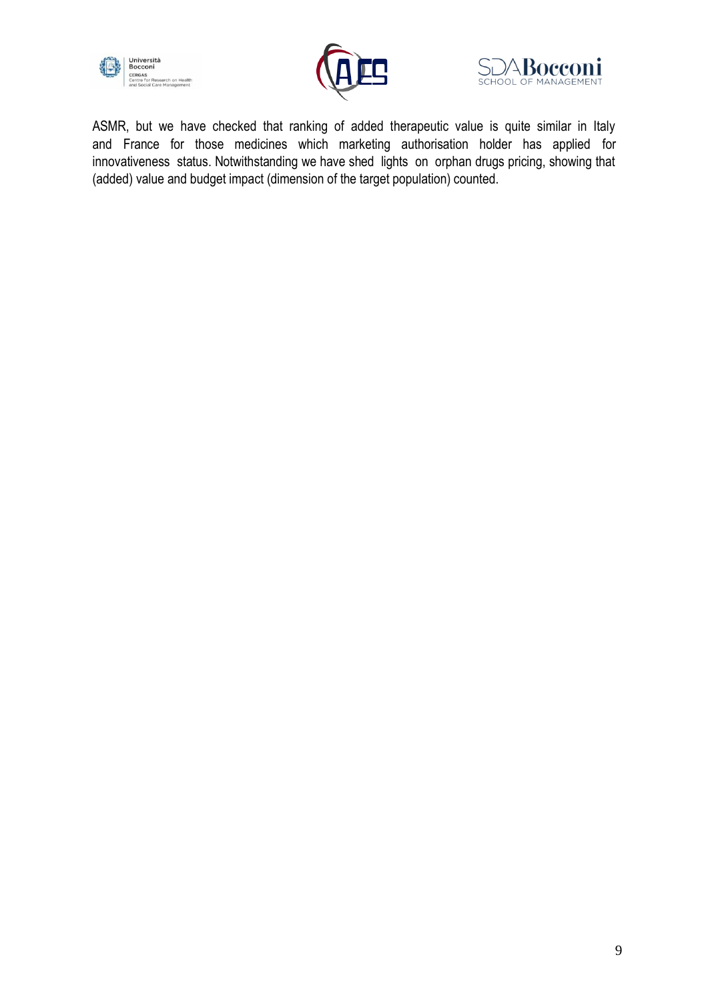





ASMR, but we have checked that ranking of added therapeutic value is quite similar in Italy and France for those medicines which marketing authorisation holder has applied for innovativeness status. Notwithstanding we have shed lights on orphan drugs pricing, showing that (added) value and budget impact (dimension of the target population) counted.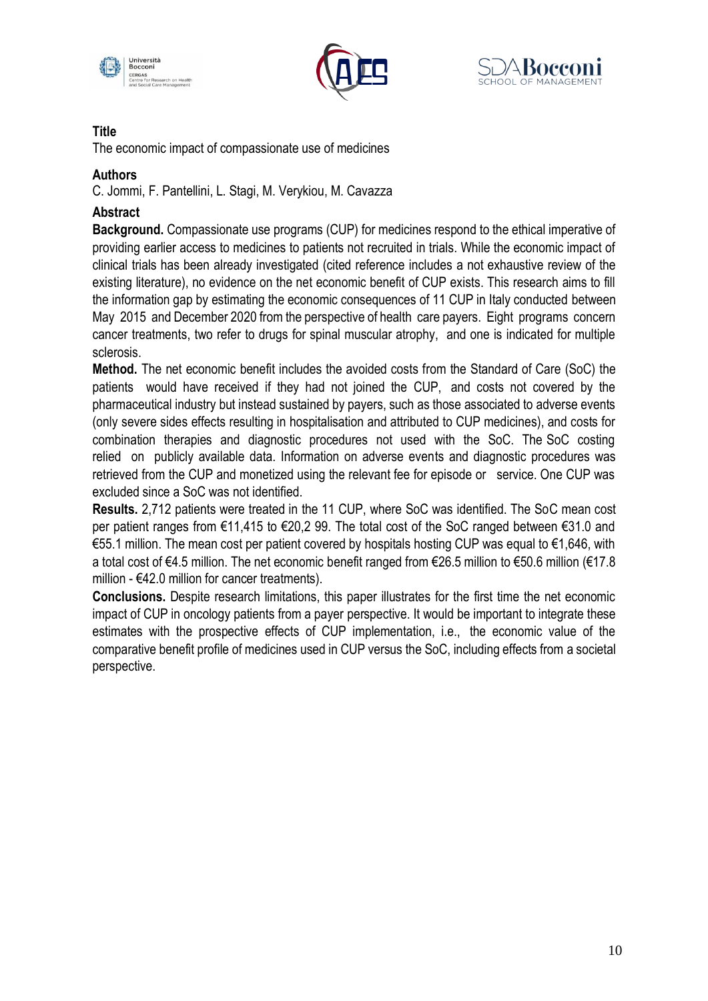





The economic impact of compassionate use of medicines

## **Authors**

C. Jommi, F. Pantellini, L. Stagi, M. Verykiou, M. Cavazza

## **Abstract**

**Background.** Compassionate use programs (CUP) for medicines respond to the ethical imperative of providing earlier access to medicines to patients not recruited in trials. While the economic impact of clinical trials has been already investigated (cited reference includes a not exhaustive review of the existing literature), no evidence on the net economic benefit of CUP exists. This research aims to fill the information gap by estimating the economic consequences of 11 CUP in Italy conducted between May 2015 and December 2020 from the perspective of health care payers. Eight programs concern cancer treatments, two refer to drugs for spinal muscular atrophy, and one is indicated for multiple sclerosis.

**Method.** The net economic benefit includes the avoided costs from the Standard of Care (SoC) the patients would have received if they had not joined the CUP, and costs not covered by the pharmaceutical industry but instead sustained by payers, such as those associated to adverse events (only severe sides effects resulting in hospitalisation and attributed to CUP medicines), and costs for combination therapies and diagnostic procedures not used with the SoC. The SoC costing relied on publicly available data. Information on adverse events and diagnostic procedures was retrieved from the CUP and monetized using the relevant fee for episode or service. One CUP was excluded since a SoC was not identified.

**Results.** 2,712 patients were treated in the 11 CUP, where SoC was identified. The SoC mean cost per patient ranges from €11,415 to €20,2 99. The total cost of the SoC ranged between €31.0 and €55.1 million. The mean cost per patient covered by hospitals hosting CUP was equal to €1,646, with a total cost of €4.5 million. The net economic benefit ranged from €26.5 million to €50.6 million (€17.8 million - €42.0 million for cancer treatments).

**Conclusions.** Despite research limitations, this paper illustrates for the first time the net economic impact of CUP in oncology patients from a payer perspective. It would be important to integrate these estimates with the prospective effects of CUP implementation, i.e., the economic value of the comparative benefit profile of medicines used in CUP versus the SoC, including effects from a societal perspective.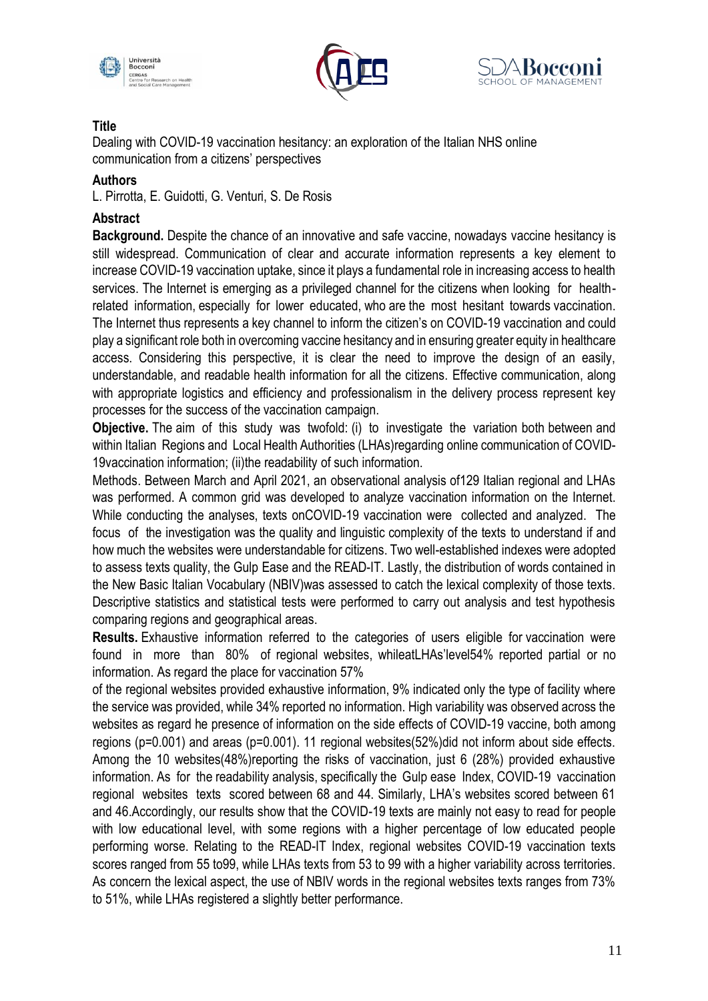





Dealing with COVID-19 vaccination hesitancy: an exploration of the Italian NHS online communication from a citizens' perspectives

#### **Authors**

L. Pirrotta, E. Guidotti, G. Venturi, S. De Rosis

## **Abstract**

**Background.** Despite the chance of an innovative and safe vaccine, nowadays vaccine hesitancy is still widespread. Communication of clear and accurate information represents a key element to increase COVID-19 vaccination uptake, since it plays a fundamental role in increasing access to health services. The Internet is emerging as a privileged channel for the citizens when looking for healthrelated information, especially for lower educated, who are the most hesitant towards vaccination. The Internet thus represents a key channel to inform the citizen's on COVID-19 vaccination and could play a significant role both in overcoming vaccine hesitancy and in ensuring greater equity in healthcare access. Considering this perspective, it is clear the need to improve the design of an easily, understandable, and readable health information for all the citizens. Effective communication, along with appropriate logistics and efficiency and professionalism in the delivery process represent key processes for the success of the vaccination campaign.

**Objective.** The aim of this study was twofold: (i) to investigate the variation both between and within Italian Regions and Local Health Authorities (LHAs)regarding online communication of COVID-19vaccination information; (ii)the readability of such information.

Methods. Between March and April 2021, an observational analysis of129 Italian regional and LHAs was performed. A common grid was developed to analyze vaccination information on the Internet. While conducting the analyses, texts onCOVID-19 vaccination were collected and analyzed. The focus of the investigation was the quality and linguistic complexity of the texts to understand if and how much the websites were understandable for citizens. Two well-established indexes were adopted to assess texts quality, the Gulp Ease and the READ-IT. Lastly, the distribution of words contained in the New Basic Italian Vocabulary (NBIV)was assessed to catch the lexical complexity of those texts. Descriptive statistics and statistical tests were performed to carry out analysis and test hypothesis comparing regions and geographical areas.

**Results.** Exhaustive information referred to the categories of users eligible for vaccination were found in more than 80% of regional websites, whileatLHAs'level54% reported partial or no information. As regard the place for vaccination 57%

of the regional websites provided exhaustive information, 9% indicated only the type of facility where the service was provided, while 34% reported no information. High variability was observed across the websites as regard he presence of information on the side effects of COVID-19 vaccine, both among regions (p=0.001) and areas (p=0.001). 11 regional websites(52%)did not inform about side effects. Among the 10 websites(48%)reporting the risks of vaccination, just 6 (28%) provided exhaustive information. As for the readability analysis, specifically the Gulp ease Index, COVID-19 vaccination regional websites texts scored between 68 and 44. Similarly, LHA's websites scored between 61 and 46.Accordingly, our results show that the COVID-19 texts are mainly not easy to read for people with low educational level, with some regions with a higher percentage of low educated people performing worse. Relating to the READ-IT Index, regional websites COVID-19 vaccination texts scores ranged from 55 to99, while LHAs texts from 53 to 99 with a higher variability across territories. As concern the lexical aspect, the use of NBIV words in the regional websites texts ranges from 73% to 51%, while LHAs registered a slightly better performance.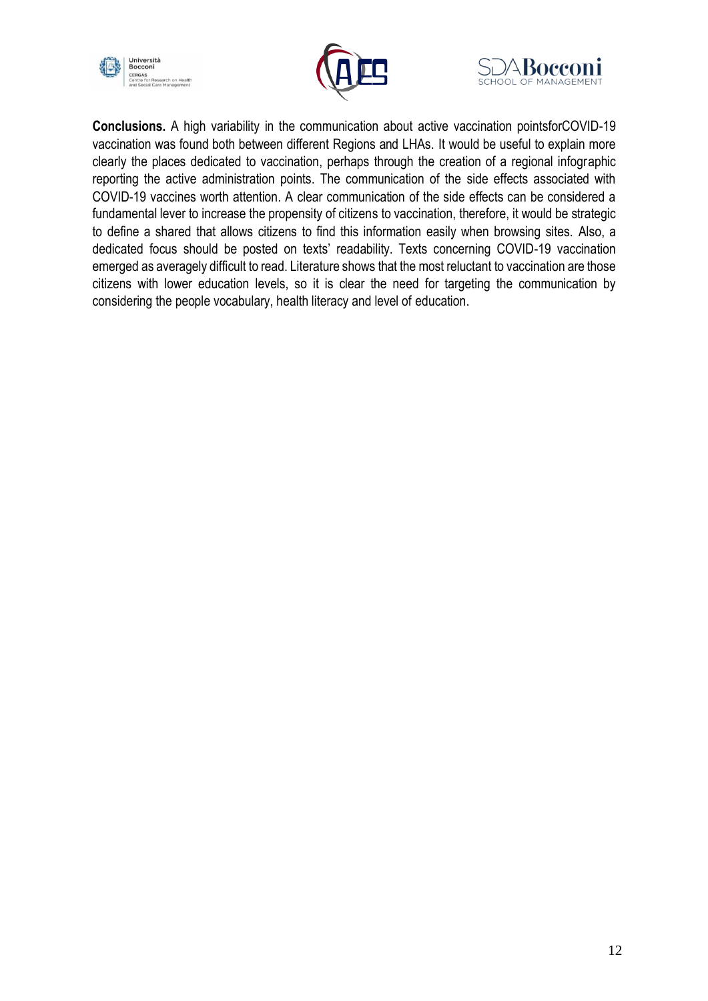





**Conclusions.** A high variability in the communication about active vaccination pointsforCOVID-19 vaccination was found both between different Regions and LHAs. It would be useful to explain more clearly the places dedicated to vaccination, perhaps through the creation of a regional infographic reporting the active administration points. The communication of the side effects associated with COVID-19 vaccines worth attention. A clear communication of the side effects can be considered a fundamental lever to increase the propensity of citizens to vaccination, therefore, it would be strategic to define a shared that allows citizens to find this information easily when browsing sites. Also, a dedicated focus should be posted on texts' readability. Texts concerning COVID-19 vaccination emerged as averagely difficult to read. Literature shows that the most reluctant to vaccination are those citizens with lower education levels, so it is clear the need for targeting the communication by considering the people vocabulary, health literacy and level of education.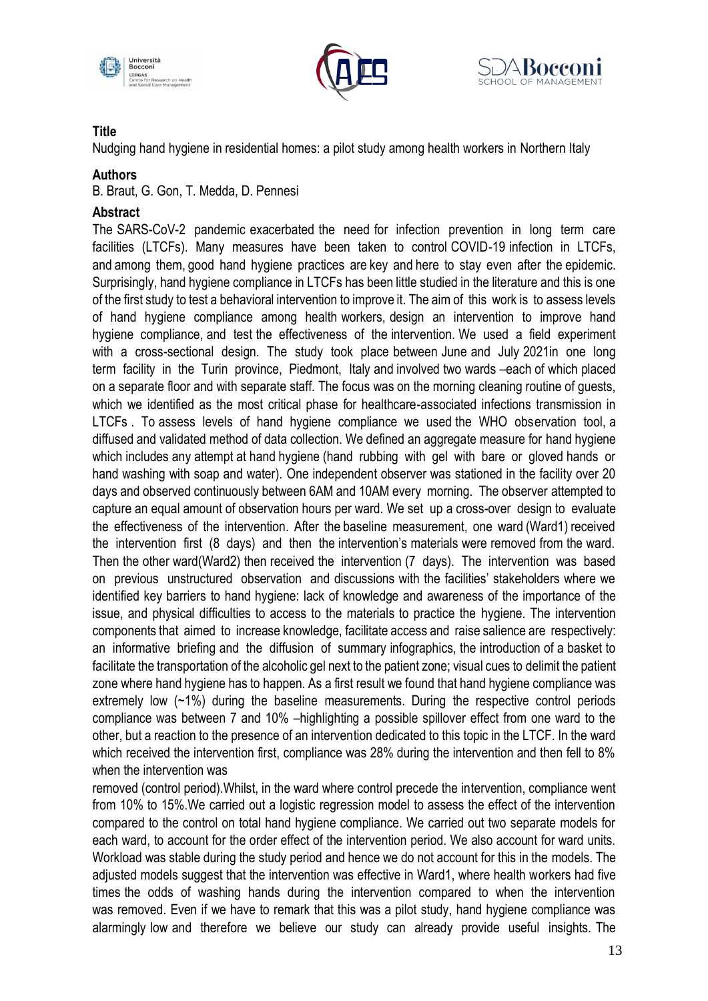





Nudging hand hygiene in residential homes: a pilot study among health workers in Northern Italy

#### **Authors**

B. Braut, G. Gon, T. Medda, D. Pennesi

#### **Abstract**

The SARS-CoV-2 pandemic exacerbated the need for infection prevention in long term care facilities (LTCFs). Many measures have been taken to control COVID-19 infection in LTCFs, and among them, good hand hygiene practices are key and here to stay even after the epidemic. Surprisingly, hand hygiene compliance in LTCFs has been little studied in the literature and this is one of the first study to test a behavioral intervention to improve it. The aim of this work is to assess levels of hand hygiene compliance among health workers, design an intervention to improve hand hygiene compliance, and test the effectiveness of the intervention. We used a field experiment with a cross-sectional design. The study took place between June and July 2021in one long term facility in the Turin province, Piedmont, Italy and involved two wards –each of which placed on a separate floor and with separate staff. The focus was on the morning cleaning routine of guests, which we identified as the most critical phase for healthcare-associated infections transmission in LTCFs . To assess levels of hand hygiene compliance we used the WHO observation tool, a diffused and validated method of data collection. We defined an aggregate measure for hand hygiene which includes any attempt at hand hygiene (hand rubbing with gel with bare or gloved hands or hand washing with soap and water). One independent observer was stationed in the facility over 20 days and observed continuously between 6AM and 10AM every morning. The observer attempted to capture an equal amount of observation hours per ward. We set up a cross-over design to evaluate the effectiveness of the intervention. After the baseline measurement, one ward (Ward1) received the intervention first (8 days) and then the intervention's materials were removed from the ward. Then the other ward(Ward2) then received the intervention (7 days). The intervention was based on previous unstructured observation and discussions with the facilities' stakeholders where we identified key barriers to hand hygiene: lack of knowledge and awareness of the importance of the issue, and physical difficulties to access to the materials to practice the hygiene. The intervention components that aimed to increase knowledge, facilitate access and raise salience are respectively: an informative briefing and the diffusion of summary infographics, the introduction of a basket to facilitate the transportation of the alcoholic gel next to the patient zone; visual cues to delimit the patient zone where hand hygiene has to happen. As a first result we found that hand hygiene compliance was extremely low (~1%) during the baseline measurements. During the respective control periods compliance was between 7 and 10% –highlighting a possible spillover effect from one ward to the other, but a reaction to the presence of an intervention dedicated to this topic in the LTCF. In the ward which received the intervention first, compliance was 28% during the intervention and then fell to 8% when the intervention was

removed (control period).Whilst, in the ward where control precede the intervention, compliance went from 10% to 15%.We carried out a logistic regression model to assess the effect of the intervention compared to the control on total hand hygiene compliance. We carried out two separate models for each ward, to account for the order effect of the intervention period. We also account for ward units. Workload was stable during the study period and hence we do not account for this in the models. The adjusted models suggest that the intervention was effective in Ward1, where health workers had five times the odds of washing hands during the intervention compared to when the intervention was removed. Even if we have to remark that this was a pilot study, hand hygiene compliance was alarmingly low and therefore we believe our study can already provide useful insights. The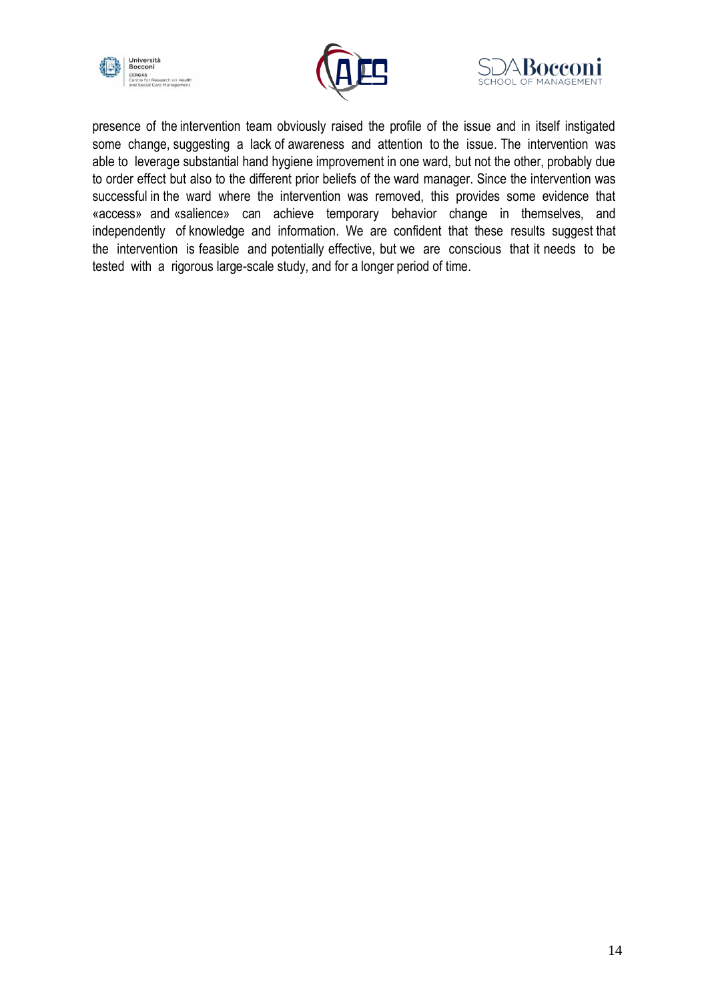





presence of the intervention team obviously raised the profile of the issue and in itself instigated some change, suggesting a lack of awareness and attention to the issue. The intervention was able to leverage substantial hand hygiene improvement in one ward, but not the other, probably due to order effect but also to the different prior beliefs of the ward manager. Since the intervention was successful in the ward where the intervention was removed, this provides some evidence that «access» and «salience» can achieve temporary behavior change in themselves, and independently of knowledge and information. We are confident that these results suggest that the intervention is feasible and potentially effective, but we are conscious that it needs to be tested with a rigorous large-scale study, and for a longer period of time.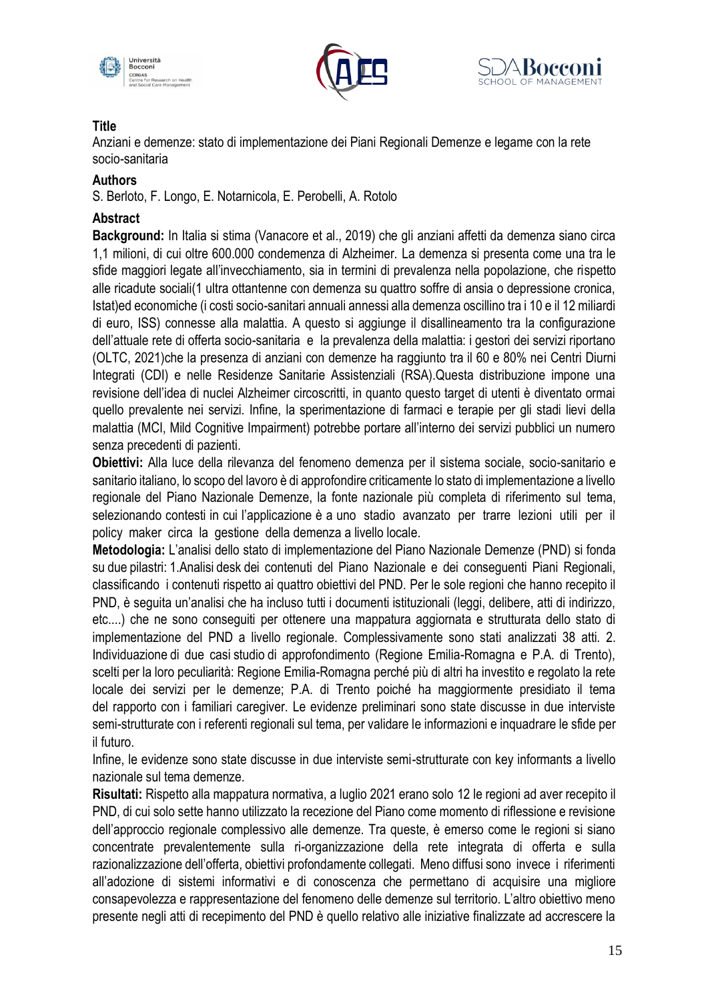





Anziani e demenze: stato di implementazione dei Piani Regionali Demenze e legame con la rete socio-sanitaria

## **Authors**

S. Berloto, F. Longo, E. Notarnicola, E. Perobelli, A. Rotolo

## **Abstract**

**Background:** In Italia si stima (Vanacore et al., 2019) che gli anziani affetti da demenza siano circa 1,1 milioni, di cui oltre 600.000 condemenza di Alzheimer. La demenza si presenta come una tra le sfide maggiori legate all'invecchiamento, sia in termini di prevalenza nella popolazione, che rispetto alle ricadute sociali(1 ultra ottantenne con demenza su quattro soffre di ansia o depressione cronica, Istat)ed economiche (i costi socio-sanitari annuali annessi alla demenza oscillino tra i 10 e il 12 miliardi di euro, ISS) connesse alla malattia. A questo si aggiunge il disallineamento tra la configurazione dell'attuale rete di offerta socio-sanitaria e la prevalenza della malattia: i gestori dei servizi riportano (OLTC, 2021)che la presenza di anziani con demenze ha raggiunto tra il 60 e 80% nei Centri Diurni Integrati (CDI) e nelle Residenze Sanitarie Assistenziali (RSA).Questa distribuzione impone una revisione dell'idea di nuclei Alzheimer circoscritti, in quanto questo target di utenti è diventato ormai quello prevalente nei servizi. Infine, la sperimentazione di farmaci e terapie per gli stadi lievi della malattia (MCI, Mild Cognitive Impairment) potrebbe portare all'interno dei servizi pubblici un numero senza precedenti di pazienti.

**Obiettivi:** Alla luce della rilevanza del fenomeno demenza per il sistema sociale, socio-sanitario e sanitario italiano, lo scopo del lavoro è di approfondire criticamente lo stato di implementazione a livello regionale del Piano Nazionale Demenze, la fonte nazionale più completa di riferimento sul tema, selezionando contesti in cui l'applicazione è a uno stadio avanzato per trarre lezioni utili per il policy maker circa la gestione della demenza a livello locale.

**Metodologia:** L'analisi dello stato di implementazione del Piano Nazionale Demenze (PND) si fonda su due pilastri: 1.Analisi desk dei contenuti del Piano Nazionale e dei conseguenti Piani Regionali, classificando i contenuti rispetto ai quattro obiettivi del PND. Per le sole regioni che hanno recepito il PND, è seguita un'analisi che ha incluso tutti i documenti istituzionali (leggi, delibere, atti di indirizzo, etc....) che ne sono conseguiti per ottenere una mappatura aggiornata e strutturata dello stato di implementazione del PND a livello regionale. Complessivamente sono stati analizzati 38 atti. 2. Individuazione di due casi studio di approfondimento (Regione Emilia-Romagna e P.A. di Trento), scelti per la loro peculiarità: Regione Emilia-Romagna perché più di altri ha investito e regolato la rete locale dei servizi per le demenze; P.A. di Trento poiché ha maggiormente presidiato il tema del rapporto con i familiari caregiver. Le evidenze preliminari sono state discusse in due interviste semi-strutturate con i referenti regionali sul tema, per validare le informazioni e inquadrare le sfide per il futuro.

Infine, le evidenze sono state discusse in due interviste semi-strutturate con key informants a livello nazionale sul tema demenze.

**Risultati:** Rispetto alla mappatura normativa, a luglio 2021 erano solo 12 le regioni ad aver recepito il PND, di cui solo sette hanno utilizzato la recezione del Piano come momento di riflessione e revisione dell'approccio regionale complessivo alle demenze. Tra queste, è emerso come le regioni si siano concentrate prevalentemente sulla ri-organizzazione della rete integrata di offerta e sulla razionalizzazione dell'offerta, obiettivi profondamente collegati. Meno diffusi sono invece i riferimenti all'adozione di sistemi informativi e di conoscenza che permettano di acquisire una migliore consapevolezza e rappresentazione del fenomeno delle demenze sul territorio. L'altro obiettivo meno presente negli atti di recepimento del PND è quello relativo alle iniziative finalizzate ad accrescere la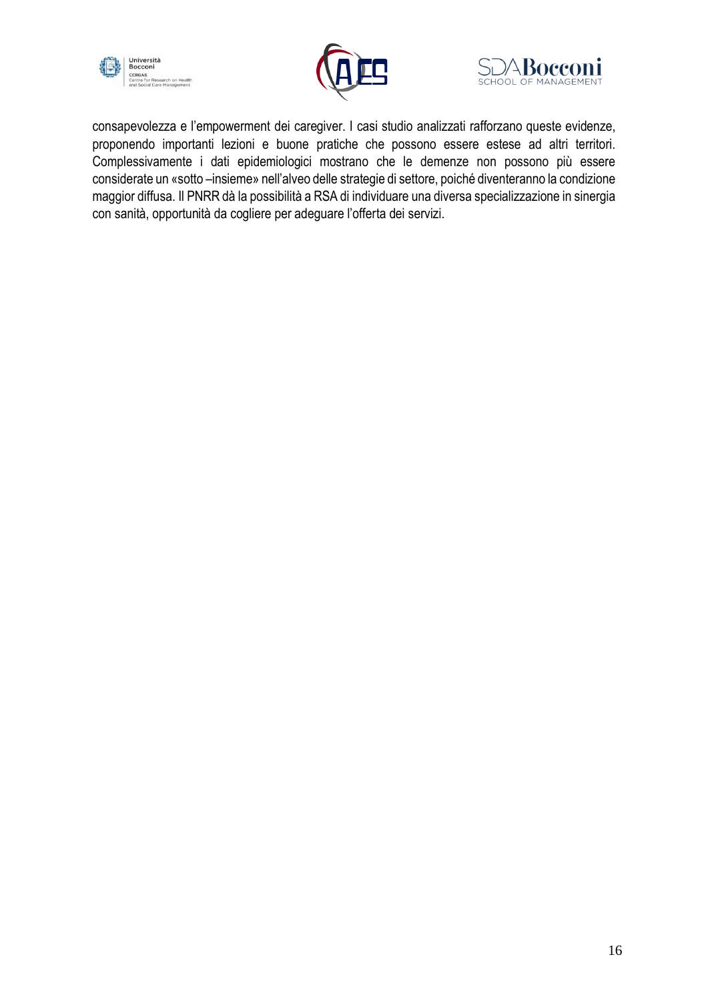





consapevolezza e l'empowerment dei caregiver. I casi studio analizzati rafforzano queste evidenze, proponendo importanti lezioni e buone pratiche che possono essere estese ad altri territori. Complessivamente i dati epidemiologici mostrano che le demenze non possono più essere considerate un «sotto –insieme» nell'alveo delle strategie di settore, poiché diventeranno la condizione maggior diffusa. Il PNRR dà la possibilità a RSA di individuare una diversa specializzazione in sinergia con sanità, opportunità da cogliere per adeguare l'offerta dei servizi.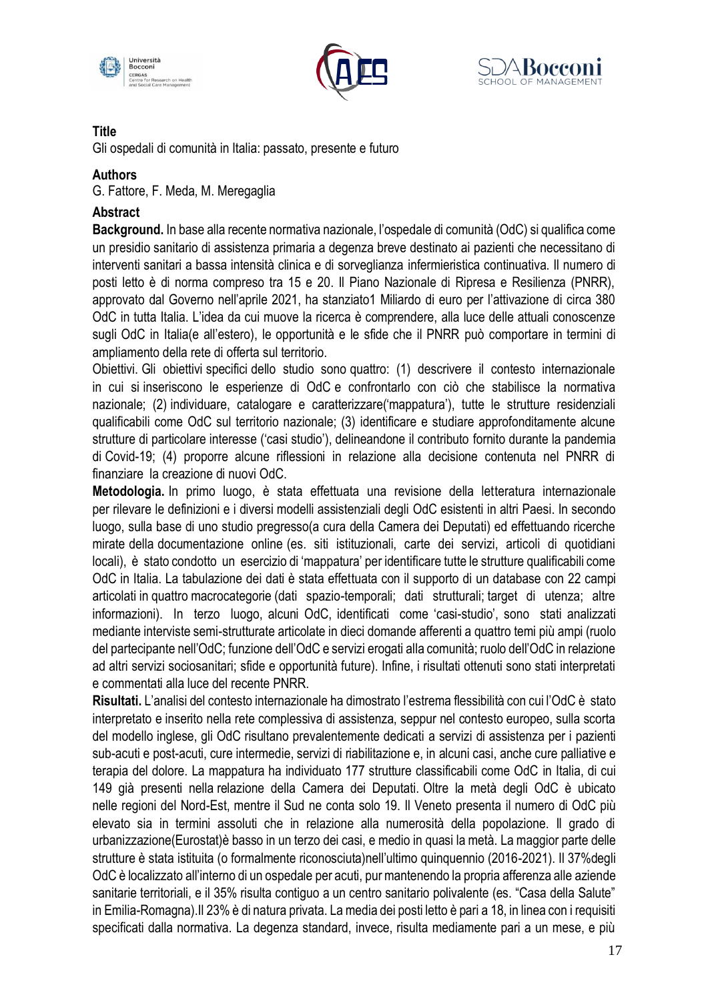





Gli ospedali di comunità in Italia: passato, presente e futuro

#### **Authors**

G. Fattore, F. Meda, M. Meregaglia

#### **Abstract**

**Background.** In base alla recente normativa nazionale, l'ospedale di comunità (OdC) si qualifica come un presidio sanitario di assistenza primaria a degenza breve destinato ai pazienti che necessitano di interventi sanitari a bassa intensità clinica e di sorveglianza infermieristica continuativa. Il numero di posti letto è di norma compreso tra 15 e 20. Il Piano Nazionale di Ripresa e Resilienza (PNRR), approvato dal Governo nell'aprile 2021, ha stanziato1 Miliardo di euro per l'attivazione di circa 380 OdC in tutta Italia. L'idea da cui muove la ricerca è comprendere, alla luce delle attuali conoscenze sugli OdC in Italia(e all'estero), le opportunità e le sfide che il PNRR può comportare in termini di ampliamento della rete di offerta sul territorio.

Obiettivi. Gli obiettivi specifici dello studio sono quattro: (1) descrivere il contesto internazionale in cui si inseriscono le esperienze di OdC e confrontarlo con ciò che stabilisce la normativa nazionale; (2) individuare, catalogare e caratterizzare('mappatura'), tutte le strutture residenziali qualificabili come OdC sul territorio nazionale; (3) identificare e studiare approfonditamente alcune strutture di particolare interesse ('casi studio'), delineandone il contributo fornito durante la pandemia di Covid-19; (4) proporre alcune riflessioni in relazione alla decisione contenuta nel PNRR di finanziare la creazione di nuovi OdC.

**Metodologia.** In primo luogo, è stata effettuata una revisione della letteratura internazionale per rilevare le definizioni e i diversi modelli assistenziali degli OdC esistenti in altri Paesi. In secondo luogo, sulla base di uno studio pregresso(a cura della Camera dei Deputati) ed effettuando ricerche mirate della documentazione online (es. siti istituzionali, carte dei servizi, articoli di quotidiani locali), è stato condotto un esercizio di 'mappatura' per identificare tutte le strutture qualificabili come OdC in Italia. La tabulazione dei dati è stata effettuata con il supporto di un database con 22 campi articolati in quattro macrocategorie (dati spazio-temporali; dati strutturali; target di utenza; altre informazioni). In terzo luogo, alcuni OdC, identificati come 'casi-studio', sono stati analizzati mediante interviste semi-strutturate articolate in dieci domande afferenti a quattro temi più ampi (ruolo del partecipante nell'OdC; funzione dell'OdC e servizi erogati alla comunità; ruolo dell'OdC in relazione ad altri servizi sociosanitari; sfide e opportunità future). Infine, i risultati ottenuti sono stati interpretati e commentati alla luce del recente PNRR.

**Risultati.** L'analisi del contesto internazionale ha dimostrato l'estrema flessibilità con cui l'OdC è stato interpretato e inserito nella rete complessiva di assistenza, seppur nel contesto europeo, sulla scorta del modello inglese, gli OdC risultano prevalentemente dedicati a servizi di assistenza per i pazienti sub-acuti e post-acuti, cure intermedie, servizi di riabilitazione e, in alcuni casi, anche cure palliative e terapia del dolore. La mappatura ha individuato 177 strutture classificabili come OdC in Italia, di cui 149 già presenti nella relazione della Camera dei Deputati. Oltre la metà degli OdC è ubicato nelle regioni del Nord-Est, mentre il Sud ne conta solo 19. Il Veneto presenta il numero di OdC più elevato sia in termini assoluti che in relazione alla numerosità della popolazione. Il grado di urbanizzazione(Eurostat)è basso in un terzo dei casi, e medio in quasi la metà. La maggior parte delle strutture è stata istituita (o formalmente riconosciuta)nell'ultimo quinquennio (2016-2021). Il 37%degli OdC è localizzato all'interno di un ospedale per acuti, pur mantenendo la propria afferenza alle aziende sanitarie territoriali, e il 35% risulta contiguo a un centro sanitario polivalente (es. "Casa della Salute" in Emilia-Romagna).Il 23% è di natura privata. La media dei posti letto è pari a 18, in linea con i requisiti specificati dalla normativa. La degenza standard, invece, risulta mediamente pari a un mese, e più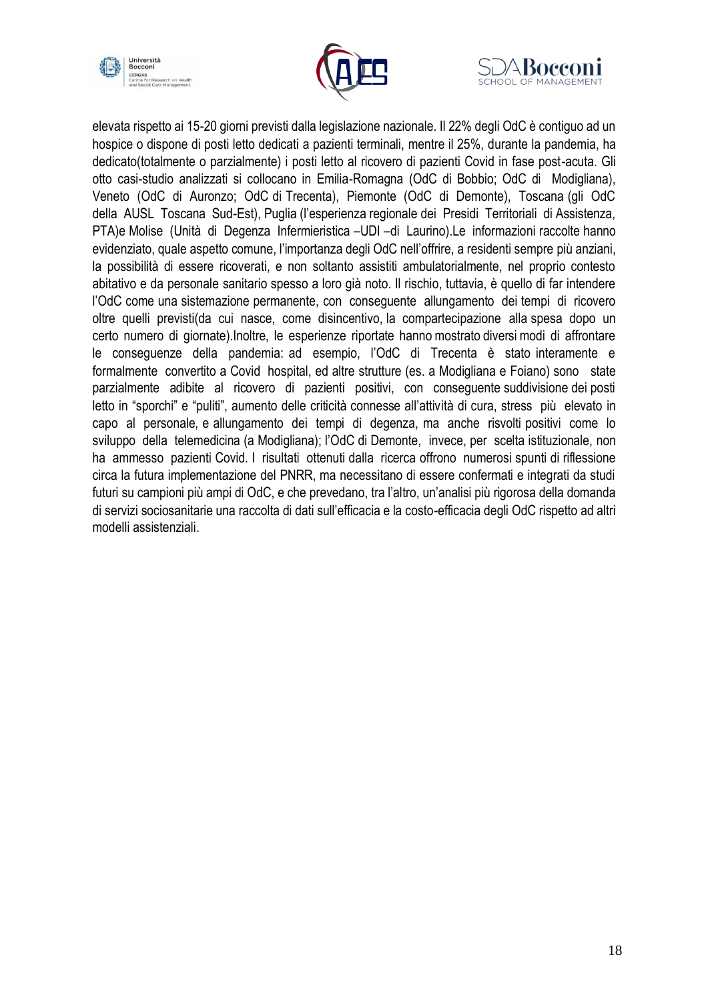





elevata rispetto ai 15-20 giorni previsti dalla legislazione nazionale. Il 22% degli OdC è contiguo ad un hospice o dispone di posti letto dedicati a pazienti terminali, mentre il 25%, durante la pandemia, ha dedicato(totalmente o parzialmente) i posti letto al ricovero di pazienti Covid in fase post-acuta. Gli otto casi-studio analizzati si collocano in Emilia-Romagna (OdC di Bobbio; OdC di Modigliana), Veneto (OdC di Auronzo; OdC di Trecenta), Piemonte (OdC di Demonte), Toscana (gli OdC della AUSL Toscana Sud-Est), Puglia (l'esperienza regionale dei Presidi Territoriali di Assistenza, PTA)e Molise (Unità di Degenza Infermieristica –UDI –di Laurino).Le informazioni raccolte hanno evidenziato, quale aspetto comune, l'importanza degli OdC nell'offrire, a residenti sempre più anziani, la possibilità di essere ricoverati, e non soltanto assistiti ambulatorialmente, nel proprio contesto abitativo e da personale sanitario spesso a loro già noto. Il rischio, tuttavia, è quello di far intendere l'OdC come una sistemazione permanente, con conseguente allungamento dei tempi di ricovero oltre quelli previsti(da cui nasce, come disincentivo, la compartecipazione alla spesa dopo un certo numero di giornate).Inoltre, le esperienze riportate hanno mostrato diversi modi di affrontare le conseguenze della pandemia: ad esempio, l'OdC di Trecenta è stato interamente e formalmente convertito a Covid hospital, ed altre strutture (es. a Modigliana e Foiano) sono state parzialmente adibite al ricovero di pazienti positivi, con conseguente suddivisione dei posti letto in "sporchi" e "puliti", aumento delle criticità connesse all'attività di cura, stress più elevato in capo al personale, e allungamento dei tempi di degenza, ma anche risvolti positivi come lo sviluppo della telemedicina (a Modigliana); l'OdC di Demonte, invece, per scelta istituzionale, non ha ammesso pazienti Covid. I risultati ottenuti dalla ricerca offrono numerosi spunti di riflessione circa la futura implementazione del PNRR, ma necessitano di essere confermati e integrati da studi futuri su campioni più ampi di OdC, e che prevedano, tra l'altro, un'analisi più rigorosa della domanda di servizi sociosanitarie una raccolta di dati sull'efficacia e la costo-efficacia degli OdC rispetto ad altri modelli assistenziali.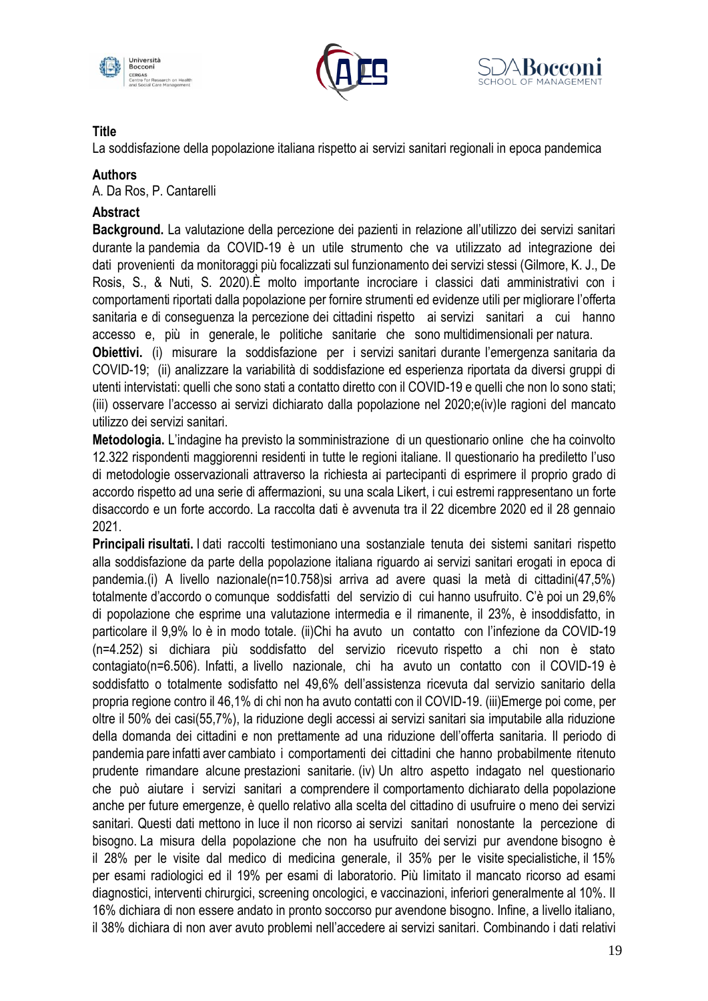





La soddisfazione della popolazione italiana rispetto ai servizi sanitari regionali in epoca pandemica

#### **Authors**

A. Da Ros, P. Cantarelli

#### **Abstract**

**Background.** La valutazione della percezione dei pazienti in relazione all'utilizzo dei servizi sanitari durante la pandemia da COVID-19 è un utile strumento che va utilizzato ad integrazione dei dati provenienti da monitoraggi più focalizzati sul funzionamento dei servizi stessi (Gilmore, K. J., De Rosis, S., & Nuti, S. 2020).È molto importante incrociare i classici dati amministrativi con i comportamenti riportati dalla popolazione per fornire strumenti ed evidenze utili per migliorare l'offerta sanitaria e di conseguenza la percezione dei cittadini rispetto ai servizi sanitari a cui hanno accesso e, più in generale, le politiche sanitarie che sono multidimensionali per natura.

**Obiettivi.** (i) misurare la soddisfazione per i servizi sanitari durante l'emergenza sanitaria da COVID-19; (ii) analizzare la variabilità di soddisfazione ed esperienza riportata da diversi gruppi di utenti intervistati: quelli che sono stati a contatto diretto con il COVID-19 e quelli che non lo sono stati; (iii) osservare l'accesso ai servizi dichiarato dalla popolazione nel 2020;e(iv)le ragioni del mancato utilizzo dei servizi sanitari.

**Metodologia.** L'indagine ha previsto la somministrazione di un questionario online che ha coinvolto 12.322 rispondenti maggiorenni residenti in tutte le regioni italiane. Il questionario ha prediletto l'uso di metodologie osservazionali attraverso la richiesta ai partecipanti di esprimere il proprio grado di accordo rispetto ad una serie di affermazioni, su una scala Likert, i cui estremi rappresentano un forte disaccordo e un forte accordo. La raccolta dati è avvenuta tra il 22 dicembre 2020 ed il 28 gennaio 2021.

**Principali risultati.** I dati raccolti testimoniano una sostanziale tenuta dei sistemi sanitari rispetto alla soddisfazione da parte della popolazione italiana riguardo ai servizi sanitari erogati in epoca di pandemia.(i) A livello nazionale(n=10.758)si arriva ad avere quasi la metà di cittadini(47,5%) totalmente d'accordo o comunque soddisfatti del servizio di cui hanno usufruito. C'è poi un 29,6% di popolazione che esprime una valutazione intermedia e il rimanente, il 23%, è insoddisfatto, in particolare il 9,9% lo è in modo totale. (ii)Chi ha avuto un contatto con l'infezione da COVID-19 (n=4.252) si dichiara più soddisfatto del servizio ricevuto rispetto a chi non è stato contagiato(n=6.506). Infatti, a livello nazionale, chi ha avuto un contatto con il COVID-19 è soddisfatto o totalmente sodisfatto nel 49,6% dell'assistenza ricevuta dal servizio sanitario della propria regione contro il 46,1% di chi non ha avuto contatti con il COVID-19. (iii)Emerge poi come, per oltre il 50% dei casi(55,7%), la riduzione degli accessi ai servizi sanitari sia imputabile alla riduzione della domanda dei cittadini e non prettamente ad una riduzione dell'offerta sanitaria. Il periodo di pandemia pare infatti aver cambiato i comportamenti dei cittadini che hanno probabilmente ritenuto prudente rimandare alcune prestazioni sanitarie. (iv) Un altro aspetto indagato nel questionario che può aiutare i servizi sanitari a comprendere il comportamento dichiarato della popolazione anche per future emergenze, è quello relativo alla scelta del cittadino di usufruire o meno dei servizi sanitari. Questi dati mettono in luce il non ricorso ai servizi sanitari nonostante la percezione di bisogno. La misura della popolazione che non ha usufruito dei servizi pur avendone bisogno è il 28% per le visite dal medico di medicina generale, il 35% per le visite specialistiche, il 15% per esami radiologici ed il 19% per esami di laboratorio. Più limitato il mancato ricorso ad esami diagnostici, interventi chirurgici, screening oncologici, e vaccinazioni, inferiori generalmente al 10%. Il 16% dichiara di non essere andato in pronto soccorso pur avendone bisogno. Infine, a livello italiano, il 38% dichiara di non aver avuto problemi nell'accedere ai servizi sanitari. Combinando i dati relativi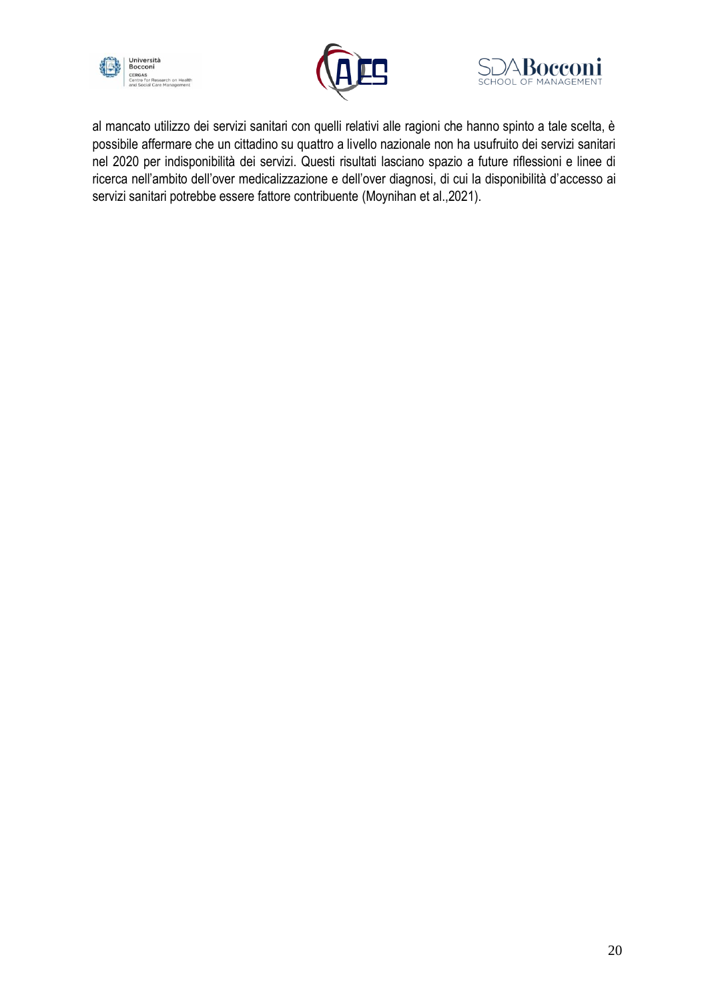





al mancato utilizzo dei servizi sanitari con quelli relativi alle ragioni che hanno spinto a tale scelta, è possibile affermare che un cittadino su quattro a livello nazionale non ha usufruito dei servizi sanitari nel 2020 per indisponibilità dei servizi. Questi risultati lasciano spazio a future riflessioni e linee di ricerca nell'ambito dell'over medicalizzazione e dell'over diagnosi, di cui la disponibilità d'accesso ai servizi sanitari potrebbe essere fattore contribuente (Moynihan et al.,2021).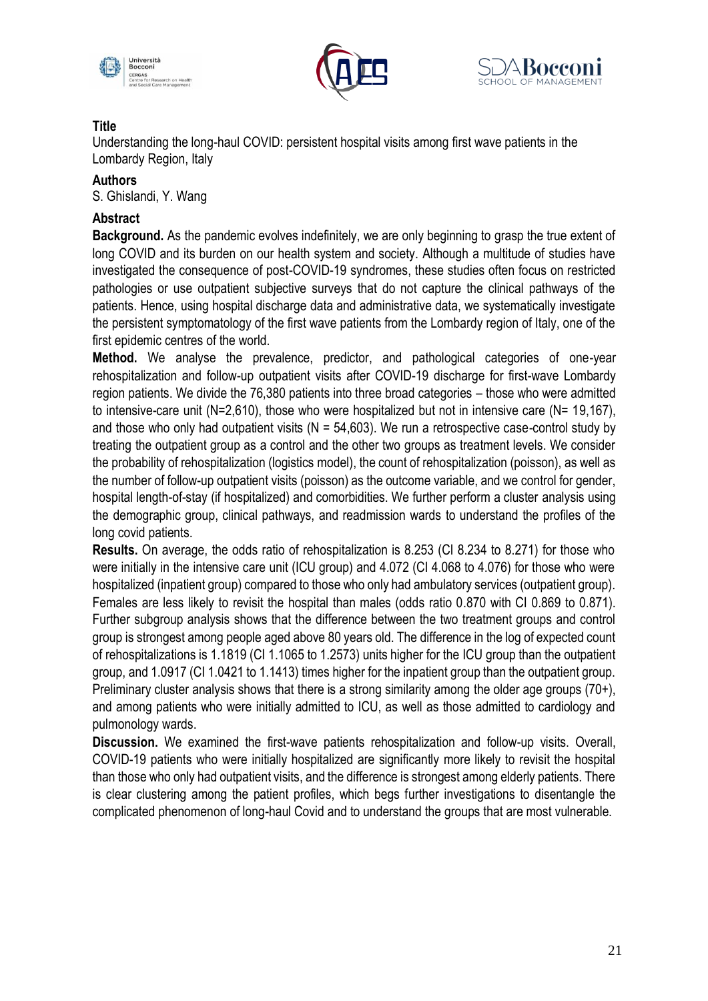





Understanding the long-haul COVID: persistent hospital visits among first wave patients in the Lombardy Region, Italy

## **Authors**

S. Ghislandi, Y. Wang

## **Abstract**

**Background.** As the pandemic evolves indefinitely, we are only beginning to grasp the true extent of long COVID and its burden on our health system and society. Although a multitude of studies have investigated the consequence of post-COVID-19 syndromes, these studies often focus on restricted pathologies or use outpatient subjective surveys that do not capture the clinical pathways of the patients. Hence, using hospital discharge data and administrative data, we systematically investigate the persistent symptomatology of the first wave patients from the Lombardy region of Italy, one of the first epidemic centres of the world.

**Method.** We analyse the prevalence, predictor, and pathological categories of one-year rehospitalization and follow-up outpatient visits after COVID-19 discharge for first-wave Lombardy region patients. We divide the 76,380 patients into three broad categories – those who were admitted to intensive-care unit (N=2,610), those who were hospitalized but not in intensive care (N= 19,167), and those who only had outpatient visits ( $N = 54,603$ ). We run a retrospective case-control study by treating the outpatient group as a control and the other two groups as treatment levels. We consider the probability of rehospitalization (logistics model), the count of rehospitalization (poisson), as well as the number of follow-up outpatient visits (poisson) as the outcome variable, and we control for gender, hospital length-of-stay (if hospitalized) and comorbidities. We further perform a cluster analysis using the demographic group, clinical pathways, and readmission wards to understand the profiles of the long covid patients.

**Results.** On average, the odds ratio of rehospitalization is 8.253 (CI 8.234 to 8.271) for those who were initially in the intensive care unit (ICU group) and 4.072 (CI 4.068 to 4.076) for those who were hospitalized (inpatient group) compared to those who only had ambulatory services (outpatient group). Females are less likely to revisit the hospital than males (odds ratio 0.870 with CI 0.869 to 0.871). Further subgroup analysis shows that the difference between the two treatment groups and control group is strongest among people aged above 80 years old. The difference in the log of expected count of rehospitalizations is 1.1819 (CI 1.1065 to 1.2573) units higher for the ICU group than the outpatient group, and 1.0917 (CI 1.0421 to 1.1413) times higher for the inpatient group than the outpatient group. Preliminary cluster analysis shows that there is a strong similarity among the older age groups (70+), and among patients who were initially admitted to ICU, as well as those admitted to cardiology and pulmonology wards.

**Discussion.** We examined the first-wave patients rehospitalization and follow-up visits. Overall, COVID-19 patients who were initially hospitalized are significantly more likely to revisit the hospital than those who only had outpatient visits, and the difference is strongest among elderly patients. There is clear clustering among the patient profiles, which begs further investigations to disentangle the complicated phenomenon of long-haul Covid and to understand the groups that are most vulnerable.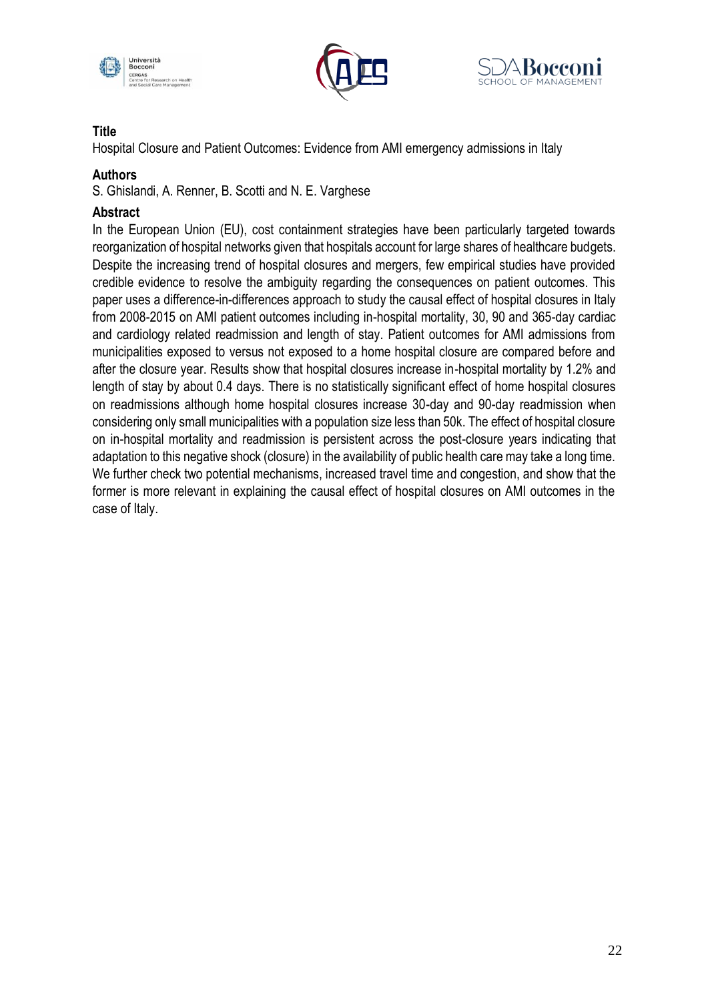





Hospital Closure and Patient Outcomes: Evidence from AMI emergency admissions in Italy

#### **Authors**

S. Ghislandi, A. Renner, B. Scotti and N. E. Varghese

## **Abstract**

In the European Union (EU), cost containment strategies have been particularly targeted towards reorganization of hospital networks given that hospitals account for large shares of healthcare budgets. Despite the increasing trend of hospital closures and mergers, few empirical studies have provided credible evidence to resolve the ambiguity regarding the consequences on patient outcomes. This paper uses a difference-in-differences approach to study the causal effect of hospital closures in Italy from 2008-2015 on AMI patient outcomes including in-hospital mortality, 30, 90 and 365-day cardiac and cardiology related readmission and length of stay. Patient outcomes for AMI admissions from municipalities exposed to versus not exposed to a home hospital closure are compared before and after the closure year. Results show that hospital closures increase in-hospital mortality by 1.2% and length of stay by about 0.4 days. There is no statistically significant effect of home hospital closures on readmissions although home hospital closures increase 30-day and 90-day readmission when considering only small municipalities with a population size less than 50k. The effect of hospital closure on in-hospital mortality and readmission is persistent across the post-closure years indicating that adaptation to this negative shock (closure) in the availability of public health care may take a long time. We further check two potential mechanisms, increased travel time and congestion, and show that the former is more relevant in explaining the causal effect of hospital closures on AMI outcomes in the case of Italy.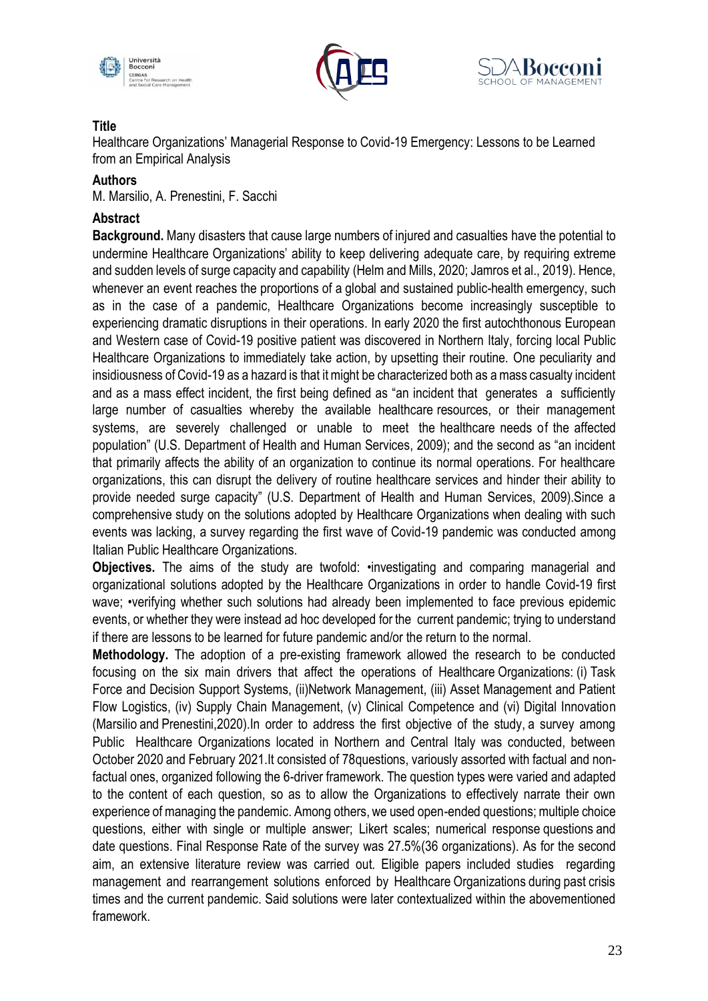





Healthcare Organizations' Managerial Response to Covid-19 Emergency: Lessons to be Learned from an Empirical Analysis

#### **Authors**

M. Marsilio, A. Prenestini, F. Sacchi

#### **Abstract**

**Background.** Many disasters that cause large numbers of injured and casualties have the potential to undermine Healthcare Organizations' ability to keep delivering adequate care, by requiring extreme and sudden levels of surge capacity and capability (Helm and Mills, 2020; Jamros et al., 2019). Hence, whenever an event reaches the proportions of a global and sustained public-health emergency, such as in the case of a pandemic, Healthcare Organizations become increasingly susceptible to experiencing dramatic disruptions in their operations. In early 2020 the first autochthonous European and Western case of Covid-19 positive patient was discovered in Northern Italy, forcing local Public Healthcare Organizations to immediately take action, by upsetting their routine. One peculiarity and insidiousness of Covid-19 as a hazard is that it might be characterized both as a mass casualty incident and as a mass effect incident, the first being defined as "an incident that generates a sufficiently large number of casualties whereby the available healthcare resources, or their management systems, are severely challenged or unable to meet the healthcare needs of the affected population" (U.S. Department of Health and Human Services, 2009); and the second as "an incident that primarily affects the ability of an organization to continue its normal operations. For healthcare organizations, this can disrupt the delivery of routine healthcare services and hinder their ability to provide needed surge capacity" (U.S. Department of Health and Human Services, 2009).Since a comprehensive study on the solutions adopted by Healthcare Organizations when dealing with such events was lacking, a survey regarding the first wave of Covid-19 pandemic was conducted among Italian Public Healthcare Organizations.

**Objectives.** The aims of the study are twofold: •investigating and comparing managerial and organizational solutions adopted by the Healthcare Organizations in order to handle Covid-19 first wave; •verifying whether such solutions had already been implemented to face previous epidemic events, or whether they were instead ad hoc developed for the current pandemic; trying to understand if there are lessons to be learned for future pandemic and/or the return to the normal.

**Methodology.** The adoption of a pre-existing framework allowed the research to be conducted focusing on the six main drivers that affect the operations of Healthcare Organizations: (i) Task Force and Decision Support Systems, (ii)Network Management, (iii) Asset Management and Patient Flow Logistics, (iv) Supply Chain Management, (v) Clinical Competence and (vi) Digital Innovation (Marsilio and Prenestini,2020).In order to address the first objective of the study, a survey among Public Healthcare Organizations located in Northern and Central Italy was conducted, between October 2020 and February 2021.It consisted of 78questions, variously assorted with factual and nonfactual ones, organized following the 6-driver framework. The question types were varied and adapted to the content of each question, so as to allow the Organizations to effectively narrate their own experience of managing the pandemic. Among others, we used open-ended questions; multiple choice questions, either with single or multiple answer; Likert scales; numerical response questions and date questions. Final Response Rate of the survey was 27.5%(36 organizations). As for the second aim, an extensive literature review was carried out. Eligible papers included studies regarding management and rearrangement solutions enforced by Healthcare Organizations during past crisis times and the current pandemic. Said solutions were later contextualized within the abovementioned framework.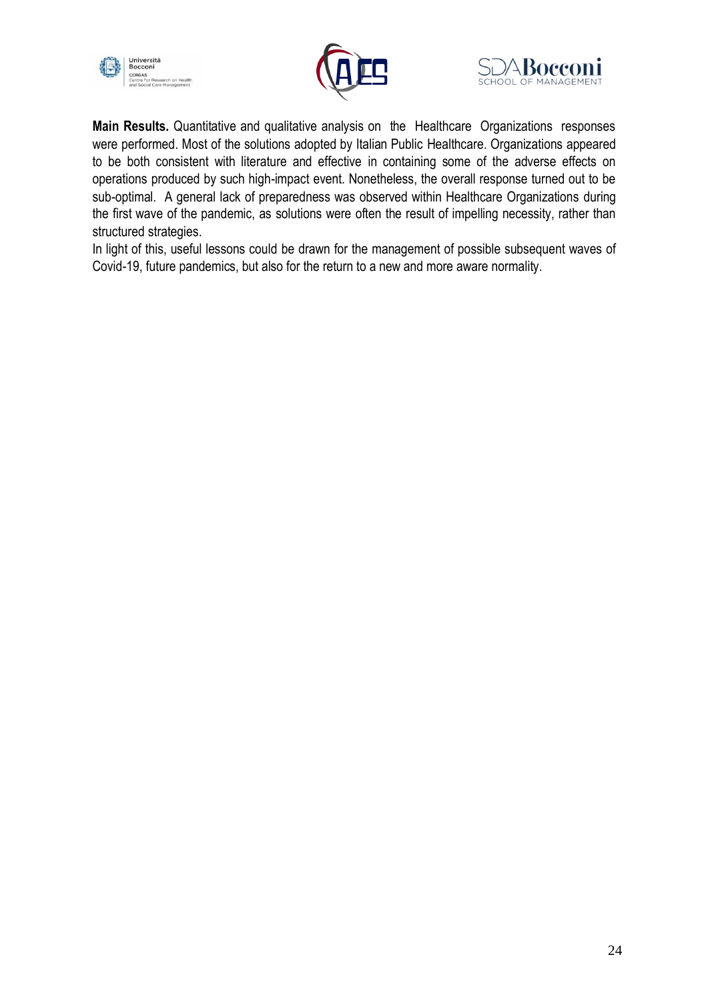





**Main Results.** Quantitative and qualitative analysis on the Healthcare Organizations responses were performed. Most of the solutions adopted by Italian Public Healthcare. Organizations appeared to be both consistent with literature and effective in containing some of the adverse effects on operations produced by such high-impact event. Nonetheless, the overall response turned out to be sub-optimal. A general lack of preparedness was observed within Healthcare Organizations during the first wave of the pandemic, as solutions were often the result of impelling necessity, rather than structured strategies.

In light of this, useful lessons could be drawn for the management of possible subsequent waves of Covid-19, future pandemics, but also for the return to a new and more aware normality.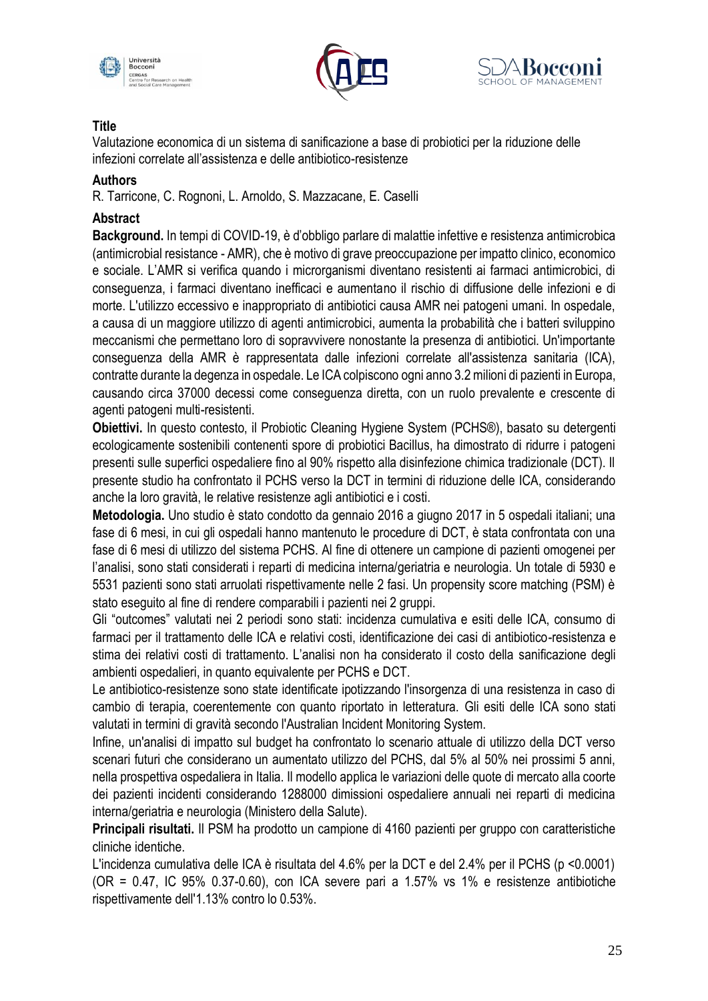





Valutazione economica di un sistema di sanificazione a base di probiotici per la riduzione delle infezioni correlate all'assistenza e delle antibiotico-resistenze

## **Authors**

R. Tarricone, C. Rognoni, L. Arnoldo, S. Mazzacane, E. Caselli

## **Abstract**

**Background.** In tempi di COVID-19, è d'obbligo parlare di malattie infettive e resistenza antimicrobica (antimicrobial resistance - AMR), che è motivo di grave preoccupazione per impatto clinico, economico e sociale. L'AMR si verifica quando i microrganismi diventano resistenti ai farmaci antimicrobici, di conseguenza, i farmaci diventano inefficaci e aumentano il rischio di diffusione delle infezioni e di morte. L'utilizzo eccessivo e inappropriato di antibiotici causa AMR nei patogeni umani. In ospedale, a causa di un maggiore utilizzo di agenti antimicrobici, aumenta la probabilità che i batteri sviluppino meccanismi che permettano loro di sopravvivere nonostante la presenza di antibiotici. Un'importante conseguenza della AMR è rappresentata dalle infezioni correlate all'assistenza sanitaria (ICA), contratte durante la degenza in ospedale. Le ICA colpiscono ogni anno 3.2 milioni di pazienti in Europa, causando circa 37000 decessi come conseguenza diretta, con un ruolo prevalente e crescente di agenti patogeni multi-resistenti.

**Obiettivi.** In questo contesto, il Probiotic Cleaning Hygiene System (PCHS®), basato su detergenti ecologicamente sostenibili contenenti spore di probiotici Bacillus, ha dimostrato di ridurre i patogeni presenti sulle superfici ospedaliere fino al 90% rispetto alla disinfezione chimica tradizionale (DCT). Il presente studio ha confrontato il PCHS verso la DCT in termini di riduzione delle ICA, considerando anche la loro gravità, le relative resistenze agli antibiotici e i costi.

**Metodologia.** Uno studio è stato condotto da gennaio 2016 a giugno 2017 in 5 ospedali italiani; una fase di 6 mesi, in cui gli ospedali hanno mantenuto le procedure di DCT, è stata confrontata con una fase di 6 mesi di utilizzo del sistema PCHS. Al fine di ottenere un campione di pazienti omogenei per l'analisi, sono stati considerati i reparti di medicina interna/geriatria e neurologia. Un totale di 5930 e 5531 pazienti sono stati arruolati rispettivamente nelle 2 fasi. Un propensity score matching (PSM) è stato eseguito al fine di rendere comparabili i pazienti nei 2 gruppi.

Gli "outcomes" valutati nei 2 periodi sono stati: incidenza cumulativa e esiti delle ICA, consumo di farmaci per il trattamento delle ICA e relativi costi, identificazione dei casi di antibiotico-resistenza e stima dei relativi costi di trattamento. L'analisi non ha considerato il costo della sanificazione degli ambienti ospedalieri, in quanto equivalente per PCHS e DCT.

Le antibiotico-resistenze sono state identificate ipotizzando l'insorgenza di una resistenza in caso di cambio di terapia, coerentemente con quanto riportato in letteratura. Gli esiti delle ICA sono stati valutati in termini di gravità secondo l'Australian Incident Monitoring System.

Infine, un'analisi di impatto sul budget ha confrontato lo scenario attuale di utilizzo della DCT verso scenari futuri che considerano un aumentato utilizzo del PCHS, dal 5% al 50% nei prossimi 5 anni, nella prospettiva ospedaliera in Italia. Il modello applica le variazioni delle quote di mercato alla coorte dei pazienti incidenti considerando 1288000 dimissioni ospedaliere annuali nei reparti di medicina interna/geriatria e neurologia (Ministero della Salute).

**Principali risultati.** Il PSM ha prodotto un campione di 4160 pazienti per gruppo con caratteristiche cliniche identiche.

L'incidenza cumulativa delle ICA è risultata del 4.6% per la DCT e del 2.4% per il PCHS (p <0.0001) (OR = 0.47, IC 95% 0.37-0.60), con ICA severe pari a 1.57% vs 1% e resistenze antibiotiche rispettivamente dell'1.13% contro lo 0.53%.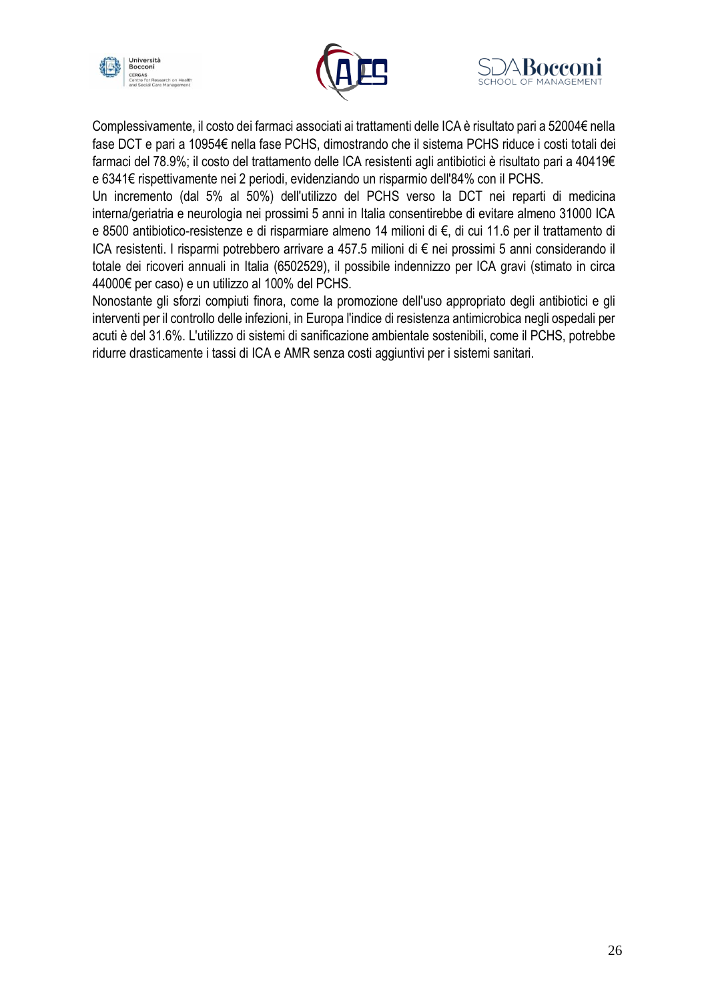





Complessivamente, il costo dei farmaci associati ai trattamenti delle ICA è risultato pari a 52004€ nella fase DCT e pari a 10954€ nella fase PCHS, dimostrando che il sistema PCHS riduce i costi totali dei farmaci del 78.9%; il costo del trattamento delle ICA resistenti agli antibiotici è risultato pari a 40419€ e 6341€ rispettivamente nei 2 periodi, evidenziando un risparmio dell'84% con il PCHS.

Un incremento (dal 5% al 50%) dell'utilizzo del PCHS verso la DCT nei reparti di medicina interna/geriatria e neurologia nei prossimi 5 anni in Italia consentirebbe di evitare almeno 31000 ICA e 8500 antibiotico-resistenze e di risparmiare almeno 14 milioni di €, di cui 11.6 per il trattamento di ICA resistenti. I risparmi potrebbero arrivare a 457.5 milioni di € nei prossimi 5 anni considerando il totale dei ricoveri annuali in Italia (6502529), il possibile indennizzo per ICA gravi (stimato in circa 44000€ per caso) e un utilizzo al 100% del PCHS.

Nonostante gli sforzi compiuti finora, come la promozione dell'uso appropriato degli antibiotici e gli interventi per il controllo delle infezioni, in Europa l'indice di resistenza antimicrobica negli ospedali per acuti è del 31.6%. L'utilizzo di sistemi di sanificazione ambientale sostenibili, come il PCHS, potrebbe ridurre drasticamente i tassi di ICA e AMR senza costi aggiuntivi per i sistemi sanitari.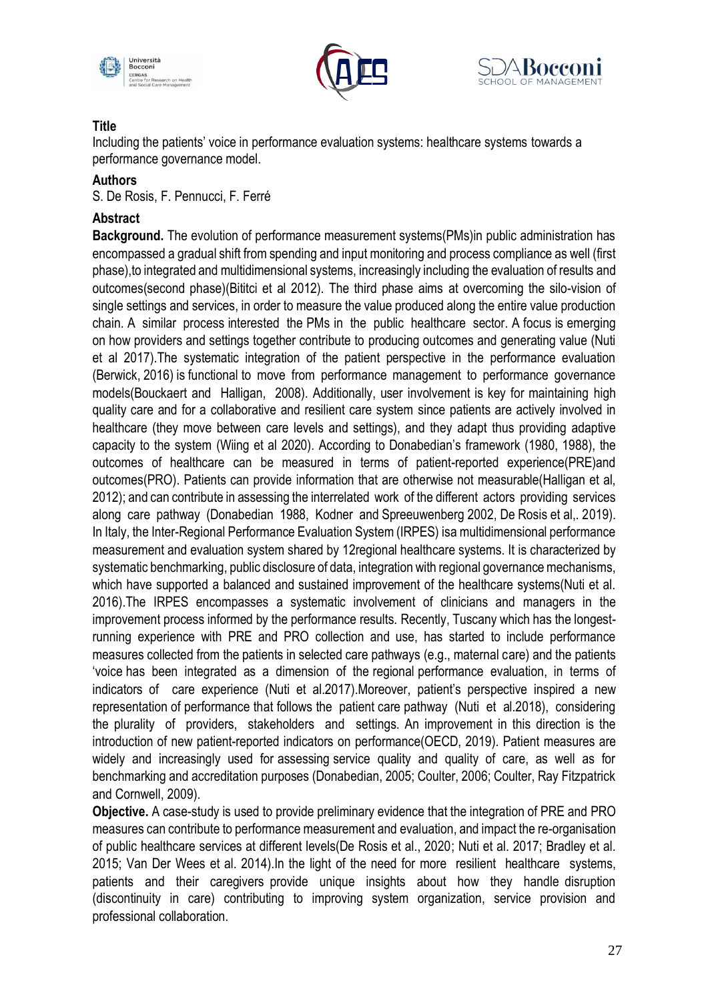





Including the patients' voice in performance evaluation systems: healthcare systems towards a performance governance model.

#### **Authors**

S. De Rosis, F. Pennucci, F. Ferré

## **Abstract**

**Background.** The evolution of performance measurement systems(PMs)in public administration has encompassed a gradual shift from spending and input monitoring and process compliance as well (first phase),to integrated and multidimensional systems, increasingly including the evaluation of results and outcomes(second phase)(Bititci et al 2012). The third phase aims at overcoming the silo-vision of single settings and services, in order to measure the value produced along the entire value production chain. A similar process interested the PMs in the public healthcare sector. A focus is emerging on how providers and settings together contribute to producing outcomes and generating value (Nuti et al 2017).The systematic integration of the patient perspective in the performance evaluation (Berwick, 2016) is functional to move from performance management to performance governance models(Bouckaert and Halligan, 2008). Additionally, user involvement is key for maintaining high quality care and for a collaborative and resilient care system since patients are actively involved in healthcare (they move between care levels and settings), and they adapt thus providing adaptive capacity to the system (Wiing et al 2020). According to Donabedian's framework (1980, 1988), the outcomes of healthcare can be measured in terms of patient-reported experience(PRE)and outcomes(PRO). Patients can provide information that are otherwise not measurable(Halligan et al, 2012); and can contribute in assessing the interrelated work of the different actors providing services along care pathway (Donabedian 1988, Kodner and Spreeuwenberg 2002, De Rosis et al,. 2019). In Italy, the Inter-Regional Performance Evaluation System (IRPES) isa multidimensional performance measurement and evaluation system shared by 12regional healthcare systems. It is characterized by systematic benchmarking, public disclosure of data, integration with regional governance mechanisms, which have supported a balanced and sustained improvement of the healthcare systems(Nuti et al. 2016).The IRPES encompasses a systematic involvement of clinicians and managers in the improvement process informed by the performance results. Recently, Tuscany which has the longestrunning experience with PRE and PRO collection and use, has started to include performance measures collected from the patients in selected care pathways (e.g., maternal care) and the patients 'voice has been integrated as a dimension of the regional performance evaluation, in terms of indicators of care experience (Nuti et al.2017).Moreover, patient's perspective inspired a new representation of performance that follows the patient care pathway (Nuti et al.2018), considering the plurality of providers, stakeholders and settings. An improvement in this direction is the introduction of new patient-reported indicators on performance(OECD, 2019). Patient measures are widely and increasingly used for assessing service quality and quality of care, as well as for benchmarking and accreditation purposes (Donabedian, 2005; Coulter, 2006; Coulter, Ray Fitzpatrick and Cornwell, 2009).

**Objective.** A case-study is used to provide preliminary evidence that the integration of PRE and PRO measures can contribute to performance measurement and evaluation, and impact the re-organisation of public healthcare services at different levels(De Rosis et al., 2020; Nuti et al. 2017; Bradley et al. 2015; Van Der Wees et al. 2014).In the light of the need for more resilient healthcare systems, patients and their caregivers provide unique insights about how they handle disruption (discontinuity in care) contributing to improving system organization, service provision and professional collaboration.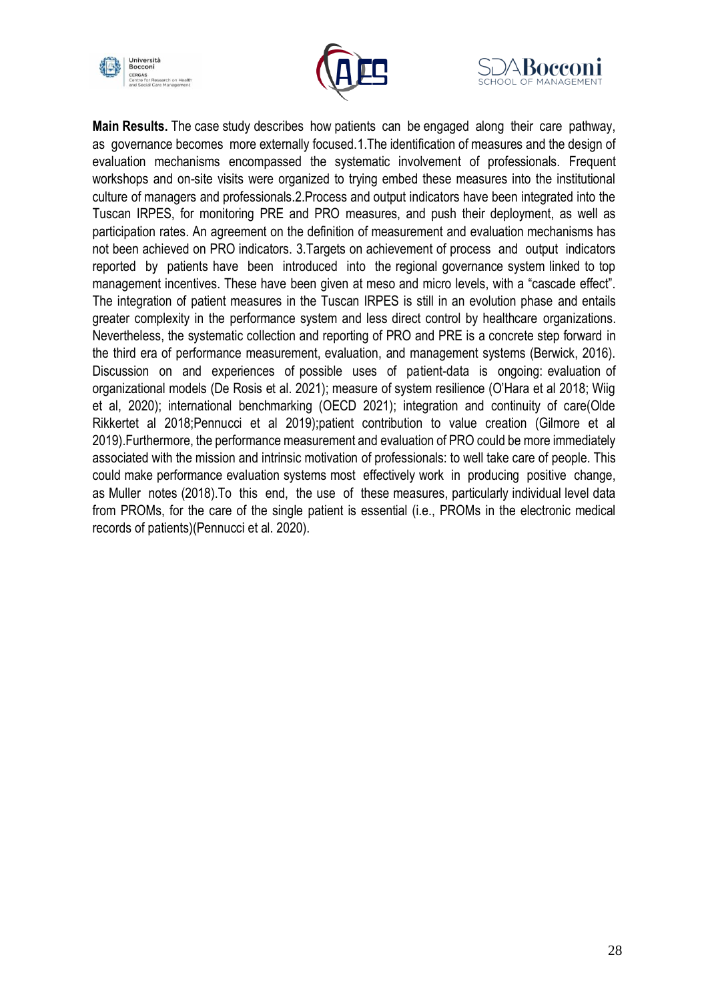





**Main Results.** The case study describes how patients can be engaged along their care pathway, as governance becomes more externally focused.1.The identification of measures and the design of evaluation mechanisms encompassed the systematic involvement of professionals. Frequent workshops and on-site visits were organized to trying embed these measures into the institutional culture of managers and professionals.2.Process and output indicators have been integrated into the Tuscan IRPES, for monitoring PRE and PRO measures, and push their deployment, as well as participation rates. An agreement on the definition of measurement and evaluation mechanisms has not been achieved on PRO indicators. 3.Targets on achievement of process and output indicators reported by patients have been introduced into the regional governance system linked to top management incentives. These have been given at meso and micro levels, with a "cascade effect". The integration of patient measures in the Tuscan IRPES is still in an evolution phase and entails greater complexity in the performance system and less direct control by healthcare organizations. Nevertheless, the systematic collection and reporting of PRO and PRE is a concrete step forward in the third era of performance measurement, evaluation, and management systems (Berwick, 2016). Discussion on and experiences of possible uses of patient-data is ongoing: evaluation of organizational models (De Rosis et al. 2021); measure of system resilience (O'Hara et al 2018; Wiig et al, 2020); international benchmarking (OECD 2021); integration and continuity of care(Olde Rikkertet al 2018;Pennucci et al 2019);patient contribution to value creation (Gilmore et al 2019).Furthermore, the performance measurement and evaluation of PRO could be more immediately associated with the mission and intrinsic motivation of professionals: to well take care of people. This could make performance evaluation systems most effectively work in producing positive change, as Muller notes (2018).To this end, the use of these measures, particularly individual level data from PROMs, for the care of the single patient is essential (i.e., PROMs in the electronic medical records of patients)(Pennucci et al. 2020).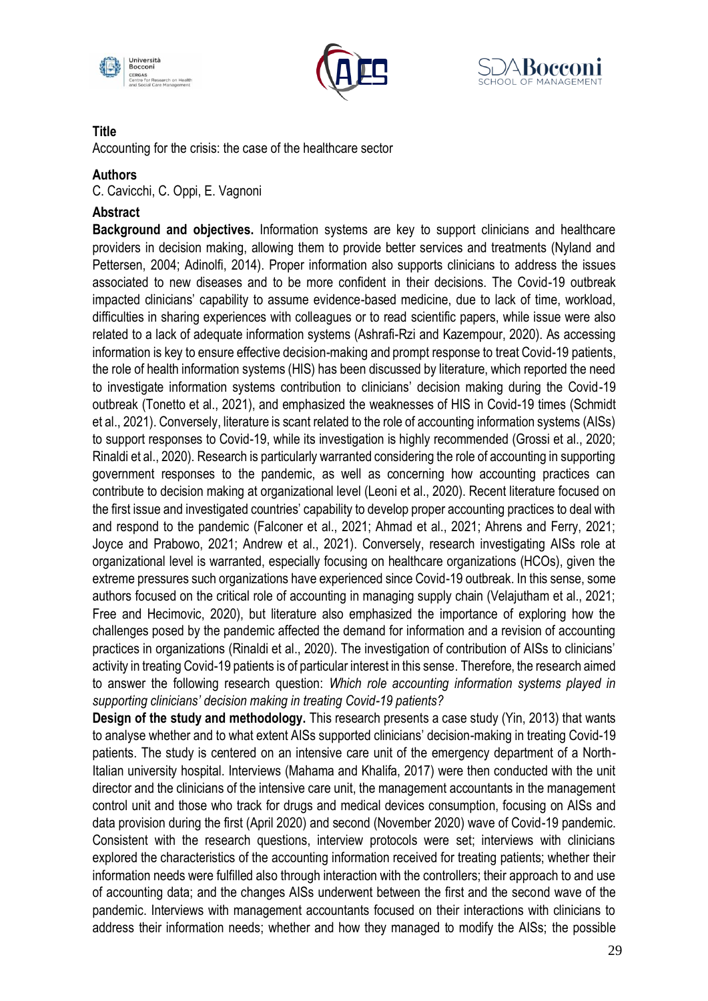





Accounting for the crisis: the case of the healthcare sector

#### **Authors**

C. Cavicchi, C. Oppi, E. Vagnoni

#### **Abstract**

**Background and objectives.** Information systems are key to support clinicians and healthcare providers in decision making, allowing them to provide better services and treatments (Nyland and Pettersen, 2004; Adinolfi, 2014). Proper information also supports clinicians to address the issues associated to new diseases and to be more confident in their decisions. The Covid-19 outbreak impacted clinicians' capability to assume evidence-based medicine, due to lack of time, workload, difficulties in sharing experiences with colleagues or to read scientific papers, while issue were also related to a lack of adequate information systems (Ashrafi-Rzi and Kazempour, 2020). As accessing information is key to ensure effective decision-making and prompt response to treat Covid-19 patients, the role of health information systems (HIS) has been discussed by literature, which reported the need to investigate information systems contribution to clinicians' decision making during the Covid-19 outbreak (Tonetto et al., 2021), and emphasized the weaknesses of HIS in Covid-19 times (Schmidt et al., 2021). Conversely, literature is scant related to the role of accounting information systems (AISs) to support responses to Covid-19, while its investigation is highly recommended (Grossi et al., 2020; Rinaldi et al., 2020). Research is particularly warranted considering the role of accounting in supporting government responses to the pandemic, as well as concerning how accounting practices can contribute to decision making at organizational level (Leoni et al., 2020). Recent literature focused on the first issue and investigated countries' capability to develop proper accounting practices to deal with and respond to the pandemic (Falconer et al., 2021; Ahmad et al., 2021; Ahrens and Ferry, 2021; Joyce and Prabowo, 2021; Andrew et al., 2021). Conversely, research investigating AISs role at organizational level is warranted, especially focusing on healthcare organizations (HCOs), given the extreme pressures such organizations have experienced since Covid-19 outbreak. In this sense, some authors focused on the critical role of accounting in managing supply chain (Velajutham et al., 2021; Free and Hecimovic, 2020), but literature also emphasized the importance of exploring how the challenges posed by the pandemic affected the demand for information and a revision of accounting practices in organizations (Rinaldi et al., 2020). The investigation of contribution of AISs to clinicians' activity in treating Covid-19 patients is of particular interest in this sense. Therefore, the research aimed to answer the following research question: *Which role accounting information systems played in supporting clinicians' decision making in treating Covid-19 patients?*

**Design of the study and methodology.** This research presents a case study (Yin, 2013) that wants to analyse whether and to what extent AISs supported clinicians' decision-making in treating Covid-19 patients. The study is centered on an intensive care unit of the emergency department of a North-Italian university hospital. Interviews (Mahama and Khalifa, 2017) were then conducted with the unit director and the clinicians of the intensive care unit, the management accountants in the management control unit and those who track for drugs and medical devices consumption, focusing on AISs and data provision during the first (April 2020) and second (November 2020) wave of Covid-19 pandemic. Consistent with the research questions, interview protocols were set; interviews with clinicians explored the characteristics of the accounting information received for treating patients; whether their information needs were fulfilled also through interaction with the controllers; their approach to and use of accounting data; and the changes AISs underwent between the first and the second wave of the pandemic. Interviews with management accountants focused on their interactions with clinicians to address their information needs; whether and how they managed to modify the AISs; the possible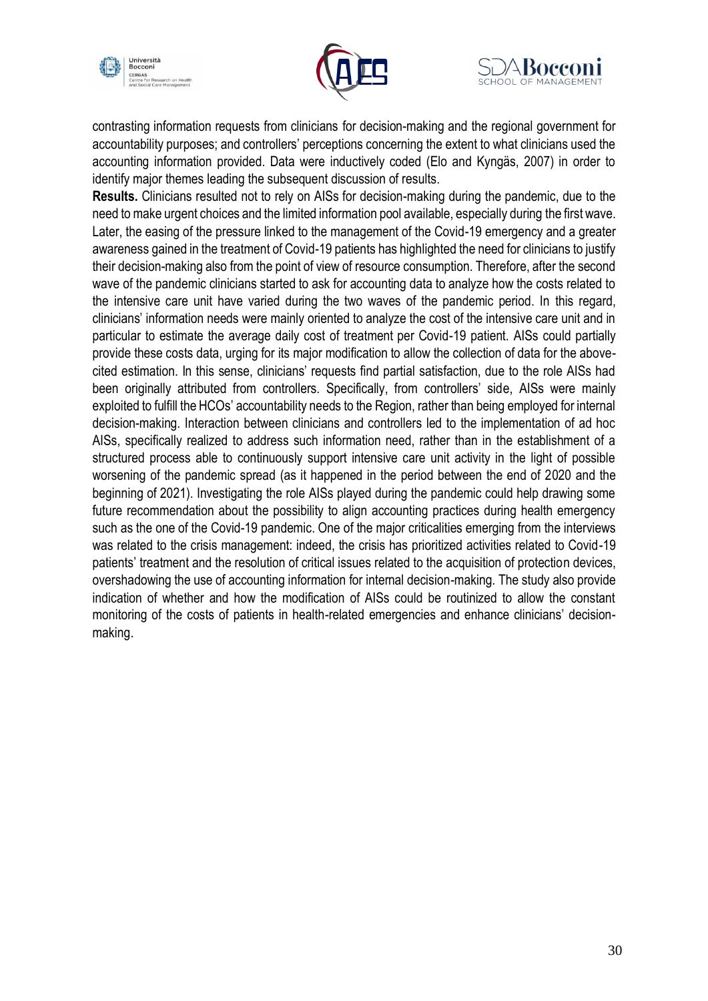





contrasting information requests from clinicians for decision-making and the regional government for accountability purposes; and controllers' perceptions concerning the extent to what clinicians used the accounting information provided. Data were inductively coded (Elo and Kyngäs, 2007) in order to identify major themes leading the subsequent discussion of results.

**Results.** Clinicians resulted not to rely on AISs for decision-making during the pandemic, due to the need to make urgent choices and the limited information pool available, especially during the first wave. Later, the easing of the pressure linked to the management of the Covid-19 emergency and a greater awareness gained in the treatment of Covid-19 patients has highlighted the need for clinicians to justify their decision-making also from the point of view of resource consumption. Therefore, after the second wave of the pandemic clinicians started to ask for accounting data to analyze how the costs related to the intensive care unit have varied during the two waves of the pandemic period. In this regard, clinicians' information needs were mainly oriented to analyze the cost of the intensive care unit and in particular to estimate the average daily cost of treatment per Covid-19 patient. AISs could partially provide these costs data, urging for its major modification to allow the collection of data for the abovecited estimation. In this sense, clinicians' requests find partial satisfaction, due to the role AISs had been originally attributed from controllers. Specifically, from controllers' side, AISs were mainly exploited to fulfill the HCOs' accountability needs to the Region, rather than being employed for internal decision-making. Interaction between clinicians and controllers led to the implementation of ad hoc AISs, specifically realized to address such information need, rather than in the establishment of a structured process able to continuously support intensive care unit activity in the light of possible worsening of the pandemic spread (as it happened in the period between the end of 2020 and the beginning of 2021). Investigating the role AISs played during the pandemic could help drawing some future recommendation about the possibility to align accounting practices during health emergency such as the one of the Covid-19 pandemic. One of the major criticalities emerging from the interviews was related to the crisis management: indeed, the crisis has prioritized activities related to Covid-19 patients' treatment and the resolution of critical issues related to the acquisition of protection devices, overshadowing the use of accounting information for internal decision-making. The study also provide indication of whether and how the modification of AISs could be routinized to allow the constant monitoring of the costs of patients in health-related emergencies and enhance clinicians' decisionmaking.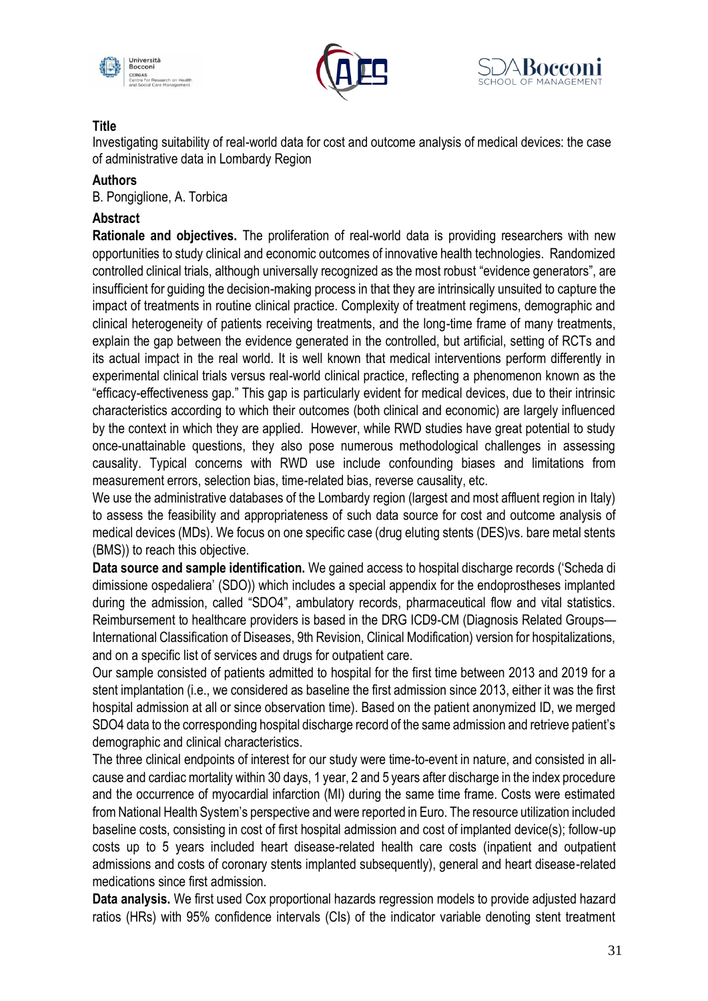





Investigating suitability of real-world data for cost and outcome analysis of medical devices: the case of administrative data in Lombardy Region

#### **Authors**

B. Pongiglione, A. Torbica

## **Abstract**

**Rationale and objectives.** The proliferation of real-world data is providing researchers with new opportunities to study clinical and economic outcomes of innovative health technologies. Randomized controlled clinical trials, although universally recognized as the most robust "evidence generators", are insufficient for guiding the decision-making process in that they are intrinsically unsuited to capture the impact of treatments in routine clinical practice. Complexity of treatment regimens, demographic and clinical heterogeneity of patients receiving treatments, and the long-time frame of many treatments, explain the gap between the evidence generated in the controlled, but artificial, setting of RCTs and its actual impact in the real world. It is well known that medical interventions perform differently in experimental clinical trials versus real-world clinical practice, reflecting a phenomenon known as the "efficacy-effectiveness gap." This gap is particularly evident for medical devices, due to their intrinsic characteristics according to which their outcomes (both clinical and economic) are largely influenced by the context in which they are applied. However, while RWD studies have great potential to study once-unattainable questions, they also pose numerous methodological challenges in assessing causality. Typical concerns with RWD use include confounding biases and limitations from measurement errors, selection bias, time-related bias, reverse causality, etc.

We use the administrative databases of the Lombardy region (largest and most affluent region in Italy) to assess the feasibility and appropriateness of such data source for cost and outcome analysis of medical devices (MDs). We focus on one specific case (drug eluting stents (DES)vs. bare metal stents (BMS)) to reach this objective.

**Data source and sample identification.** We gained access to hospital discharge records ('Scheda di dimissione ospedaliera' (SDO)) which includes a special appendix for the endoprostheses implanted during the admission, called "SDO4", ambulatory records, pharmaceutical flow and vital statistics. Reimbursement to healthcare providers is based in the DRG ICD9-CM (Diagnosis Related Groups— International Classification of Diseases, 9th Revision, Clinical Modification) version for hospitalizations, and on a specific list of services and drugs for outpatient care.

Our sample consisted of patients admitted to hospital for the first time between 2013 and 2019 for a stent implantation (i.e., we considered as baseline the first admission since 2013, either it was the first hospital admission at all or since observation time). Based on the patient anonymized ID, we merged SDO4 data to the corresponding hospital discharge record of the same admission and retrieve patient's demographic and clinical characteristics.

The three clinical endpoints of interest for our study were time-to-event in nature, and consisted in allcause and cardiac mortality within 30 days, 1 year, 2 and 5 years after discharge in the index procedure and the occurrence of myocardial infarction (MI) during the same time frame. Costs were estimated from National Health System's perspective and were reported in Euro. The resource utilization included baseline costs, consisting in cost of first hospital admission and cost of implanted device(s); follow-up costs up to 5 years included heart disease-related health care costs (inpatient and outpatient admissions and costs of coronary stents implanted subsequently), general and heart disease-related medications since first admission.

**Data analysis.** We first used Cox proportional hazards regression models to provide adjusted hazard ratios (HRs) with 95% confidence intervals (CIs) of the indicator variable denoting stent treatment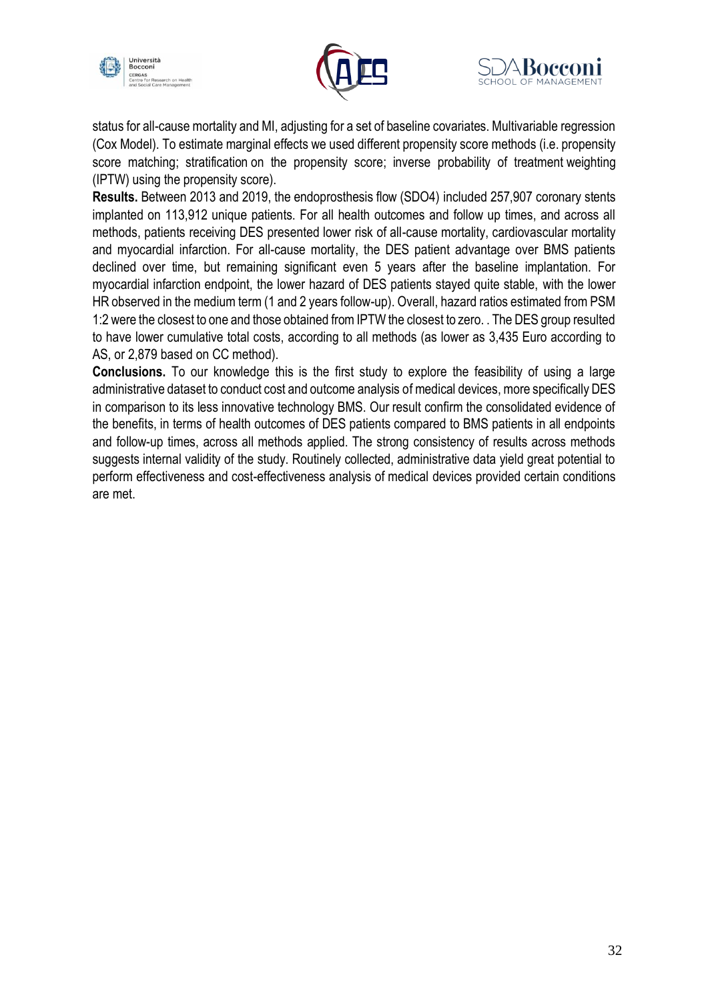





status for all-cause mortality and MI, adjusting for a set of baseline covariates. Multivariable regression (Cox Model). To estimate marginal effects we used different propensity score methods (i.e. propensity score matching; stratification on the propensity score; inverse probability of treatment weighting (IPTW) using the propensity score).

**Results.** Between 2013 and 2019, the endoprosthesis flow (SDO4) included 257,907 coronary stents implanted on 113,912 unique patients. For all health outcomes and follow up times, and across all methods, patients receiving DES presented lower risk of all-cause mortality, cardiovascular mortality and myocardial infarction. For all-cause mortality, the DES patient advantage over BMS patients declined over time, but remaining significant even 5 years after the baseline implantation. For myocardial infarction endpoint, the lower hazard of DES patients stayed quite stable, with the lower HR observed in the medium term (1 and 2 years follow-up). Overall, hazard ratios estimated from PSM 1:2 were the closest to one and those obtained from IPTW the closest to zero. . The DES group resulted to have lower cumulative total costs, according to all methods (as lower as 3,435 Euro according to AS, or 2,879 based on CC method).

**Conclusions.** To our knowledge this is the first study to explore the feasibility of using a large administrative dataset to conduct cost and outcome analysis of medical devices, more specifically DES in comparison to its less innovative technology BMS. Our result confirm the consolidated evidence of the benefits, in terms of health outcomes of DES patients compared to BMS patients in all endpoints and follow-up times, across all methods applied. The strong consistency of results across methods suggests internal validity of the study. Routinely collected, administrative data yield great potential to perform effectiveness and cost-effectiveness analysis of medical devices provided certain conditions are met.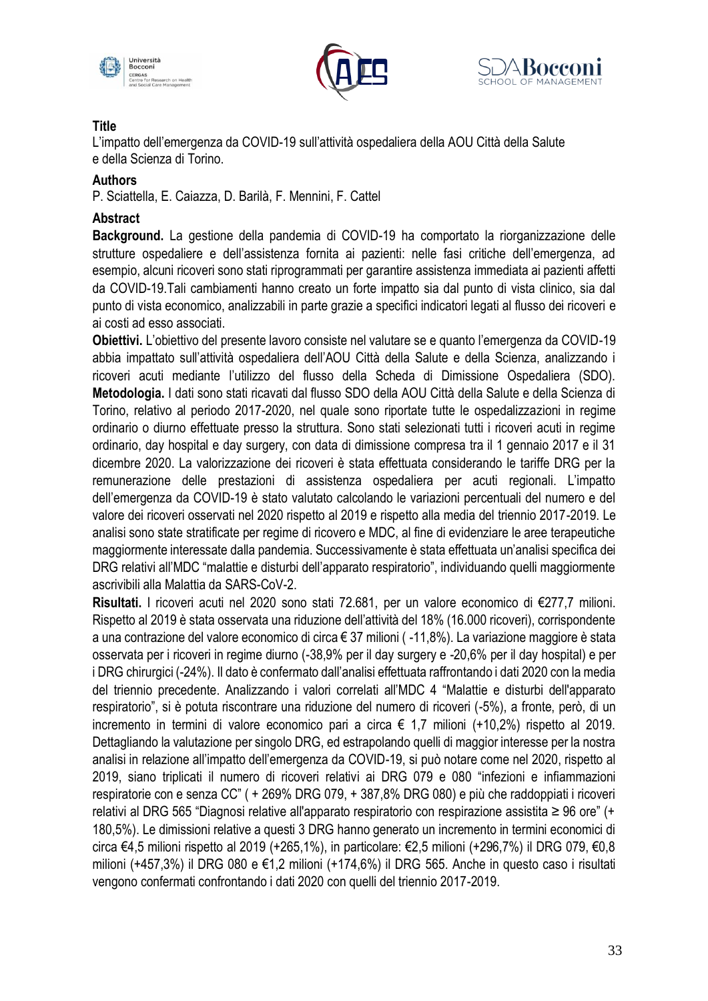





L'impatto dell'emergenza da COVID-19 sull'attività ospedaliera della AOU Città della Salute e della Scienza di Torino.

#### **Authors**

P. Sciattella, E. Caiazza, D. Barilà, F. Mennini, F. Cattel

## **Abstract**

**Background.** La gestione della pandemia di COVID-19 ha comportato la riorganizzazione delle strutture ospedaliere e dell'assistenza fornita ai pazienti: nelle fasi critiche dell'emergenza, ad esempio, alcuni ricoveri sono stati riprogrammati per garantire assistenza immediata ai pazienti affetti da COVID-19.Tali cambiamenti hanno creato un forte impatto sia dal punto di vista clinico, sia dal punto di vista economico, analizzabili in parte grazie a specifici indicatori legati al flusso dei ricoveri e ai costi ad esso associati.

**Obiettivi.** L'obiettivo del presente lavoro consiste nel valutare se e quanto l'emergenza da COVID-19 abbia impattato sull'attività ospedaliera dell'AOU Città della Salute e della Scienza, analizzando i ricoveri acuti mediante l'utilizzo del flusso della Scheda di Dimissione Ospedaliera (SDO). **Metodologia.** I dati sono stati ricavati dal flusso SDO della AOU Città della Salute e della Scienza di Torino, relativo al periodo 2017-2020, nel quale sono riportate tutte le ospedalizzazioni in regime ordinario o diurno effettuate presso la struttura. Sono stati selezionati tutti i ricoveri acuti in regime ordinario, day hospital e day surgery, con data di dimissione compresa tra il 1 gennaio 2017 e il 31 dicembre 2020. La valorizzazione dei ricoveri è stata effettuata considerando le tariffe DRG per la remunerazione delle prestazioni di assistenza ospedaliera per acuti regionali. L'impatto dell'emergenza da COVID-19 è stato valutato calcolando le variazioni percentuali del numero e del valore dei ricoveri osservati nel 2020 rispetto al 2019 e rispetto alla media del triennio 2017-2019. Le analisi sono state stratificate per regime di ricovero e MDC, al fine di evidenziare le aree terapeutiche maggiormente interessate dalla pandemia. Successivamente è stata effettuata un'analisi specifica dei DRG relativi all'MDC "malattie e disturbi dell'apparato respiratorio", individuando quelli maggiormente ascrivibili alla Malattia da SARS-CoV-2.

**Risultati.** I ricoveri acuti nel 2020 sono stati 72.681, per un valore economico di €277,7 milioni. Rispetto al 2019 è stata osservata una riduzione dell'attività del 18% (16.000 ricoveri), corrispondente a una contrazione del valore economico di circa € 37 milioni ( -11,8%). La variazione maggiore è stata osservata per i ricoveri in regime diurno (-38,9% per il day surgery e -20,6% per il day hospital) e per i DRG chirurgici (-24%). Il dato è confermato dall'analisi effettuata raffrontando i dati 2020 con la media del triennio precedente. Analizzando i valori correlati all'MDC 4 "Malattie e disturbi dell'apparato respiratorio", si è potuta riscontrare una riduzione del numero di ricoveri (-5%), a fronte, però, di un incremento in termini di valore economico pari a circa € 1,7 milioni (+10,2%) rispetto al 2019. Dettagliando la valutazione per singolo DRG, ed estrapolando quelli di maggior interesse per la nostra analisi in relazione all'impatto dell'emergenza da COVID-19, si può notare come nel 2020, rispetto al 2019, siano triplicati il numero di ricoveri relativi ai DRG 079 e 080 "infezioni e infiammazioni respiratorie con e senza CC" ( + 269% DRG 079, + 387,8% DRG 080) e più che raddoppiati i ricoveri relativi al DRG 565 "Diagnosi relative all'apparato respiratorio con respirazione assistita ≥ 96 ore" (+ 180,5%). Le dimissioni relative a questi 3 DRG hanno generato un incremento in termini economici di circa €4,5 milioni rispetto al 2019 (+265,1%), in particolare: €2,5 milioni (+296,7%) il DRG 079, €0,8 milioni (+457,3%) il DRG 080 e €1,2 milioni (+174,6%) il DRG 565. Anche in questo caso i risultati vengono confermati confrontando i dati 2020 con quelli del triennio 2017-2019.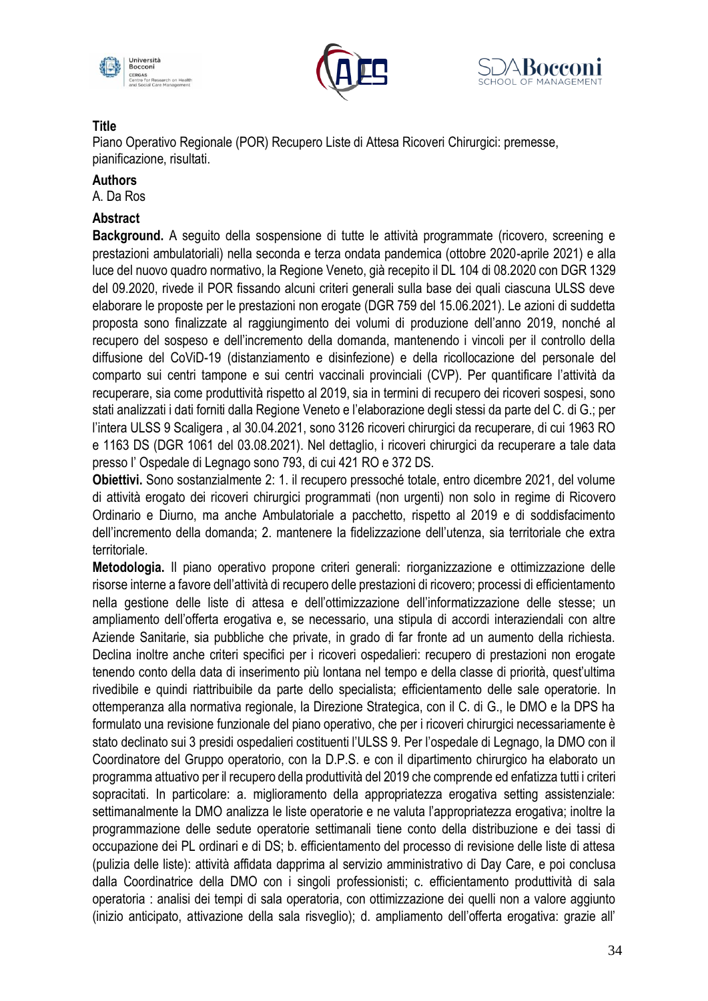





Piano Operativo Regionale (POR) Recupero Liste di Attesa Ricoveri Chirurgici: premesse, pianificazione, risultati.

#### **Authors**

A. Da Ros

## **Abstract**

**Background.** A seguito della sospensione di tutte le attività programmate (ricovero, screening e prestazioni ambulatoriali) nella seconda e terza ondata pandemica (ottobre 2020-aprile 2021) e alla luce del nuovo quadro normativo, la Regione Veneto, già recepito il DL 104 di 08.2020 con DGR 1329 del 09.2020, rivede il POR fissando alcuni criteri generali sulla base dei quali ciascuna ULSS deve elaborare le proposte per le prestazioni non erogate (DGR 759 del 15.06.2021). Le azioni di suddetta proposta sono finalizzate al raggiungimento dei volumi di produzione dell'anno 2019, nonché al recupero del sospeso e dell'incremento della domanda, mantenendo i vincoli per il controllo della diffusione del CoViD-19 (distanziamento e disinfezione) e della ricollocazione del personale del comparto sui centri tampone e sui centri vaccinali provinciali (CVP). Per quantificare l'attività da recuperare, sia come produttività rispetto al 2019, sia in termini di recupero dei ricoveri sospesi, sono stati analizzati i dati forniti dalla Regione Veneto e l'elaborazione degli stessi da parte del C. di G.; per l'intera ULSS 9 Scaligera , al 30.04.2021, sono 3126 ricoveri chirurgici da recuperare, di cui 1963 RO e 1163 DS (DGR 1061 del 03.08.2021). Nel dettaglio, i ricoveri chirurgici da recuperare a tale data presso l' Ospedale di Legnago sono 793, di cui 421 RO e 372 DS.

**Obiettivi.** Sono sostanzialmente 2: 1. il recupero pressoché totale, entro dicembre 2021, del volume di attività erogato dei ricoveri chirurgici programmati (non urgenti) non solo in regime di Ricovero Ordinario e Diurno, ma anche Ambulatoriale a pacchetto, rispetto al 2019 e di soddisfacimento dell'incremento della domanda; 2. mantenere la fidelizzazione dell'utenza, sia territoriale che extra territoriale.

**Metodologia.** Il piano operativo propone criteri generali: riorganizzazione e ottimizzazione delle risorse interne a favore dell'attività di recupero delle prestazioni di ricovero; processi di efficientamento nella gestione delle liste di attesa e dell'ottimizzazione dell'informatizzazione delle stesse; un ampliamento dell'offerta erogativa e, se necessario, una stipula di accordi interaziendali con altre Aziende Sanitarie, sia pubbliche che private, in grado di far fronte ad un aumento della richiesta. Declina inoltre anche criteri specifici per i ricoveri ospedalieri: recupero di prestazioni non erogate tenendo conto della data di inserimento più lontana nel tempo e della classe di priorità, quest'ultima rivedibile e quindi riattribuibile da parte dello specialista; efficientamento delle sale operatorie. In ottemperanza alla normativa regionale, la Direzione Strategica, con il C. di G., le DMO e la DPS ha formulato una revisione funzionale del piano operativo, che per i ricoveri chirurgici necessariamente è stato declinato sui 3 presidi ospedalieri costituenti l'ULSS 9. Per l'ospedale di Legnago, la DMO con il Coordinatore del Gruppo operatorio, con la D.P.S. e con il dipartimento chirurgico ha elaborato un programma attuativo per il recupero della produttività del 2019 che comprende ed enfatizza tutti i criteri sopracitati. In particolare: a. miglioramento della appropriatezza erogativa setting assistenziale: settimanalmente la DMO analizza le liste operatorie e ne valuta l'appropriatezza erogativa; inoltre la programmazione delle sedute operatorie settimanali tiene conto della distribuzione e dei tassi di occupazione dei PL ordinari e di DS; b. efficientamento del processo di revisione delle liste di attesa (pulizia delle liste): attività affidata dapprima al servizio amministrativo di Day Care, e poi conclusa dalla Coordinatrice della DMO con i singoli professionisti; c. efficientamento produttività di sala operatoria : analisi dei tempi di sala operatoria, con ottimizzazione dei quelli non a valore aggiunto (inizio anticipato, attivazione della sala risveglio); d. ampliamento dell'offerta erogativa: grazie all'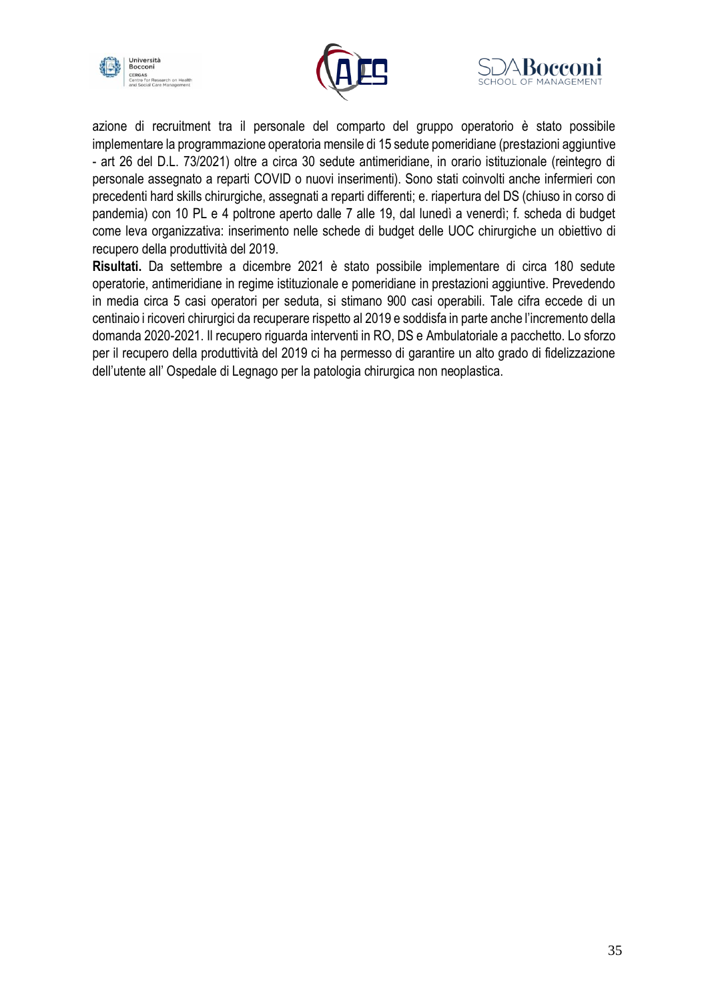





azione di recruitment tra il personale del comparto del gruppo operatorio è stato possibile implementare la programmazione operatoria mensile di 15 sedute pomeridiane (prestazioni aggiuntive - art 26 del D.L. 73/2021) oltre a circa 30 sedute antimeridiane, in orario istituzionale (reintegro di personale assegnato a reparti COVID o nuovi inserimenti). Sono stati coinvolti anche infermieri con precedenti hard skills chirurgiche, assegnati a reparti differenti; e. riapertura del DS (chiuso in corso di pandemia) con 10 PL e 4 poltrone aperto dalle 7 alle 19, dal lunedì a venerdì; f. scheda di budget come leva organizzativa: inserimento nelle schede di budget delle UOC chirurgiche un obiettivo di recupero della produttività del 2019.

**Risultati.** Da settembre a dicembre 2021 è stato possibile implementare di circa 180 sedute operatorie, antimeridiane in regime istituzionale e pomeridiane in prestazioni aggiuntive. Prevedendo in media circa 5 casi operatori per seduta, si stimano 900 casi operabili. Tale cifra eccede di un centinaio i ricoveri chirurgici da recuperare rispetto al 2019 e soddisfa in parte anche l'incremento della domanda 2020-2021. Il recupero riguarda interventi in RO, DS e Ambulatoriale a pacchetto. Lo sforzo per il recupero della produttività del 2019 ci ha permesso di garantire un alto grado di fidelizzazione dell'utente all' Ospedale di Legnago per la patologia chirurgica non neoplastica.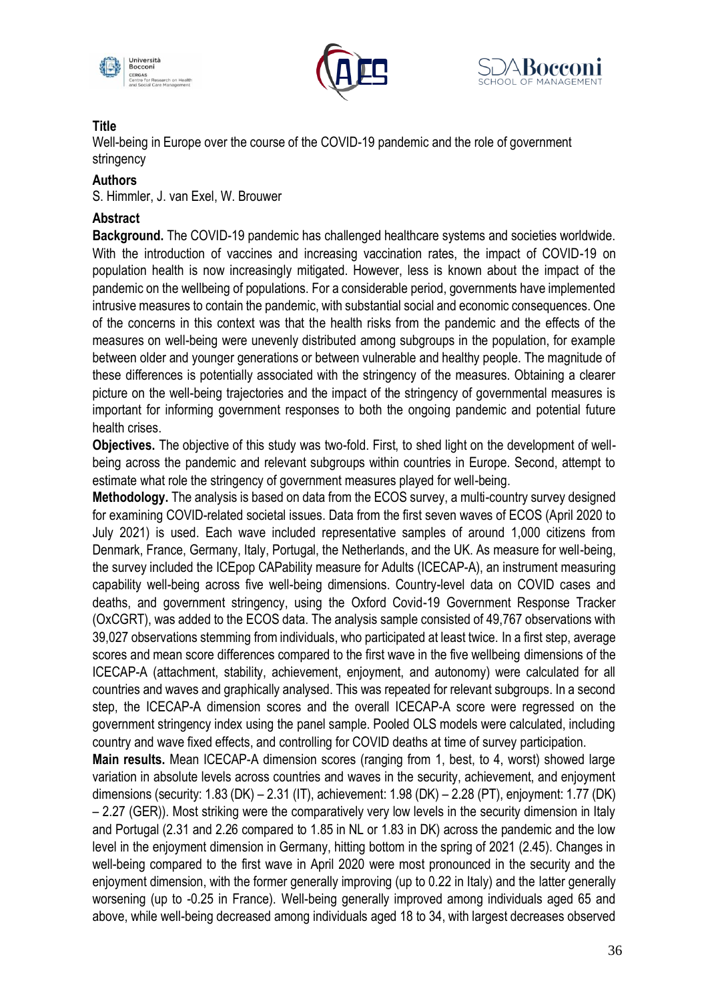





Well-being in Europe over the course of the COVID-19 pandemic and the role of government stringency

#### **Authors**

S. Himmler, J. van Exel, W. Brouwer

## **Abstract**

**Background.** The COVID-19 pandemic has challenged healthcare systems and societies worldwide. With the introduction of vaccines and increasing vaccination rates, the impact of COVID-19 on population health is now increasingly mitigated. However, less is known about the impact of the pandemic on the wellbeing of populations. For a considerable period, governments have implemented intrusive measures to contain the pandemic, with substantial social and economic consequences. One of the concerns in this context was that the health risks from the pandemic and the effects of the measures on well-being were unevenly distributed among subgroups in the population, for example between older and younger generations or between vulnerable and healthy people. The magnitude of these differences is potentially associated with the stringency of the measures. Obtaining a clearer picture on the well-being trajectories and the impact of the stringency of governmental measures is important for informing government responses to both the ongoing pandemic and potential future health crises.

**Objectives.** The objective of this study was two-fold. First, to shed light on the development of wellbeing across the pandemic and relevant subgroups within countries in Europe. Second, attempt to estimate what role the stringency of government measures played for well-being.

**Methodology.** The analysis is based on data from the ECOS survey, a multi-country survey designed for examining COVID-related societal issues. Data from the first seven waves of ECOS (April 2020 to July 2021) is used. Each wave included representative samples of around 1,000 citizens from Denmark, France, Germany, Italy, Portugal, the Netherlands, and the UK. As measure for well-being, the survey included the ICEpop CAPability measure for Adults (ICECAP-A), an instrument measuring capability well-being across five well-being dimensions. Country-level data on COVID cases and deaths, and government stringency, using the Oxford Covid-19 Government Response Tracker (OxCGRT), was added to the ECOS data. The analysis sample consisted of 49,767 observations with 39,027 observations stemming from individuals, who participated at least twice. In a first step, average scores and mean score differences compared to the first wave in the five wellbeing dimensions of the ICECAP-A (attachment, stability, achievement, enjoyment, and autonomy) were calculated for all countries and waves and graphically analysed. This was repeated for relevant subgroups. In a second step, the ICECAP-A dimension scores and the overall ICECAP-A score were regressed on the government stringency index using the panel sample. Pooled OLS models were calculated, including country and wave fixed effects, and controlling for COVID deaths at time of survey participation.

**Main results.** Mean ICECAP-A dimension scores (ranging from 1, best, to 4, worst) showed large variation in absolute levels across countries and waves in the security, achievement, and enjoyment dimensions (security: 1.83 (DK) – 2.31 (IT), achievement: 1.98 (DK) – 2.28 (PT), enjoyment: 1.77 (DK) – 2.27 (GER)). Most striking were the comparatively very low levels in the security dimension in Italy and Portugal (2.31 and 2.26 compared to 1.85 in NL or 1.83 in DK) across the pandemic and the low level in the enjoyment dimension in Germany, hitting bottom in the spring of 2021 (2.45). Changes in well-being compared to the first wave in April 2020 were most pronounced in the security and the enjoyment dimension, with the former generally improving (up to 0.22 in Italy) and the latter generally worsening (up to -0.25 in France). Well-being generally improved among individuals aged 65 and above, while well-being decreased among individuals aged 18 to 34, with largest decreases observed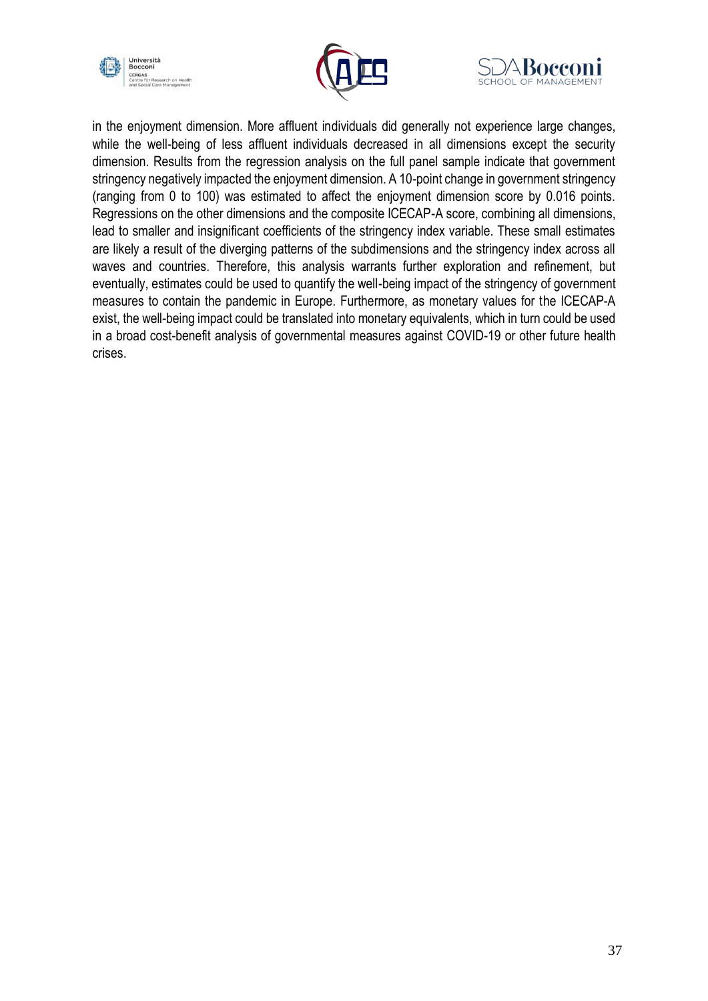





in the enjoyment dimension. More affluent individuals did generally not experience large changes, while the well-being of less affluent individuals decreased in all dimensions except the security dimension. Results from the regression analysis on the full panel sample indicate that government stringency negatively impacted the enjoyment dimension. A 10-point change in government stringency (ranging from 0 to 100) was estimated to affect the enjoyment dimension score by 0.016 points. Regressions on the other dimensions and the composite ICECAP-A score, combining all dimensions, lead to smaller and insignificant coefficients of the stringency index variable. These small estimates are likely a result of the diverging patterns of the subdimensions and the stringency index across all waves and countries. Therefore, this analysis warrants further exploration and refinement, but eventually, estimates could be used to quantify the well-being impact of the stringency of government measures to contain the pandemic in Europe. Furthermore, as monetary values for the ICECAP-A exist, the well-being impact could be translated into monetary equivalents, which in turn could be used in a broad cost-benefit analysis of governmental measures against COVID-19 or other future health crises.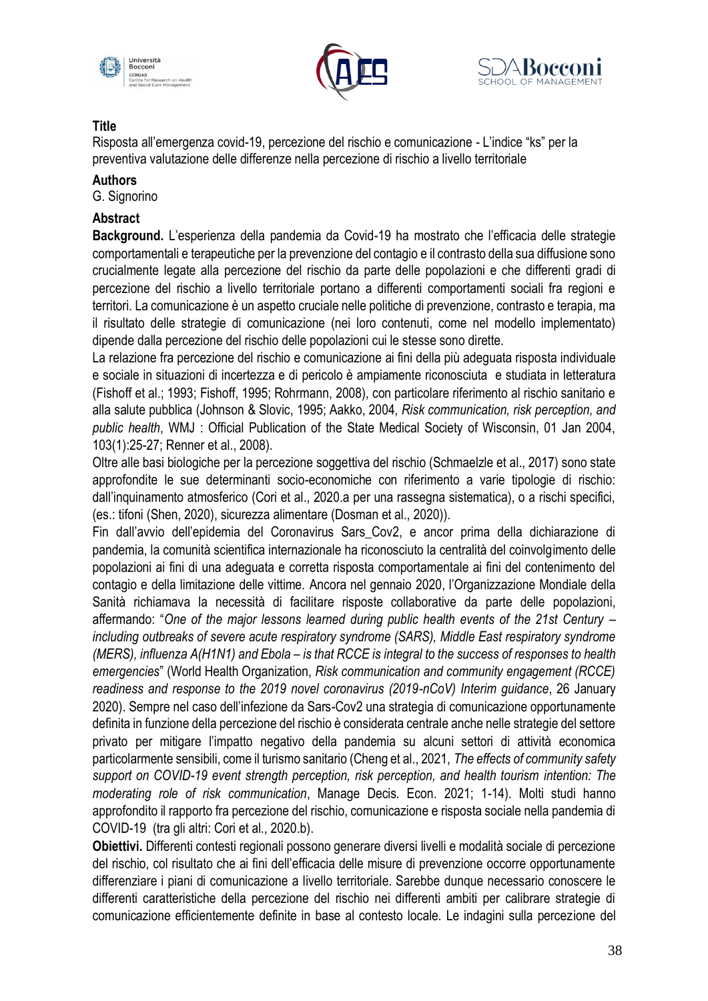





Risposta all'emergenza covid-19, percezione del rischio e comunicazione - L'indice "ks" per la preventiva valutazione delle differenze nella percezione di rischio a livello territoriale

### **Authors**

G. Signorino

# **Abstract**

**Background.** L'esperienza della pandemia da Covid-19 ha mostrato che l'efficacia delle strategie comportamentali e terapeutiche per la prevenzione del contagio e il contrasto della sua diffusione sono crucialmente legate alla percezione del rischio da parte delle popolazioni e che differenti gradi di percezione del rischio a livello territoriale portano a differenti comportamenti sociali fra regioni e territori. La comunicazione è un aspetto cruciale nelle politiche di prevenzione, contrasto e terapia, ma il risultato delle strategie di comunicazione (nei loro contenuti, come nel modello implementato) dipende dalla percezione del rischio delle popolazioni cui le stesse sono dirette.

La relazione fra percezione del rischio e comunicazione ai fini della più adeguata risposta individuale e sociale in situazioni di incertezza e di pericolo è ampiamente riconosciuta e studiata in letteratura (Fishoff et al.; 1993; Fishoff, 1995; Rohrmann, 2008), con particolare riferimento al rischio sanitario e alla salute pubblica (Johnson & Slovic, 1995; Aakko, 2004, *Risk communication, risk perception, and public health*, WMJ : Official Publication of the State Medical Society of Wisconsin, 01 Jan 2004, 103(1):25-27; Renner et al., 2008).

Oltre alle basi biologiche per la percezione soggettiva del rischio (Schmaelzle et al., 2017) sono state approfondite le sue determinanti socio-economiche con riferimento a varie tipologie di rischio: dall'inquinamento atmosferico (Cori et al., 2020.a per una rassegna sistematica), o a rischi specifici, (es.: tifoni (Shen, 2020), sicurezza alimentare (Dosman et al., 2020)).

Fin dall'avvio dell'epidemia del Coronavirus Sars\_Cov2, e ancor prima della dichiarazione di pandemia, la comunità scientifica internazionale ha riconosciuto la centralità del coinvolgimento delle popolazioni ai fini di una adeguata e corretta risposta comportamentale ai fini del contenimento del contagio e della limitazione delle vittime. Ancora nel gennaio 2020, l'Organizzazione Mondiale della Sanità richiamava la necessità di facilitare risposte collaborative da parte delle popolazioni, affermando: "*One of the major lessons learned during public health events of the 21st Century – including outbreaks of severe acute respiratory syndrome (SARS), Middle East respiratory syndrome (MERS), influenza A(H1N1) and Ebola – is that RCCE is integral to the success of responses to health emergencies*" (World Health Organization, *Risk communication and community engagement (RCCE) readiness and response to the 2019 novel coronavirus (2019-nCoV) Interim guidance*, 26 January 2020). Sempre nel caso dell'infezione da Sars-Cov2 una strategia di comunicazione opportunamente definita in funzione della percezione del rischio è considerata centrale anche nelle strategie del settore privato per mitigare l'impatto negativo della pandemia su alcuni settori di attività economica particolarmente sensibili, come il turismo sanitario (Cheng et al., 2021, *The effects of community safety support on COVID-19 event strength perception, risk perception, and health tourism intention: The moderating role of risk communication*, Manage Decis. Econ. 2021; 1-14). Molti studi hanno approfondito il rapporto fra percezione del rischio, comunicazione e risposta sociale nella pandemia di COVID-19 (tra gli altri: Cori et al., 2020.b).

**Obiettivi.** Differenti contesti regionali possono generare diversi livelli e modalità sociale di percezione del rischio, col risultato che ai fini dell'efficacia delle misure di prevenzione occorre opportunamente differenziare i piani di comunicazione a livello territoriale. Sarebbe dunque necessario conoscere le differenti caratteristiche della percezione del rischio nei differenti ambiti per calibrare strategie di comunicazione efficientemente definite in base al contesto locale. Le indagini sulla percezione del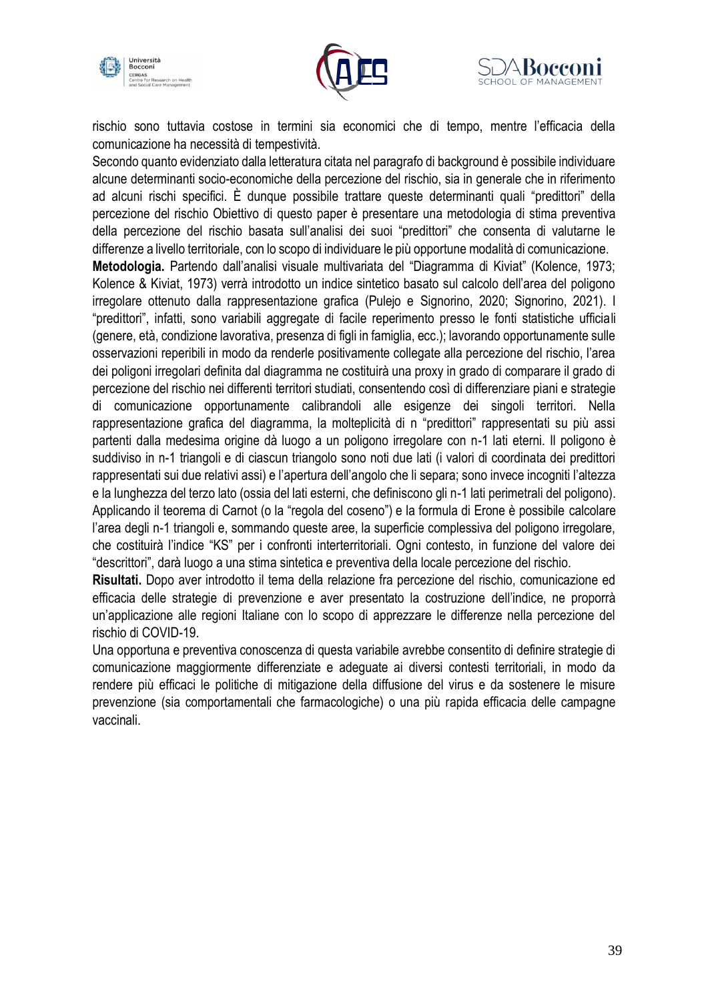





rischio sono tuttavia costose in termini sia economici che di tempo, mentre l'efficacia della comunicazione ha necessità di tempestività.

Secondo quanto evidenziato dalla letteratura citata nel paragrafo di background è possibile individuare alcune determinanti socio-economiche della percezione del rischio, sia in generale che in riferimento ad alcuni rischi specifici. È dunque possibile trattare queste determinanti quali "predittori" della percezione del rischio Obiettivo di questo paper è presentare una metodologia di stima preventiva della percezione del rischio basata sull'analisi dei suoi "predittori" che consenta di valutarne le differenze a livello territoriale, con lo scopo di individuare le più opportune modalità di comunicazione. **Metodologia.** Partendo dall'analisi visuale multivariata del "Diagramma di Kiviat" (Kolence, 1973; Kolence & Kiviat, 1973) verrà introdotto un indice sintetico basato sul calcolo dell'area del poligono irregolare ottenuto dalla rappresentazione grafica (Pulejo e Signorino, 2020; Signorino, 2021). I "predittori", infatti, sono variabili aggregate di facile reperimento presso le fonti statistiche ufficiali (genere, età, condizione lavorativa, presenza di figli in famiglia, ecc.); lavorando opportunamente sulle osservazioni reperibili in modo da renderle positivamente collegate alla percezione del rischio, l'area dei poligoni irregolari definita dal diagramma ne costituirà una proxy in grado di comparare il grado di percezione del rischio nei differenti territori studiati, consentendo così di differenziare piani e strategie di comunicazione opportunamente calibrandoli alle esigenze dei singoli territori. Nella rappresentazione grafica del diagramma, la molteplicità di n "predittori" rappresentati su più assi partenti dalla medesima origine dà luogo a un poligono irregolare con n-1 lati eterni. Il poligono è suddiviso in n-1 triangoli e di ciascun triangolo sono noti due lati (i valori di coordinata dei predittori rappresentati sui due relativi assi) e l'apertura dell'angolo che li separa; sono invece incogniti l'altezza e la lunghezza del terzo lato (ossia del lati esterni, che definiscono gli n-1 lati perimetrali del poligono). Applicando il teorema di Carnot (o la "regola del coseno") e la formula di Erone è possibile calcolare l'area degli n-1 triangoli e, sommando queste aree, la superficie complessiva del poligono irregolare, che costituirà l'indice "KS" per i confronti interterritoriali. Ogni contesto, in funzione del valore dei "descrittori", darà luogo a una stima sintetica e preventiva della locale percezione del rischio.

**Risultati.** Dopo aver introdotto il tema della relazione fra percezione del rischio, comunicazione ed efficacia delle strategie di prevenzione e aver presentato la costruzione dell'indice, ne proporrà un'applicazione alle regioni Italiane con lo scopo di apprezzare le differenze nella percezione del rischio di COVID-19.

Una opportuna e preventiva conoscenza di questa variabile avrebbe consentito di definire strategie di comunicazione maggiormente differenziate e adeguate ai diversi contesti territoriali, in modo da rendere più efficaci le politiche di mitigazione della diffusione del virus e da sostenere le misure prevenzione (sia comportamentali che farmacologiche) o una più rapida efficacia delle campagne vaccinali.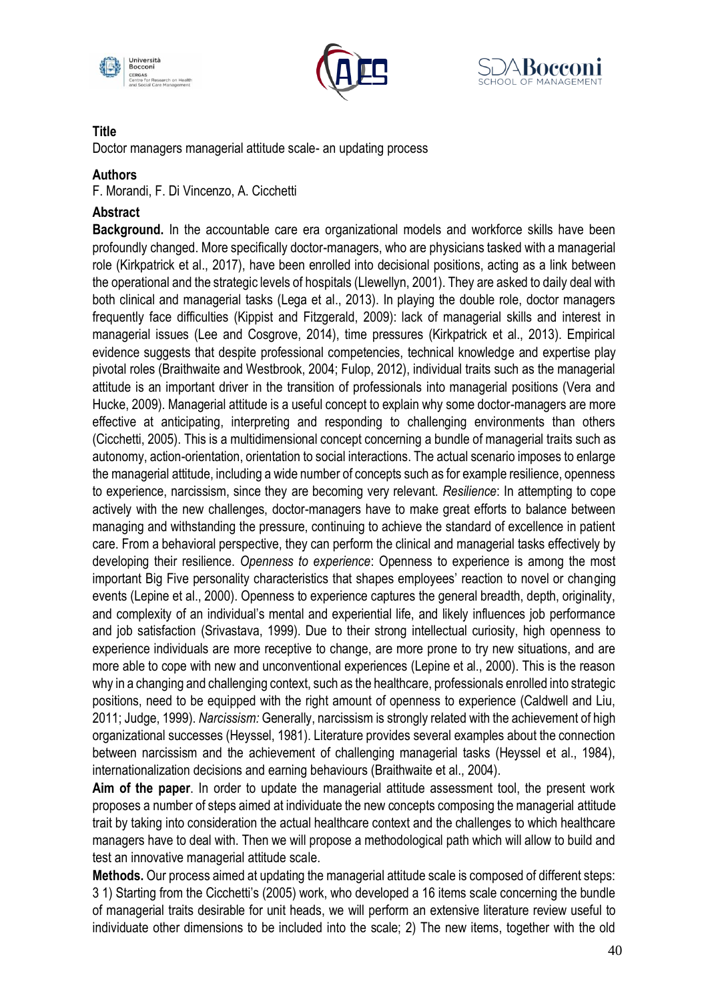





Doctor managers managerial attitude scale- an updating process

### **Authors**

F. Morandi, F. Di Vincenzo, A. Cicchetti

## **Abstract**

**Background.** In the accountable care era organizational models and workforce skills have been profoundly changed. More specifically doctor-managers, who are physicians tasked with a managerial role (Kirkpatrick et al., 2017), have been enrolled into decisional positions, acting as a link between the operational and the strategic levels of hospitals (Llewellyn, 2001). They are asked to daily deal with both clinical and managerial tasks (Lega et al., 2013). In playing the double role, doctor managers frequently face difficulties (Kippist and Fitzgerald, 2009): lack of managerial skills and interest in managerial issues (Lee and Cosgrove, 2014), time pressures (Kirkpatrick et al., 2013). Empirical evidence suggests that despite professional competencies, technical knowledge and expertise play pivotal roles (Braithwaite and Westbrook, 2004; Fulop, 2012), individual traits such as the managerial attitude is an important driver in the transition of professionals into managerial positions (Vera and Hucke, 2009). Managerial attitude is a useful concept to explain why some doctor-managers are more effective at anticipating, interpreting and responding to challenging environments than others (Cicchetti, 2005). This is a multidimensional concept concerning a bundle of managerial traits such as autonomy, action-orientation, orientation to social interactions. The actual scenario imposes to enlarge the managerial attitude, including a wide number of concepts such as for example resilience, openness to experience, narcissism, since they are becoming very relevant. *Resilience*: In attempting to cope actively with the new challenges, doctor-managers have to make great efforts to balance between managing and withstanding the pressure, continuing to achieve the standard of excellence in patient care. From a behavioral perspective, they can perform the clinical and managerial tasks effectively by developing their resilience. *Openness to experience*: Openness to experience is among the most important Big Five personality characteristics that shapes employees' reaction to novel or changing events (Lepine et al., 2000). Openness to experience captures the general breadth, depth, originality, and complexity of an individual's mental and experiential life, and likely influences job performance and job satisfaction (Srivastava, 1999). Due to their strong intellectual curiosity, high openness to experience individuals are more receptive to change, are more prone to try new situations, and are more able to cope with new and unconventional experiences (Lepine et al., 2000). This is the reason why in a changing and challenging context, such as the healthcare, professionals enrolled into strategic positions, need to be equipped with the right amount of openness to experience (Caldwell and Liu, 2011; Judge, 1999). *Narcissism:* Generally, narcissism is strongly related with the achievement of high organizational successes (Heyssel, 1981). Literature provides several examples about the connection between narcissism and the achievement of challenging managerial tasks (Heyssel et al., 1984), internationalization decisions and earning behaviours (Braithwaite et al., 2004).

**Aim of the paper**. In order to update the managerial attitude assessment tool, the present work proposes a number of steps aimed at individuate the new concepts composing the managerial attitude trait by taking into consideration the actual healthcare context and the challenges to which healthcare managers have to deal with. Then we will propose a methodological path which will allow to build and test an innovative managerial attitude scale.

**Methods.** Our process aimed at updating the managerial attitude scale is composed of different steps: 3 1) Starting from the Cicchetti's (2005) work, who developed a 16 items scale concerning the bundle of managerial traits desirable for unit heads, we will perform an extensive literature review useful to individuate other dimensions to be included into the scale; 2) The new items, together with the old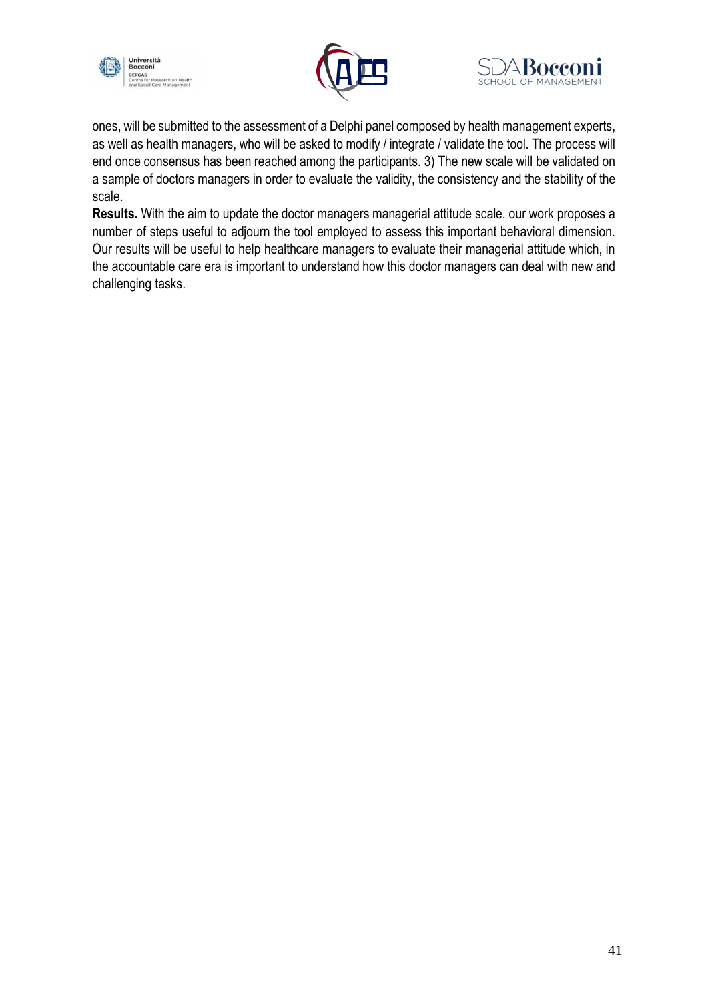





ones, will be submitted to the assessment of a Delphi panel composed by health management experts, as well as health managers, who will be asked to modify / integrate / validate the tool. The process will end once consensus has been reached among the participants. 3) The new scale will be validated on a sample of doctors managers in order to evaluate the validity, the consistency and the stability of the scale.

**Results.** With the aim to update the doctor managers managerial attitude scale, our work proposes a number of steps useful to adjourn the tool employed to assess this important behavioral dimension. Our results will be useful to help healthcare managers to evaluate their managerial attitude which, in the accountable care era is important to understand how this doctor managers can deal with new and challenging tasks.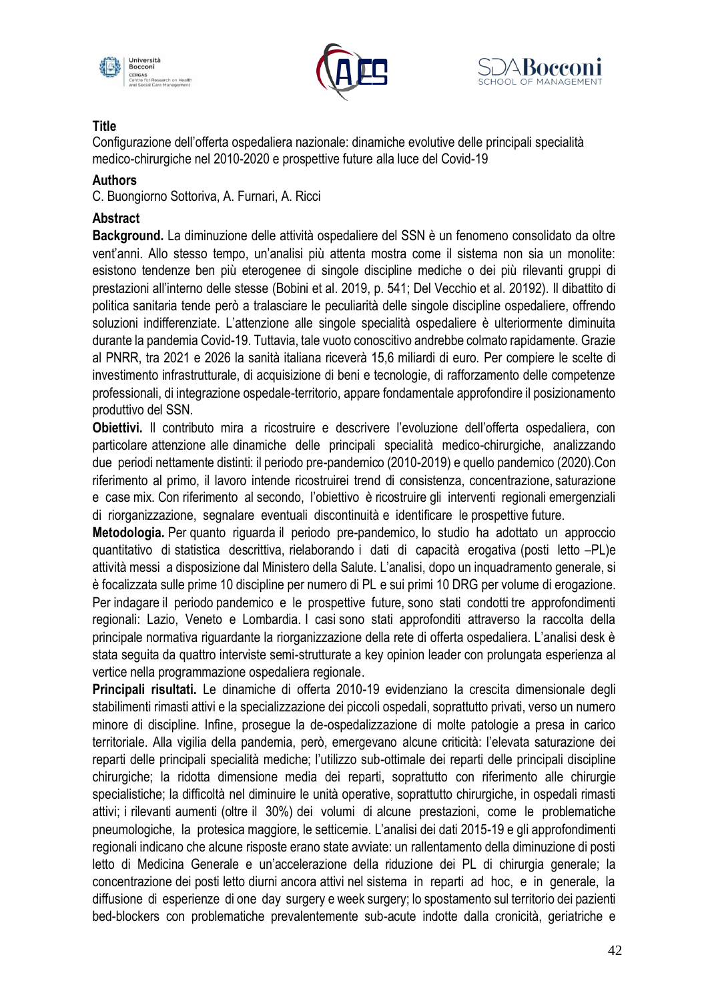





Configurazione dell'offerta ospedaliera nazionale: dinamiche evolutive delle principali specialità medico-chirurgiche nel 2010-2020 e prospettive future alla luce del Covid-19

### **Authors**

C. Buongiorno Sottoriva, A. Furnari, A. Ricci

### **Abstract**

**Background.** La diminuzione delle attività ospedaliere del SSN è un fenomeno consolidato da oltre vent'anni. Allo stesso tempo, un'analisi più attenta mostra come il sistema non sia un monolite: esistono tendenze ben più eterogenee di singole discipline mediche o dei più rilevanti gruppi di prestazioni all'interno delle stesse (Bobini et al. 2019, p. 541; Del Vecchio et al. 20192). Il dibattito di politica sanitaria tende però a tralasciare le peculiarità delle singole discipline ospedaliere, offrendo soluzioni indifferenziate. L'attenzione alle singole specialità ospedaliere è ulteriormente diminuita durante la pandemia Covid-19. Tuttavia, tale vuoto conoscitivo andrebbe colmato rapidamente. Grazie al PNRR, tra 2021 e 2026 la sanità italiana riceverà 15,6 miliardi di euro. Per compiere le scelte di investimento infrastrutturale, di acquisizione di beni e tecnologie, di rafforzamento delle competenze professionali, di integrazione ospedale-territorio, appare fondamentale approfondire il posizionamento produttivo del SSN.

**Obiettivi.** Il contributo mira a ricostruire e descrivere l'evoluzione dell'offerta ospedaliera, con particolare attenzione alle dinamiche delle principali specialità medico-chirurgiche, analizzando due periodi nettamente distinti: il periodo pre-pandemico (2010-2019) e quello pandemico (2020).Con riferimento al primo, il lavoro intende ricostruirei trend di consistenza, concentrazione, saturazione e case mix. Con riferimento al secondo, l'obiettivo è ricostruire gli interventi regionali emergenziali di riorganizzazione, segnalare eventuali discontinuità e identificare le prospettive future.

**Metodologia.** Per quanto riguarda il periodo pre-pandemico, lo studio ha adottato un approccio quantitativo di statistica descrittiva, rielaborando i dati di capacità erogativa (posti letto –PL)e attività messi a disposizione dal Ministero della Salute. L'analisi, dopo un inquadramento generale, si è focalizzata sulle prime 10 discipline per numero di PL e sui primi 10 DRG per volume di erogazione. Per indagare il periodo pandemico e le prospettive future, sono stati condotti tre approfondimenti regionali: Lazio, Veneto e Lombardia. I casi sono stati approfonditi attraverso la raccolta della principale normativa riguardante la riorganizzazione della rete di offerta ospedaliera. L'analisi desk è stata seguita da quattro interviste semi-strutturate a key opinion leader con prolungata esperienza al vertice nella programmazione ospedaliera regionale.

**Principali risultati.** Le dinamiche di offerta 2010-19 evidenziano la crescita dimensionale degli stabilimenti rimasti attivi e la specializzazione dei piccoli ospedali, soprattutto privati, verso un numero minore di discipline. Infine, prosegue la de-ospedalizzazione di molte patologie a presa in carico territoriale. Alla vigilia della pandemia, però, emergevano alcune criticità: l'elevata saturazione dei reparti delle principali specialità mediche; l'utilizzo sub-ottimale dei reparti delle principali discipline chirurgiche; la ridotta dimensione media dei reparti, soprattutto con riferimento alle chirurgie specialistiche; la difficoltà nel diminuire le unità operative, soprattutto chirurgiche, in ospedali rimasti attivi; i rilevanti aumenti (oltre il 30%) dei volumi di alcune prestazioni, come le problematiche pneumologiche, la protesica maggiore, le setticemie. L'analisi dei dati 2015-19 e gli approfondimenti regionali indicano che alcune risposte erano state avviate: un rallentamento della diminuzione di posti letto di Medicina Generale e un'accelerazione della riduzione dei PL di chirurgia generale; la concentrazione dei posti letto diurni ancora attivi nel sistema in reparti ad hoc, e in generale, la diffusione di esperienze di one day surgery e week surgery; lo spostamento sul territorio dei pazienti bed-blockers con problematiche prevalentemente sub-acute indotte dalla cronicità, geriatriche e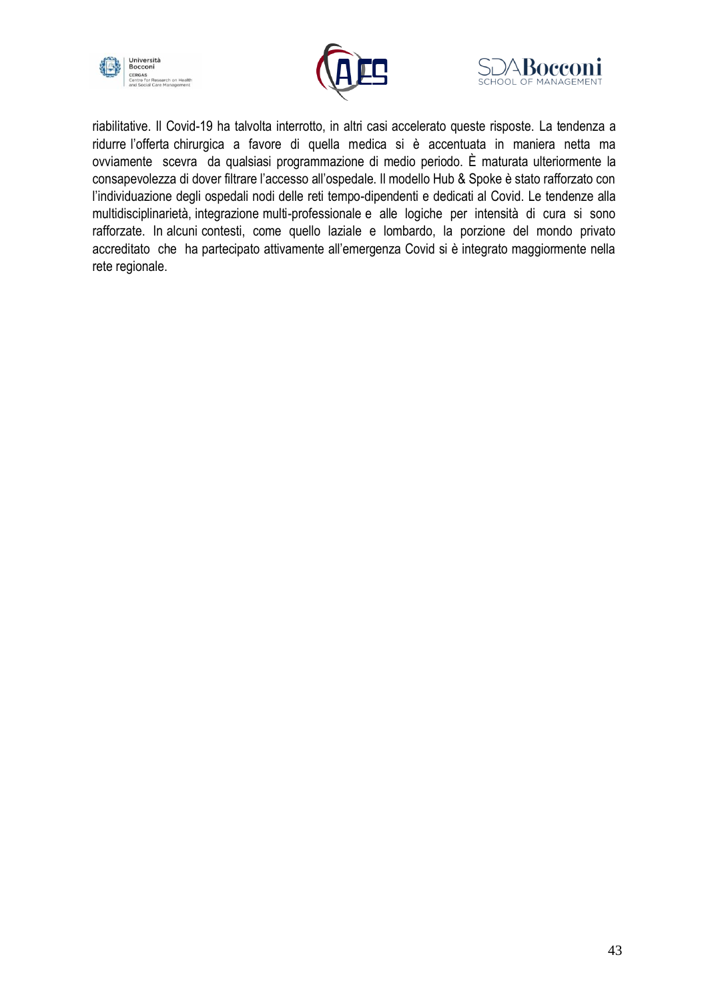





riabilitative. Il Covid-19 ha talvolta interrotto, in altri casi accelerato queste risposte. La tendenza a ridurre l'offerta chirurgica a favore di quella medica si è accentuata in maniera netta ma ovviamente scevra da qualsiasi programmazione di medio periodo. È maturata ulteriormente la consapevolezza di dover filtrare l'accesso all'ospedale. Il modello Hub & Spoke è stato rafforzato con l'individuazione degli ospedali nodi delle reti tempo-dipendenti e dedicati al Covid. Le tendenze alla multidisciplinarietà, integrazione multi-professionale e alle logiche per intensità di cura si sono rafforzate. In alcuni contesti, come quello laziale e lombardo, la porzione del mondo privato accreditato che ha partecipato attivamente all'emergenza Covid si è integrato maggiormente nella rete regionale.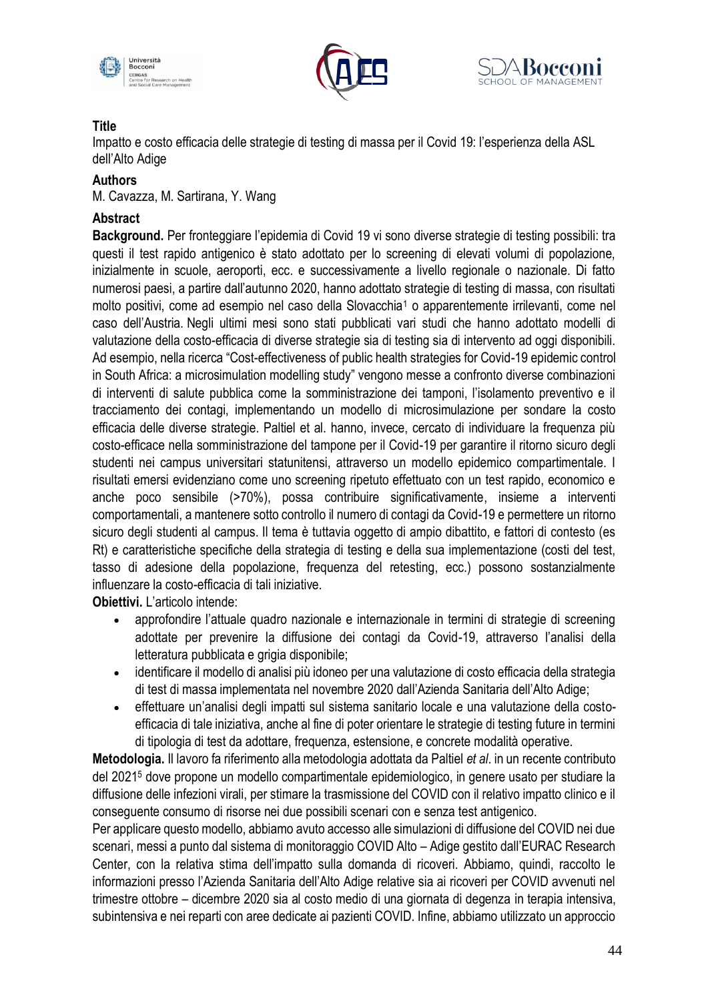





Impatto e costo efficacia delle strategie di testing di massa per il Covid 19: l'esperienza della ASL dell'Alto Adige

## **Authors**

M. Cavazza, M. Sartirana, Y. Wang

## **Abstract**

**Background.** Per fronteggiare l'epidemia di Covid 19 vi sono diverse strategie di testing possibili: tra questi il test rapido antigenico è stato adottato per lo screening di elevati volumi di popolazione, inizialmente in scuole, aeroporti, ecc. e successivamente a livello regionale o nazionale. Di fatto numerosi paesi, a partire dall'autunno 2020, hanno adottato strategie di testing di massa, con risultati molto positivi, come ad esempio nel caso della Slovacchia<sup>1</sup> o apparentemente irrilevanti, come nel caso dell'Austria. Negli ultimi mesi sono stati pubblicati vari studi che hanno adottato modelli di valutazione della costo-efficacia di diverse strategie sia di testing sia di intervento ad oggi disponibili. Ad esempio, nella ricerca "Cost-effectiveness of public health strategies for Covid-19 epidemic control in South Africa: a microsimulation modelling study" vengono messe a confronto diverse combinazioni di interventi di salute pubblica come la somministrazione dei tamponi, l'isolamento preventivo e il tracciamento dei contagi, implementando un modello di microsimulazione per sondare la costo efficacia delle diverse strategie. Paltiel et al. hanno, invece, cercato di individuare la frequenza più costo-efficace nella somministrazione del tampone per il Covid-19 per garantire il ritorno sicuro degli studenti nei campus universitari statunitensi, attraverso un modello epidemico compartimentale. I risultati emersi evidenziano come uno screening ripetuto effettuato con un test rapido, economico e anche poco sensibile (>70%), possa contribuire significativamente, insieme a interventi comportamentali, a mantenere sotto controllo il numero di contagi da Covid-19 e permettere un ritorno sicuro degli studenti al campus. Il tema è tuttavia oggetto di ampio dibattito, e fattori di contesto (es Rt) e caratteristiche specifiche della strategia di testing e della sua implementazione (costi del test, tasso di adesione della popolazione, frequenza del retesting, ecc.) possono sostanzialmente influenzare la costo-efficacia di tali iniziative.

**Obiettivi.** L'articolo intende:

- approfondire l'attuale quadro nazionale e internazionale in termini di strategie di screening adottate per prevenire la diffusione dei contagi da Covid-19, attraverso l'analisi della letteratura pubblicata e grigia disponibile;
- identificare il modello di analisi più idoneo per una valutazione di costo efficacia della strategia di test di massa implementata nel novembre 2020 dall'Azienda Sanitaria dell'Alto Adige;
- effettuare un'analisi degli impatti sul sistema sanitario locale e una valutazione della costoefficacia di tale iniziativa, anche al fine di poter orientare le strategie di testing future in termini di tipologia di test da adottare, frequenza, estensione, e concrete modalità operative.

**Metodologia.** Il lavoro fa riferimento alla metodologia adottata da Paltiel *et al*. in un recente contributo del 2021<sup>5</sup> dove propone un modello compartimentale epidemiologico, in genere usato per studiare la diffusione delle infezioni virali, per stimare la trasmissione del COVID con il relativo impatto clinico e il conseguente consumo di risorse nei due possibili scenari con e senza test antigenico.

Per applicare questo modello, abbiamo avuto accesso alle simulazioni di diffusione del COVID nei due scenari, messi a punto dal sistema di monitoraggio COVID Alto – Adige gestito dall'EURAC Research Center, con la relativa stima dell'impatto sulla domanda di ricoveri. Abbiamo, quindi, raccolto le informazioni presso l'Azienda Sanitaria dell'Alto Adige relative sia ai ricoveri per COVID avvenuti nel trimestre ottobre – dicembre 2020 sia al costo medio di una giornata di degenza in terapia intensiva, subintensiva e nei reparti con aree dedicate ai pazienti COVID. Infine, abbiamo utilizzato un approccio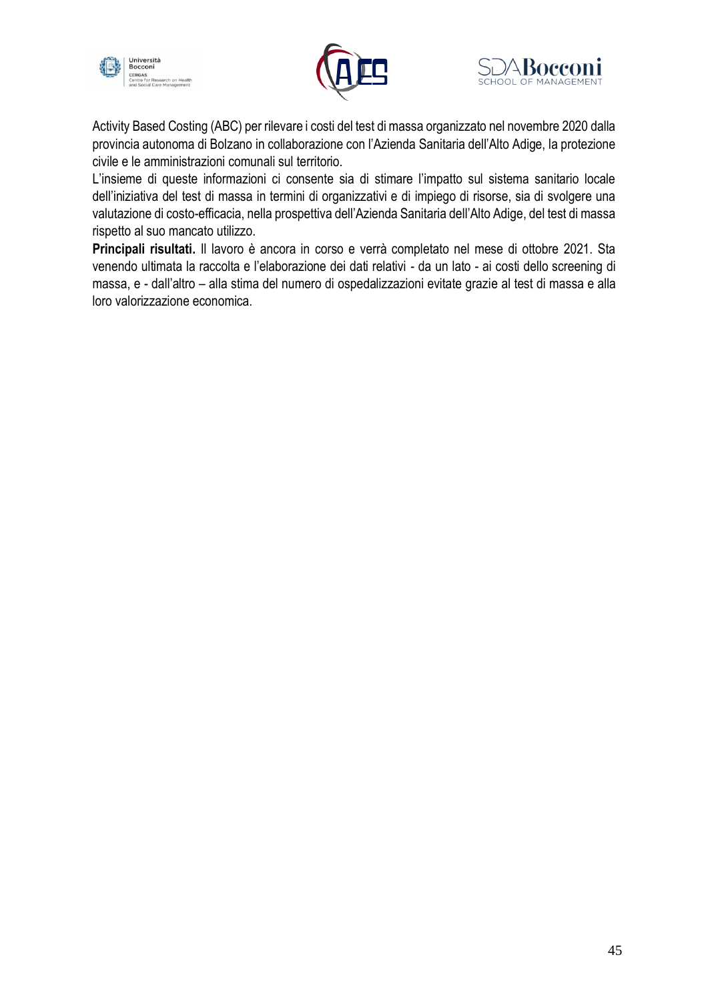





Activity Based Costing (ABC) per rilevare i costi del test di massa organizzato nel novembre 2020 dalla provincia autonoma di Bolzano in collaborazione con l'Azienda Sanitaria dell'Alto Adige, la protezione civile e le amministrazioni comunali sul territorio.

L'insieme di queste informazioni ci consente sia di stimare l'impatto sul sistema sanitario locale dell'iniziativa del test di massa in termini di organizzativi e di impiego di risorse, sia di svolgere una valutazione di costo-efficacia, nella prospettiva dell'Azienda Sanitaria dell'Alto Adige, del test di massa rispetto al suo mancato utilizzo.

**Principali risultati.** Il lavoro è ancora in corso e verrà completato nel mese di ottobre 2021. Sta venendo ultimata la raccolta e l'elaborazione dei dati relativi - da un lato - ai costi dello screening di massa, e - dall'altro – alla stima del numero di ospedalizzazioni evitate grazie al test di massa e alla loro valorizzazione economica.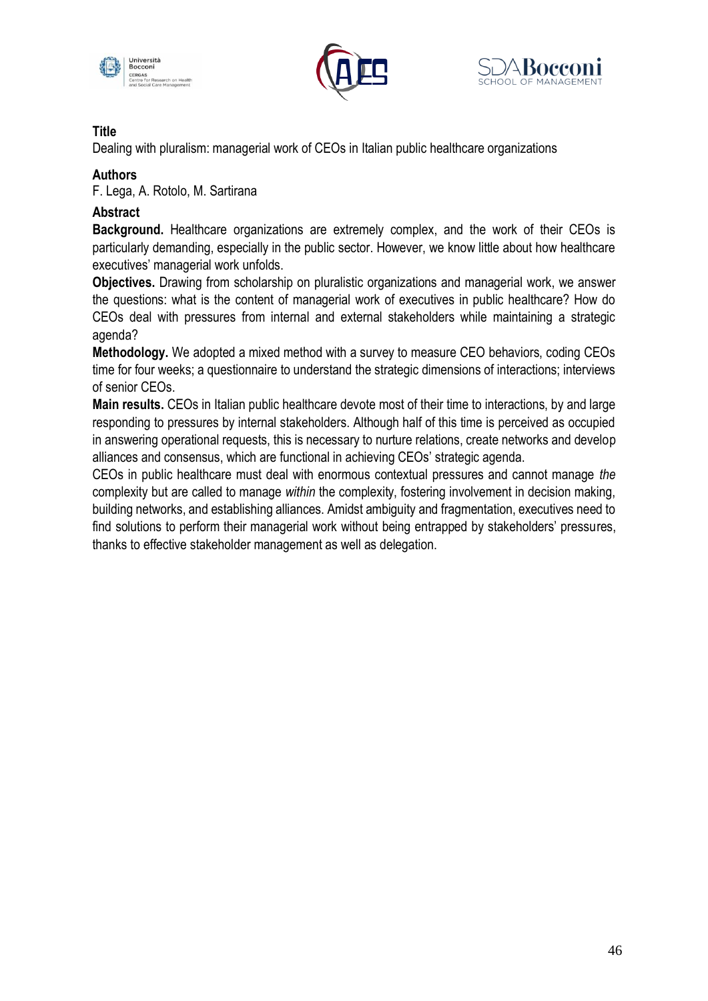





Dealing with pluralism: managerial work of CEOs in Italian public healthcare organizations

### **Authors**

F. Lega, A. Rotolo, M. Sartirana

## **Abstract**

**Background.** Healthcare organizations are extremely complex, and the work of their CEOs is particularly demanding, especially in the public sector. However, we know little about how healthcare executives' managerial work unfolds.

**Objectives.** Drawing from scholarship on pluralistic organizations and managerial work, we answer the questions: what is the content of managerial work of executives in public healthcare? How do CEOs deal with pressures from internal and external stakeholders while maintaining a strategic agenda?

**Methodology.** We adopted a mixed method with a survey to measure CEO behaviors, coding CEOs time for four weeks; a questionnaire to understand the strategic dimensions of interactions; interviews of senior CEOs.

**Main results.** CEOs in Italian public healthcare devote most of their time to interactions, by and large responding to pressures by internal stakeholders. Although half of this time is perceived as occupied in answering operational requests, this is necessary to nurture relations, create networks and develop alliances and consensus, which are functional in achieving CEOs' strategic agenda.

CEOs in public healthcare must deal with enormous contextual pressures and cannot manage *the* complexity but are called to manage *within* the complexity, fostering involvement in decision making, building networks, and establishing alliances. Amidst ambiguity and fragmentation, executives need to find solutions to perform their managerial work without being entrapped by stakeholders' pressures, thanks to effective stakeholder management as well as delegation.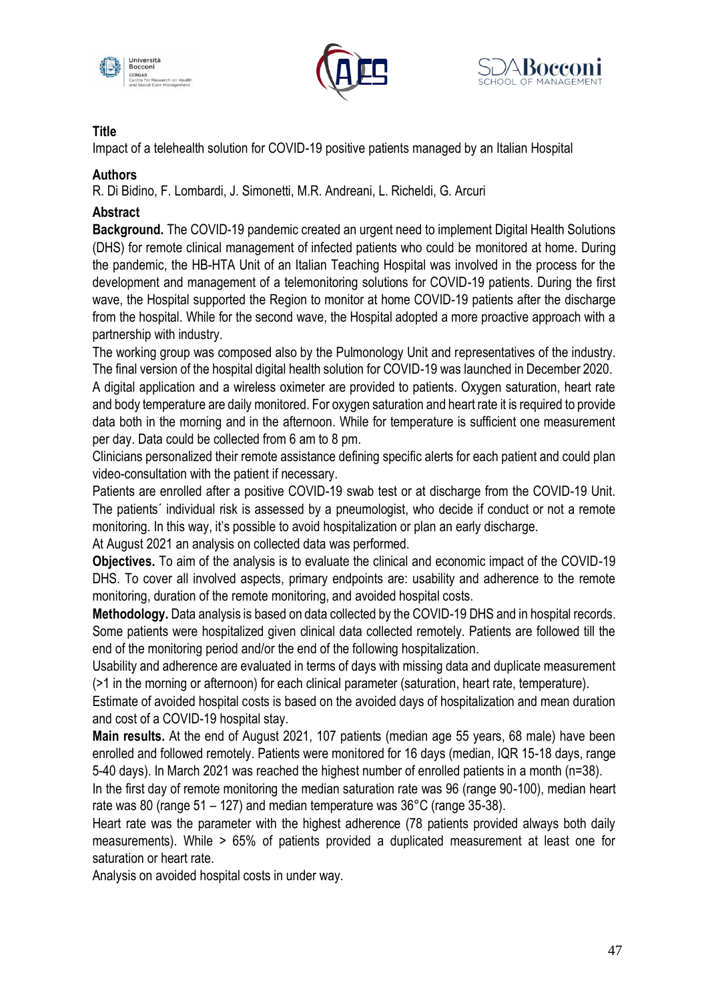





Impact of a telehealth solution for COVID-19 positive patients managed by an Italian Hospital

### **Authors**

R. Di Bidino, F. Lombardi, J. Simonetti, M.R. Andreani, L. Richeldi, G. Arcuri

### **Abstract**

**Background.** The COVID-19 pandemic created an urgent need to implement Digital Health Solutions (DHS) for remote clinical management of infected patients who could be monitored at home. During the pandemic, the HB-HTA Unit of an Italian Teaching Hospital was involved in the process for the development and management of a telemonitoring solutions for COVID-19 patients. During the first wave, the Hospital supported the Region to monitor at home COVID-19 patients after the discharge from the hospital. While for the second wave, the Hospital adopted a more proactive approach with a partnership with industry.

The working group was composed also by the Pulmonology Unit and representatives of the industry. The final version of the hospital digital health solution for COVID-19 was launched in December 2020.

A digital application and a wireless oximeter are provided to patients. Oxygen saturation, heart rate and body temperature are daily monitored. For oxygen saturation and heart rate it is required to provide data both in the morning and in the afternoon. While for temperature is sufficient one measurement per day. Data could be collected from 6 am to 8 pm.

Clinicians personalized their remote assistance defining specific alerts for each patient and could plan video-consultation with the patient if necessary.

Patients are enrolled after a positive COVID-19 swab test or at discharge from the COVID-19 Unit. The patients´ individual risk is assessed by a pneumologist, who decide if conduct or not a remote monitoring. In this way, it's possible to avoid hospitalization or plan an early discharge.

At August 2021 an analysis on collected data was performed.

**Objectives.** To aim of the analysis is to evaluate the clinical and economic impact of the COVID-19 DHS. To cover all involved aspects, primary endpoints are: usability and adherence to the remote monitoring, duration of the remote monitoring, and avoided hospital costs.

**Methodology.** Data analysis is based on data collected by the COVID-19 DHS and in hospital records. Some patients were hospitalized given clinical data collected remotely. Patients are followed till the end of the monitoring period and/or the end of the following hospitalization.

Usability and adherence are evaluated in terms of days with missing data and duplicate measurement (>1 in the morning or afternoon) for each clinical parameter (saturation, heart rate, temperature).

Estimate of avoided hospital costs is based on the avoided days of hospitalization and mean duration and cost of a COVID-19 hospital stay.

**Main results.** At the end of August 2021, 107 patients (median age 55 years, 68 male) have been enrolled and followed remotely. Patients were monitored for 16 days (median, IQR 15-18 days, range 5-40 days). In March 2021 was reached the highest number of enrolled patients in a month (n=38).

In the first day of remote monitoring the median saturation rate was 96 (range 90-100), median heart rate was 80 (range 51 – 127) and median temperature was 36°C (range 35-38).

Heart rate was the parameter with the highest adherence (78 patients provided always both daily measurements). While > 65% of patients provided a duplicated measurement at least one for saturation or heart rate.

Analysis on avoided hospital costs in under way.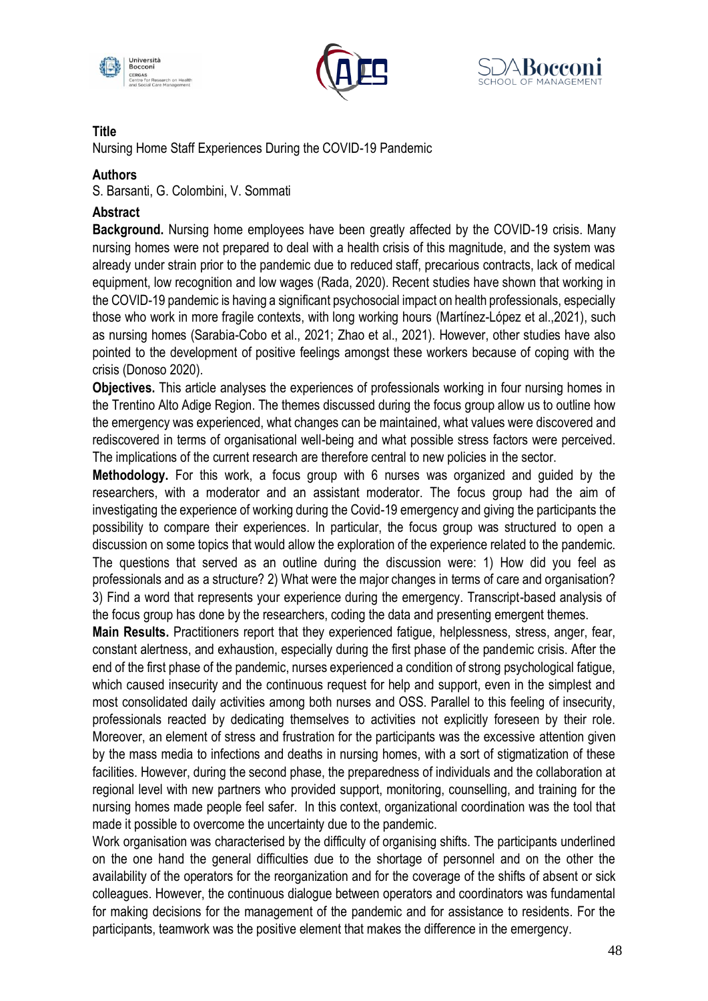





Nursing Home Staff Experiences During the COVID-19 Pandemic

#### **Authors**

S. Barsanti, G. Colombini, V. Sommati

#### **Abstract**

**Background.** Nursing home employees have been greatly affected by the COVID-19 crisis. Many nursing homes were not prepared to deal with a health crisis of this magnitude, and the system was already under strain prior to the pandemic due to reduced staff, precarious contracts, lack of medical equipment, low recognition and low wages (Rada, 2020). Recent studies have shown that working in the COVID-19 pandemic is having a significant psychosocial impact on health professionals, especially those who work in more fragile contexts, with long working hours (Martínez-López et al.,2021), such as nursing homes (Sarabia-Cobo et al., 2021; Zhao et al., 2021). However, other studies have also pointed to the development of positive feelings amongst these workers because of coping with the crisis (Donoso 2020).

**Objectives.** This article analyses the experiences of professionals working in four nursing homes in the Trentino Alto Adige Region. The themes discussed during the focus group allow us to outline how the emergency was experienced, what changes can be maintained, what values were discovered and rediscovered in terms of organisational well-being and what possible stress factors were perceived. The implications of the current research are therefore central to new policies in the sector.

**Methodology.** For this work, a focus group with 6 nurses was organized and guided by the researchers, with a moderator and an assistant moderator. The focus group had the aim of investigating the experience of working during the Covid-19 emergency and giving the participants the possibility to compare their experiences. In particular, the focus group was structured to open a discussion on some topics that would allow the exploration of the experience related to the pandemic. The questions that served as an outline during the discussion were: 1) How did you feel as professionals and as a structure? 2) What were the major changes in terms of care and organisation? 3) Find a word that represents your experience during the emergency. Transcript-based analysis of the focus group has done by the researchers, coding the data and presenting emergent themes.

**Main Results.** Practitioners report that they experienced fatigue, helplessness, stress, anger, fear, constant alertness, and exhaustion, especially during the first phase of the pandemic crisis. After the end of the first phase of the pandemic, nurses experienced a condition of strong psychological fatigue, which caused insecurity and the continuous request for help and support, even in the simplest and most consolidated daily activities among both nurses and OSS. Parallel to this feeling of insecurity, professionals reacted by dedicating themselves to activities not explicitly foreseen by their role. Moreover, an element of stress and frustration for the participants was the excessive attention given by the mass media to infections and deaths in nursing homes, with a sort of stigmatization of these facilities. However, during the second phase, the preparedness of individuals and the collaboration at regional level with new partners who provided support, monitoring, counselling, and training for the nursing homes made people feel safer. In this context, organizational coordination was the tool that made it possible to overcome the uncertainty due to the pandemic.

Work organisation was characterised by the difficulty of organising shifts. The participants underlined on the one hand the general difficulties due to the shortage of personnel and on the other the availability of the operators for the reorganization and for the coverage of the shifts of absent or sick colleagues. However, the continuous dialogue between operators and coordinators was fundamental for making decisions for the management of the pandemic and for assistance to residents. For the participants, teamwork was the positive element that makes the difference in the emergency.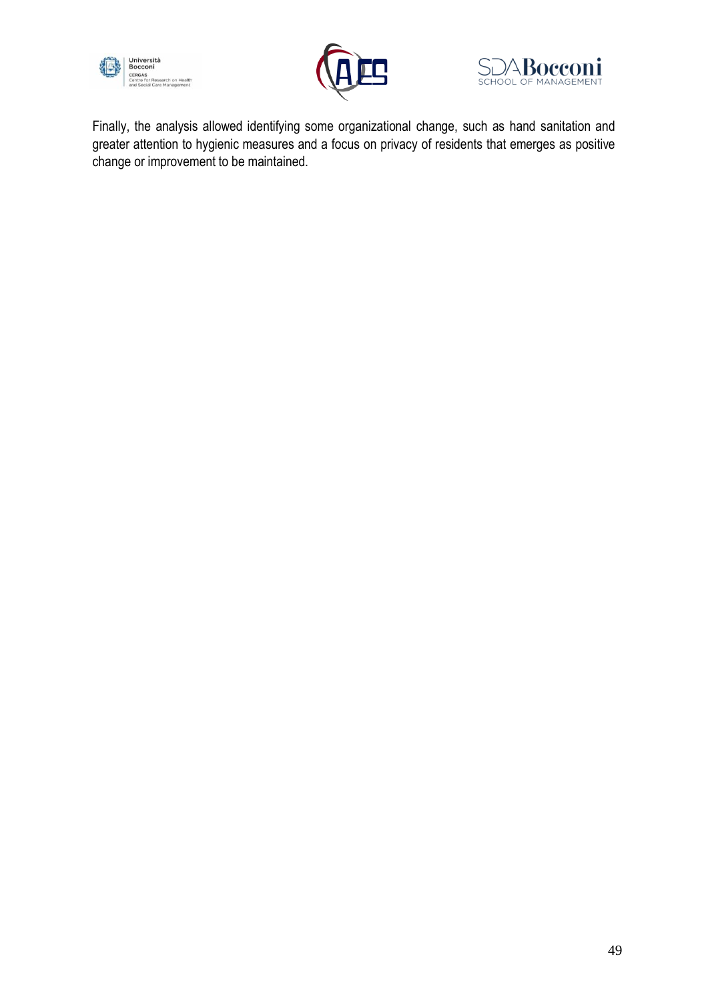





Finally, the analysis allowed identifying some organizational change, such as hand sanitation and greater attention to hygienic measures and a focus on privacy of residents that emerges as positive change or improvement to be maintained.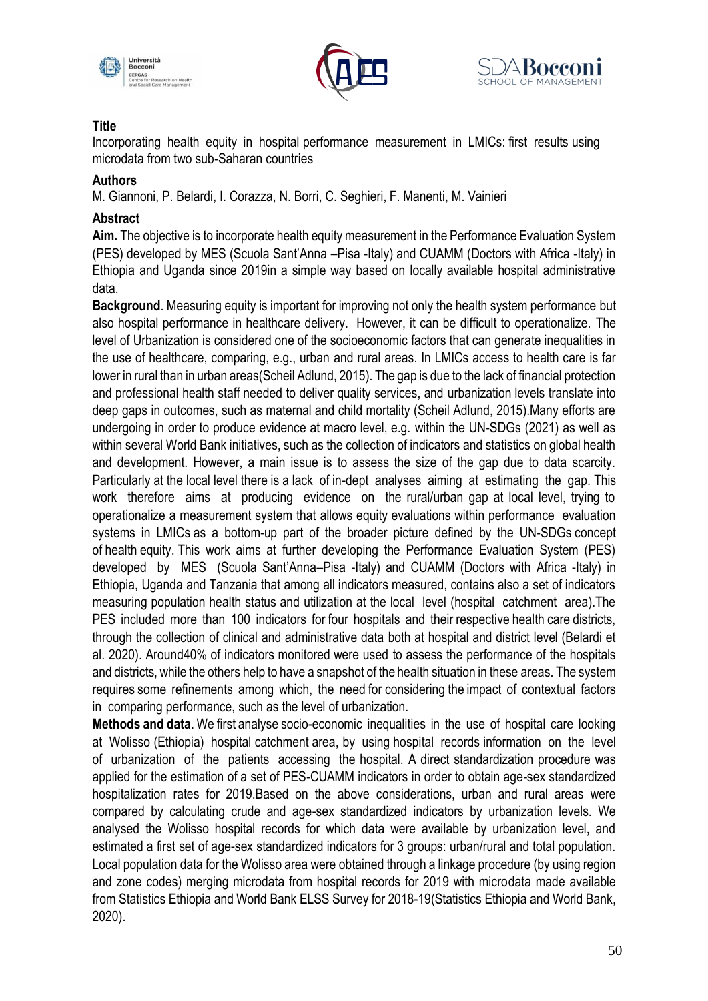





Incorporating health equity in hospital performance measurement in LMICs: first results using microdata from two sub-Saharan countries

#### **Authors**

M. Giannoni, P. Belardi, I. Corazza, N. Borri, C. Seghieri, F. Manenti, M. Vainieri

#### **Abstract**

**Aim.** The objective is to incorporate health equity measurement in the Performance Evaluation System (PES) developed by MES (Scuola Sant'Anna –Pisa -Italy) and CUAMM (Doctors with Africa -Italy) in Ethiopia and Uganda since 2019in a simple way based on locally available hospital administrative data.

**Background**. Measuring equity is important for improving not only the health system performance but also hospital performance in healthcare delivery. However, it can be difficult to operationalize. The level of Urbanization is considered one of the socioeconomic factors that can generate inequalities in the use of healthcare, comparing, e.g., urban and rural areas. In LMICs access to health care is far lower in rural than in urban areas(Scheil Adlund, 2015). The gap is due to the lack of financial protection and professional health staff needed to deliver quality services, and urbanization levels translate into deep gaps in outcomes, such as maternal and child mortality (Scheil Adlund, 2015).Many efforts are undergoing in order to produce evidence at macro level, e.g. within the UN-SDGs (2021) as well as within several World Bank initiatives, such as the collection of indicators and statistics on global health and development. However, a main issue is to assess the size of the gap due to data scarcity. Particularly at the local level there is a lack of in-dept analyses aiming at estimating the gap. This work therefore aims at producing evidence on the rural/urban gap at local level, trying to operationalize a measurement system that allows equity evaluations within performance evaluation systems in LMICs as a bottom-up part of the broader picture defined by the UN-SDGs concept of health equity. This work aims at further developing the Performance Evaluation System (PES) developed by MES (Scuola Sant'Anna–Pisa -Italy) and CUAMM (Doctors with Africa -Italy) in Ethiopia, Uganda and Tanzania that among all indicators measured, contains also a set of indicators measuring population health status and utilization at the local level (hospital catchment area).The PES included more than 100 indicators for four hospitals and their respective health care districts, through the collection of clinical and administrative data both at hospital and district level (Belardi et al. 2020). Around40% of indicators monitored were used to assess the performance of the hospitals and districts, while the others help to have a snapshot of the health situation in these areas. The system requires some refinements among which, the need for considering the impact of contextual factors in comparing performance, such as the level of urbanization.

**Methods and data.** We first analyse socio-economic inequalities in the use of hospital care looking at Wolisso (Ethiopia) hospital catchment area, by using hospital records information on the level of urbanization of the patients accessing the hospital. A direct standardization procedure was applied for the estimation of a set of PES-CUAMM indicators in order to obtain age-sex standardized hospitalization rates for 2019.Based on the above considerations, urban and rural areas were compared by calculating crude and age-sex standardized indicators by urbanization levels. We analysed the Wolisso hospital records for which data were available by urbanization level, and estimated a first set of age-sex standardized indicators for 3 groups: urban/rural and total population. Local population data for the Wolisso area were obtained through a linkage procedure (by using region and zone codes) merging microdata from hospital records for 2019 with microdata made available from Statistics Ethiopia and World Bank ELSS Survey for 2018-19(Statistics Ethiopia and World Bank, 2020).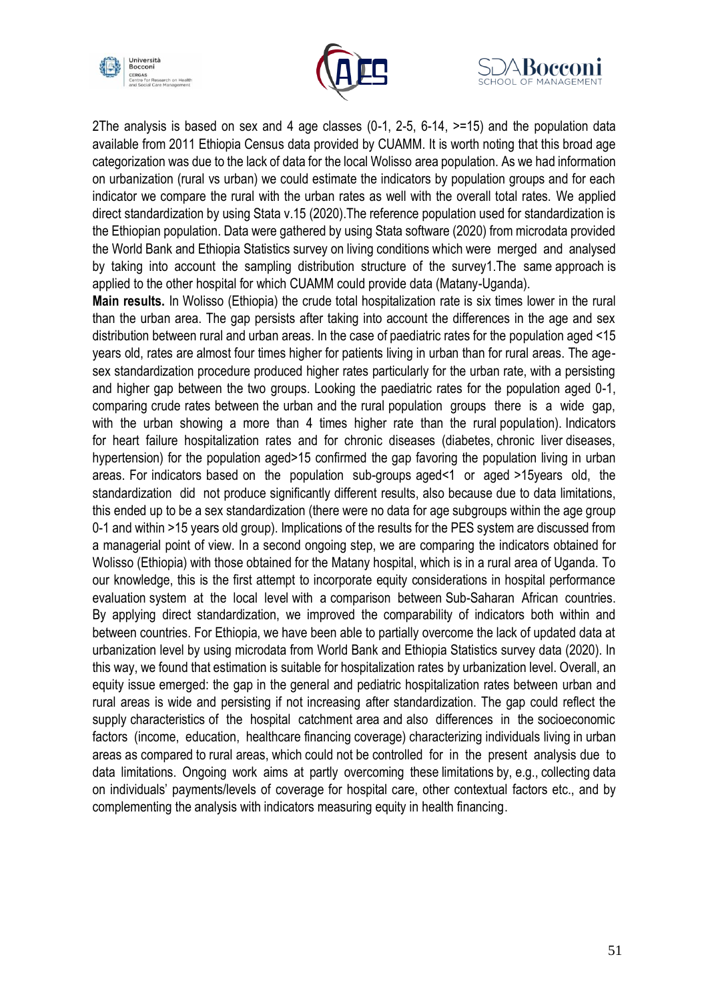





2The analysis is based on sex and 4 age classes (0-1, 2-5, 6-14, >=15) and the population data available from 2011 Ethiopia Census data provided by CUAMM. It is worth noting that this broad age categorization was due to the lack of data for the local Wolisso area population. As we had information on urbanization (rural vs urban) we could estimate the indicators by population groups and for each indicator we compare the rural with the urban rates as well with the overall total rates. We applied direct standardization by using Stata v.15 (2020).The reference population used for standardization is the Ethiopian population. Data were gathered by using Stata software (2020) from microdata provided the World Bank and Ethiopia Statistics survey on living conditions which were merged and analysed by taking into account the sampling distribution structure of the survey1.The same approach is applied to the other hospital for which CUAMM could provide data (Matany-Uganda).

**Main results.** In Wolisso (Ethiopia) the crude total hospitalization rate is six times lower in the rural than the urban area. The gap persists after taking into account the differences in the age and sex distribution between rural and urban areas. In the case of paediatric rates for the population aged <15 years old, rates are almost four times higher for patients living in urban than for rural areas. The agesex standardization procedure produced higher rates particularly for the urban rate, with a persisting and higher gap between the two groups. Looking the paediatric rates for the population aged 0-1, comparing crude rates between the urban and the rural population groups there is a wide gap, with the urban showing a more than 4 times higher rate than the rural population). Indicators for heart failure hospitalization rates and for chronic diseases (diabetes, chronic liver diseases, hypertension) for the population aged>15 confirmed the gap favoring the population living in urban areas. For indicators based on the population sub-groups aged<1 or aged >15years old, the standardization did not produce significantly different results, also because due to data limitations, this ended up to be a sex standardization (there were no data for age subgroups within the age group 0-1 and within >15 years old group). Implications of the results for the PES system are discussed from a managerial point of view. In a second ongoing step, we are comparing the indicators obtained for Wolisso (Ethiopia) with those obtained for the Matany hospital, which is in a rural area of Uganda. To our knowledge, this is the first attempt to incorporate equity considerations in hospital performance evaluation system at the local level with a comparison between Sub-Saharan African countries. By applying direct standardization, we improved the comparability of indicators both within and between countries. For Ethiopia, we have been able to partially overcome the lack of updated data at urbanization level by using microdata from World Bank and Ethiopia Statistics survey data (2020). In this way, we found that estimation is suitable for hospitalization rates by urbanization level. Overall, an equity issue emerged: the gap in the general and pediatric hospitalization rates between urban and rural areas is wide and persisting if not increasing after standardization. The gap could reflect the supply characteristics of the hospital catchment area and also differences in the socioeconomic factors (income, education, healthcare financing coverage) characterizing individuals living in urban areas as compared to rural areas, which could not be controlled for in the present analysis due to data limitations. Ongoing work aims at partly overcoming these limitations by, e.g., collecting data on individuals' payments/levels of coverage for hospital care, other contextual factors etc., and by complementing the analysis with indicators measuring equity in health financing.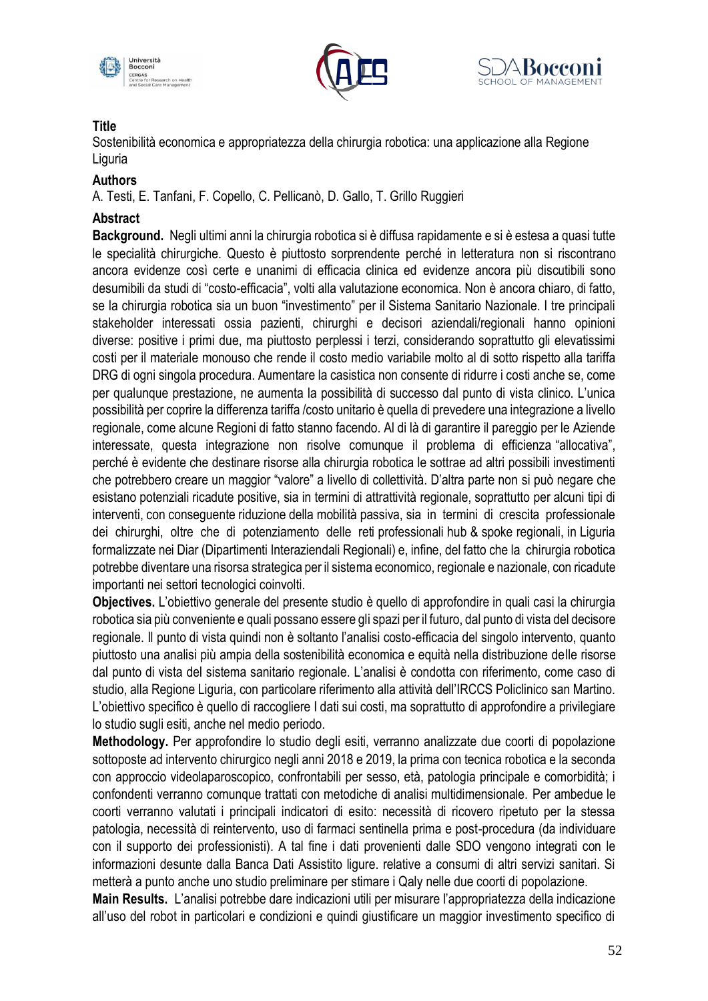





Sostenibilità economica e appropriatezza della chirurgia robotica: una applicazione alla Regione Liguria

#### **Authors**

A. Testi, E. Tanfani, F. Copello, C. Pellicanò, D. Gallo, T. Grillo Ruggieri

### **Abstract**

**Background.** Negli ultimi anni la chirurgia robotica si è diffusa rapidamente e si è estesa a quasi tutte le specialità chirurgiche. Questo è piuttosto sorprendente perché in letteratura non si riscontrano ancora evidenze così certe e unanimi di efficacia clinica ed evidenze ancora più discutibili sono desumibili da studi di "costo-efficacia", volti alla valutazione economica. Non è ancora chiaro, di fatto, se la chirurgia robotica sia un buon "investimento" per il Sistema Sanitario Nazionale. I tre principali stakeholder interessati ossia pazienti, chirurghi e decisori aziendali/regionali hanno opinioni diverse: positive i primi due, ma piuttosto perplessi i terzi, considerando soprattutto gli elevatissimi costi per il materiale monouso che rende il costo medio variabile molto al di sotto rispetto alla tariffa DRG di ogni singola procedura. Aumentare la casistica non consente di ridurre i costi anche se, come per qualunque prestazione, ne aumenta la possibilità di successo dal punto di vista clinico. L'unica possibilità per coprire la differenza tariffa /costo unitario è quella di prevedere una integrazione a livello regionale, come alcune Regioni di fatto stanno facendo. Al di là di garantire il pareggio per le Aziende interessate, questa integrazione non risolve comunque il problema di efficienza "allocativa", perché è evidente che destinare risorse alla chirurgia robotica le sottrae ad altri possibili investimenti che potrebbero creare un maggior "valore" a livello di collettività. D'altra parte non si può negare che esistano potenziali ricadute positive, sia in termini di attrattività regionale, soprattutto per alcuni tipi di interventi, con conseguente riduzione della mobilità passiva, sia in termini di crescita professionale dei chirurghi, oltre che di potenziamento delle reti professionali hub & spoke regionali, in Liguria formalizzate nei Diar (Dipartimenti Interaziendali Regionali) e, infine, del fatto che la chirurgia robotica potrebbe diventare una risorsa strategica per il sistema economico, regionale e nazionale, con ricadute importanti nei settori tecnologici coinvolti.

**Objectives.** L'obiettivo generale del presente studio è quello di approfondire in quali casi la chirurgia robotica sia più conveniente e quali possano essere gli spazi per il futuro, dal punto di vista del decisore regionale. Il punto di vista quindi non è soltanto l'analisi costo-efficacia del singolo intervento, quanto piuttosto una analisi più ampia della sostenibilità economica e equità nella distribuzione delle risorse dal punto di vista del sistema sanitario regionale. L'analisi è condotta con riferimento, come caso di studio, alla Regione Liguria, con particolare riferimento alla attività dell'IRCCS Policlinico san Martino. L'obiettivo specifico è quello di raccogliere I dati sui costi, ma soprattutto di approfondire a privilegiare lo studio sugli esiti, anche nel medio periodo.

**Methodology.** Per approfondire lo studio degli esiti, verranno analizzate due coorti di popolazione sottoposte ad intervento chirurgico negli anni 2018 e 2019, la prima con tecnica robotica e la seconda con approccio videolaparoscopico, confrontabili per sesso, età, patologia principale e comorbidità; i confondenti verranno comunque trattati con metodiche di analisi multidimensionale. Per ambedue le coorti verranno valutati i principali indicatori di esito: necessità di ricovero ripetuto per la stessa patologia, necessità di reintervento, uso di farmaci sentinella prima e post-procedura (da individuare con il supporto dei professionisti). A tal fine i dati provenienti dalle SDO vengono integrati con le informazioni desunte dalla Banca Dati Assistito ligure. relative a consumi di altri servizi sanitari. Si metterà a punto anche uno studio preliminare per stimare i Qaly nelle due coorti di popolazione.

**Main Results.** L'analisi potrebbe dare indicazioni utili per misurare l'appropriatezza della indicazione all'uso del robot in particolari e condizioni e quindi giustificare un maggior investimento specifico di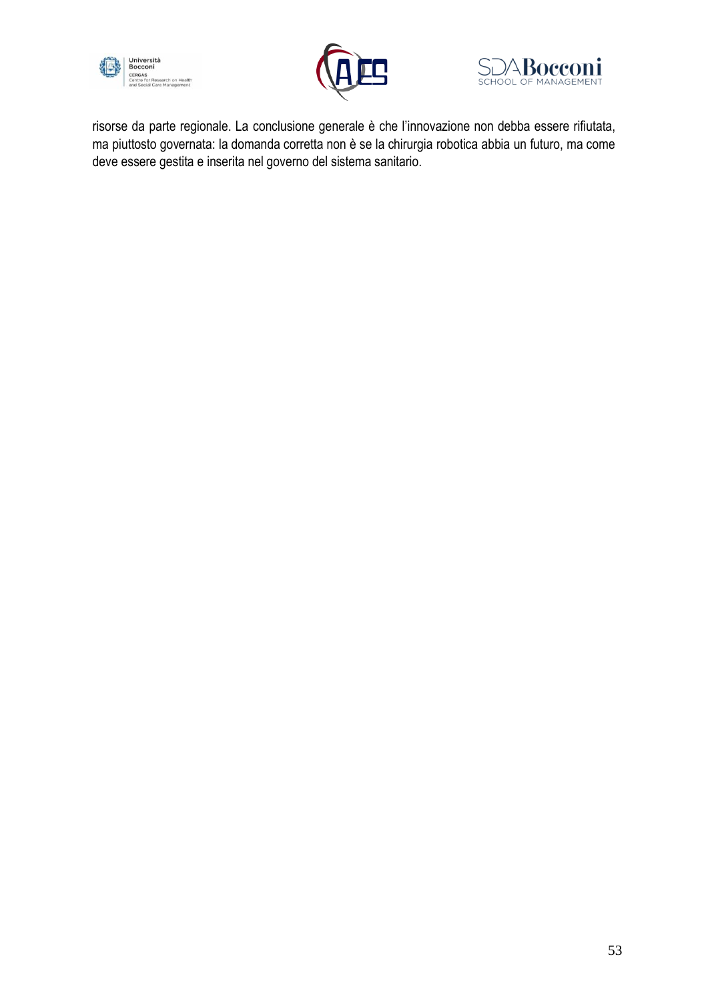





risorse da parte regionale. La conclusione generale è che l'innovazione non debba essere rifiutata, ma piuttosto governata: la domanda corretta non è se la chirurgia robotica abbia un futuro, ma come deve essere gestita e inserita nel governo del sistema sanitario.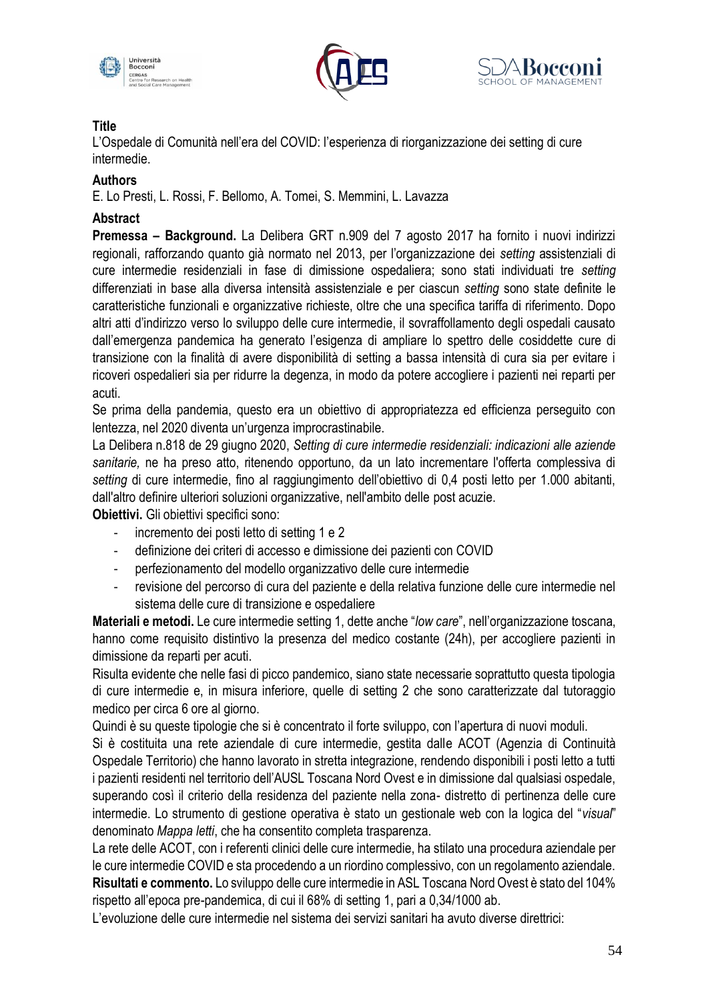





L'Ospedale di Comunità nell'era del COVID: l'esperienza di riorganizzazione dei setting di cure intermedie.

### **Authors**

E. Lo Presti, L. Rossi, F. Bellomo, A. Tomei, S. Memmini, L. Lavazza

## **Abstract**

**Premessa – Background.** La Delibera GRT n.909 del 7 agosto 2017 ha fornito i nuovi indirizzi regionali, rafforzando quanto già normato nel 2013, per l'organizzazione dei *setting* assistenziali di cure intermedie residenziali in fase di dimissione ospedaliera; sono stati individuati tre *setting*  differenziati in base alla diversa intensità assistenziale e per ciascun *setting* sono state definite le caratteristiche funzionali e organizzative richieste, oltre che una specifica tariffa di riferimento. Dopo altri atti d'indirizzo verso lo sviluppo delle cure intermedie, il sovraffollamento degli ospedali causato dall'emergenza pandemica ha generato l'esigenza di ampliare lo spettro delle cosiddette cure di transizione con la finalità di avere disponibilità di setting a bassa intensità di cura sia per evitare i ricoveri ospedalieri sia per ridurre la degenza, in modo da potere accogliere i pazienti nei reparti per acuti.

Se prima della pandemia, questo era un obiettivo di appropriatezza ed efficienza perseguito con lentezza, nel 2020 diventa un'urgenza improcrastinabile.

La Delibera n.818 de 29 giugno 2020, *Setting di cure intermedie residenziali: indicazioni alle aziende sanitarie,* ne ha preso atto, ritenendo opportuno, da un lato incrementare l'offerta complessiva di *setting* di cure intermedie, fino al raggiungimento dell'obiettivo di 0,4 posti letto per 1.000 abitanti, dall'altro definire ulteriori soluzioni organizzative, nell'ambito delle post acuzie.

**Obiettivi.** Gli obiettivi specifici sono:

- incremento dei posti letto di setting 1 e 2
- definizione dei criteri di accesso e dimissione dei pazienti con COVID
- perfezionamento del modello organizzativo delle cure intermedie
- revisione del percorso di cura del paziente e della relativa funzione delle cure intermedie nel sistema delle cure di transizione e ospedaliere

**Materiali e metodi.** Le cure intermedie setting 1, dette anche "*low care*", nell'organizzazione toscana, hanno come requisito distintivo la presenza del medico costante (24h), per accogliere pazienti in dimissione da reparti per acuti.

Risulta evidente che nelle fasi di picco pandemico, siano state necessarie soprattutto questa tipologia di cure intermedie e, in misura inferiore, quelle di setting 2 che sono caratterizzate dal tutoraggio medico per circa 6 ore al giorno.

Quindi è su queste tipologie che si è concentrato il forte sviluppo, con l'apertura di nuovi moduli.

Si è costituita una rete aziendale di cure intermedie, gestita dalle ACOT (Agenzia di Continuità Ospedale Territorio) che hanno lavorato in stretta integrazione, rendendo disponibili i posti letto a tutti i pazienti residenti nel territorio dell'AUSL Toscana Nord Ovest e in dimissione dal qualsiasi ospedale, superando così il criterio della residenza del paziente nella zona- distretto di pertinenza delle cure intermedie. Lo strumento di gestione operativa è stato un gestionale web con la logica del "*visual*" denominato *Mappa letti*, che ha consentito completa trasparenza.

La rete delle ACOT, con i referenti clinici delle cure intermedie, ha stilato una procedura aziendale per le cure intermedie COVID e sta procedendo a un riordino complessivo, con un regolamento aziendale. **Risultati e commento.** Lo sviluppo delle cure intermedie in ASL Toscana Nord Ovest è stato del 104% rispetto all'epoca pre-pandemica, di cui il 68% di setting 1, pari a 0,34/1000 ab.

L'evoluzione delle cure intermedie nel sistema dei servizi sanitari ha avuto diverse direttrici: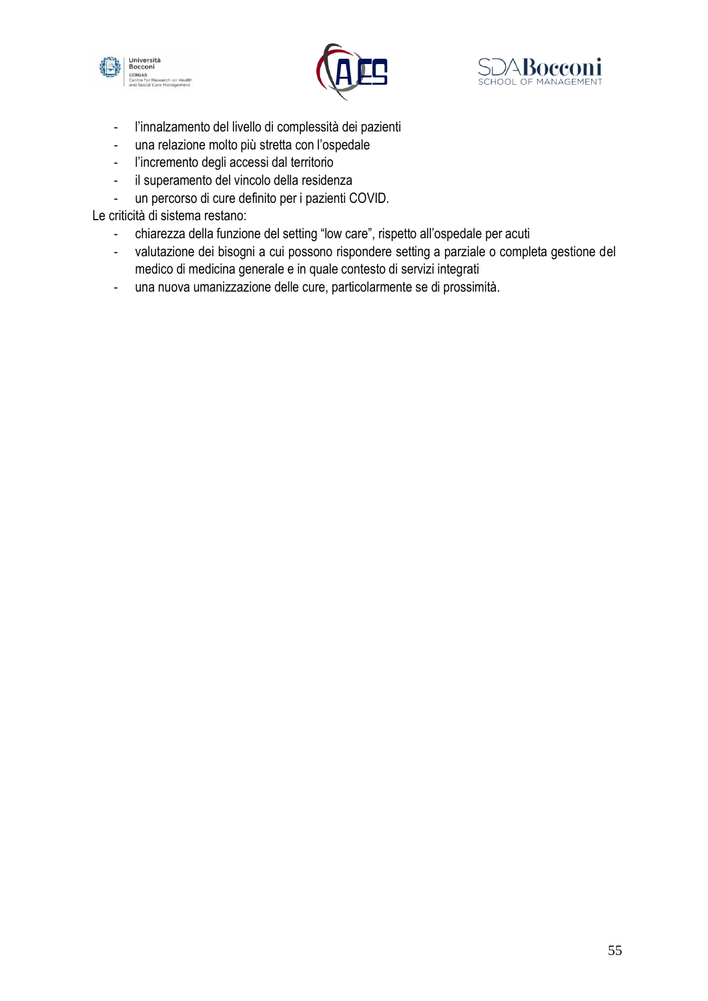





- l'innalzamento del livello di complessità dei pazienti
- una relazione molto più stretta con l'ospedale
- l'incremento degli accessi dal territorio
- il superamento del vincolo della residenza
- un percorso di cure definito per i pazienti COVID.

Le criticità di sistema restano:

- chiarezza della funzione del setting "low care", rispetto all'ospedale per acuti
- valutazione dei bisogni a cui possono rispondere setting a parziale o completa gestione del medico di medicina generale e in quale contesto di servizi integrati
- una nuova umanizzazione delle cure, particolarmente se di prossimità.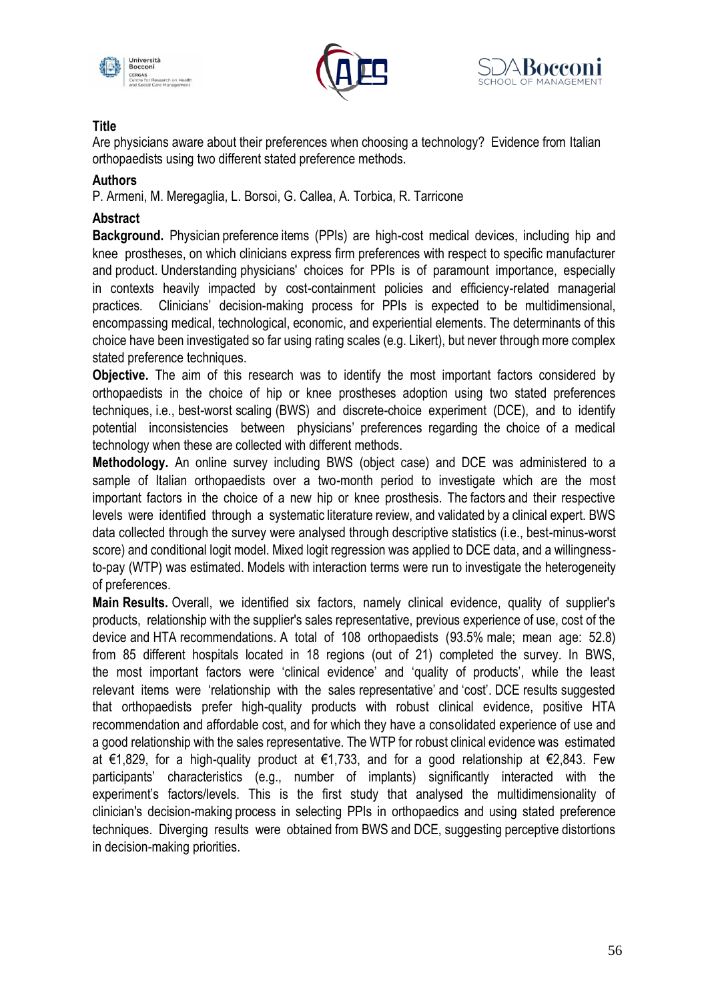





Are physicians aware about their preferences when choosing a technology? Evidence from Italian orthopaedists using two different stated preference methods.

#### **Authors**

P. Armeni, M. Meregaglia, L. Borsoi, G. Callea, A. Torbica, R. Tarricone

#### **Abstract**

**Background.** Physician preference items (PPIs) are high-cost medical devices, including hip and knee prostheses, on which clinicians express firm preferences with respect to specific manufacturer and product. Understanding physicians' choices for PPIs is of paramount importance, especially in contexts heavily impacted by cost-containment policies and efficiency-related managerial practices. Clinicians' decision-making process for PPIs is expected to be multidimensional, encompassing medical, technological, economic, and experiential elements. The determinants of this choice have been investigated so far using rating scales (e.g. Likert), but never through more complex stated preference techniques.

**Objective.** The aim of this research was to identify the most important factors considered by orthopaedists in the choice of hip or knee prostheses adoption using two stated preferences techniques, i.e., best-worst scaling (BWS) and discrete-choice experiment (DCE), and to identify potential inconsistencies between physicians' preferences regarding the choice of a medical technology when these are collected with different methods.

**Methodology.** An online survey including BWS (object case) and DCE was administered to a sample of Italian orthopaedists over a two-month period to investigate which are the most important factors in the choice of a new hip or knee prosthesis. The factors and their respective levels were identified through a systematic literature review, and validated by a clinical expert. BWS data collected through the survey were analysed through descriptive statistics (i.e., best-minus-worst score) and conditional logit model. Mixed logit regression was applied to DCE data, and a willingnessto-pay (WTP) was estimated. Models with interaction terms were run to investigate the heterogeneity of preferences.

**Main Results.** Overall, we identified six factors, namely clinical evidence, quality of supplier's products, relationship with the supplier's sales representative, previous experience of use, cost of the device and HTA recommendations. A total of 108 orthopaedists (93.5% male; mean age: 52.8) from 85 different hospitals located in 18 regions (out of 21) completed the survey. In BWS, the most important factors were 'clinical evidence' and 'quality of products', while the least relevant items were 'relationship with the sales representative' and 'cost'. DCE results suggested that orthopaedists prefer high-quality products with robust clinical evidence, positive HTA recommendation and affordable cost, and for which they have a consolidated experience of use and a good relationship with the sales representative. The WTP for robust clinical evidence was estimated at €1,829, for a high-quality product at €1,733, and for a good relationship at €2,843. Few participants' characteristics (e.g., number of implants) significantly interacted with the experiment's factors/levels. This is the first study that analysed the multidimensionality of clinician's decision-making process in selecting PPIs in orthopaedics and using stated preference techniques. Diverging results were obtained from BWS and DCE, suggesting perceptive distortions in decision-making priorities.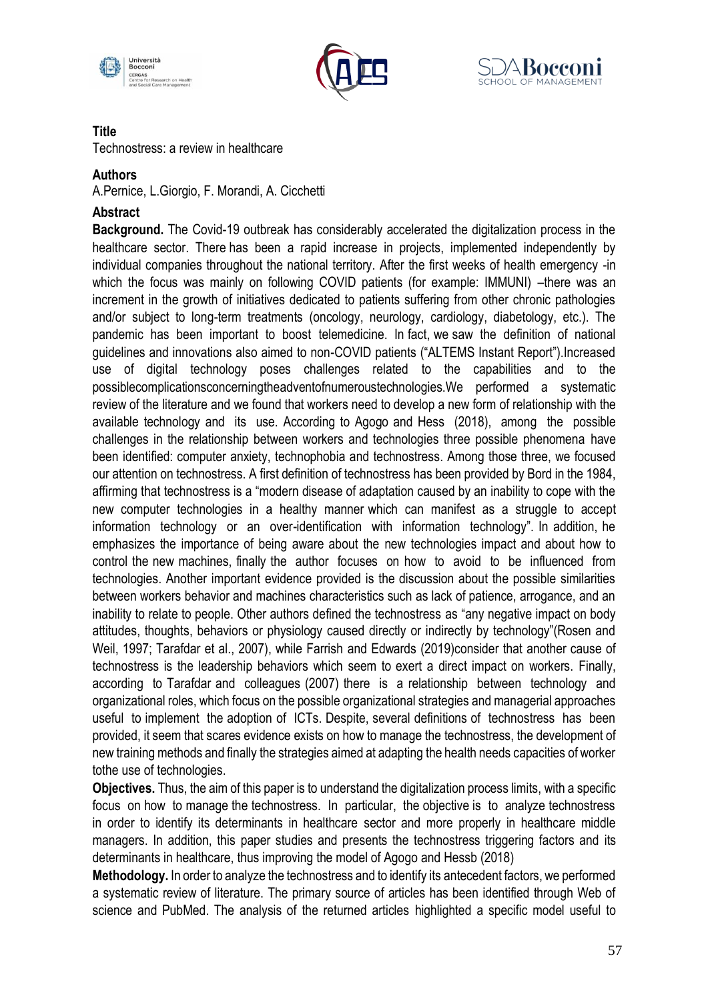





Technostress: a review in healthcare

#### **Authors**

A.Pernice, L.Giorgio, F. Morandi, A. Cicchetti

#### **Abstract**

**Background.** The Covid-19 outbreak has considerably accelerated the digitalization process in the healthcare sector. There has been a rapid increase in projects, implemented independently by individual companies throughout the national territory. After the first weeks of health emergency -in which the focus was mainly on following COVID patients (for example: IMMUNI) –there was an increment in the growth of initiatives dedicated to patients suffering from other chronic pathologies and/or subject to long-term treatments (oncology, neurology, cardiology, diabetology, etc.). The pandemic has been important to boost telemedicine. In fact, we saw the definition of national guidelines and innovations also aimed to non-COVID patients ("ALTEMS Instant Report").Increased use of digital technology poses challenges related to the capabilities and to the possiblecomplicationsconcerningtheadventofnumeroustechnologies.We performed a systematic review of the literature and we found that workers need to develop a new form of relationship with the available technology and its use. According to Agogo and Hess (2018), among the possible challenges in the relationship between workers and technologies three possible phenomena have been identified: computer anxiety, technophobia and technostress. Among those three, we focused our attention on technostress. A first definition of technostress has been provided by Bord in the 1984, affirming that technostress is a "modern disease of adaptation caused by an inability to cope with the new computer technologies in a healthy manner which can manifest as a struggle to accept information technology or an over-identification with information technology". In addition, he emphasizes the importance of being aware about the new technologies impact and about how to control the new machines, finally the author focuses on how to avoid to be influenced from technologies. Another important evidence provided is the discussion about the possible similarities between workers behavior and machines characteristics such as lack of patience, arrogance, and an inability to relate to people. Other authors defined the technostress as "any negative impact on body attitudes, thoughts, behaviors or physiology caused directly or indirectly by technology"(Rosen and Weil, 1997; Tarafdar et al., 2007), while Farrish and Edwards (2019)consider that another cause of technostress is the leadership behaviors which seem to exert a direct impact on workers. Finally, according to Tarafdar and colleagues (2007) there is a relationship between technology and organizational roles, which focus on the possible organizational strategies and managerial approaches useful to implement the adoption of ICTs. Despite, several definitions of technostress has been provided, it seem that scares evidence exists on how to manage the technostress, the development of new training methods and finally the strategies aimed at adapting the health needs capacities of worker tothe use of technologies.

**Objectives.** Thus, the aim of this paper is to understand the digitalization process limits, with a specific focus on how to manage the technostress. In particular, the objective is to analyze technostress in order to identify its determinants in healthcare sector and more properly in healthcare middle managers. In addition, this paper studies and presents the technostress triggering factors and its determinants in healthcare, thus improving the model of Agogo and Hessb (2018)

**Methodology.** In order to analyze the technostress and to identify its antecedent factors, we performed a systematic review of literature. The primary source of articles has been identified through Web of science and PubMed. The analysis of the returned articles highlighted a specific model useful to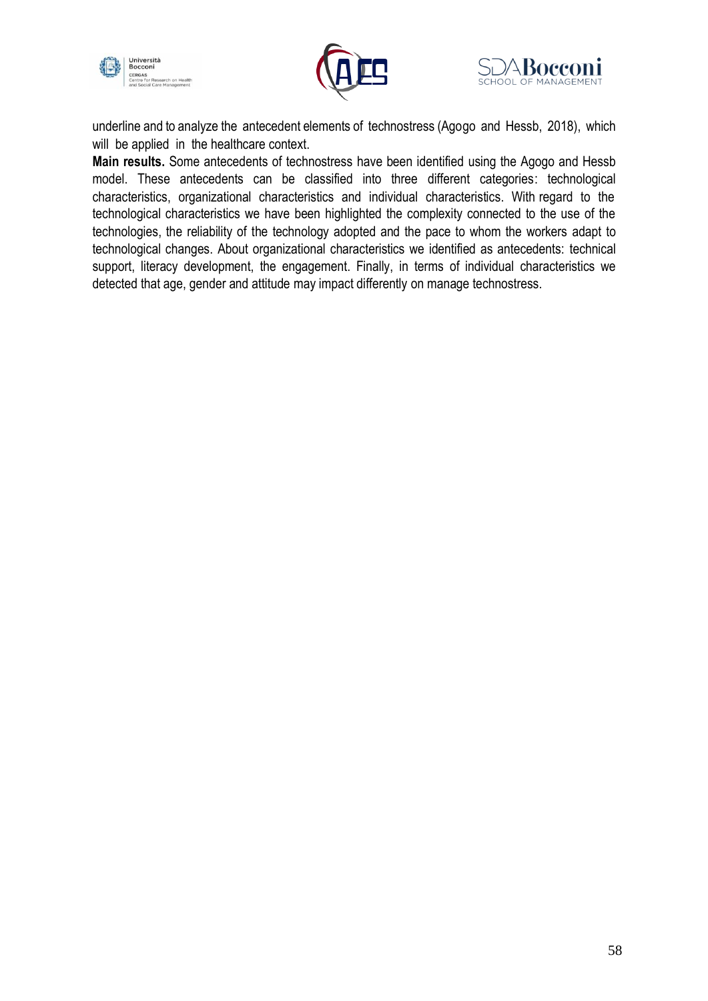





underline and to analyze the antecedent elements of technostress (Agogo and Hessb, 2018), which will be applied in the healthcare context.

**Main results.** Some antecedents of technostress have been identified using the Agogo and Hessb model. These antecedents can be classified into three different categories: technological characteristics, organizational characteristics and individual characteristics. With regard to the technological characteristics we have been highlighted the complexity connected to the use of the technologies, the reliability of the technology adopted and the pace to whom the workers adapt to technological changes. About organizational characteristics we identified as antecedents: technical support, literacy development, the engagement. Finally, in terms of individual characteristics we detected that age, gender and attitude may impact differently on manage technostress.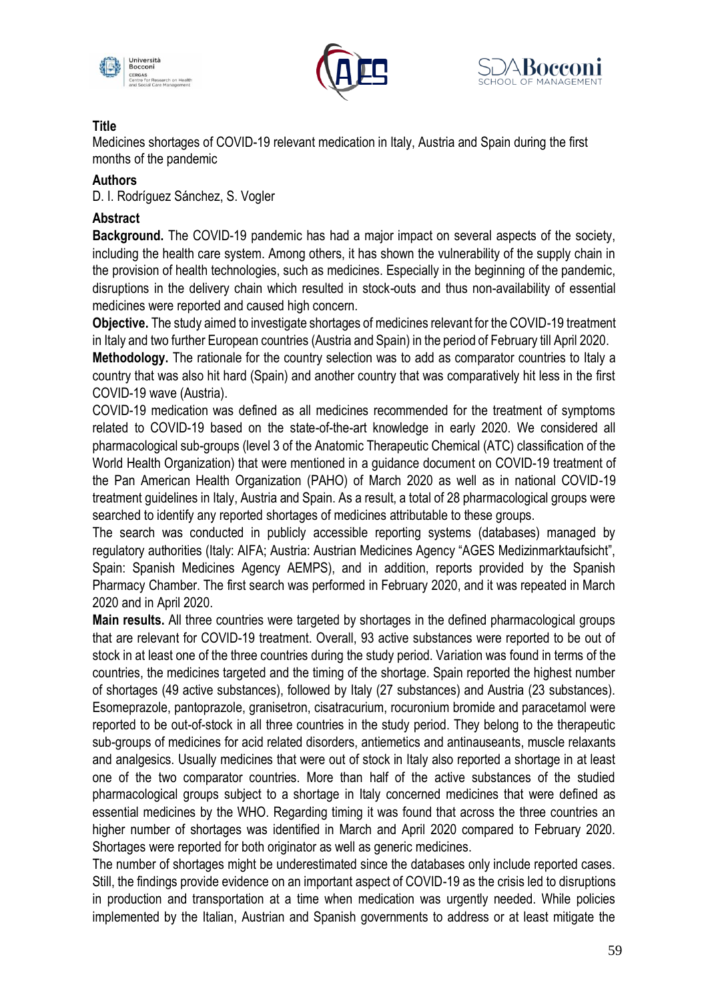





Medicines shortages of COVID-19 relevant medication in Italy, Austria and Spain during the first months of the pandemic

### **Authors**

D. I. Rodríguez Sánchez, S. Vogler

# **Abstract**

**Background.** The COVID-19 pandemic has had a major impact on several aspects of the society, including the health care system. Among others, it has shown the vulnerability of the supply chain in the provision of health technologies, such as medicines. Especially in the beginning of the pandemic, disruptions in the delivery chain which resulted in stock-outs and thus non-availability of essential medicines were reported and caused high concern.

**Objective.** The study aimed to investigate shortages of medicines relevant for the COVID-19 treatment in Italy and two further European countries (Austria and Spain) in the period of February till April 2020.

**Methodology.** The rationale for the country selection was to add as comparator countries to Italy a country that was also hit hard (Spain) and another country that was comparatively hit less in the first COVID-19 wave (Austria).

COVID-19 medication was defined as all medicines recommended for the treatment of symptoms related to COVID-19 based on the state-of-the-art knowledge in early 2020. We considered all pharmacological sub-groups (level 3 of the Anatomic Therapeutic Chemical (ATC) classification of the World Health Organization) that were mentioned in a guidance document on COVID-19 treatment of the Pan American Health Organization (PAHO) of March 2020 as well as in national COVID-19 treatment guidelines in Italy, Austria and Spain. As a result, a total of 28 pharmacological groups were searched to identify any reported shortages of medicines attributable to these groups.

The search was conducted in publicly accessible reporting systems (databases) managed by regulatory authorities (Italy: AIFA; Austria: Austrian Medicines Agency "AGES Medizinmarktaufsicht", Spain: Spanish Medicines Agency AEMPS), and in addition, reports provided by the Spanish Pharmacy Chamber. The first search was performed in February 2020, and it was repeated in March 2020 and in April 2020.

**Main results.** All three countries were targeted by shortages in the defined pharmacological groups that are relevant for COVID-19 treatment. Overall, 93 active substances were reported to be out of stock in at least one of the three countries during the study period. Variation was found in terms of the countries, the medicines targeted and the timing of the shortage. Spain reported the highest number of shortages (49 active substances), followed by Italy (27 substances) and Austria (23 substances). Esomeprazole, pantoprazole, granisetron, cisatracurium, rocuronium bromide and paracetamol were reported to be out-of-stock in all three countries in the study period. They belong to the therapeutic sub-groups of medicines for acid related disorders, antiemetics and antinauseants, muscle relaxants and analgesics. Usually medicines that were out of stock in Italy also reported a shortage in at least one of the two comparator countries. More than half of the active substances of the studied pharmacological groups subject to a shortage in Italy concerned medicines that were defined as essential medicines by the WHO. Regarding timing it was found that across the three countries an higher number of shortages was identified in March and April 2020 compared to February 2020. Shortages were reported for both originator as well as generic medicines.

The number of shortages might be underestimated since the databases only include reported cases. Still, the findings provide evidence on an important aspect of COVID-19 as the crisis led to disruptions in production and transportation at a time when medication was urgently needed. While policies implemented by the Italian, Austrian and Spanish governments to address or at least mitigate the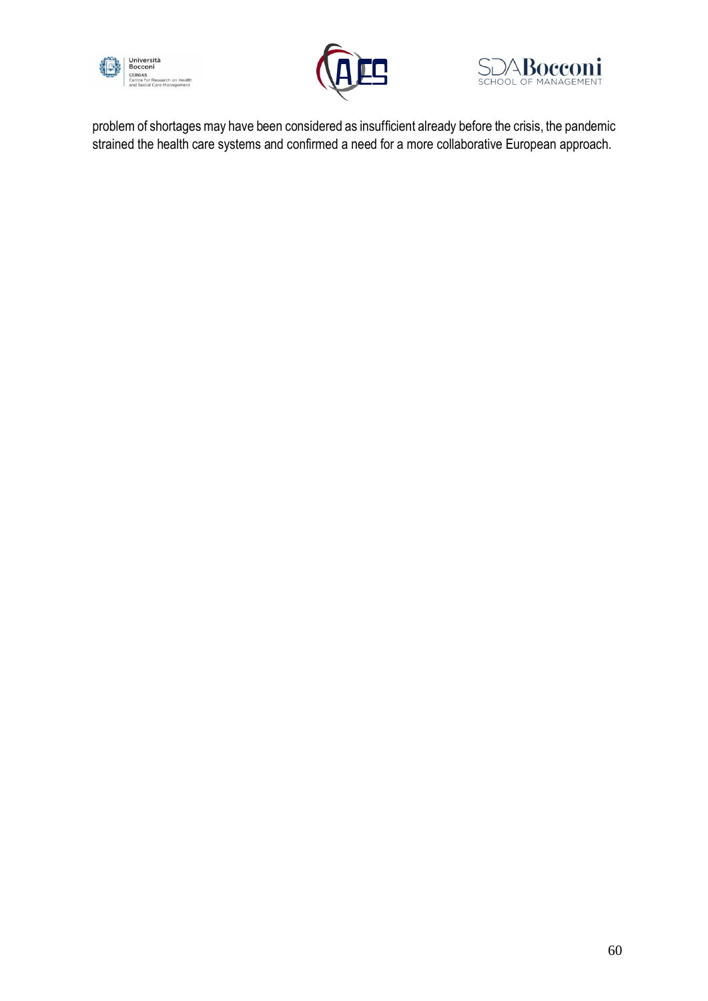





problem of shortages may have been considered as insufficient already before the crisis, the pandemic strained the health care systems and confirmed a need for a more collaborative European approach.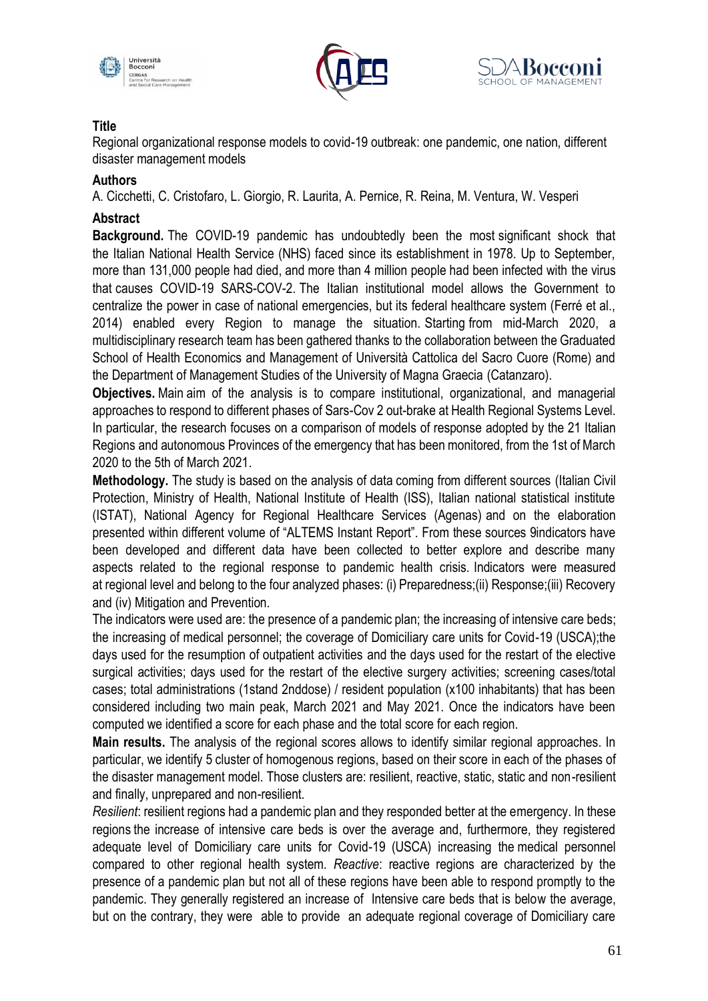





Regional organizational response models to covid-19 outbreak: one pandemic, one nation, different disaster management models

### **Authors**

A. Cicchetti, C. Cristofaro, L. Giorgio, R. Laurita, A. Pernice, R. Reina, M. Ventura, W. Vesperi

# **Abstract**

**Background.** The COVID-19 pandemic has undoubtedly been the most significant shock that the Italian National Health Service (NHS) faced since its establishment in 1978. Up to September, more than 131,000 people had died, and more than 4 million people had been infected with the virus that causes COVID-19 SARS-COV-2. The Italian institutional model allows the Government to centralize the power in case of national emergencies, but its federal healthcare system (Ferré et al., 2014) enabled every Region to manage the situation. Starting from mid-March 2020, a multidisciplinary research team has been gathered thanks to the collaboration between the Graduated School of Health Economics and Management of Università Cattolica del Sacro Cuore (Rome) and the Department of Management Studies of the University of Magna Graecia (Catanzaro).

**Objectives.** Main aim of the analysis is to compare institutional, organizational, and managerial approaches to respond to different phases of Sars-Cov 2 out-brake at Health Regional Systems Level. In particular, the research focuses on a comparison of models of response adopted by the 21 Italian Regions and autonomous Provinces of the emergency that has been monitored, from the 1st of March 2020 to the 5th of March 2021.

**Methodology.** The study is based on the analysis of data coming from different sources (Italian Civil Protection, Ministry of Health, National Institute of Health (ISS), Italian national statistical institute (ISTAT), National Agency for Regional Healthcare Services (Agenas) and on the elaboration presented within different volume of "ALTEMS Instant Report". From these sources 9indicators have been developed and different data have been collected to better explore and describe many aspects related to the regional response to pandemic health crisis. Indicators were measured at regional level and belong to the four analyzed phases: (i) Preparedness;(ii) Response;(iii) Recovery and (iv) Mitigation and Prevention.

The indicators were used are: the presence of a pandemic plan; the increasing of intensive care beds; the increasing of medical personnel; the coverage of Domiciliary care units for Covid-19 (USCA);the days used for the resumption of outpatient activities and the days used for the restart of the elective surgical activities; days used for the restart of the elective surgery activities; screening cases/total cases; total administrations (1stand 2nddose) / resident population (x100 inhabitants) that has been considered including two main peak, March 2021 and May 2021. Once the indicators have been computed we identified a score for each phase and the total score for each region.

**Main results.** The analysis of the regional scores allows to identify similar regional approaches. In particular, we identify 5 cluster of homogenous regions, based on their score in each of the phases of the disaster management model. Those clusters are: resilient, reactive, static, static and non-resilient and finally, unprepared and non-resilient.

*Resilient*: resilient regions had a pandemic plan and they responded better at the emergency. In these regions the increase of intensive care beds is over the average and, furthermore, they registered adequate level of Domiciliary care units for Covid-19 (USCA) increasing the medical personnel compared to other regional health system. *Reactive*: reactive regions are characterized by the presence of a pandemic plan but not all of these regions have been able to respond promptly to the pandemic. They generally registered an increase of Intensive care beds that is below the average, but on the contrary, they were able to provide an adequate regional coverage of Domiciliary care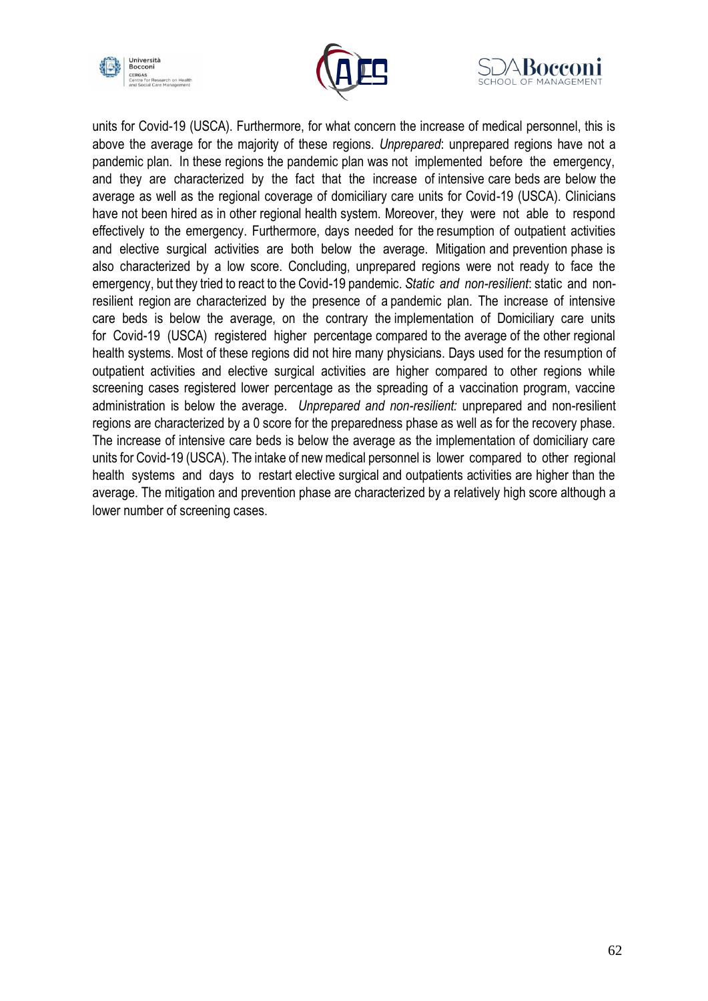





units for Covid-19 (USCA). Furthermore, for what concern the increase of medical personnel, this is above the average for the majority of these regions. *Unprepared*: unprepared regions have not a pandemic plan. In these regions the pandemic plan was not implemented before the emergency, and they are characterized by the fact that the increase of intensive care beds are below the average as well as the regional coverage of domiciliary care units for Covid-19 (USCA). Clinicians have not been hired as in other regional health system. Moreover, they were not able to respond effectively to the emergency. Furthermore, days needed for the resumption of outpatient activities and elective surgical activities are both below the average. Mitigation and prevention phase is also characterized by a low score. Concluding, unprepared regions were not ready to face the emergency, but they tried to react to the Covid-19 pandemic. *Static and non-resilient*: static and nonresilient region are characterized by the presence of a pandemic plan. The increase of intensive care beds is below the average, on the contrary the implementation of Domiciliary care units for Covid-19 (USCA) registered higher percentage compared to the average of the other regional health systems. Most of these regions did not hire many physicians. Days used for the resumption of outpatient activities and elective surgical activities are higher compared to other regions while screening cases registered lower percentage as the spreading of a vaccination program, vaccine administration is below the average. *Unprepared and non-resilient:* unprepared and non-resilient regions are characterized by a 0 score for the preparedness phase as well as for the recovery phase. The increase of intensive care beds is below the average as the implementation of domiciliary care units for Covid-19 (USCA). The intake of new medical personnel is lower compared to other regional health systems and days to restart elective surgical and outpatients activities are higher than the average. The mitigation and prevention phase are characterized by a relatively high score although a lower number of screening cases.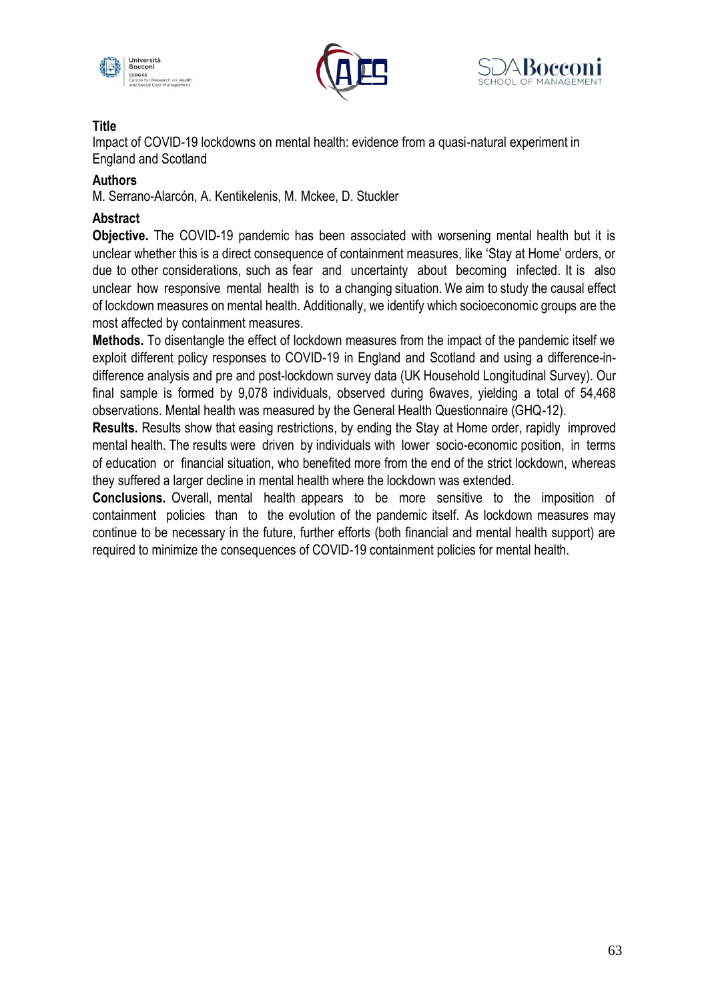





Impact of COVID-19 lockdowns on mental health: evidence from a quasi-natural experiment in England and Scotland

#### **Authors**

M. Serrano-Alarcón, A. Kentikelenis, M. Mckee, D. Stuckler

### **Abstract**

**Objective.** The COVID-19 pandemic has been associated with worsening mental health but it is unclear whether this is a direct consequence of containment measures, like 'Stay at Home' orders, or due to other considerations, such as fear and uncertainty about becoming infected. It is also unclear how responsive mental health is to a changing situation. We aim to study the causal effect of lockdown measures on mental health. Additionally, we identify which socioeconomic groups are the most affected by containment measures.

**Methods.** To disentangle the effect of lockdown measures from the impact of the pandemic itself we exploit different policy responses to COVID-19 in England and Scotland and using a difference-indifference analysis and pre and post-lockdown survey data (UK Household Longitudinal Survey). Our final sample is formed by 9,078 individuals, observed during 6waves, yielding a total of 54,468 observations. Mental health was measured by the General Health Questionnaire (GHQ-12).

**Results.** Results show that easing restrictions, by ending the Stay at Home order, rapidly improved mental health. The results were driven by individuals with lower socio-economic position, in terms of education or financial situation, who benefited more from the end of the strict lockdown, whereas they suffered a larger decline in mental health where the lockdown was extended.

**Conclusions.** Overall, mental health appears to be more sensitive to the imposition of containment policies than to the evolution of the pandemic itself. As lockdown measures may continue to be necessary in the future, further efforts (both financial and mental health support) are required to minimize the consequences of COVID-19 containment policies for mental health.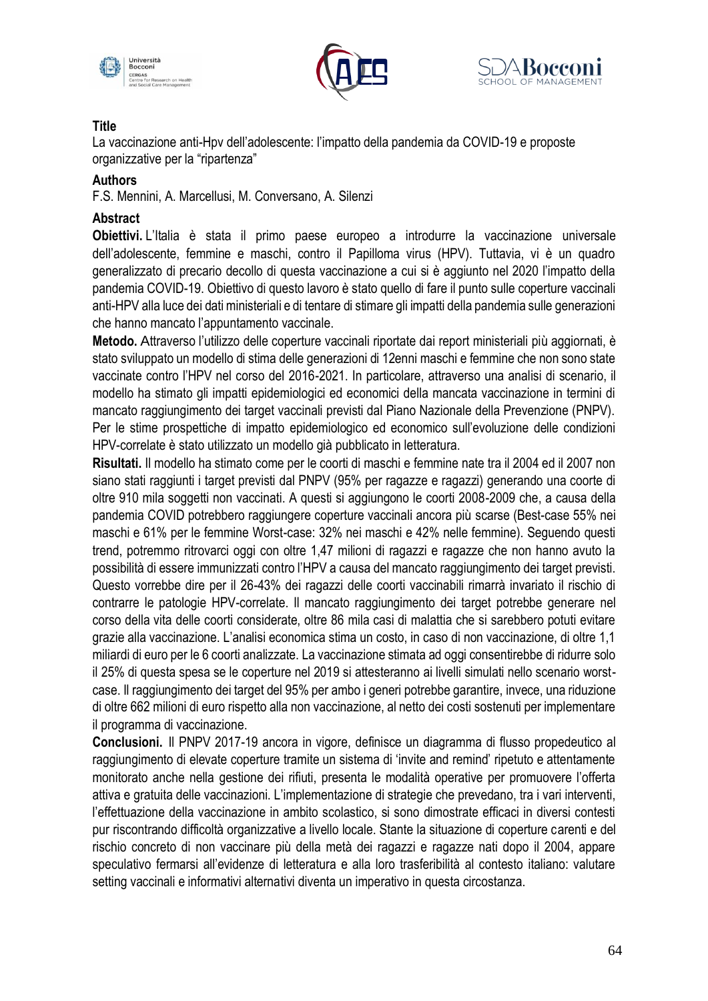





La vaccinazione anti-Hpv dell'adolescente: l'impatto della pandemia da COVID-19 e proposte organizzative per la "ripartenza"

#### **Authors**

F.S. Mennini, A. Marcellusi, M. Conversano, A. Silenzi

### **Abstract**

**Obiettivi.** L'Italia è stata il primo paese europeo a introdurre la vaccinazione universale dell'adolescente, femmine e maschi, contro il Papilloma virus (HPV). Tuttavia, vi è un quadro generalizzato di precario decollo di questa vaccinazione a cui si è aggiunto nel 2020 l'impatto della pandemia COVID-19. Obiettivo di questo lavoro è stato quello di fare il punto sulle coperture vaccinali anti-HPV alla luce dei dati ministeriali e di tentare di stimare gli impatti della pandemia sulle generazioni che hanno mancato l'appuntamento vaccinale.

**Metodo.** Attraverso l'utilizzo delle coperture vaccinali riportate dai report ministeriali più aggiornati, è stato sviluppato un modello di stima delle generazioni di 12enni maschi e femmine che non sono state vaccinate contro l'HPV nel corso del 2016-2021. In particolare, attraverso una analisi di scenario, il modello ha stimato gli impatti epidemiologici ed economici della mancata vaccinazione in termini di mancato raggiungimento dei target vaccinali previsti dal Piano Nazionale della Prevenzione (PNPV). Per le stime prospettiche di impatto epidemiologico ed economico sull'evoluzione delle condizioni HPV-correlate è stato utilizzato un modello già pubblicato in letteratura.

**Risultati.** Il modello ha stimato come per le coorti di maschi e femmine nate tra il 2004 ed il 2007 non siano stati raggiunti i target previsti dal PNPV (95% per ragazze e ragazzi) generando una coorte di oltre 910 mila soggetti non vaccinati. A questi si aggiungono le coorti 2008-2009 che, a causa della pandemia COVID potrebbero raggiungere coperture vaccinali ancora più scarse (Best-case 55% nei maschi e 61% per le femmine Worst-case: 32% nei maschi e 42% nelle femmine). Seguendo questi trend, potremmo ritrovarci oggi con oltre 1,47 milioni di ragazzi e ragazze che non hanno avuto la possibilità di essere immunizzati contro l'HPV a causa del mancato raggiungimento dei target previsti. Questo vorrebbe dire per il 26-43% dei ragazzi delle coorti vaccinabili rimarrà invariato il rischio di contrarre le patologie HPV-correlate. Il mancato raggiungimento dei target potrebbe generare nel corso della vita delle coorti considerate, oltre 86 mila casi di malattia che si sarebbero potuti evitare grazie alla vaccinazione. L'analisi economica stima un costo, in caso di non vaccinazione, di oltre 1,1 miliardi di euro per le 6 coorti analizzate. La vaccinazione stimata ad oggi consentirebbe di ridurre solo il 25% di questa spesa se le coperture nel 2019 si attesteranno ai livelli simulati nello scenario worstcase. Il raggiungimento dei target del 95% per ambo i generi potrebbe garantire, invece, una riduzione di oltre 662 milioni di euro rispetto alla non vaccinazione, al netto dei costi sostenuti per implementare il programma di vaccinazione.

**Conclusioni.**Il PNPV 2017-19 ancora in vigore, definisce un diagramma di flusso propedeutico al raggiungimento di elevate coperture tramite un sistema di 'invite and remind' ripetuto e attentamente monitorato anche nella gestione dei rifiuti, presenta le modalità operative per promuovere l'offerta attiva e gratuita delle vaccinazioni. L'implementazione di strategie che prevedano, tra i vari interventi, l'effettuazione della vaccinazione in ambito scolastico, si sono dimostrate efficaci in diversi contesti pur riscontrando difficoltà organizzative a livello locale. Stante la situazione di coperture carenti e del rischio concreto di non vaccinare più della metà dei ragazzi e ragazze nati dopo il 2004, appare speculativo fermarsi all'evidenze di letteratura e alla loro trasferibilità al contesto italiano: valutare setting vaccinali e informativi alternativi diventa un imperativo in questa circostanza.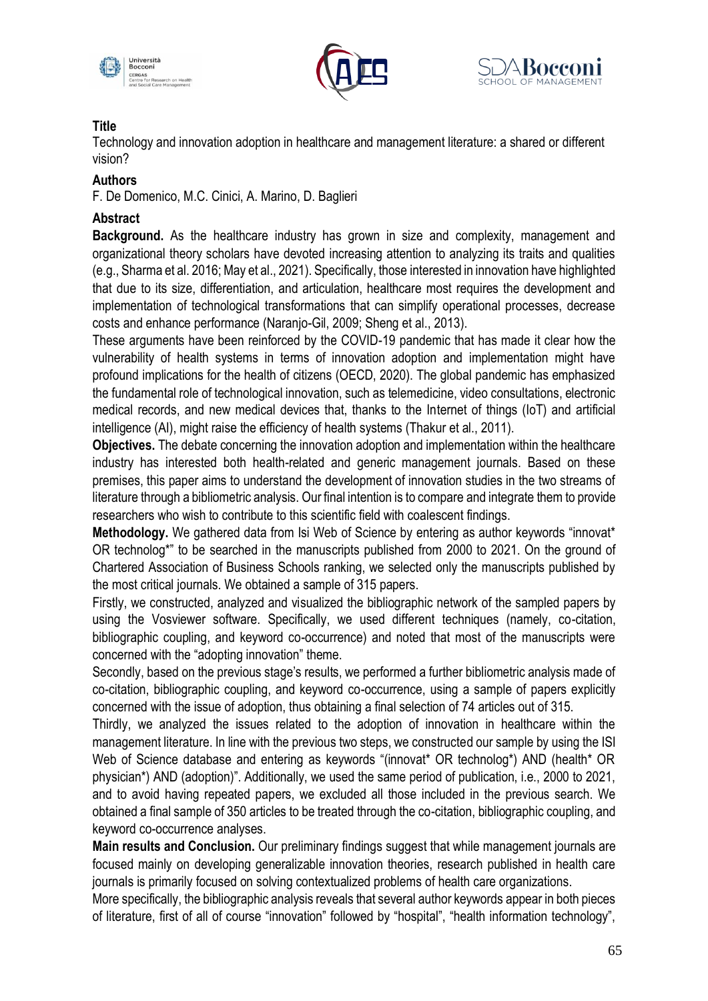





Technology and innovation adoption in healthcare and management literature: a shared or different vision?

### **Authors**

F. De Domenico, M.C. Cinici, A. Marino, D. Baglieri

### **Abstract**

**Background.** As the healthcare industry has grown in size and complexity, management and organizational theory scholars have devoted increasing attention to analyzing its traits and qualities (e.g., Sharma et al. 2016; May et al., 2021). Specifically, those interested in innovation have highlighted that due to its size, differentiation, and articulation, healthcare most requires the development and implementation of technological transformations that can simplify operational processes, decrease costs and enhance performance (Naranjo-Gil, 2009; Sheng et al., 2013).

These arguments have been reinforced by the COVID-19 pandemic that has made it clear how the vulnerability of health systems in terms of innovation adoption and implementation might have profound implications for the health of citizens (OECD, 2020). The global pandemic has emphasized the fundamental role of technological innovation, such as telemedicine, video consultations, electronic medical records, and new medical devices that, thanks to the Internet of things (IoT) and artificial intelligence (AI), might raise the efficiency of health systems (Thakur et al., 2011).

**Objectives.** The debate concerning the innovation adoption and implementation within the healthcare industry has interested both health-related and generic management journals. Based on these premises, this paper aims to understand the development of innovation studies in the two streams of literature through a bibliometric analysis. Our final intention is to compare and integrate them to provide researchers who wish to contribute to this scientific field with coalescent findings.

**Methodology.** We gathered data from Isi Web of Science by entering as author keywords "innovat\* OR technolog<sup>\*</sup>" to be searched in the manuscripts published from 2000 to 2021. On the ground of Chartered Association of Business Schools ranking, we selected only the manuscripts published by the most critical journals. We obtained a sample of 315 papers.

Firstly, we constructed, analyzed and visualized the bibliographic network of the sampled papers by using the Vosviewer software. Specifically, we used different techniques (namely, co-citation, bibliographic coupling, and keyword co-occurrence) and noted that most of the manuscripts were concerned with the "adopting innovation" theme.

Secondly, based on the previous stage's results, we performed a further bibliometric analysis made of co-citation, bibliographic coupling, and keyword co-occurrence, using a sample of papers explicitly concerned with the issue of adoption, thus obtaining a final selection of 74 articles out of 315.

Thirdly, we analyzed the issues related to the adoption of innovation in healthcare within the management literature. In line with the previous two steps, we constructed our sample by using the ISI Web of Science database and entering as keywords "(innovat\* OR technolog\*) AND (health\* OR physician\*) AND (adoption)". Additionally, we used the same period of publication, i.e., 2000 to 2021, and to avoid having repeated papers, we excluded all those included in the previous search. We obtained a final sample of 350 articles to be treated through the co-citation, bibliographic coupling, and keyword co-occurrence analyses.

**Main results and Conclusion.** Our preliminary findings suggest that while management journals are focused mainly on developing generalizable innovation theories, research published in health care journals is primarily focused on solving contextualized problems of health care organizations.

More specifically, the bibliographic analysis reveals that several author keywords appear in both pieces of literature, first of all of course "innovation" followed by "hospital", "health information technology",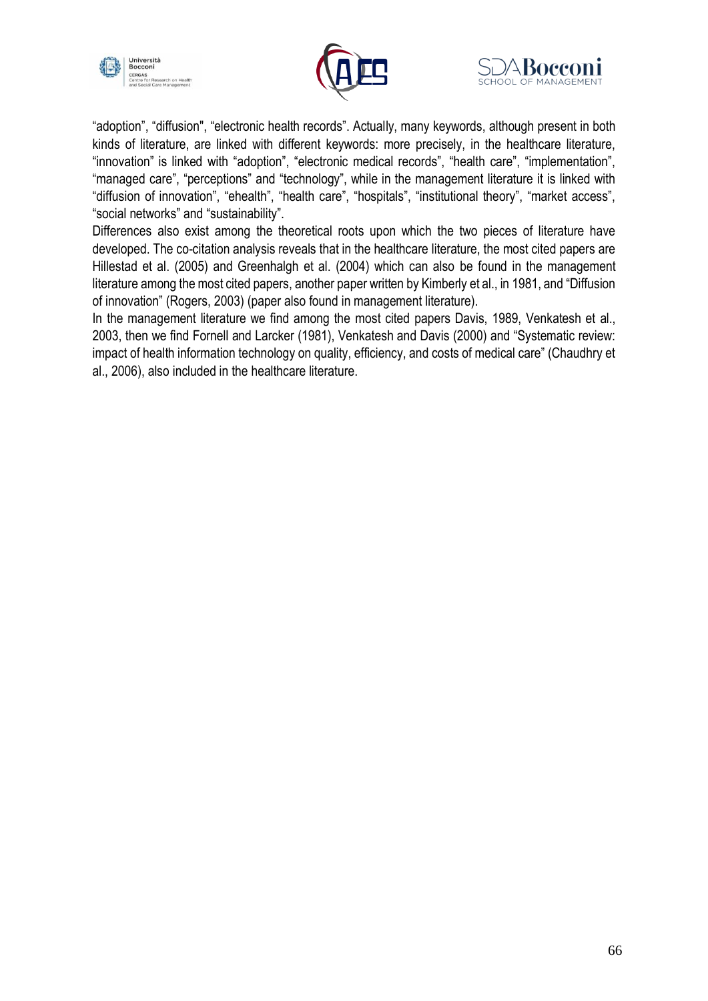





"adoption", "diffusion", "electronic health records". Actually, many keywords, although present in both kinds of literature, are linked with different keywords: more precisely, in the healthcare literature, "innovation" is linked with "adoption", "electronic medical records", "health care", "implementation", "managed care", "perceptions" and "technology", while in the management literature it is linked with "diffusion of innovation", "ehealth", "health care", "hospitals", "institutional theory", "market access", "social networks" and "sustainability".

Differences also exist among the theoretical roots upon which the two pieces of literature have developed. The co-citation analysis reveals that in the healthcare literature, the most cited papers are Hillestad et al. (2005) and Greenhalgh et al. (2004) which can also be found in the management literature among the most cited papers, another paper written by Kimberly et al., in 1981, and "Diffusion of innovation" (Rogers, 2003) (paper also found in management literature).

In the management literature we find among the most cited papers Davis, 1989, Venkatesh et al., 2003, then we find Fornell and Larcker (1981), Venkatesh and Davis (2000) and "Systematic review: impact of health information technology on quality, efficiency, and costs of medical care" (Chaudhry et al., 2006), also included in the healthcare literature.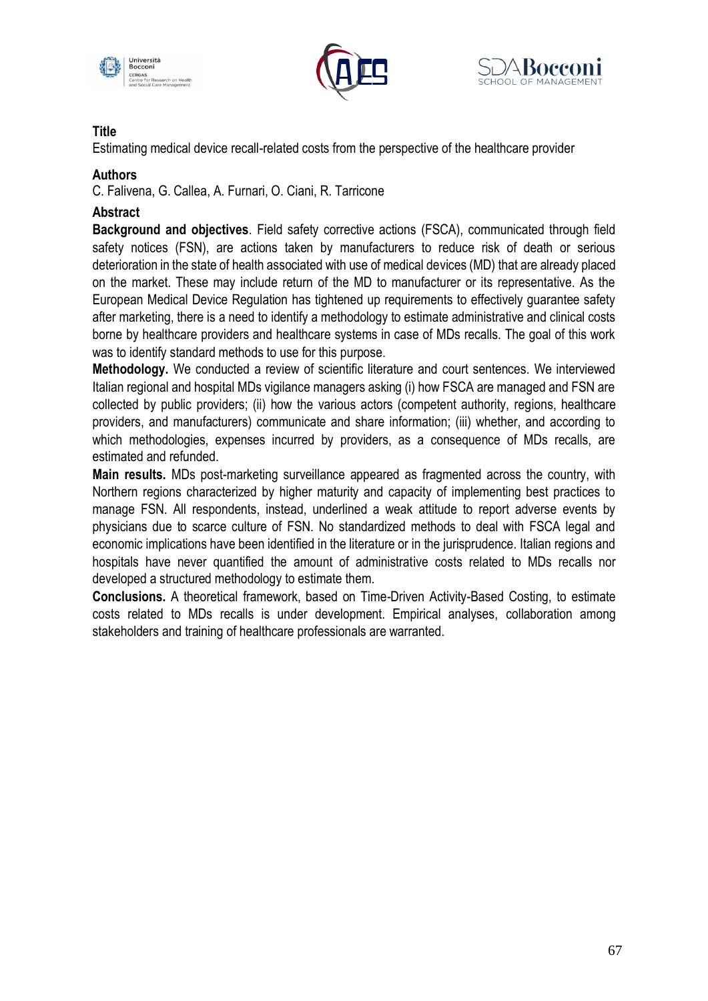





Estimating medical device recall-related costs from the perspective of the healthcare provider

### **Authors**

C. Falivena, G. Callea, A. Furnari, O. Ciani, R. Tarricone

### **Abstract**

**Background and objectives**. Field safety corrective actions (FSCA), communicated through field safety notices (FSN), are actions taken by manufacturers to reduce risk of death or serious deterioration in the state of health associated with use of medical devices (MD) that are already placed on the market. These may include return of the MD to manufacturer or its representative. As the European Medical Device Regulation has tightened up requirements to effectively guarantee safety after marketing, there is a need to identify a methodology to estimate administrative and clinical costs borne by healthcare providers and healthcare systems in case of MDs recalls. The goal of this work was to identify standard methods to use for this purpose.

**Methodology.** We conducted a review of scientific literature and court sentences. We interviewed Italian regional and hospital MDs vigilance managers asking (i) how FSCA are managed and FSN are collected by public providers; (ii) how the various actors (competent authority, regions, healthcare providers, and manufacturers) communicate and share information; (iii) whether, and according to which methodologies, expenses incurred by providers, as a consequence of MDs recalls, are estimated and refunded.

**Main results.** MDs post-marketing surveillance appeared as fragmented across the country, with Northern regions characterized by higher maturity and capacity of implementing best practices to manage FSN. All respondents, instead, underlined a weak attitude to report adverse events by physicians due to scarce culture of FSN. No standardized methods to deal with FSCA legal and economic implications have been identified in the literature or in the jurisprudence. Italian regions and hospitals have never quantified the amount of administrative costs related to MDs recalls nor developed a structured methodology to estimate them.

**Conclusions.** A theoretical framework, based on Time-Driven Activity-Based Costing, to estimate costs related to MDs recalls is under development. Empirical analyses, collaboration among stakeholders and training of healthcare professionals are warranted.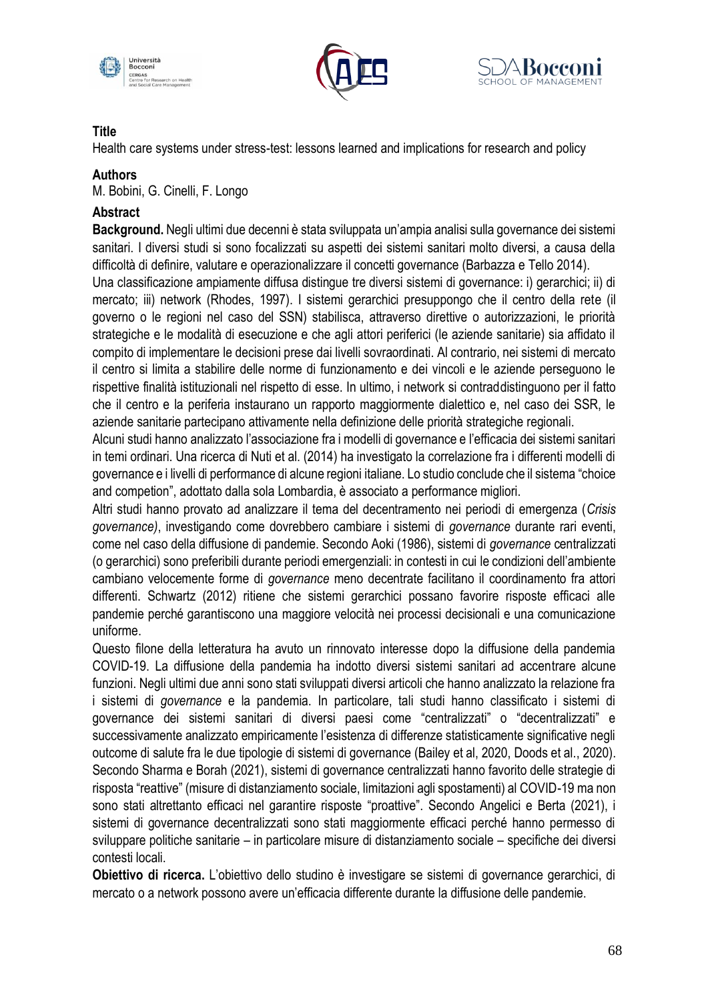





Health care systems under stress-test: lessons learned and implications for research and policy

### **Authors**

M. Bobini, G. Cinelli, F. Longo

## **Abstract**

**Background.** Negli ultimi due decenni è stata sviluppata un'ampia analisi sulla governance dei sistemi sanitari. I diversi studi si sono focalizzati su aspetti dei sistemi sanitari molto diversi, a causa della difficoltà di definire, valutare e operazionalizzare il concetti governance (Barbazza e Tello 2014).

Una classificazione ampiamente diffusa distingue tre diversi sistemi di governance: i) gerarchici; ii) di mercato; iii) network (Rhodes, 1997). I sistemi gerarchici presuppongo che il centro della rete (il governo o le regioni nel caso del SSN) stabilisca, attraverso direttive o autorizzazioni, le priorità strategiche e le modalità di esecuzione e che agli attori periferici (le aziende sanitarie) sia affidato il compito di implementare le decisioni prese dai livelli sovraordinati. Al contrario, nei sistemi di mercato il centro si limita a stabilire delle norme di funzionamento e dei vincoli e le aziende perseguono le rispettive finalità istituzionali nel rispetto di esse. In ultimo, i network si contraddistinguono per il fatto che il centro e la periferia instaurano un rapporto maggiormente dialettico e, nel caso dei SSR, le aziende sanitarie partecipano attivamente nella definizione delle priorità strategiche regionali.

Alcuni studi hanno analizzato l'associazione fra i modelli di governance e l'efficacia dei sistemi sanitari in temi ordinari. Una ricerca di Nuti et al. (2014) ha investigato la correlazione fra i differenti modelli di governance e i livelli di performance di alcune regioni italiane. Lo studio conclude che il sistema "choice and competion", adottato dalla sola Lombardia, è associato a performance migliori.

Altri studi hanno provato ad analizzare il tema del decentramento nei periodi di emergenza (*Crisis governance)*, investigando come dovrebbero cambiare i sistemi di *governance* durante rari eventi, come nel caso della diffusione di pandemie. Secondo Aoki (1986), sistemi di *governance* centralizzati (o gerarchici) sono preferibili durante periodi emergenziali: in contesti in cui le condizioni dell'ambiente cambiano velocemente forme di *governance* meno decentrate facilitano il coordinamento fra attori differenti. Schwartz (2012) ritiene che sistemi gerarchici possano favorire risposte efficaci alle pandemie perché garantiscono una maggiore velocità nei processi decisionali e una comunicazione uniforme.

Questo filone della letteratura ha avuto un rinnovato interesse dopo la diffusione della pandemia COVID-19. La diffusione della pandemia ha indotto diversi sistemi sanitari ad accentrare alcune funzioni. Negli ultimi due anni sono stati sviluppati diversi articoli che hanno analizzato la relazione fra i sistemi di *governance* e la pandemia. In particolare, tali studi hanno classificato i sistemi di governance dei sistemi sanitari di diversi paesi come "centralizzati" o "decentralizzati" e successivamente analizzato empiricamente l'esistenza di differenze statisticamente significative negli outcome di salute fra le due tipologie di sistemi di governance (Bailey et al, 2020, Doods et al., 2020). Secondo Sharma e Borah (2021), sistemi di governance centralizzati hanno favorito delle strategie di risposta "reattive" (misure di distanziamento sociale, limitazioni agli spostamenti) al COVID-19 ma non sono stati altrettanto efficaci nel garantire risposte "proattive". Secondo Angelici e Berta (2021), i sistemi di governance decentralizzati sono stati maggiormente efficaci perché hanno permesso di sviluppare politiche sanitarie – in particolare misure di distanziamento sociale – specifiche dei diversi contesti locali.

**Obiettivo di ricerca.** L'obiettivo dello studino è investigare se sistemi di governance gerarchici, di mercato o a network possono avere un'efficacia differente durante la diffusione delle pandemie.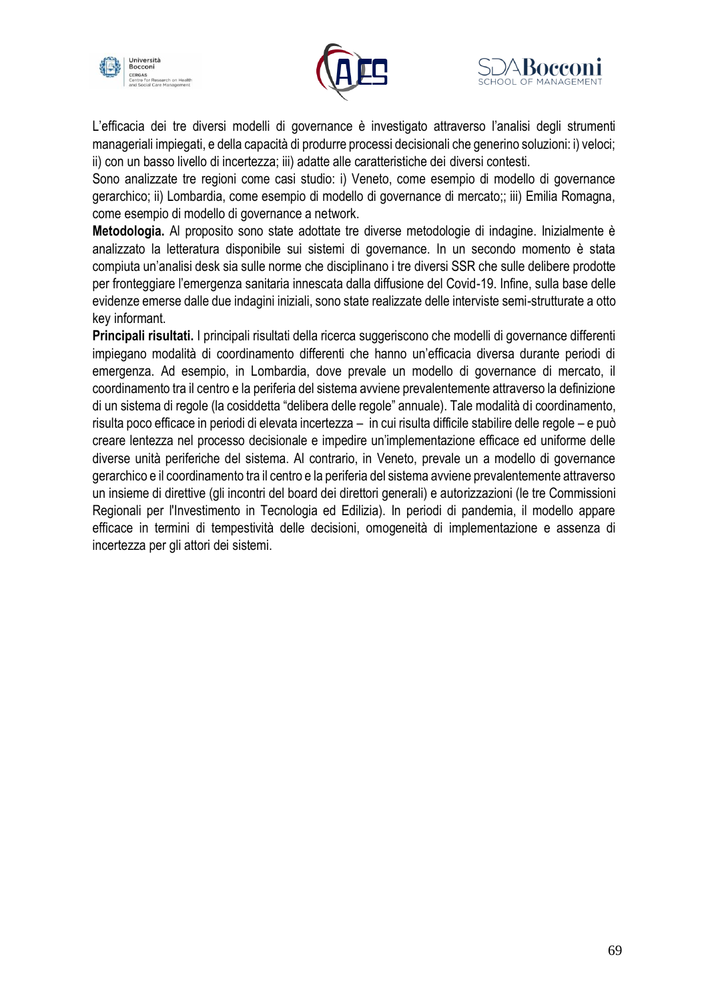





L'efficacia dei tre diversi modelli di governance è investigato attraverso l'analisi degli strumenti manageriali impiegati, e della capacità di produrre processi decisionali che generino soluzioni: i) veloci; ii) con un basso livello di incertezza; iii) adatte alle caratteristiche dei diversi contesti.

Sono analizzate tre regioni come casi studio: i) Veneto, come esempio di modello di governance gerarchico; ii) Lombardia, come esempio di modello di governance di mercato;; iii) Emilia Romagna, come esempio di modello di governance a network.

**Metodologia.** Al proposito sono state adottate tre diverse metodologie di indagine. Inizialmente è analizzato la letteratura disponibile sui sistemi di governance. In un secondo momento è stata compiuta un'analisi desk sia sulle norme che disciplinano i tre diversi SSR che sulle delibere prodotte per fronteggiare l'emergenza sanitaria innescata dalla diffusione del Covid-19. Infine, sulla base delle evidenze emerse dalle due indagini iniziali, sono state realizzate delle interviste semi-strutturate a otto key informant.

**Principali risultati.** I principali risultati della ricerca suggeriscono che modelli di governance differenti impiegano modalità di coordinamento differenti che hanno un'efficacia diversa durante periodi di emergenza. Ad esempio, in Lombardia, dove prevale un modello di governance di mercato, il coordinamento tra il centro e la periferia del sistema avviene prevalentemente attraverso la definizione di un sistema di regole (la cosiddetta "delibera delle regole" annuale). Tale modalità di coordinamento, risulta poco efficace in periodi di elevata incertezza – in cui risulta difficile stabilire delle regole – e può creare lentezza nel processo decisionale e impedire un'implementazione efficace ed uniforme delle diverse unità periferiche del sistema. Al contrario, in Veneto, prevale un a modello di governance gerarchico e il coordinamento tra il centro e la periferia del sistema avviene prevalentemente attraverso un insieme di direttive (gli incontri del board dei direttori generali) e autorizzazioni (le tre Commissioni Regionali per l'Investimento in Tecnologia ed Edilizia). In periodi di pandemia, il modello appare efficace in termini di tempestività delle decisioni, omogeneità di implementazione e assenza di incertezza per gli attori dei sistemi.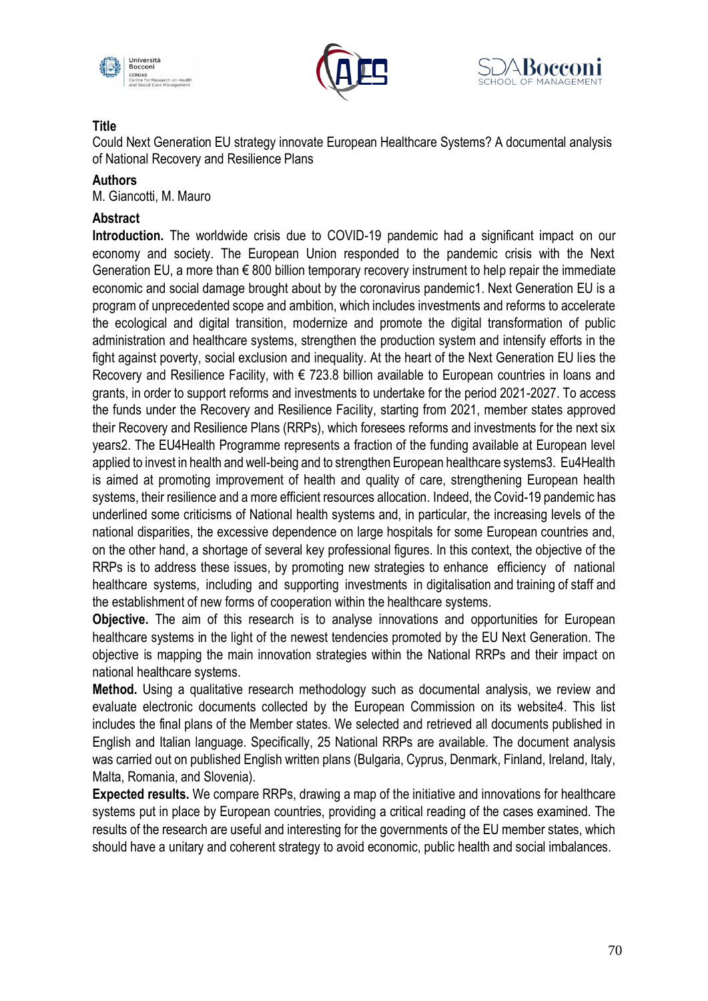





Could Next Generation EU strategy innovate European Healthcare Systems? A documental analysis of National Recovery and Resilience Plans

### **Authors**

M. Giancotti, M. Mauro

## **Abstract**

**Introduction.** The worldwide crisis due to COVID-19 pandemic had a significant impact on our economy and society. The European Union responded to the pandemic crisis with the Next Generation EU, a more than  $\epsilon$  800 billion temporary recovery instrument to help repair the immediate economic and social damage brought about by the coronavirus pandemic1. Next Generation EU is a program of unprecedented scope and ambition, which includes investments and reforms to accelerate the ecological and digital transition, modernize and promote the digital transformation of public administration and healthcare systems, strengthen the production system and intensify efforts in the fight against poverty, social exclusion and inequality. At the heart of the Next Generation EU lies the Recovery and Resilience Facility, with  $\epsilon$  723.8 billion available to European countries in loans and grants, in order to support reforms and investments to undertake for the period 2021-2027. To access the funds under the Recovery and Resilience Facility, starting from 2021, member states approved their Recovery and Resilience Plans (RRPs), which foresees reforms and investments for the next six years2. The EU4Health Programme represents a fraction of the funding available at European level applied to invest in health and well-being and to strengthen European healthcare systems3. Eu4Health is aimed at promoting improvement of health and quality of care, strengthening European health systems, their resilience and a more efficient resources allocation. Indeed, the Covid-19 pandemic has underlined some criticisms of National health systems and, in particular, the increasing levels of the national disparities, the excessive dependence on large hospitals for some European countries and, on the other hand, a shortage of several key professional figures. In this context, the objective of the RRPs is to address these issues, by promoting new strategies to enhance efficiency of national healthcare systems, including and supporting investments in digitalisation and training of staff and the establishment of new forms of cooperation within the healthcare systems.

**Objective.** The aim of this research is to analyse innovations and opportunities for European healthcare systems in the light of the newest tendencies promoted by the EU Next Generation. The objective is mapping the main innovation strategies within the National RRPs and their impact on national healthcare systems.

**Method.** Using a qualitative research methodology such as documental analysis, we review and evaluate electronic documents collected by the European Commission on its website4. This list includes the final plans of the Member states. We selected and retrieved all documents published in English and Italian language. Specifically, 25 National RRPs are available. The document analysis was carried out on published English written plans (Bulgaria, Cyprus, Denmark, Finland, Ireland, Italy, Malta, Romania, and Slovenia).

**Expected results.** We compare RRPs, drawing a map of the initiative and innovations for healthcare systems put in place by European countries, providing a critical reading of the cases examined. The results of the research are useful and interesting for the governments of the EU member states, which should have a unitary and coherent strategy to avoid economic, public health and social imbalances.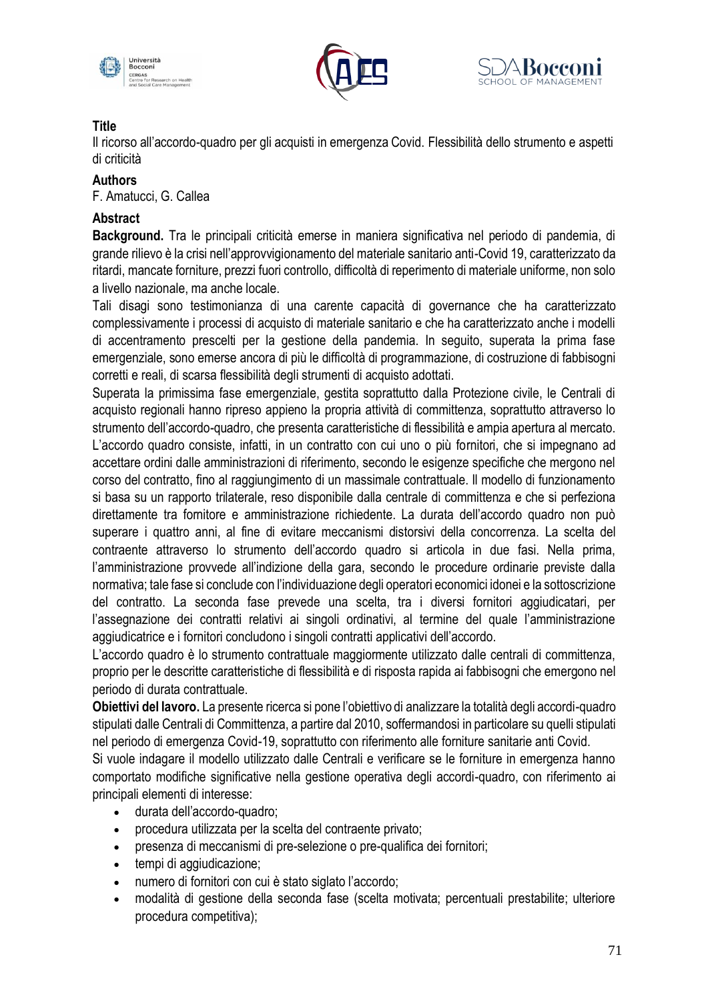





Il ricorso all'accordo-quadro per gli acquisti in emergenza Covid. Flessibilità dello strumento e aspetti di criticità

### **Authors**

F. Amatucci, G. Callea

## **Abstract**

**Background.** Tra le principali criticità emerse in maniera significativa nel periodo di pandemia, di grande rilievo è la crisi nell'approvvigionamento del materiale sanitario anti-Covid 19, caratterizzato da ritardi, mancate forniture, prezzi fuori controllo, difficoltà di reperimento di materiale uniforme, non solo a livello nazionale, ma anche locale.

Tali disagi sono testimonianza di una carente capacità di governance che ha caratterizzato complessivamente i processi di acquisto di materiale sanitario e che ha caratterizzato anche i modelli di accentramento prescelti per la gestione della pandemia. In seguito, superata la prima fase emergenziale, sono emerse ancora di più le difficoltà di programmazione, di costruzione di fabbisogni corretti e reali, di scarsa flessibilità degli strumenti di acquisto adottati.

Superata la primissima fase emergenziale, gestita soprattutto dalla Protezione civile, le Centrali di acquisto regionali hanno ripreso appieno la propria attività di committenza, soprattutto attraverso lo strumento dell'accordo-quadro, che presenta caratteristiche di flessibilità e ampia apertura al mercato. L'accordo quadro consiste, infatti, in un contratto con cui uno o più fornitori, che si impegnano ad accettare ordini dalle amministrazioni di riferimento, secondo le esigenze specifiche che mergono nel corso del contratto, fino al raggiungimento di un massimale contrattuale. Il modello di funzionamento si basa su un rapporto trilaterale, reso disponibile dalla centrale di committenza e che si perfeziona direttamente tra fornitore e amministrazione richiedente. La durata dell'accordo quadro non può superare i quattro anni, al fine di evitare meccanismi distorsivi della concorrenza. La scelta del contraente attraverso lo strumento dell'accordo quadro si articola in due fasi. Nella prima, l'amministrazione provvede all'indizione della gara, secondo le procedure ordinarie previste dalla normativa; tale fase si conclude con l'individuazione degli operatori economici idonei e la sottoscrizione del contratto. La seconda fase prevede una scelta, tra i diversi fornitori aggiudicatari, per l'assegnazione dei contratti relativi ai singoli ordinativi, al termine del quale l'amministrazione aggiudicatrice e i fornitori concludono i singoli contratti applicativi dell'accordo.

L'accordo quadro è lo strumento contrattuale maggiormente utilizzato dalle centrali di committenza, proprio per le descritte caratteristiche di flessibilità e di risposta rapida ai fabbisogni che emergono nel periodo di durata contrattuale.

**Obiettivi del lavoro.** La presente ricerca si pone l'obiettivo di analizzare la totalità degli accordi-quadro stipulati dalle Centrali di Committenza, a partire dal 2010, soffermandosi in particolare su quelli stipulati nel periodo di emergenza Covid-19, soprattutto con riferimento alle forniture sanitarie anti Covid.

Si vuole indagare il modello utilizzato dalle Centrali e verificare se le forniture in emergenza hanno comportato modifiche significative nella gestione operativa degli accordi-quadro, con riferimento ai principali elementi di interesse:

- durata dell'accordo-quadro;
- procedura utilizzata per la scelta del contraente privato;
- presenza di meccanismi di pre-selezione o pre-qualifica dei fornitori;
- tempi di aggiudicazione;
- numero di fornitori con cui è stato siglato l'accordo;
- modalità di gestione della seconda fase (scelta motivata; percentuali prestabilite; ulteriore procedura competitiva);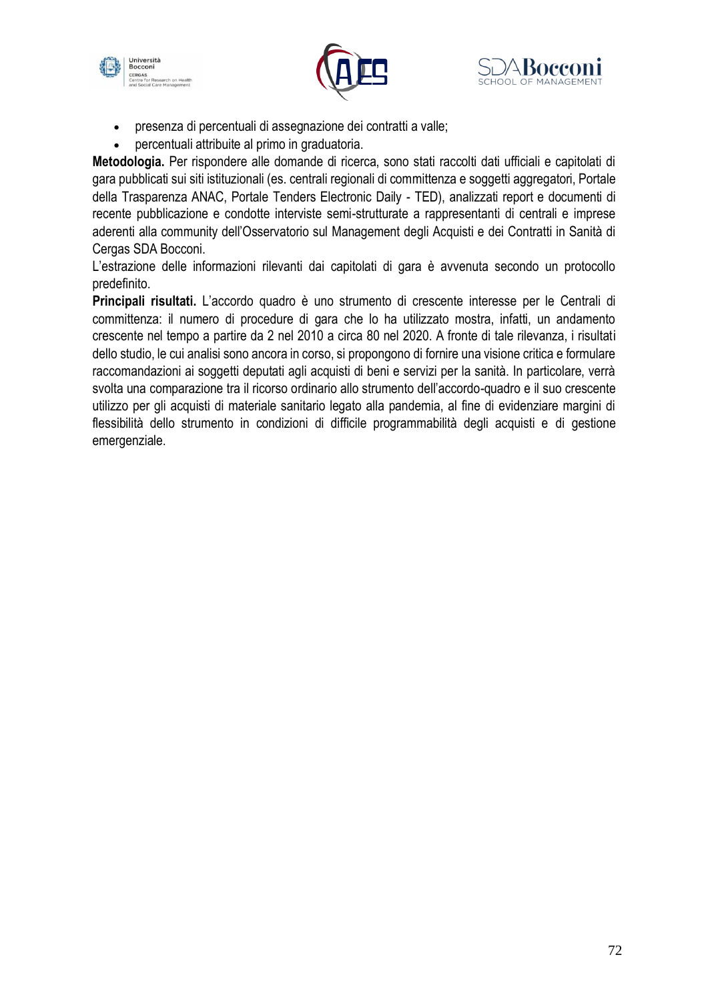





- presenza di percentuali di assegnazione dei contratti a valle;
- percentuali attribuite al primo in graduatoria.

**Metodologia.** Per rispondere alle domande di ricerca, sono stati raccolti dati ufficiali e capitolati di gara pubblicati sui siti istituzionali (es. centrali regionali di committenza e soggetti aggregatori, Portale della Trasparenza ANAC, Portale Tenders Electronic Daily - TED), analizzati report e documenti di recente pubblicazione e condotte interviste semi-strutturate a rappresentanti di centrali e imprese aderenti alla community dell'Osservatorio sul Management degli Acquisti e dei Contratti in Sanità di Cergas SDA Bocconi.

L'estrazione delle informazioni rilevanti dai capitolati di gara è avvenuta secondo un protocollo predefinito.

**Principali risultati.** L'accordo quadro è uno strumento di crescente interesse per le Centrali di committenza: il numero di procedure di gara che lo ha utilizzato mostra, infatti, un andamento crescente nel tempo a partire da 2 nel 2010 a circa 80 nel 2020. A fronte di tale rilevanza, i risultati dello studio, le cui analisi sono ancora in corso, si propongono di fornire una visione critica e formulare raccomandazioni ai soggetti deputati agli acquisti di beni e servizi per la sanità. In particolare, verrà svolta una comparazione tra il ricorso ordinario allo strumento dell'accordo-quadro e il suo crescente utilizzo per gli acquisti di materiale sanitario legato alla pandemia, al fine di evidenziare margini di flessibilità dello strumento in condizioni di difficile programmabilità degli acquisti e di gestione emergenziale.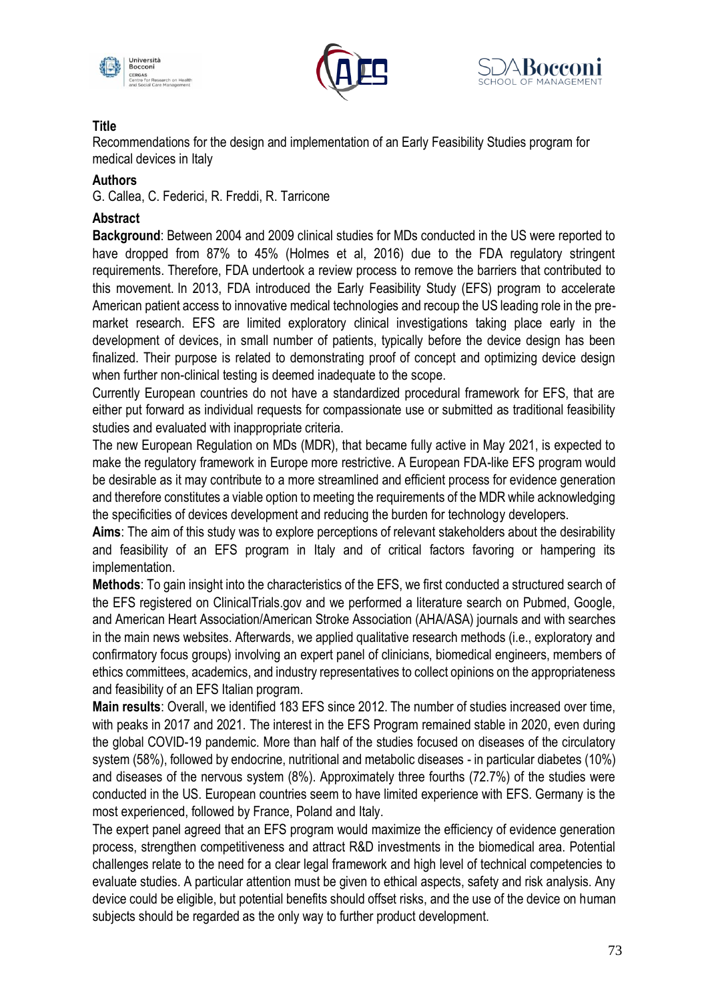





Recommendations for the design and implementation of an Early Feasibility Studies program for medical devices in Italy

## **Authors**

G. Callea, C. Federici, R. Freddi, R. Tarricone

# **Abstract**

**Background**: Between 2004 and 2009 clinical studies for MDs conducted in the US were reported to have dropped from 87% to 45% (Holmes et al, 2016) due to the FDA regulatory stringent requirements. Therefore, FDA undertook a review process to remove the barriers that contributed to this movement. In 2013, FDA introduced the Early Feasibility Study (EFS) program to accelerate American patient access to innovative medical technologies and recoup the US leading role in the premarket research. EFS are limited exploratory clinical investigations taking place early in the development of devices, in small number of patients, typically before the device design has been finalized. Their purpose is related to demonstrating proof of concept and optimizing device design when further non-clinical testing is deemed inadequate to the scope.

Currently European countries do not have a standardized procedural framework for EFS, that are either put forward as individual requests for compassionate use or submitted as traditional feasibility studies and evaluated with inappropriate criteria.

The new European Regulation on MDs (MDR), that became fully active in May 2021, is expected to make the regulatory framework in Europe more restrictive. A European FDA-like EFS program would be desirable as it may contribute to a more streamlined and efficient process for evidence generation and therefore constitutes a viable option to meeting the requirements of the MDR while acknowledging the specificities of devices development and reducing the burden for technology developers.

**Aims**: The aim of this study was to explore perceptions of relevant stakeholders about the desirability and feasibility of an EFS program in Italy and of critical factors favoring or hampering its implementation.

**Methods**: To gain insight into the characteristics of the EFS, we first conducted a structured search of the EFS registered on ClinicalTrials.gov and we performed a literature search on Pubmed, Google, and American Heart Association/American Stroke Association (AHA/ASA) journals and with searches in the main news websites. Afterwards, we applied qualitative research methods (i.e., exploratory and confirmatory focus groups) involving an expert panel of clinicians, biomedical engineers, members of ethics committees, academics, and industry representatives to collect opinions on the appropriateness and feasibility of an EFS Italian program.

**Main results**: Overall, we identified 183 EFS since 2012. The number of studies increased over time, with peaks in 2017 and 2021. The interest in the EFS Program remained stable in 2020, even during the global COVID-19 pandemic. More than half of the studies focused on diseases of the circulatory system (58%), followed by endocrine, nutritional and metabolic diseases - in particular diabetes (10%) and diseases of the nervous system (8%). Approximately three fourths (72.7%) of the studies were conducted in the US. European countries seem to have limited experience with EFS. Germany is the most experienced, followed by France, Poland and Italy.

The expert panel agreed that an EFS program would maximize the efficiency of evidence generation process, strengthen competitiveness and attract R&D investments in the biomedical area. Potential challenges relate to the need for a clear legal framework and high level of technical competencies to evaluate studies. A particular attention must be given to ethical aspects, safety and risk analysis. Any device could be eligible, but potential benefits should offset risks, and the use of the device on human subjects should be regarded as the only way to further product development.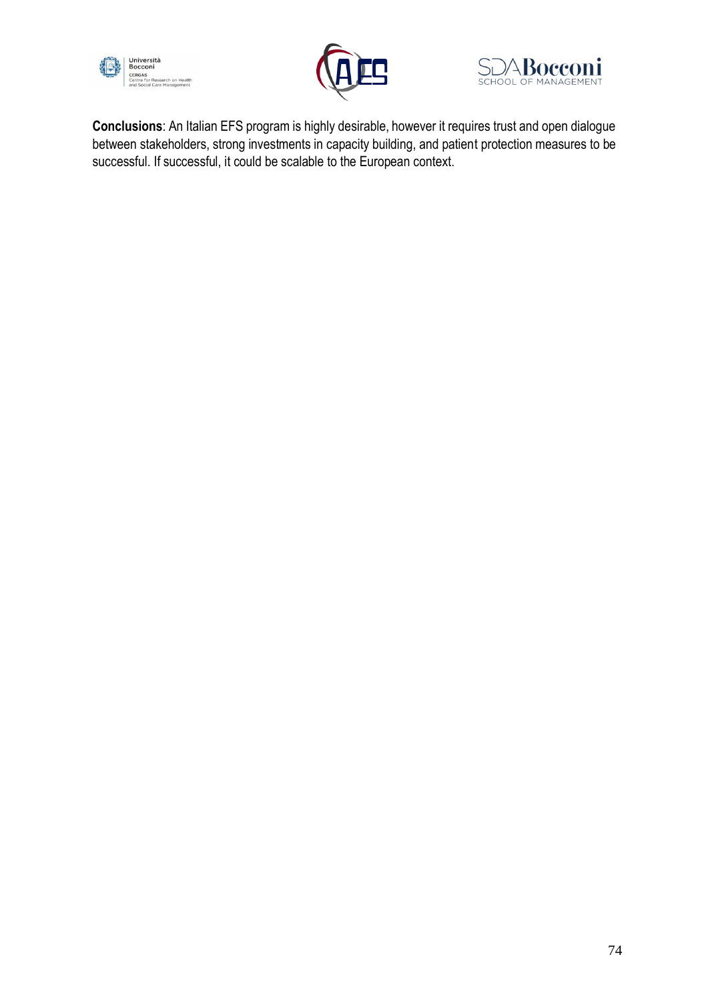





**Conclusions**: An Italian EFS program is highly desirable, however it requires trust and open dialogue between stakeholders, strong investments in capacity building, and patient protection measures to be successful. If successful, it could be scalable to the European context.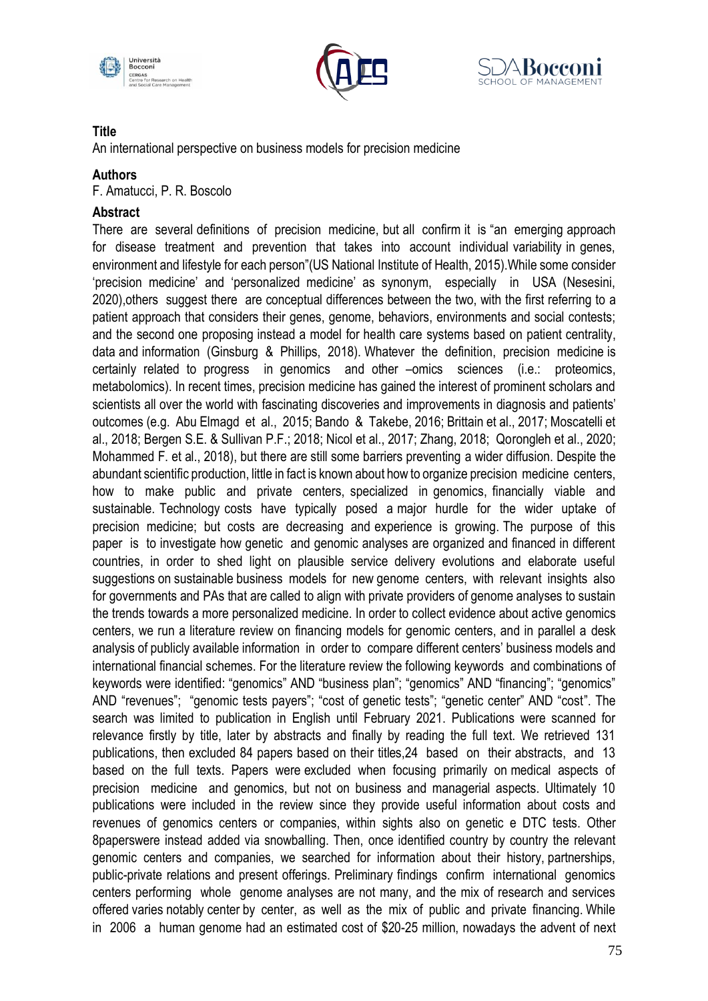





An international perspective on business models for precision medicine

#### **Authors**

F. Amatucci, P. R. Boscolo

#### **Abstract**

There are several definitions of precision medicine, but all confirm it is "an emerging approach for disease treatment and prevention that takes into account individual variability in genes, environment and lifestyle for each person"(US National Institute of Health, 2015).While some consider 'precision medicine' and 'personalized medicine' as synonym, especially in USA (Nesesini, 2020),others suggest there are conceptual differences between the two, with the first referring to a patient approach that considers their genes, genome, behaviors, environments and social contests; and the second one proposing instead a model for health care systems based on patient centrality, data and information (Ginsburg & Phillips, 2018). Whatever the definition, precision medicine is certainly related to progress in genomics and other –omics sciences (i.e.: proteomics, metabolomics). In recent times, precision medicine has gained the interest of prominent scholars and scientists all over the world with fascinating discoveries and improvements in diagnosis and patients' outcomes (e.g. Abu Elmagd et al., 2015; Bando & Takebe, 2016; Brittain et al., 2017; Moscatelli et al., 2018; Bergen S.E. & Sullivan P.F.; 2018; Nicol et al., 2017; Zhang, 2018; Qorongleh et al., 2020; Mohammed F. et al., 2018), but there are still some barriers preventing a wider diffusion. Despite the abundant scientific production, little in fact is known about how to organize precision medicine centers, how to make public and private centers, specialized in genomics, financially viable and sustainable. Technology costs have typically posed a major hurdle for the wider uptake of precision medicine; but costs are decreasing and experience is growing. The purpose of this paper is to investigate how genetic and genomic analyses are organized and financed in different countries, in order to shed light on plausible service delivery evolutions and elaborate useful suggestions on sustainable business models for new genome centers, with relevant insights also for governments and PAs that are called to align with private providers of genome analyses to sustain the trends towards a more personalized medicine. In order to collect evidence about active genomics centers, we run a literature review on financing models for genomic centers, and in parallel a desk analysis of publicly available information in order to compare different centers' business models and international financial schemes. For the literature review the following keywords and combinations of keywords were identified: "genomics" AND "business plan"; "genomics" AND "financing"; "genomics" AND "revenues"; "genomic tests payers"; "cost of genetic tests"; "genetic center" AND "cost". The search was limited to publication in English until February 2021. Publications were scanned for relevance firstly by title, later by abstracts and finally by reading the full text. We retrieved 131 publications, then excluded 84 papers based on their titles,24 based on their abstracts, and 13 based on the full texts. Papers were excluded when focusing primarily on medical aspects of precision medicine and genomics, but not on business and managerial aspects. Ultimately 10 publications were included in the review since they provide useful information about costs and revenues of genomics centers or companies, within sights also on genetic e DTC tests. Other 8paperswere instead added via snowballing. Then, once identified country by country the relevant genomic centers and companies, we searched for information about their history, partnerships, public-private relations and present offerings. Preliminary findings confirm international genomics centers performing whole genome analyses are not many, and the mix of research and services offered varies notably center by center, as well as the mix of public and private financing. While in 2006 a human genome had an estimated cost of \$20-25 million, nowadays the advent of next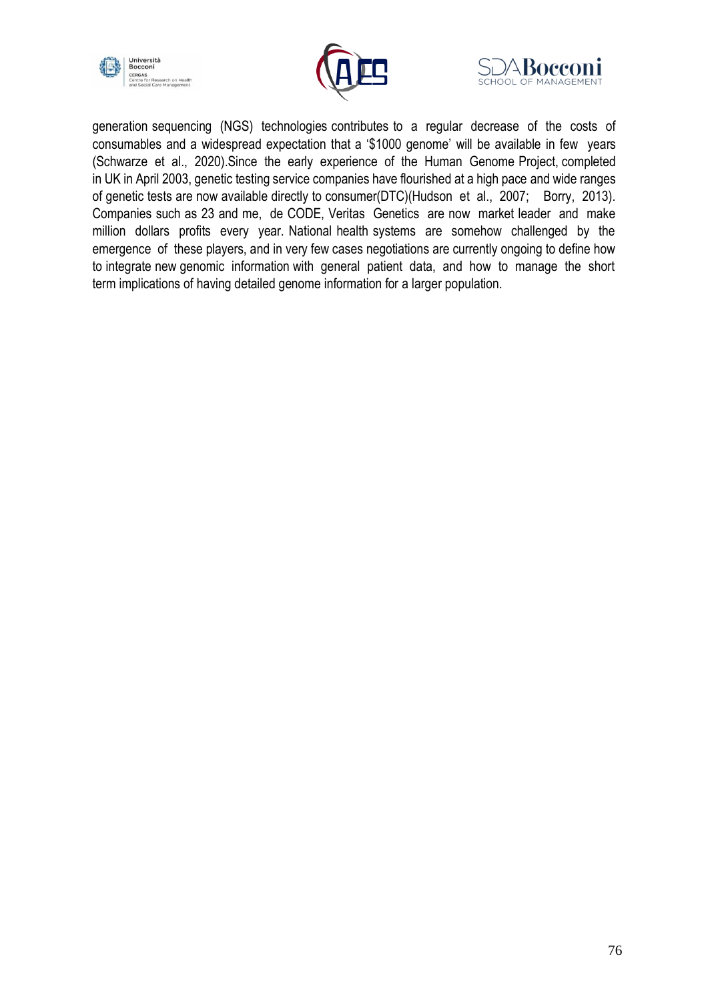





generation sequencing (NGS) technologies contributes to a regular decrease of the costs of consumables and a widespread expectation that a '\$1000 genome' will be available in few years (Schwarze et al., 2020).Since the early experience of the Human Genome Project, completed in UK in April 2003, genetic testing service companies have flourished at a high pace and wide ranges of genetic tests are now available directly to consumer(DTC)(Hudson et al., 2007; Borry, 2013). Companies such as 23 and me, de CODE, Veritas Genetics are now market leader and make million dollars profits every year. National health systems are somehow challenged by the emergence of these players, and in very few cases negotiations are currently ongoing to define how to integrate new genomic information with general patient data, and how to manage the short term implications of having detailed genome information for a larger population.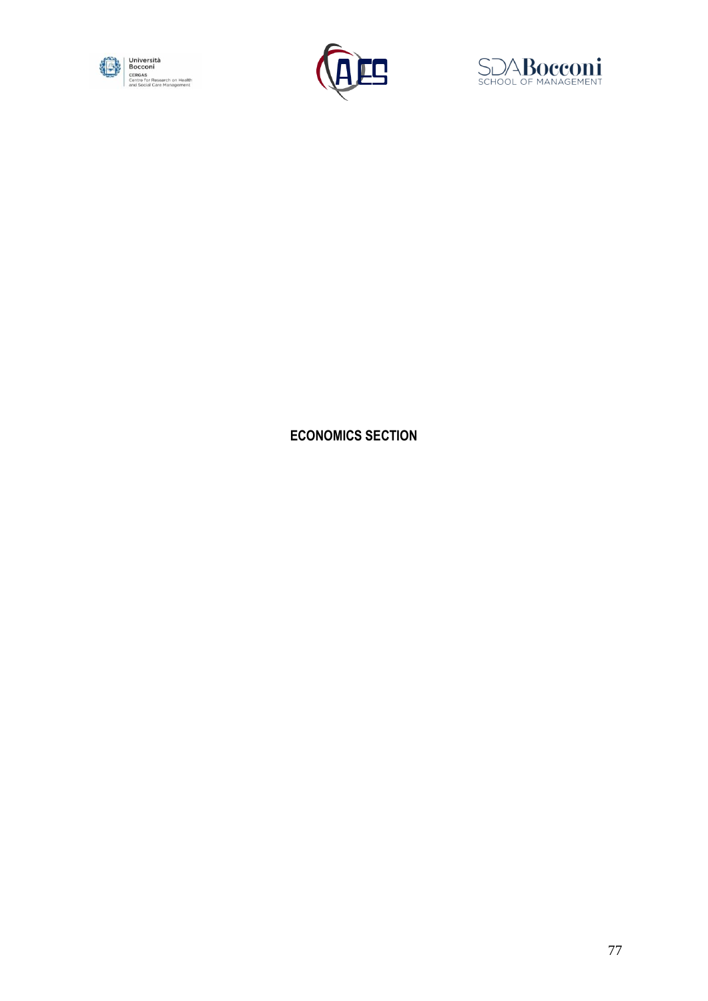





# **ECONOMICS SECTION**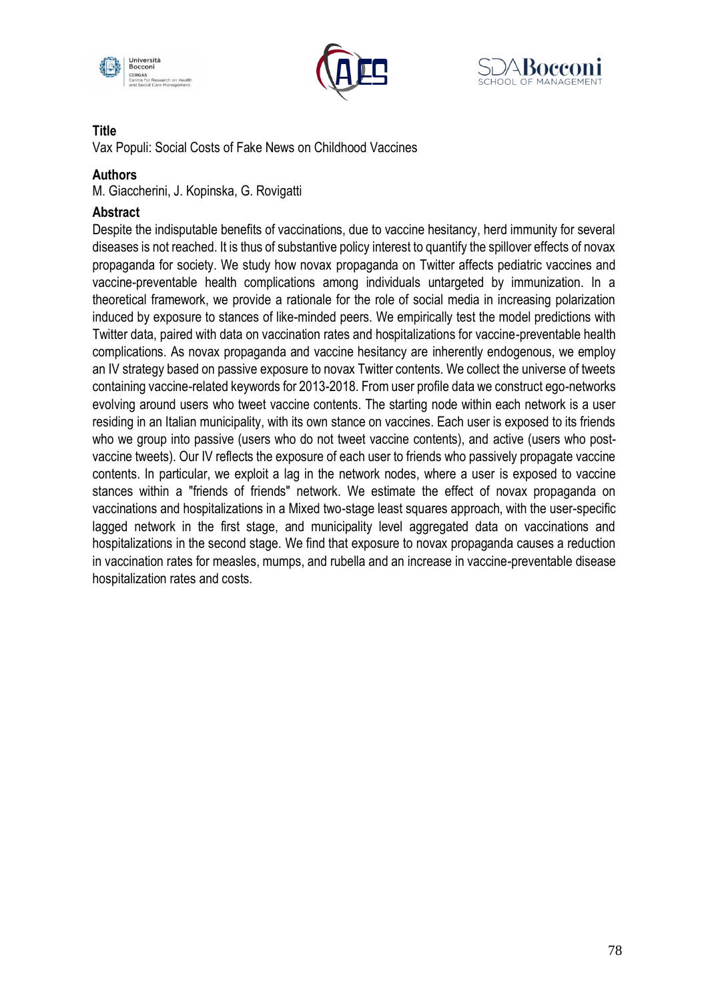





Vax Populi: Social Costs of Fake News on Childhood Vaccines

### **Authors**

M. Giaccherini, J. Kopinska, G. Rovigatti

### **Abstract**

Despite the indisputable benefits of vaccinations, due to vaccine hesitancy, herd immunity for several diseases is not reached. It is thus of substantive policy interest to quantify the spillover effects of novax propaganda for society. We study how novax propaganda on Twitter affects pediatric vaccines and vaccine-preventable health complications among individuals untargeted by immunization. In a theoretical framework, we provide a rationale for the role of social media in increasing polarization induced by exposure to stances of like-minded peers. We empirically test the model predictions with Twitter data, paired with data on vaccination rates and hospitalizations for vaccine-preventable health complications. As novax propaganda and vaccine hesitancy are inherently endogenous, we employ an IV strategy based on passive exposure to novax Twitter contents. We collect the universe of tweets containing vaccine-related keywords for 2013-2018. From user profile data we construct ego-networks evolving around users who tweet vaccine contents. The starting node within each network is a user residing in an Italian municipality, with its own stance on vaccines. Each user is exposed to its friends who we group into passive (users who do not tweet vaccine contents), and active (users who postvaccine tweets). Our IV reflects the exposure of each user to friends who passively propagate vaccine contents. In particular, we exploit a lag in the network nodes, where a user is exposed to vaccine stances within a "friends of friends" network. We estimate the effect of novax propaganda on vaccinations and hospitalizations in a Mixed two-stage least squares approach, with the user-specific lagged network in the first stage, and municipality level aggregated data on vaccinations and hospitalizations in the second stage. We find that exposure to novax propaganda causes a reduction in vaccination rates for measles, mumps, and rubella and an increase in vaccine-preventable disease hospitalization rates and costs.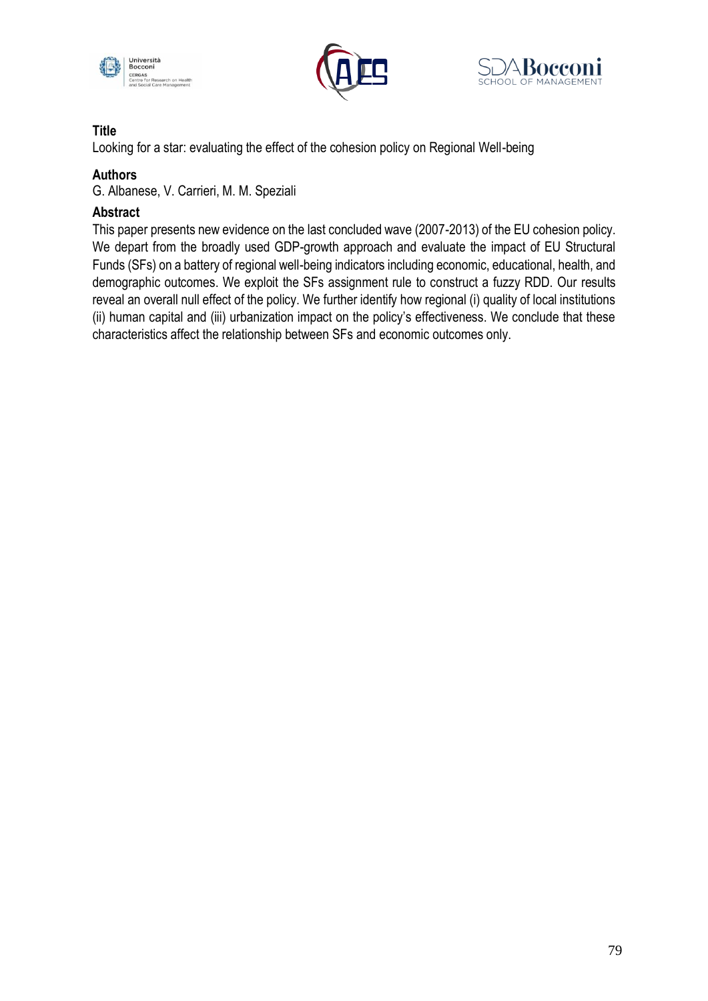





Looking for a star: evaluating the effect of the cohesion policy on Regional Well-being

## **Authors**

G. Albanese, V. Carrieri, M. M. Speziali

# **Abstract**

This paper presents new evidence on the last concluded wave (2007-2013) of the EU cohesion policy. We depart from the broadly used GDP-growth approach and evaluate the impact of EU Structural Funds (SFs) on a battery of regional well-being indicators including economic, educational, health, and demographic outcomes. We exploit the SFs assignment rule to construct a fuzzy RDD. Our results reveal an overall null effect of the policy. We further identify how regional (i) quality of local institutions (ii) human capital and (iii) urbanization impact on the policy's effectiveness. We conclude that these characteristics affect the relationship between SFs and economic outcomes only.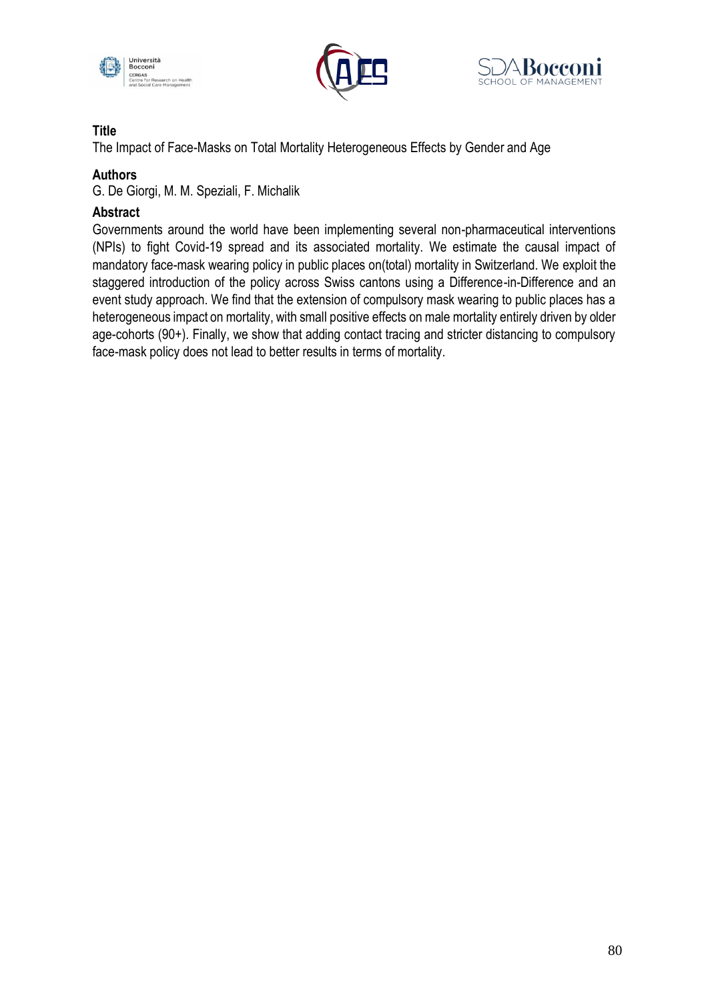





The Impact of Face-Masks on Total Mortality Heterogeneous Effects by Gender and Age

# **Authors**

G. De Giorgi, M. M. Speziali, F. Michalik

# **Abstract**

Governments around the world have been implementing several non-pharmaceutical interventions (NPIs) to fight Covid-19 spread and its associated mortality. We estimate the causal impact of mandatory face-mask wearing policy in public places on(total) mortality in Switzerland. We exploit the staggered introduction of the policy across Swiss cantons using a Difference-in-Difference and an event study approach. We find that the extension of compulsory mask wearing to public places has a heterogeneous impact on mortality, with small positive effects on male mortality entirely driven by older age-cohorts (90+). Finally, we show that adding contact tracing and stricter distancing to compulsory face-mask policy does not lead to better results in terms of mortality.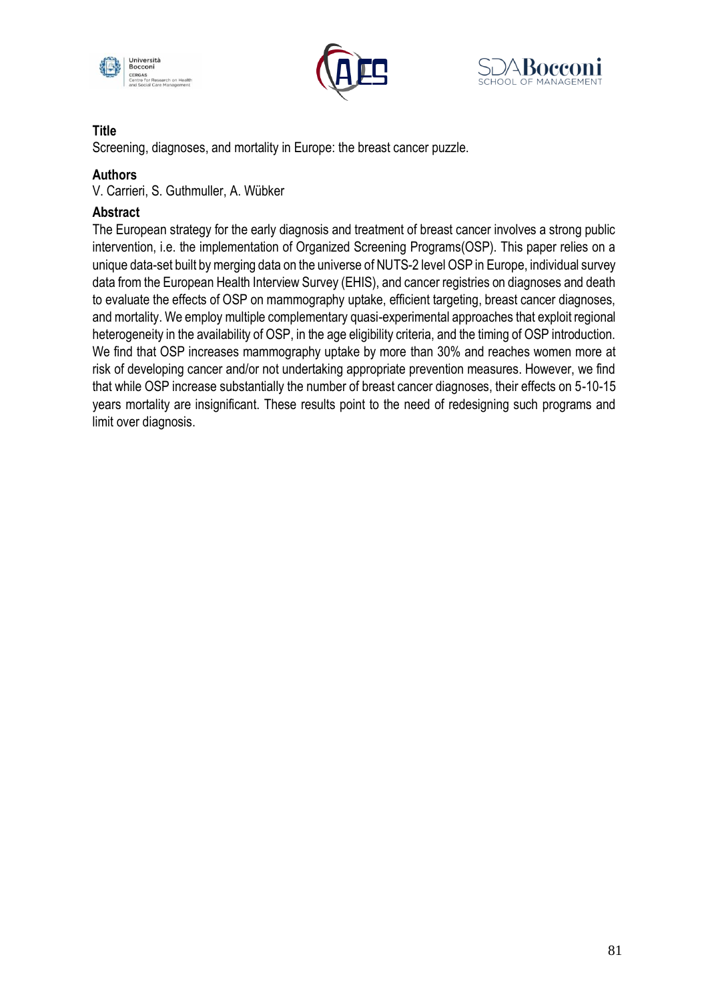





Screening, diagnoses, and mortality in Europe: the breast cancer puzzle.

## **Authors**

V. Carrieri, S. Guthmuller, A. Wübker

## **Abstract**

The European strategy for the early diagnosis and treatment of breast cancer involves a strong public intervention, i.e. the implementation of Organized Screening Programs(OSP). This paper relies on a unique data-set built by merging data on the universe of NUTS-2 level OSP in Europe, individual survey data from the European Health Interview Survey (EHIS), and cancer registries on diagnoses and death to evaluate the effects of OSP on mammography uptake, efficient targeting, breast cancer diagnoses, and mortality. We employ multiple complementary quasi-experimental approaches that exploit regional heterogeneity in the availability of OSP, in the age eligibility criteria, and the timing of OSP introduction. We find that OSP increases mammography uptake by more than 30% and reaches women more at risk of developing cancer and/or not undertaking appropriate prevention measures. However, we find that while OSP increase substantially the number of breast cancer diagnoses, their effects on 5-10-15 years mortality are insignificant. These results point to the need of redesigning such programs and limit over diagnosis.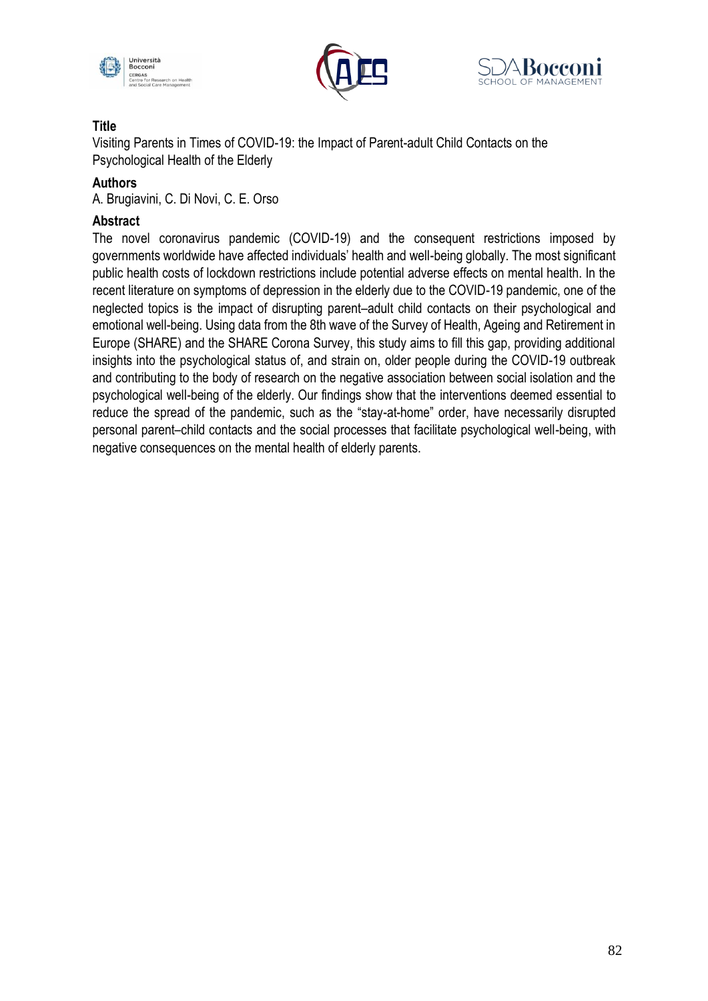





Visiting Parents in Times of COVID-19: the Impact of Parent-adult Child Contacts on the Psychological Health of the Elderly

## **Authors**

A. Brugiavini, C. Di Novi, C. E. Orso

## **Abstract**

The novel coronavirus pandemic (COVID-19) and the consequent restrictions imposed by governments worldwide have affected individuals' health and well-being globally. The most significant public health costs of lockdown restrictions include potential adverse effects on mental health. In the recent literature on symptoms of depression in the elderly due to the COVID-19 pandemic, one of the neglected topics is the impact of disrupting parent–adult child contacts on their psychological and emotional well-being. Using data from the 8th wave of the Survey of Health, Ageing and Retirement in Europe (SHARE) and the SHARE Corona Survey, this study aims to fill this gap, providing additional insights into the psychological status of, and strain on, older people during the COVID-19 outbreak and contributing to the body of research on the negative association between social isolation and the psychological well-being of the elderly. Our findings show that the interventions deemed essential to reduce the spread of the pandemic, such as the "stay-at-home" order, have necessarily disrupted personal parent–child contacts and the social processes that facilitate psychological well-being, with negative consequences on the mental health of elderly parents.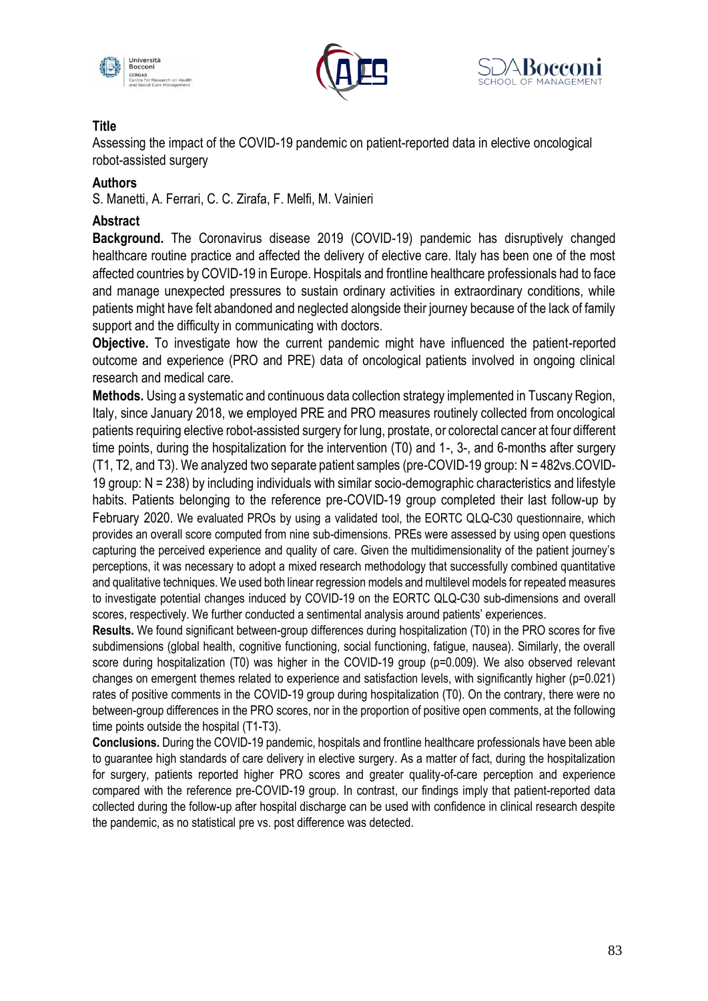





Assessing the impact of the COVID-19 pandemic on patient-reported data in elective oncological robot-assisted surgery

#### **Authors**

S. Manetti, A. Ferrari, C. C. Zirafa, F. Melfi, M. Vainieri

### **Abstract**

**Background.** The Coronavirus disease 2019 (COVID-19) pandemic has disruptively changed healthcare routine practice and affected the delivery of elective care. Italy has been one of the most affected countries by COVID-19 in Europe. Hospitals and frontline healthcare professionals had to face and manage unexpected pressures to sustain ordinary activities in extraordinary conditions, while patients might have felt abandoned and neglected alongside their journey because of the lack of family support and the difficulty in communicating with doctors.

**Objective.** To investigate how the current pandemic might have influenced the patient-reported outcome and experience (PRO and PRE) data of oncological patients involved in ongoing clinical research and medical care.

**Methods.** Using a systematic and continuous data collection strategy implemented in Tuscany Region, Italy, since January 2018, we employed PRE and PRO measures routinely collected from oncological patients requiring elective robot-assisted surgery for lung, prostate, or colorectal cancer at four different time points, during the hospitalization for the intervention (T0) and 1-, 3-, and 6-months after surgery (T1, T2, and T3). We analyzed two separate patient samples (pre-COVID-19 group: N = 482vs.COVID-19 group: N = 238) by including individuals with similar socio-demographic characteristics and lifestyle habits. Patients belonging to the reference pre-COVID-19 group completed their last follow-up by February 2020. We evaluated PROs by using a validated tool, the EORTC QLQ-C30 questionnaire, which provides an overall score computed from nine sub-dimensions. PREs were assessed by using open questions capturing the perceived experience and quality of care. Given the multidimensionality of the patient journey's perceptions, it was necessary to adopt a mixed research methodology that successfully combined quantitative and qualitative techniques. We used both linear regression models and multilevel models for repeated measures to investigate potential changes induced by COVID-19 on the EORTC QLQ-C30 sub-dimensions and overall scores, respectively. We further conducted a sentimental analysis around patients' experiences.

**Results.** We found significant between-group differences during hospitalization (T0) in the PRO scores for five subdimensions (global health, cognitive functioning, social functioning, fatigue, nausea). Similarly, the overall score during hospitalization (T0) was higher in the COVID-19 group (p=0.009). We also observed relevant changes on emergent themes related to experience and satisfaction levels, with significantly higher (p=0.021) rates of positive comments in the COVID-19 group during hospitalization (T0). On the contrary, there were no between-group differences in the PRO scores, nor in the proportion of positive open comments, at the following time points outside the hospital (T1-T3).

**Conclusions.** During the COVID-19 pandemic, hospitals and frontline healthcare professionals have been able to guarantee high standards of care delivery in elective surgery. As a matter of fact, during the hospitalization for surgery, patients reported higher PRO scores and greater quality-of-care perception and experience compared with the reference pre-COVID-19 group. In contrast, our findings imply that patient-reported data collected during the follow-up after hospital discharge can be used with confidence in clinical research despite the pandemic, as no statistical pre vs. post difference was detected.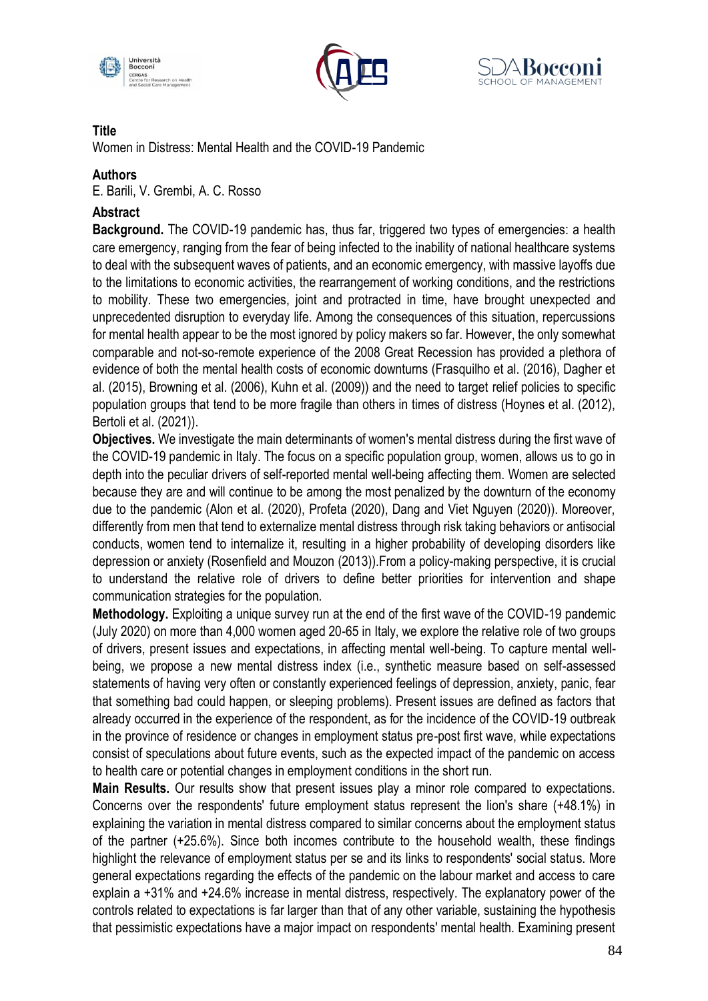





Women in Distress: Mental Health and the COVID-19 Pandemic

## **Authors**

E. Barili, V. Grembi, A. C. Rosso

## **Abstract**

**Background.** The COVID-19 pandemic has, thus far, triggered two types of emergencies: a health care emergency, ranging from the fear of being infected to the inability of national healthcare systems to deal with the subsequent waves of patients, and an economic emergency, with massive layoffs due to the limitations to economic activities, the rearrangement of working conditions, and the restrictions to mobility. These two emergencies, joint and protracted in time, have brought unexpected and unprecedented disruption to everyday life. Among the consequences of this situation, repercussions for mental health appear to be the most ignored by policy makers so far. However, the only somewhat comparable and not-so-remote experience of the 2008 Great Recession has provided a plethora of evidence of both the mental health costs of economic downturns (Frasquilho et al. (2016), Dagher et al. (2015), Browning et al. (2006), Kuhn et al. (2009)) and the need to target relief policies to specific population groups that tend to be more fragile than others in times of distress (Hoynes et al. (2012), Bertoli et al. (2021)).

**Objectives.** We investigate the main determinants of women's mental distress during the first wave of the COVID-19 pandemic in Italy. The focus on a specific population group, women, allows us to go in depth into the peculiar drivers of self-reported mental well-being affecting them. Women are selected because they are and will continue to be among the most penalized by the downturn of the economy due to the pandemic (Alon et al. (2020), Profeta (2020), Dang and Viet Nguyen (2020)). Moreover, differently from men that tend to externalize mental distress through risk taking behaviors or antisocial conducts, women tend to internalize it, resulting in a higher probability of developing disorders like depression or anxiety (Rosenfield and Mouzon (2013)).From a policy-making perspective, it is crucial to understand the relative role of drivers to define better priorities for intervention and shape communication strategies for the population.

**Methodology.** Exploiting a unique survey run at the end of the first wave of the COVID-19 pandemic (July 2020) on more than 4,000 women aged 20-65 in Italy, we explore the relative role of two groups of drivers, present issues and expectations, in affecting mental well-being. To capture mental wellbeing, we propose a new mental distress index (i.e., synthetic measure based on self-assessed statements of having very often or constantly experienced feelings of depression, anxiety, panic, fear that something bad could happen, or sleeping problems). Present issues are defined as factors that already occurred in the experience of the respondent, as for the incidence of the COVID-19 outbreak in the province of residence or changes in employment status pre-post first wave, while expectations consist of speculations about future events, such as the expected impact of the pandemic on access to health care or potential changes in employment conditions in the short run.

**Main Results.** Our results show that present issues play a minor role compared to expectations. Concerns over the respondents' future employment status represent the lion's share (+48.1%) in explaining the variation in mental distress compared to similar concerns about the employment status of the partner (+25.6%). Since both incomes contribute to the household wealth, these findings highlight the relevance of employment status per se and its links to respondents' social status. More general expectations regarding the effects of the pandemic on the labour market and access to care explain a +31% and +24.6% increase in mental distress, respectively. The explanatory power of the controls related to expectations is far larger than that of any other variable, sustaining the hypothesis that pessimistic expectations have a major impact on respondents' mental health. Examining present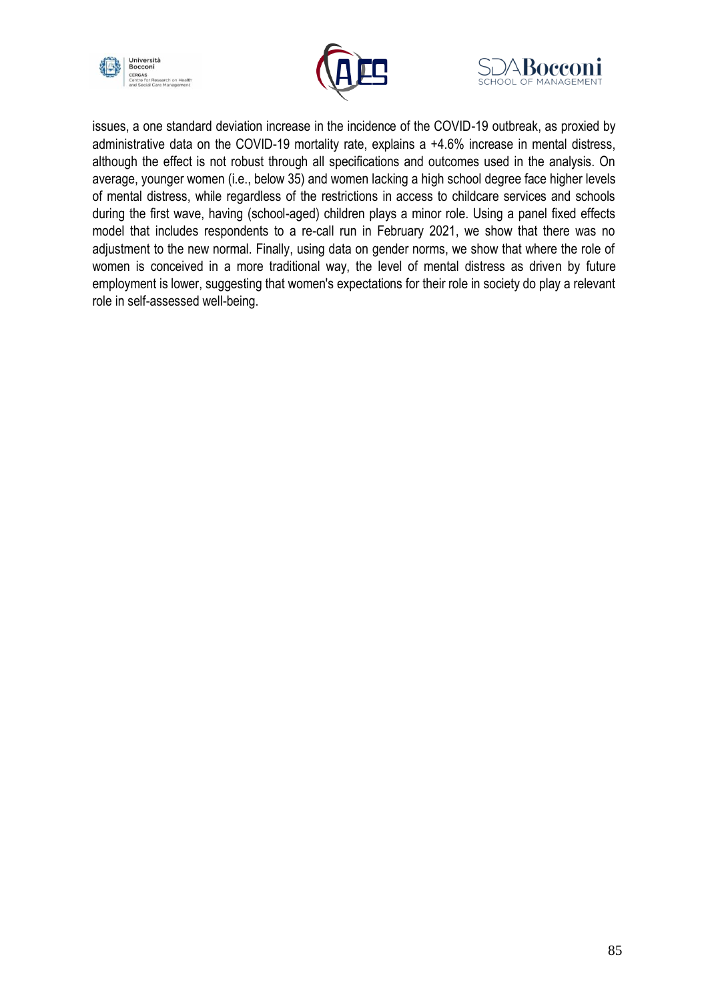





issues, a one standard deviation increase in the incidence of the COVID-19 outbreak, as proxied by administrative data on the COVID-19 mortality rate, explains a +4.6% increase in mental distress, although the effect is not robust through all specifications and outcomes used in the analysis. On average, younger women (i.e., below 35) and women lacking a high school degree face higher levels of mental distress, while regardless of the restrictions in access to childcare services and schools during the first wave, having (school-aged) children plays a minor role. Using a panel fixed effects model that includes respondents to a re-call run in February 2021, we show that there was no adjustment to the new normal. Finally, using data on gender norms, we show that where the role of women is conceived in a more traditional way, the level of mental distress as driven by future employment is lower, suggesting that women's expectations for their role in society do play a relevant role in self-assessed well-being.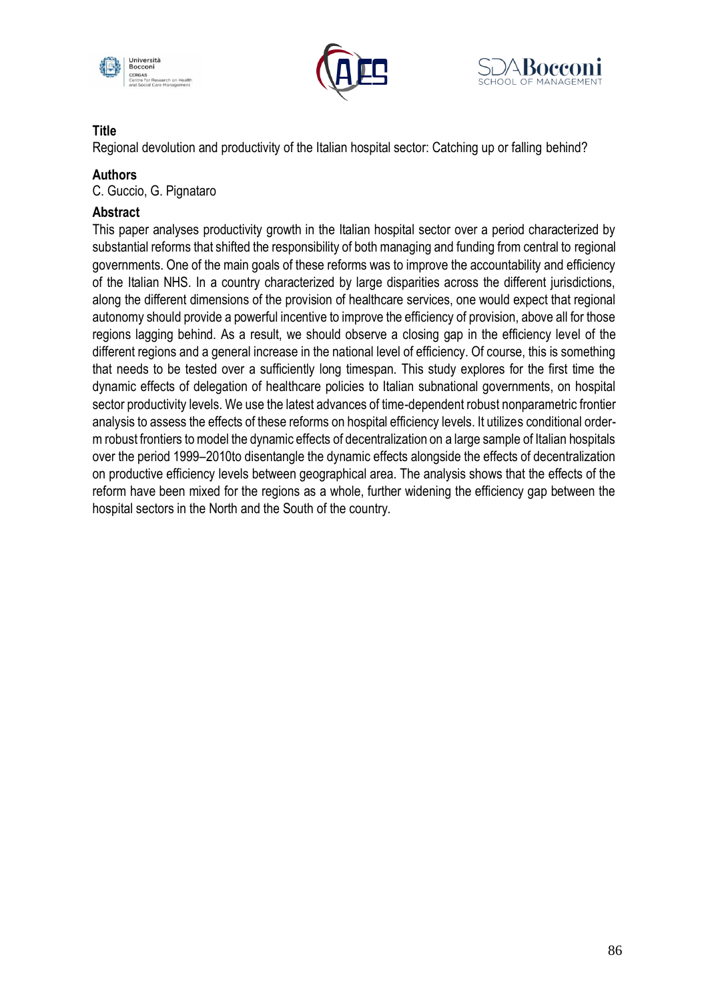





Regional devolution and productivity of the Italian hospital sector: Catching up or falling behind?

# **Authors**

C. Guccio, G. Pignataro

## **Abstract**

This paper analyses productivity growth in the Italian hospital sector over a period characterized by substantial reforms that shifted the responsibility of both managing and funding from central to regional governments. One of the main goals of these reforms was to improve the accountability and efficiency of the Italian NHS. In a country characterized by large disparities across the different jurisdictions, along the different dimensions of the provision of healthcare services, one would expect that regional autonomy should provide a powerful incentive to improve the efficiency of provision, above all for those regions lagging behind. As a result, we should observe a closing gap in the efficiency level of the different regions and a general increase in the national level of efficiency. Of course, this is something that needs to be tested over a sufficiently long timespan. This study explores for the first time the dynamic effects of delegation of healthcare policies to Italian subnational governments, on hospital sector productivity levels. We use the latest advances of time-dependent robust nonparametric frontier analysis to assess the effects of these reforms on hospital efficiency levels. It utilizes conditional orderm robust frontiers to model the dynamic effects of decentralization on a large sample of Italian hospitals over the period 1999–2010to disentangle the dynamic effects alongside the effects of decentralization on productive efficiency levels between geographical area. The analysis shows that the effects of the reform have been mixed for the regions as a whole, further widening the efficiency gap between the hospital sectors in the North and the South of the country.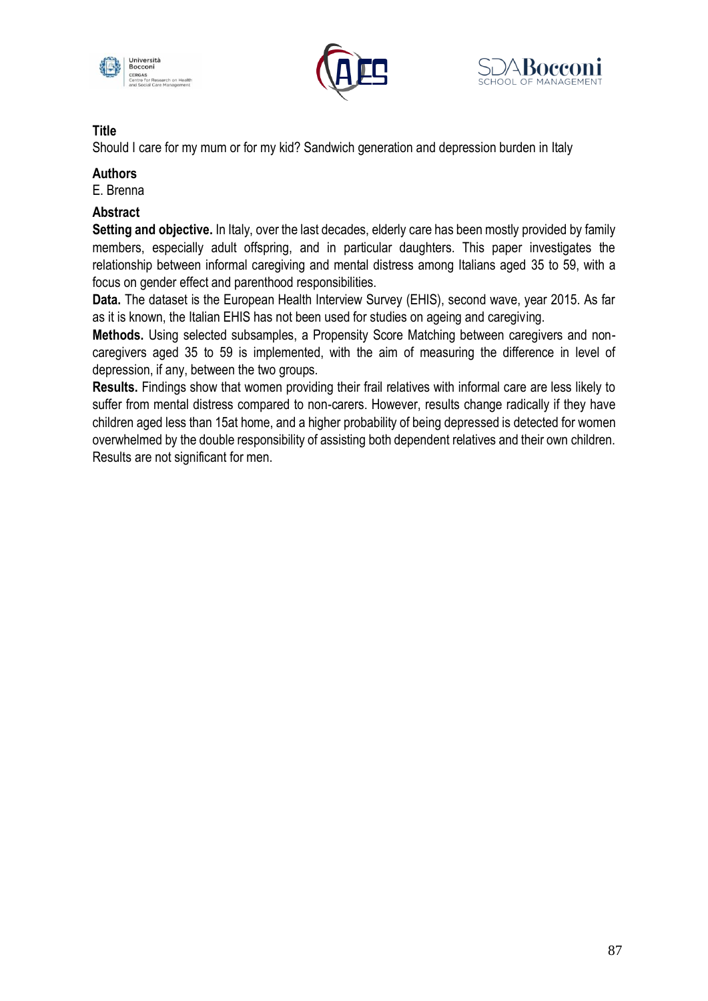





Should I care for my mum or for my kid? Sandwich generation and depression burden in Italy

### **Authors**

E. Brenna

#### **Abstract**

**Setting and objective.** In Italy, over the last decades, elderly care has been mostly provided by family members, especially adult offspring, and in particular daughters. This paper investigates the relationship between informal caregiving and mental distress among Italians aged 35 to 59, with a focus on gender effect and parenthood responsibilities.

**Data.** The dataset is the European Health Interview Survey (EHIS), second wave, year 2015. As far as it is known, the Italian EHIS has not been used for studies on ageing and caregiving.

**Methods.** Using selected subsamples, a Propensity Score Matching between caregivers and noncaregivers aged 35 to 59 is implemented, with the aim of measuring the difference in level of depression, if any, between the two groups.

**Results.** Findings show that women providing their frail relatives with informal care are less likely to suffer from mental distress compared to non-carers. However, results change radically if they have children aged less than 15at home, and a higher probability of being depressed is detected for women overwhelmed by the double responsibility of assisting both dependent relatives and their own children. Results are not significant for men.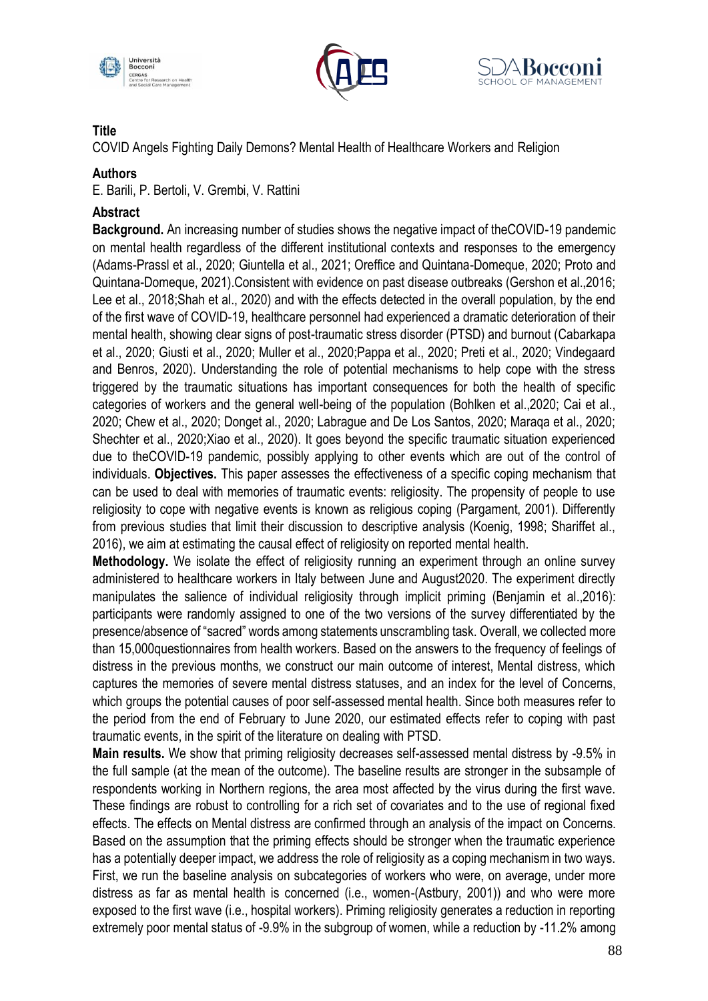





COVID Angels Fighting Daily Demons? Mental Health of Healthcare Workers and Religion

## **Authors**

E. Barili, P. Bertoli, V. Grembi, V. Rattini

# **Abstract**

**Background.** An increasing number of studies shows the negative impact of theCOVID-19 pandemic on mental health regardless of the different institutional contexts and responses to the emergency (Adams-Prassl et al., 2020; Giuntella et al., 2021; Oreffice and Quintana-Domeque, 2020; Proto and Quintana-Domeque, 2021).Consistent with evidence on past disease outbreaks (Gershon et al.,2016; Lee et al., 2018;Shah et al., 2020) and with the effects detected in the overall population, by the end of the first wave of COVID-19, healthcare personnel had experienced a dramatic deterioration of their mental health, showing clear signs of post-traumatic stress disorder (PTSD) and burnout (Cabarkapa et al., 2020; Giusti et al., 2020; Muller et al., 2020;Pappa et al., 2020; Preti et al., 2020; Vindegaard and Benros, 2020). Understanding the role of potential mechanisms to help cope with the stress triggered by the traumatic situations has important consequences for both the health of specific categories of workers and the general well-being of the population (Bohlken et al.,2020; Cai et al., 2020; Chew et al., 2020; Donget al., 2020; Labrague and De Los Santos, 2020; Maraqa et al., 2020; Shechter et al., 2020;Xiao et al., 2020). It goes beyond the specific traumatic situation experienced due to theCOVID-19 pandemic, possibly applying to other events which are out of the control of individuals. **Objectives.** This paper assesses the effectiveness of a specific coping mechanism that can be used to deal with memories of traumatic events: religiosity. The propensity of people to use religiosity to cope with negative events is known as religious coping (Pargament, 2001). Differently from previous studies that limit their discussion to descriptive analysis (Koenig, 1998; Shariffet al., 2016), we aim at estimating the causal effect of religiosity on reported mental health.

**Methodology.** We isolate the effect of religiosity running an experiment through an online survey administered to healthcare workers in Italy between June and August2020. The experiment directly manipulates the salience of individual religiosity through implicit priming (Benjamin et al.,2016): participants were randomly assigned to one of the two versions of the survey differentiated by the presence/absence of "sacred" words among statements unscrambling task. Overall, we collected more than 15,000questionnaires from health workers. Based on the answers to the frequency of feelings of distress in the previous months, we construct our main outcome of interest, Mental distress, which captures the memories of severe mental distress statuses, and an index for the level of Concerns, which groups the potential causes of poor self-assessed mental health. Since both measures refer to the period from the end of February to June 2020, our estimated effects refer to coping with past traumatic events, in the spirit of the literature on dealing with PTSD.

**Main results.** We show that priming religiosity decreases self-assessed mental distress by -9.5% in the full sample (at the mean of the outcome). The baseline results are stronger in the subsample of respondents working in Northern regions, the area most affected by the virus during the first wave. These findings are robust to controlling for a rich set of covariates and to the use of regional fixed effects. The effects on Mental distress are confirmed through an analysis of the impact on Concerns. Based on the assumption that the priming effects should be stronger when the traumatic experience has a potentially deeper impact, we address the role of religiosity as a coping mechanism in two ways. First, we run the baseline analysis on subcategories of workers who were, on average, under more distress as far as mental health is concerned (i.e., women-(Astbury, 2001)) and who were more exposed to the first wave (i.e., hospital workers). Priming religiosity generates a reduction in reporting extremely poor mental status of -9.9% in the subgroup of women, while a reduction by -11.2% among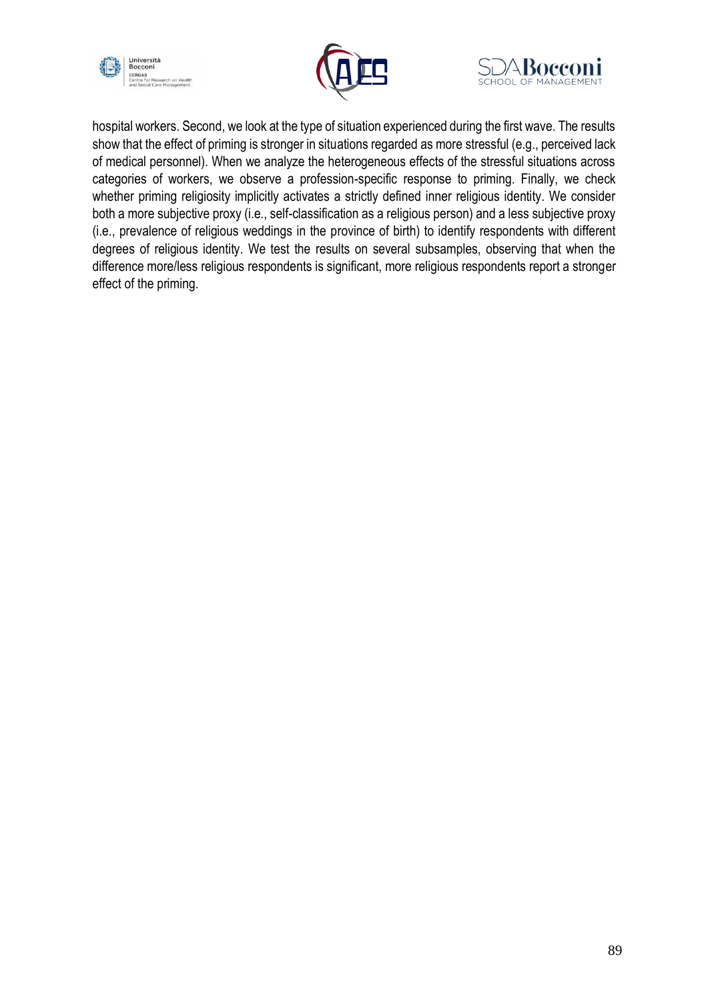





hospital workers. Second, we look at the type of situation experienced during the first wave. The results show that the effect of priming is stronger in situations regarded as more stressful (e.g., perceived lack of medical personnel). When we analyze the heterogeneous effects of the stressful situations across categories of workers, we observe a profession-specific response to priming. Finally, we check whether priming religiosity implicitly activates a strictly defined inner religious identity. We consider both a more subjective proxy (i.e., self-classification as a religious person) and a less subjective proxy (i.e., prevalence of religious weddings in the province of birth) to identify respondents with different degrees of religious identity. We test the results on several subsamples, observing that when the difference more/less religious respondents is significant, more religious respondents report a stronger effect of the priming.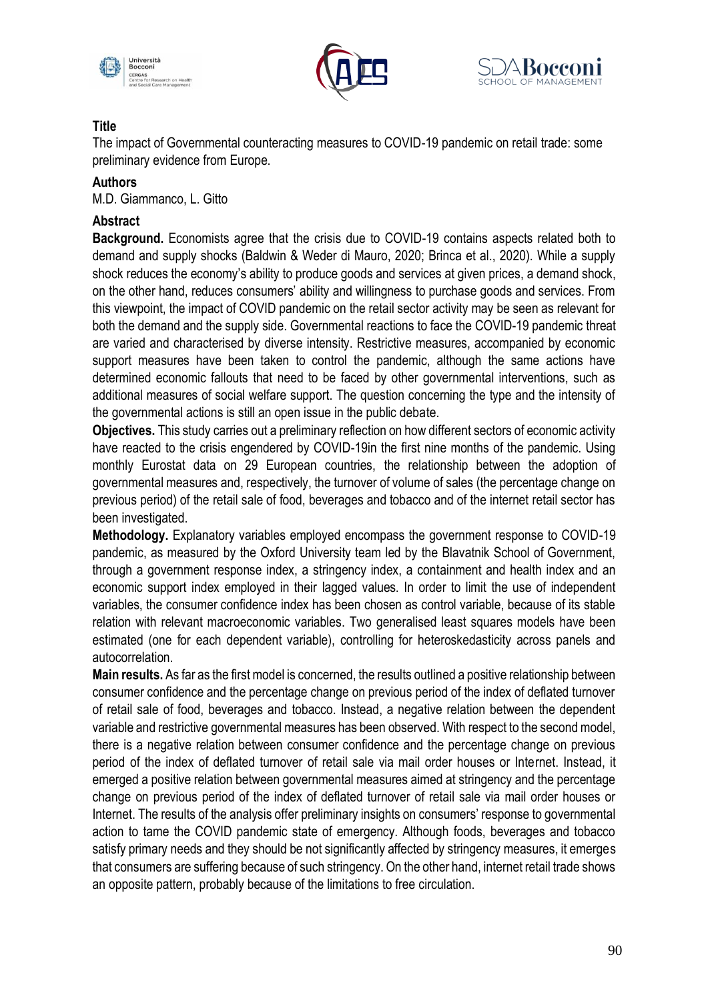





The impact of Governmental counteracting measures to COVID-19 pandemic on retail trade: some preliminary evidence from Europe.

### **Authors**

M.D. Giammanco, L. Gitto

### **Abstract**

**Background.** Economists agree that the crisis due to COVID-19 contains aspects related both to demand and supply shocks (Baldwin & Weder di Mauro, 2020; Brinca et al., 2020). While a supply shock reduces the economy's ability to produce goods and services at given prices, a demand shock, on the other hand, reduces consumers' ability and willingness to purchase goods and services. From this viewpoint, the impact of COVID pandemic on the retail sector activity may be seen as relevant for both the demand and the supply side. Governmental reactions to face the COVID-19 pandemic threat are varied and characterised by diverse intensity. Restrictive measures, accompanied by economic support measures have been taken to control the pandemic, although the same actions have determined economic fallouts that need to be faced by other governmental interventions, such as additional measures of social welfare support. The question concerning the type and the intensity of the governmental actions is still an open issue in the public debate.

**Objectives.** This study carries out a preliminary reflection on how different sectors of economic activity have reacted to the crisis engendered by COVID-19in the first nine months of the pandemic. Using monthly Eurostat data on 29 European countries, the relationship between the adoption of governmental measures and, respectively, the turnover of volume of sales (the percentage change on previous period) of the retail sale of food, beverages and tobacco and of the internet retail sector has been investigated.

**Methodology.** Explanatory variables employed encompass the government response to COVID-19 pandemic, as measured by the Oxford University team led by the Blavatnik School of Government, through a government response index, a stringency index, a containment and health index and an economic support index employed in their lagged values. In order to limit the use of independent variables, the consumer confidence index has been chosen as control variable, because of its stable relation with relevant macroeconomic variables. Two generalised least squares models have been estimated (one for each dependent variable), controlling for heteroskedasticity across panels and autocorrelation.

**Main results.** As far as the first model is concerned, the results outlined a positive relationship between consumer confidence and the percentage change on previous period of the index of deflated turnover of retail sale of food, beverages and tobacco. Instead, a negative relation between the dependent variable and restrictive governmental measures has been observed. With respect to the second model, there is a negative relation between consumer confidence and the percentage change on previous period of the index of deflated turnover of retail sale via mail order houses or Internet. Instead, it emerged a positive relation between governmental measures aimed at stringency and the percentage change on previous period of the index of deflated turnover of retail sale via mail order houses or Internet. The results of the analysis offer preliminary insights on consumers' response to governmental action to tame the COVID pandemic state of emergency. Although foods, beverages and tobacco satisfy primary needs and they should be not significantly affected by stringency measures, it emerges that consumers are suffering because of such stringency. On the other hand, internet retail trade shows an opposite pattern, probably because of the limitations to free circulation.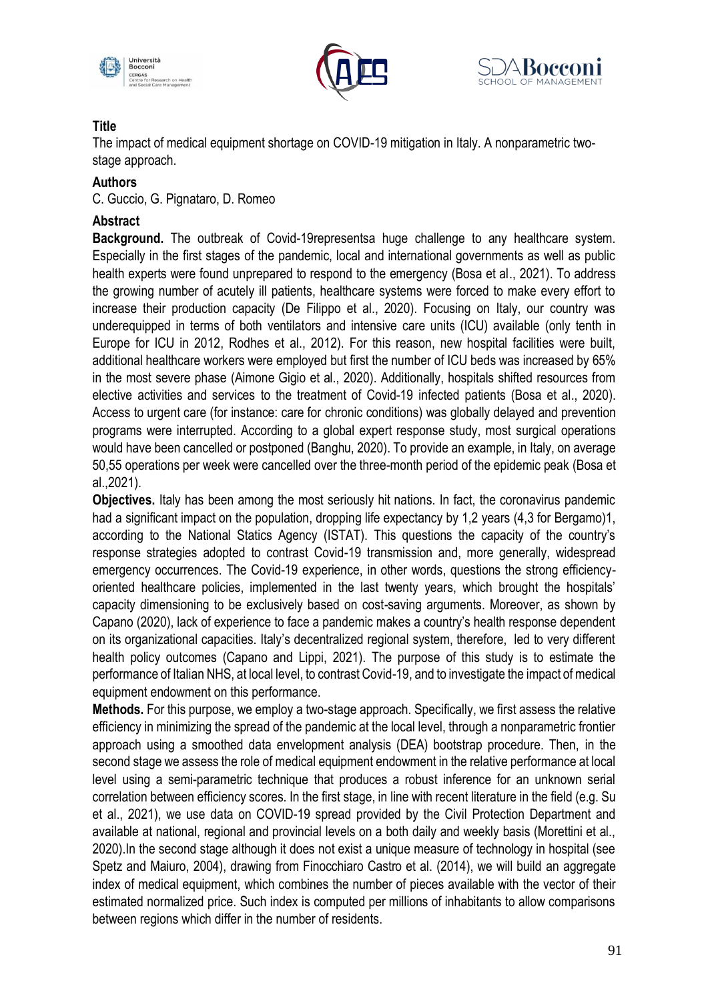





The impact of medical equipment shortage on COVID-19 mitigation in Italy. A nonparametric twostage approach.

## **Authors**

C. Guccio, G. Pignataro, D. Romeo

## **Abstract**

**Background.** The outbreak of Covid-19representsa huge challenge to any healthcare system. Especially in the first stages of the pandemic, local and international governments as well as public health experts were found unprepared to respond to the emergency (Bosa et al., 2021). To address the growing number of acutely ill patients, healthcare systems were forced to make every effort to increase their production capacity (De Filippo et al., 2020). Focusing on Italy, our country was underequipped in terms of both ventilators and intensive care units (ICU) available (only tenth in Europe for ICU in 2012, Rodhes et al., 2012). For this reason, new hospital facilities were built, additional healthcare workers were employed but first the number of ICU beds was increased by 65% in the most severe phase (Aimone Gigio et al., 2020). Additionally, hospitals shifted resources from elective activities and services to the treatment of Covid-19 infected patients (Bosa et al., 2020). Access to urgent care (for instance: care for chronic conditions) was globally delayed and prevention programs were interrupted. According to a global expert response study, most surgical operations would have been cancelled or postponed (Banghu, 2020). To provide an example, in Italy, on average 50,55 operations per week were cancelled over the three-month period of the epidemic peak (Bosa et al.,2021).

**Objectives.** Italy has been among the most seriously hit nations. In fact, the coronavirus pandemic had a significant impact on the population, dropping life expectancy by 1,2 years (4,3 for Bergamo)1, according to the National Statics Agency (ISTAT). This questions the capacity of the country's response strategies adopted to contrast Covid-19 transmission and, more generally, widespread emergency occurrences. The Covid-19 experience, in other words, questions the strong efficiencyoriented healthcare policies, implemented in the last twenty years, which brought the hospitals' capacity dimensioning to be exclusively based on cost-saving arguments. Moreover, as shown by Capano (2020), lack of experience to face a pandemic makes a country's health response dependent on its organizational capacities. Italy's decentralized regional system, therefore, led to very different health policy outcomes (Capano and Lippi, 2021). The purpose of this study is to estimate the performance of Italian NHS, at local level, to contrast Covid-19, and to investigate the impact of medical equipment endowment on this performance.

**Methods.** For this purpose, we employ a two-stage approach. Specifically, we first assess the relative efficiency in minimizing the spread of the pandemic at the local level, through a nonparametric frontier approach using a smoothed data envelopment analysis (DEA) bootstrap procedure. Then, in the second stage we assess the role of medical equipment endowment in the relative performance at local level using a semi-parametric technique that produces a robust inference for an unknown serial correlation between efficiency scores. In the first stage, in line with recent literature in the field (e.g. Su et al., 2021), we use data on COVID-19 spread provided by the Civil Protection Department and available at national, regional and provincial levels on a both daily and weekly basis (Morettini et al., 2020).In the second stage although it does not exist a unique measure of technology in hospital (see Spetz and Maiuro, 2004), drawing from Finocchiaro Castro et al. (2014), we will build an aggregate index of medical equipment, which combines the number of pieces available with the vector of their estimated normalized price. Such index is computed per millions of inhabitants to allow comparisons between regions which differ in the number of residents.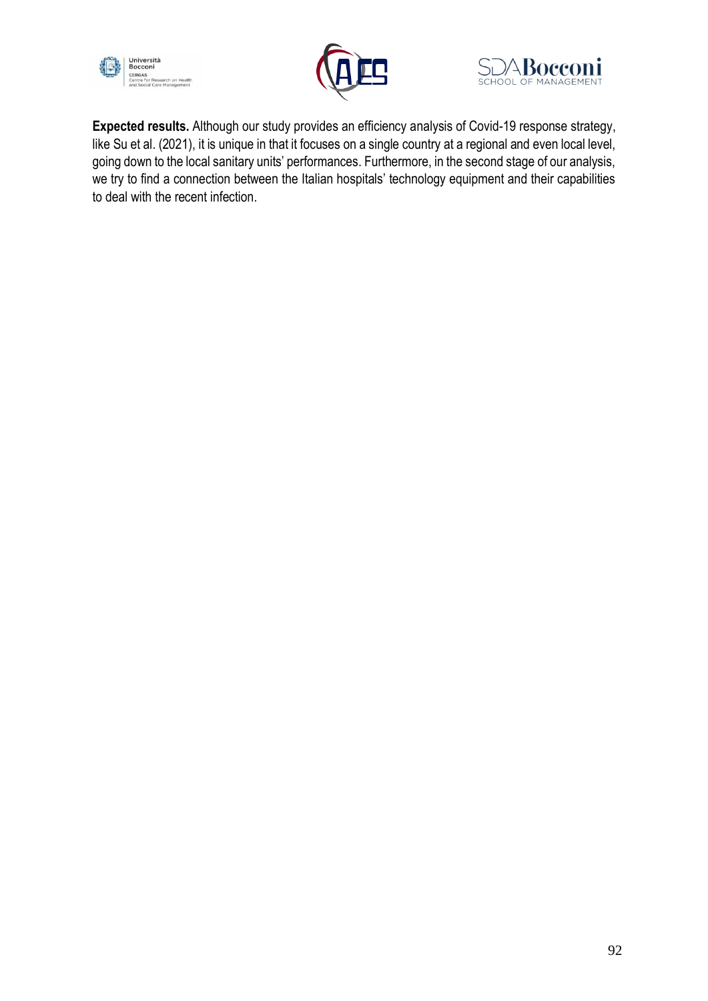





**Expected results.** Although our study provides an efficiency analysis of Covid-19 response strategy, like Su et al. (2021), it is unique in that it focuses on a single country at a regional and even local level, going down to the local sanitary units' performances. Furthermore, in the second stage of our analysis, we try to find a connection between the Italian hospitals' technology equipment and their capabilities to deal with the recent infection.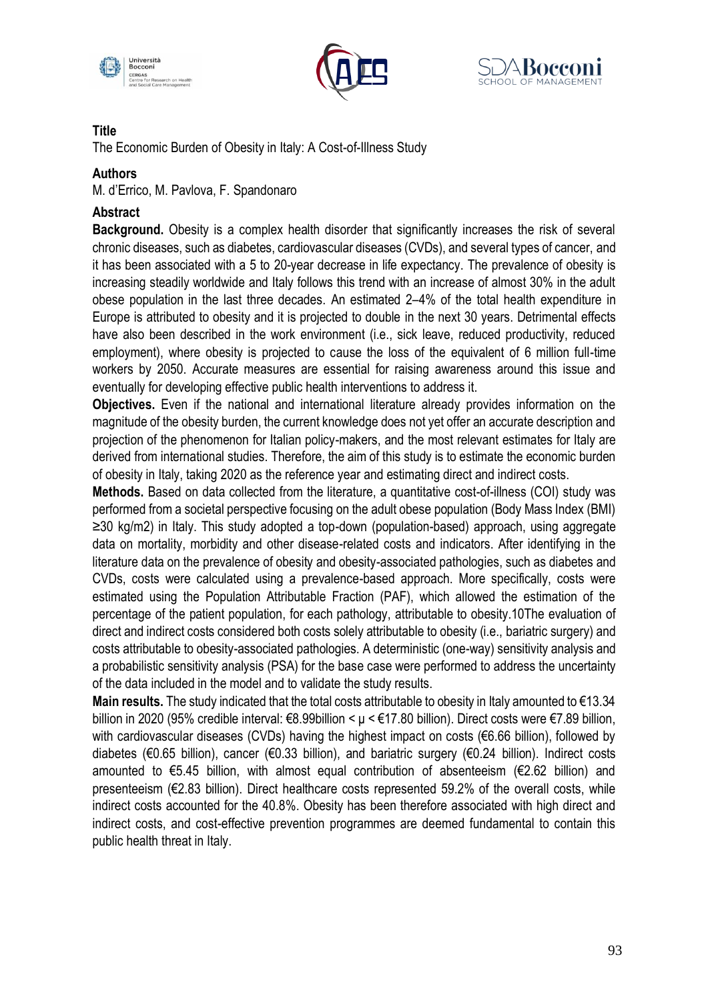





The Economic Burden of Obesity in Italy: A Cost-of-Illness Study

## **Authors**

M. d'Errico, M. Pavlova, F. Spandonaro

# **Abstract**

**Background.** Obesity is a complex health disorder that significantly increases the risk of several chronic diseases, such as diabetes, cardiovascular diseases (CVDs), and several types of cancer, and it has been associated with a 5 to 20-year decrease in life expectancy. The prevalence of obesity is increasing steadily worldwide and Italy follows this trend with an increase of almost 30% in the adult obese population in the last three decades. An estimated 2–4% of the total health expenditure in Europe is attributed to obesity and it is projected to double in the next 30 years. Detrimental effects have also been described in the work environment (i.e., sick leave, reduced productivity, reduced employment), where obesity is projected to cause the loss of the equivalent of 6 million full-time workers by 2050. Accurate measures are essential for raising awareness around this issue and eventually for developing effective public health interventions to address it.

**Objectives.** Even if the national and international literature already provides information on the magnitude of the obesity burden, the current knowledge does not yet offer an accurate description and projection of the phenomenon for Italian policy-makers, and the most relevant estimates for Italy are derived from international studies. Therefore, the aim of this study is to estimate the economic burden of obesity in Italy, taking 2020 as the reference year and estimating direct and indirect costs.

**Methods.** Based on data collected from the literature, a quantitative cost-of-illness (COI) study was performed from a societal perspective focusing on the adult obese population (Body Mass Index (BMI) ≥30 kg/m2) in Italy. This study adopted a top-down (population-based) approach, using aggregate data on mortality, morbidity and other disease-related costs and indicators. After identifying in the literature data on the prevalence of obesity and obesity-associated pathologies, such as diabetes and CVDs, costs were calculated using a prevalence-based approach. More specifically, costs were estimated using the Population Attributable Fraction (PAF), which allowed the estimation of the percentage of the patient population, for each pathology, attributable to obesity.10The evaluation of direct and indirect costs considered both costs solely attributable to obesity (i.e., bariatric surgery) and costs attributable to obesity-associated pathologies. A deterministic (one-way) sensitivity analysis and a probabilistic sensitivity analysis (PSA) for the base case were performed to address the uncertainty of the data included in the model and to validate the study results.

**Main results.** The study indicated that the total costs attributable to obesity in Italy amounted to €13.34 billion in 2020 (95% credible interval: €8.99billion < μ < €17.80 billion). Direct costs were €7.89 billion, with cardiovascular diseases (CVDs) having the highest impact on costs (€6.66 billion), followed by diabetes (€0.65 billion), cancer (€0.33 billion), and bariatric surgery (€0.24 billion). Indirect costs amounted to €5.45 billion, with almost equal contribution of absenteeism (€2.62 billion) and presenteeism (€2.83 billion). Direct healthcare costs represented 59.2% of the overall costs, while indirect costs accounted for the 40.8%. Obesity has been therefore associated with high direct and indirect costs, and cost-effective prevention programmes are deemed fundamental to contain this public health threat in Italy.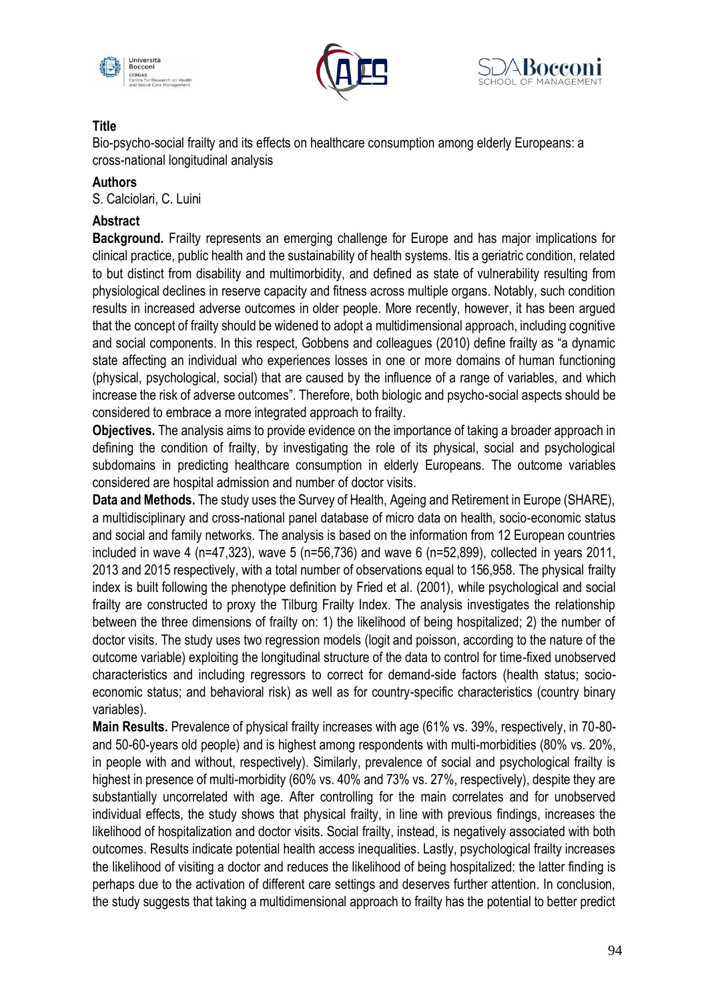





Bio-psycho-social frailty and its effects on healthcare consumption among elderly Europeans: a cross-national longitudinal analysis

## **Authors**

S. Calciolari, C. Luini

# **Abstract**

**Background.** Frailty represents an emerging challenge for Europe and has major implications for clinical practice, public health and the sustainability of health systems. Itis a geriatric condition, related to but distinct from disability and multimorbidity, and defined as state of vulnerability resulting from physiological declines in reserve capacity and fitness across multiple organs. Notably, such condition results in increased adverse outcomes in older people. More recently, however, it has been argued that the concept of frailty should be widened to adopt a multidimensional approach, including cognitive and social components. In this respect, Gobbens and colleagues (2010) define frailty as "a dynamic state affecting an individual who experiences losses in one or more domains of human functioning (physical, psychological, social) that are caused by the influence of a range of variables, and which increase the risk of adverse outcomes". Therefore, both biologic and psycho-social aspects should be considered to embrace a more integrated approach to frailty.

**Objectives.** The analysis aims to provide evidence on the importance of taking a broader approach in defining the condition of frailty, by investigating the role of its physical, social and psychological subdomains in predicting healthcare consumption in elderly Europeans. The outcome variables considered are hospital admission and number of doctor visits.

**Data and Methods.** The study uses the Survey of Health, Ageing and Retirement in Europe (SHARE), a multidisciplinary and cross-national panel database of micro data on health, socio-economic status and social and family networks. The analysis is based on the information from 12 European countries included in wave 4 (n=47,323), wave 5 (n=56,736) and wave 6 (n=52,899), collected in years 2011, 2013 and 2015 respectively, with a total number of observations equal to 156,958. The physical frailty index is built following the phenotype definition by Fried et al. (2001), while psychological and social frailty are constructed to proxy the Tilburg Frailty Index. The analysis investigates the relationship between the three dimensions of frailty on: 1) the likelihood of being hospitalized; 2) the number of doctor visits. The study uses two regression models (logit and poisson, according to the nature of the outcome variable) exploiting the longitudinal structure of the data to control for time-fixed unobserved characteristics and including regressors to correct for demand-side factors (health status; socioeconomic status; and behavioral risk) as well as for country-specific characteristics (country binary variables).

**Main Results.** Prevalence of physical frailty increases with age (61% vs. 39%, respectively, in 70-80 and 50-60-years old people) and is highest among respondents with multi-morbidities (80% vs. 20%, in people with and without, respectively). Similarly, prevalence of social and psychological frailty is highest in presence of multi-morbidity (60% vs. 40% and 73% vs. 27%, respectively), despite they are substantially uncorrelated with age. After controlling for the main correlates and for unobserved individual effects, the study shows that physical frailty, in line with previous findings, increases the likelihood of hospitalization and doctor visits. Social frailty, instead, is negatively associated with both outcomes. Results indicate potential health access inequalities. Lastly, psychological frailty increases the likelihood of visiting a doctor and reduces the likelihood of being hospitalized: the latter finding is perhaps due to the activation of different care settings and deserves further attention. In conclusion, the study suggests that taking a multidimensional approach to frailty has the potential to better predict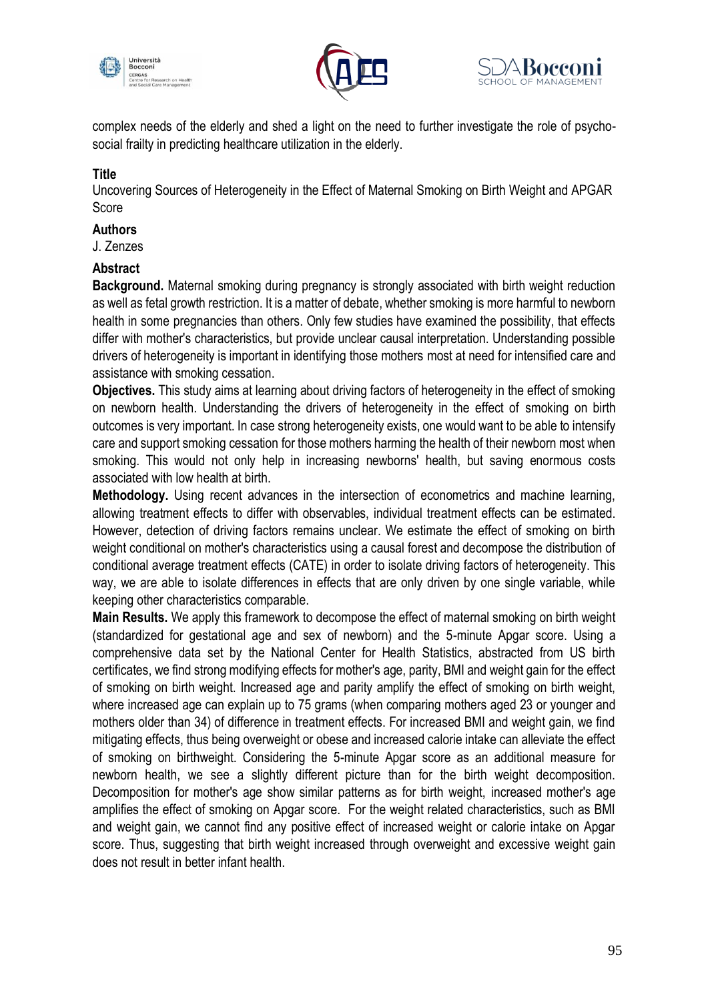





complex needs of the elderly and shed a light on the need to further investigate the role of psychosocial frailty in predicting healthcare utilization in the elderly.

#### **Title**

Uncovering Sources of Heterogeneity in the Effect of Maternal Smoking on Birth Weight and APGAR Score

#### **Authors**

J. Zenzes

#### **Abstract**

**Background.** Maternal smoking during pregnancy is strongly associated with birth weight reduction as well as fetal growth restriction. It is a matter of debate, whether smoking is more harmful to newborn health in some pregnancies than others. Only few studies have examined the possibility, that effects differ with mother's characteristics, but provide unclear causal interpretation. Understanding possible drivers of heterogeneity is important in identifying those mothers most at need for intensified care and assistance with smoking cessation.

**Objectives.** This study aims at learning about driving factors of heterogeneity in the effect of smoking on newborn health. Understanding the drivers of heterogeneity in the effect of smoking on birth outcomes is very important. In case strong heterogeneity exists, one would want to be able to intensify care and support smoking cessation for those mothers harming the health of their newborn most when smoking. This would not only help in increasing newborns' health, but saving enormous costs associated with low health at birth.

**Methodology.** Using recent advances in the intersection of econometrics and machine learning, allowing treatment effects to differ with observables, individual treatment effects can be estimated. However, detection of driving factors remains unclear. We estimate the effect of smoking on birth weight conditional on mother's characteristics using a causal forest and decompose the distribution of conditional average treatment effects (CATE) in order to isolate driving factors of heterogeneity. This way, we are able to isolate differences in effects that are only driven by one single variable, while keeping other characteristics comparable.

**Main Results.** We apply this framework to decompose the effect of maternal smoking on birth weight (standardized for gestational age and sex of newborn) and the 5-minute Apgar score. Using a comprehensive data set by the National Center for Health Statistics, abstracted from US birth certificates, we find strong modifying effects for mother's age, parity, BMI and weight gain for the effect of smoking on birth weight. Increased age and parity amplify the effect of smoking on birth weight, where increased age can explain up to 75 grams (when comparing mothers aged 23 or younger and mothers older than 34) of difference in treatment effects. For increased BMI and weight gain, we find mitigating effects, thus being overweight or obese and increased calorie intake can alleviate the effect of smoking on birthweight. Considering the 5-minute Apgar score as an additional measure for newborn health, we see a slightly different picture than for the birth weight decomposition. Decomposition for mother's age show similar patterns as for birth weight, increased mother's age amplifies the effect of smoking on Apgar score. For the weight related characteristics, such as BMI and weight gain, we cannot find any positive effect of increased weight or calorie intake on Apgar score. Thus, suggesting that birth weight increased through overweight and excessive weight gain does not result in better infant health.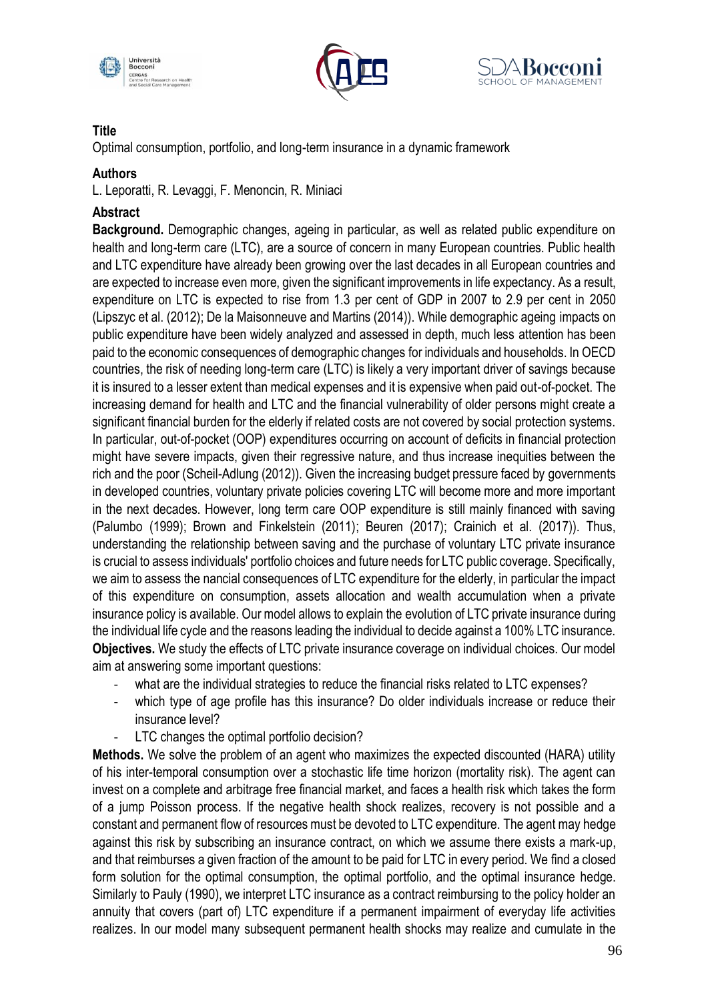





Optimal consumption, portfolio, and long-term insurance in a dynamic framework

# **Authors**

L. Leporatti, R. Levaggi, F. Menoncin, R. Miniaci

# **Abstract**

**Background.** Demographic changes, ageing in particular, as well as related public expenditure on health and long-term care (LTC), are a source of concern in many European countries. Public health and LTC expenditure have already been growing over the last decades in all European countries and are expected to increase even more, given the significant improvements in life expectancy. As a result, expenditure on LTC is expected to rise from 1.3 per cent of GDP in 2007 to 2.9 per cent in 2050 (Lipszyc et al. (2012); De la Maisonneuve and Martins (2014)). While demographic ageing impacts on public expenditure have been widely analyzed and assessed in depth, much less attention has been paid to the economic consequences of demographic changes for individuals and households. In OECD countries, the risk of needing long-term care (LTC) is likely a very important driver of savings because it is insured to a lesser extent than medical expenses and it is expensive when paid out-of-pocket. The increasing demand for health and LTC and the financial vulnerability of older persons might create a significant financial burden for the elderly if related costs are not covered by social protection systems. In particular, out-of-pocket (OOP) expenditures occurring on account of deficits in financial protection might have severe impacts, given their regressive nature, and thus increase inequities between the rich and the poor (Scheil-Adlung (2012)). Given the increasing budget pressure faced by governments in developed countries, voluntary private policies covering LTC will become more and more important in the next decades. However, long term care OOP expenditure is still mainly financed with saving (Palumbo (1999); Brown and Finkelstein (2011); Beuren (2017); Crainich et al. (2017)). Thus, understanding the relationship between saving and the purchase of voluntary LTC private insurance is crucial to assess individuals' portfolio choices and future needs for LTC public coverage. Specifically, we aim to assess the nancial consequences of LTC expenditure for the elderly, in particular the impact of this expenditure on consumption, assets allocation and wealth accumulation when a private insurance policy is available. Our model allows to explain the evolution of LTC private insurance during the individual life cycle and the reasons leading the individual to decide against a 100% LTC insurance. **Objectives.** We study the effects of LTC private insurance coverage on individual choices. Our model aim at answering some important questions:

- what are the individual strategies to reduce the financial risks related to LTC expenses?
- which type of age profile has this insurance? Do older individuals increase or reduce their insurance level?
- LTC changes the optimal portfolio decision?

**Methods.** We solve the problem of an agent who maximizes the expected discounted (HARA) utility of his inter-temporal consumption over a stochastic life time horizon (mortality risk). The agent can invest on a complete and arbitrage free financial market, and faces a health risk which takes the form of a jump Poisson process. If the negative health shock realizes, recovery is not possible and a constant and permanent flow of resources must be devoted to LTC expenditure. The agent may hedge against this risk by subscribing an insurance contract, on which we assume there exists a mark-up, and that reimburses a given fraction of the amount to be paid for LTC in every period. We find a closed form solution for the optimal consumption, the optimal portfolio, and the optimal insurance hedge. Similarly to Pauly (1990), we interpret LTC insurance as a contract reimbursing to the policy holder an annuity that covers (part of) LTC expenditure if a permanent impairment of everyday life activities realizes. In our model many subsequent permanent health shocks may realize and cumulate in the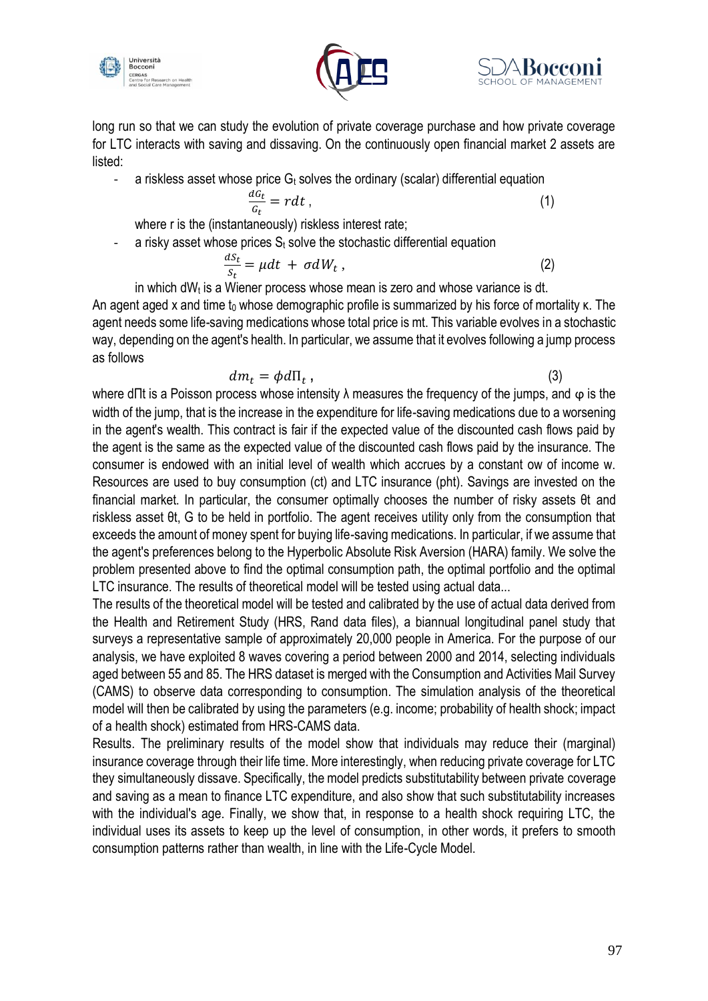





long run so that we can study the evolution of private coverage purchase and how private coverage for LTC interacts with saving and dissaving. On the continuously open financial market 2 assets are listed:

- a riskless asset whose price  $G_t$  solves the ordinary (scalar) differential equation

$$
\frac{dG_t}{G_t} = rdt \tag{1}
$$

where r is the (instantaneously) riskless interest rate;

a risky asset whose prices  $S_t$  solve the stochastic differential equation

$$
\frac{ds_t}{s_t} = \mu dt + \sigma dW_t , \qquad (2)
$$

in which  $dW_t$  is a Wiener process whose mean is zero and whose variance is dt. An agent aged x and time t<sub>0</sub> whose demographic profile is summarized by his force of mortality  $\kappa$ . The agent needs some life-saving medications whose total price is mt. This variable evolves in a stochastic way, depending on the agent's health. In particular, we assume that it evolves following a jump process as follows

$$
dm_t = \phi d\Pi_t \t{,} \t(3)
$$

where dΠt is a Poisson process whose intensity  $\lambda$  measures the frequency of the jumps, and  $\varphi$  is the width of the jump, that is the increase in the expenditure for life-saving medications due to a worsening in the agent's wealth. This contract is fair if the expected value of the discounted cash flows paid by the agent is the same as the expected value of the discounted cash flows paid by the insurance. The consumer is endowed with an initial level of wealth which accrues by a constant ow of income w. Resources are used to buy consumption (ct) and LTC insurance (pht). Savings are invested on the financial market. In particular, the consumer optimally chooses the number of risky assets θt and riskless asset θt, G to be held in portfolio. The agent receives utility only from the consumption that exceeds the amount of money spent for buying life-saving medications. In particular, if we assume that the agent's preferences belong to the Hyperbolic Absolute Risk Aversion (HARA) family. We solve the problem presented above to find the optimal consumption path, the optimal portfolio and the optimal LTC insurance. The results of theoretical model will be tested using actual data...

The results of the theoretical model will be tested and calibrated by the use of actual data derived from the Health and Retirement Study (HRS, Rand data files), a biannual longitudinal panel study that surveys a representative sample of approximately 20,000 people in America. For the purpose of our analysis, we have exploited 8 waves covering a period between 2000 and 2014, selecting individuals aged between 55 and 85. The HRS dataset is merged with the Consumption and Activities Mail Survey (CAMS) to observe data corresponding to consumption. The simulation analysis of the theoretical model will then be calibrated by using the parameters (e.g. income; probability of health shock; impact of a health shock) estimated from HRS-CAMS data.

Results. The preliminary results of the model show that individuals may reduce their (marginal) insurance coverage through their life time. More interestingly, when reducing private coverage for LTC they simultaneously dissave. Specifically, the model predicts substitutability between private coverage and saving as a mean to finance LTC expenditure, and also show that such substitutability increases with the individual's age. Finally, we show that, in response to a health shock requiring LTC, the individual uses its assets to keep up the level of consumption, in other words, it prefers to smooth consumption patterns rather than wealth, in line with the Life-Cycle Model.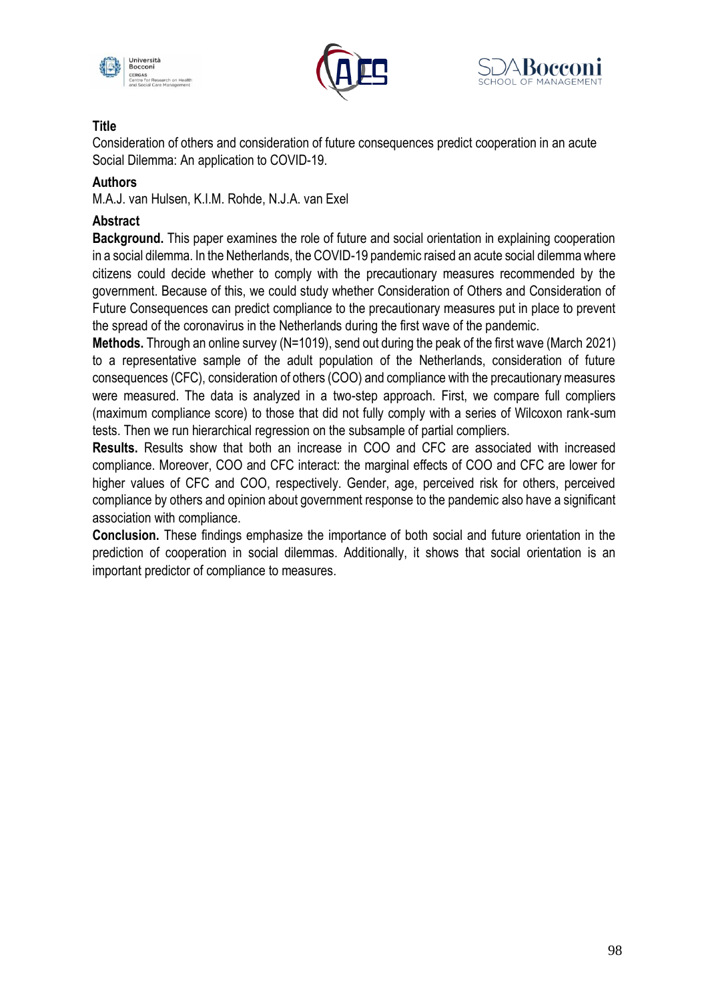





Consideration of others and consideration of future consequences predict cooperation in an acute Social Dilemma: An application to COVID-19.

## **Authors**

M.A.J. van Hulsen, K.I.M. Rohde, N.J.A. van Exel

### **Abstract**

**Background.** This paper examines the role of future and social orientation in explaining cooperation in a social dilemma. In the Netherlands, the COVID-19 pandemic raised an acute social dilemma where citizens could decide whether to comply with the precautionary measures recommended by the government. Because of this, we could study whether Consideration of Others and Consideration of Future Consequences can predict compliance to the precautionary measures put in place to prevent the spread of the coronavirus in the Netherlands during the first wave of the pandemic.

**Methods.** Through an online survey (N=1019), send out during the peak of the first wave (March 2021) to a representative sample of the adult population of the Netherlands, consideration of future consequences (CFC), consideration of others (COO) and compliance with the precautionary measures were measured. The data is analyzed in a two-step approach. First, we compare full compliers (maximum compliance score) to those that did not fully comply with a series of Wilcoxon rank-sum tests. Then we run hierarchical regression on the subsample of partial compliers.

**Results.** Results show that both an increase in COO and CFC are associated with increased compliance. Moreover, COO and CFC interact: the marginal effects of COO and CFC are lower for higher values of CFC and COO, respectively. Gender, age, perceived risk for others, perceived compliance by others and opinion about government response to the pandemic also have a significant association with compliance.

**Conclusion.** These findings emphasize the importance of both social and future orientation in the prediction of cooperation in social dilemmas. Additionally, it shows that social orientation is an important predictor of compliance to measures.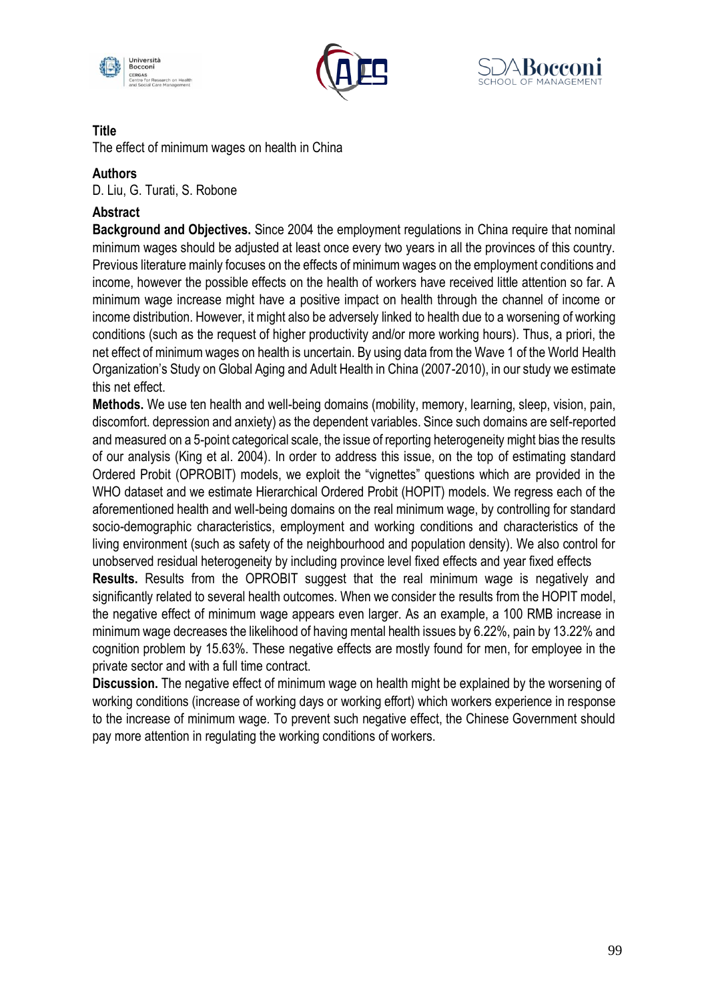





The effect of minimum wages on health in China

# **Authors**

D. Liu, G. Turati, S. Robone

## **Abstract**

**Background and Objectives.** Since 2004 the employment regulations in China require that nominal minimum wages should be adjusted at least once every two years in all the provinces of this country. Previous literature mainly focuses on the effects of minimum wages on the employment conditions and income, however the possible effects on the health of workers have received little attention so far. A minimum wage increase might have a positive impact on health through the channel of income or income distribution. However, it might also be adversely linked to health due to a worsening of working conditions (such as the request of higher productivity and/or more working hours). Thus, a priori, the net effect of minimum wages on health is uncertain. By using data from the Wave 1 of the World Health Organization's Study on Global Aging and Adult Health in China (2007-2010), in our study we estimate this net effect.

**Methods.** We use ten health and well-being domains (mobility, memory, learning, sleep, vision, pain, discomfort. depression and anxiety) as the dependent variables. Since such domains are self-reported and measured on a 5-point categorical scale, the issue of reporting heterogeneity might bias the results of our analysis (King et al. 2004). In order to address this issue, on the top of estimating standard Ordered Probit (OPROBIT) models, we exploit the "vignettes" questions which are provided in the WHO dataset and we estimate Hierarchical Ordered Probit (HOPIT) models. We regress each of the aforementioned health and well-being domains on the real minimum wage, by controlling for standard socio-demographic characteristics, employment and working conditions and characteristics of the living environment (such as safety of the neighbourhood and population density). We also control for unobserved residual heterogeneity by including province level fixed effects and year fixed effects

**Results.** Results from the OPROBIT suggest that the real minimum wage is negatively and significantly related to several health outcomes. When we consider the results from the HOPIT model, the negative effect of minimum wage appears even larger. As an example, a 100 RMB increase in minimum wage decreases the likelihood of having mental health issues by 6.22%, pain by 13.22% and cognition problem by 15.63%. These negative effects are mostly found for men, for employee in the private sector and with a full time contract.

**Discussion.** The negative effect of minimum wage on health might be explained by the worsening of working conditions (increase of working days or working effort) which workers experience in response to the increase of minimum wage. To prevent such negative effect, the Chinese Government should pay more attention in regulating the working conditions of workers.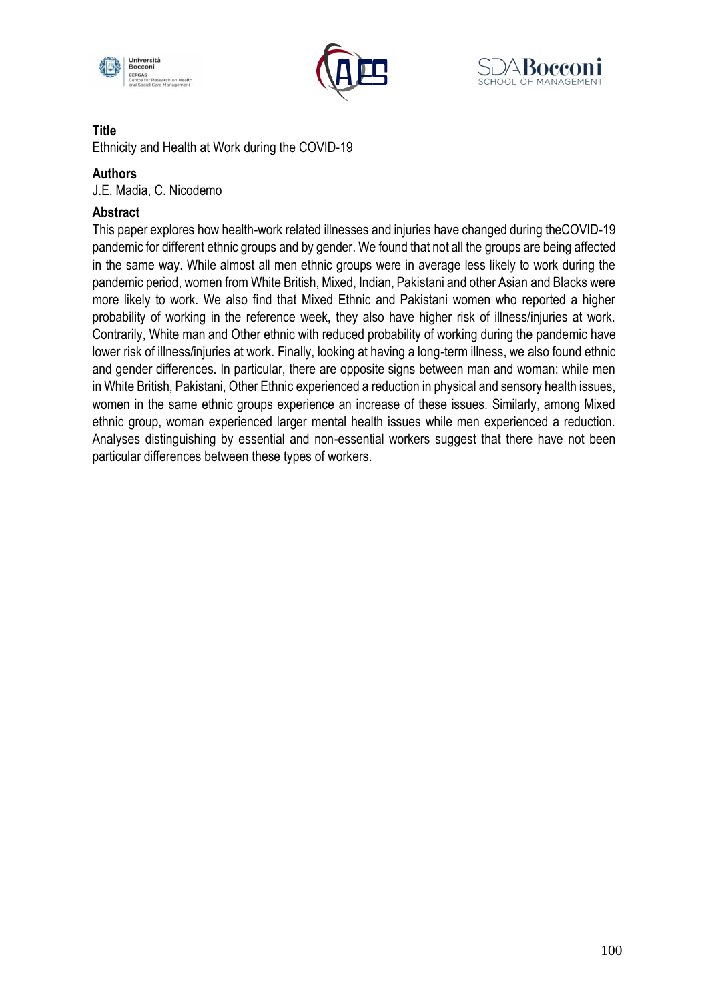





Ethnicity and Health at Work during the COVID-19

## **Authors**

J.E. Madia, C. Nicodemo

## **Abstract**

This paper explores how health-work related illnesses and injuries have changed during theCOVID-19 pandemic for different ethnic groups and by gender. We found that not all the groups are being affected in the same way. While almost all men ethnic groups were in average less likely to work during the pandemic period, women from White British, Mixed, Indian, Pakistani and other Asian and Blacks were more likely to work. We also find that Mixed Ethnic and Pakistani women who reported a higher probability of working in the reference week, they also have higher risk of illness/injuries at work. Contrarily, White man and Other ethnic with reduced probability of working during the pandemic have lower risk of illness/injuries at work. Finally, looking at having a long-term illness, we also found ethnic and gender differences. In particular, there are opposite signs between man and woman: while men in White British, Pakistani, Other Ethnic experienced a reduction in physical and sensory health issues, women in the same ethnic groups experience an increase of these issues. Similarly, among Mixed ethnic group, woman experienced larger mental health issues while men experienced a reduction. Analyses distinguishing by essential and non-essential workers suggest that there have not been particular differences between these types of workers.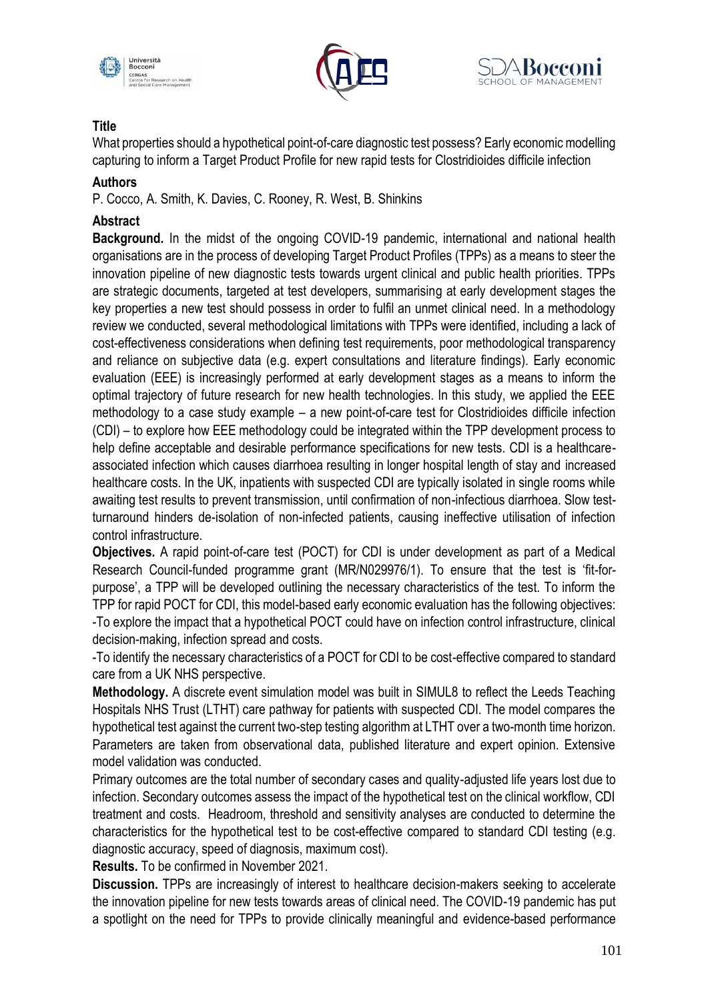





What properties should a hypothetical point-of-care diagnostic test possess? Early economic modelling capturing to inform a Target Product Profile for new rapid tests for Clostridioides difficile infection

# **Authors**

P. Cocco, A. Smith, K. Davies, C. Rooney, R. West, B. Shinkins

# **Abstract**

**Background.** In the midst of the ongoing COVID-19 pandemic, international and national health organisations are in the process of developing Target Product Profiles (TPPs) as a means to steer the innovation pipeline of new diagnostic tests towards urgent clinical and public health priorities. TPPs are strategic documents, targeted at test developers, summarising at early development stages the key properties a new test should possess in order to fulfil an unmet clinical need. In a methodology review we conducted, several methodological limitations with TPPs were identified, including a lack of cost-effectiveness considerations when defining test requirements, poor methodological transparency and reliance on subjective data (e.g. expert consultations and literature findings). Early economic evaluation (EEE) is increasingly performed at early development stages as a means to inform the optimal trajectory of future research for new health technologies. In this study, we applied the EEE methodology to a case study example – a new point-of-care test for Clostridioides difficile infection (CDI) – to explore how EEE methodology could be integrated within the TPP development process to help define acceptable and desirable performance specifications for new tests. CDI is a healthcareassociated infection which causes diarrhoea resulting in longer hospital length of stay and increased healthcare costs. In the UK, inpatients with suspected CDI are typically isolated in single rooms while awaiting test results to prevent transmission, until confirmation of non-infectious diarrhoea. Slow testturnaround hinders de-isolation of non-infected patients, causing ineffective utilisation of infection control infrastructure.

**Objectives.** A rapid point-of-care test (POCT) for CDI is under development as part of a Medical Research Council-funded programme grant (MR/N029976/1). To ensure that the test is 'fit-forpurpose', a TPP will be developed outlining the necessary characteristics of the test. To inform the TPP for rapid POCT for CDI, this model-based early economic evaluation has the following objectives: -To explore the impact that a hypothetical POCT could have on infection control infrastructure, clinical decision-making, infection spread and costs.

-To identify the necessary characteristics of a POCT for CDI to be cost-effective compared to standard care from a UK NHS perspective.

**Methodology.** A discrete event simulation model was built in SIMUL8 to reflect the Leeds Teaching Hospitals NHS Trust (LTHT) care pathway for patients with suspected CDI. The model compares the hypothetical test against the current two-step testing algorithm at LTHT over a two-month time horizon. Parameters are taken from observational data, published literature and expert opinion. Extensive model validation was conducted.

Primary outcomes are the total number of secondary cases and quality-adjusted life years lost due to infection. Secondary outcomes assess the impact of the hypothetical test on the clinical workflow, CDI treatment and costs. Headroom, threshold and sensitivity analyses are conducted to determine the characteristics for the hypothetical test to be cost-effective compared to standard CDI testing (e.g. diagnostic accuracy, speed of diagnosis, maximum cost).

**Results.** To be confirmed in November 2021.

**Discussion.** TPPs are increasingly of interest to healthcare decision-makers seeking to accelerate the innovation pipeline for new tests towards areas of clinical need. The COVID-19 pandemic has put a spotlight on the need for TPPs to provide clinically meaningful and evidence-based performance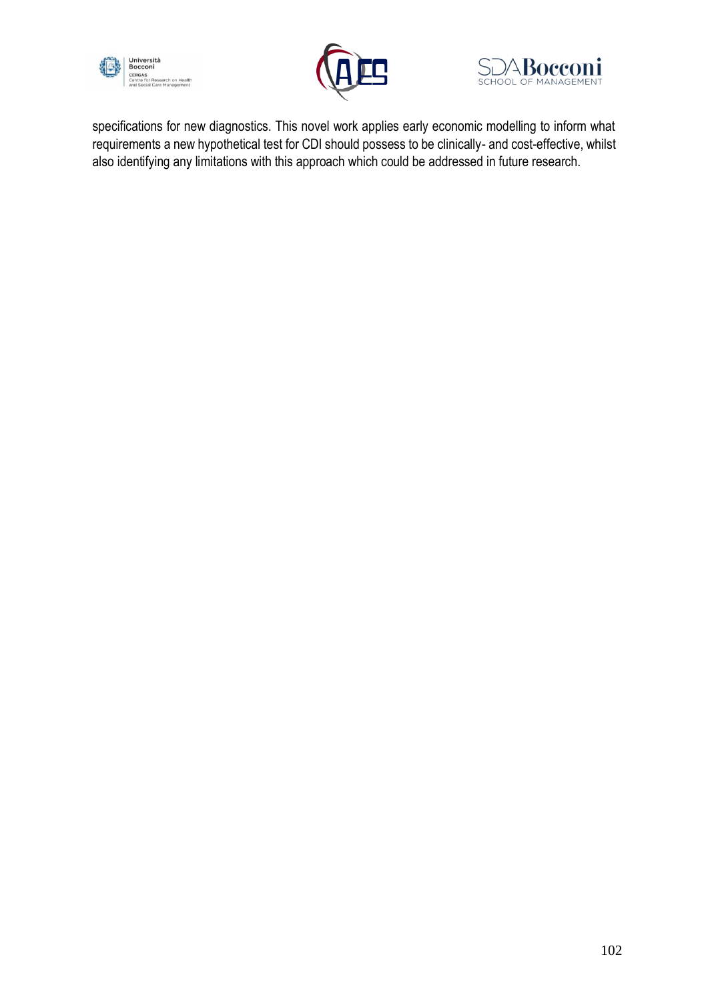





specifications for new diagnostics. This novel work applies early economic modelling to inform what requirements a new hypothetical test for CDI should possess to be clinically- and cost-effective, whilst also identifying any limitations with this approach which could be addressed in future research.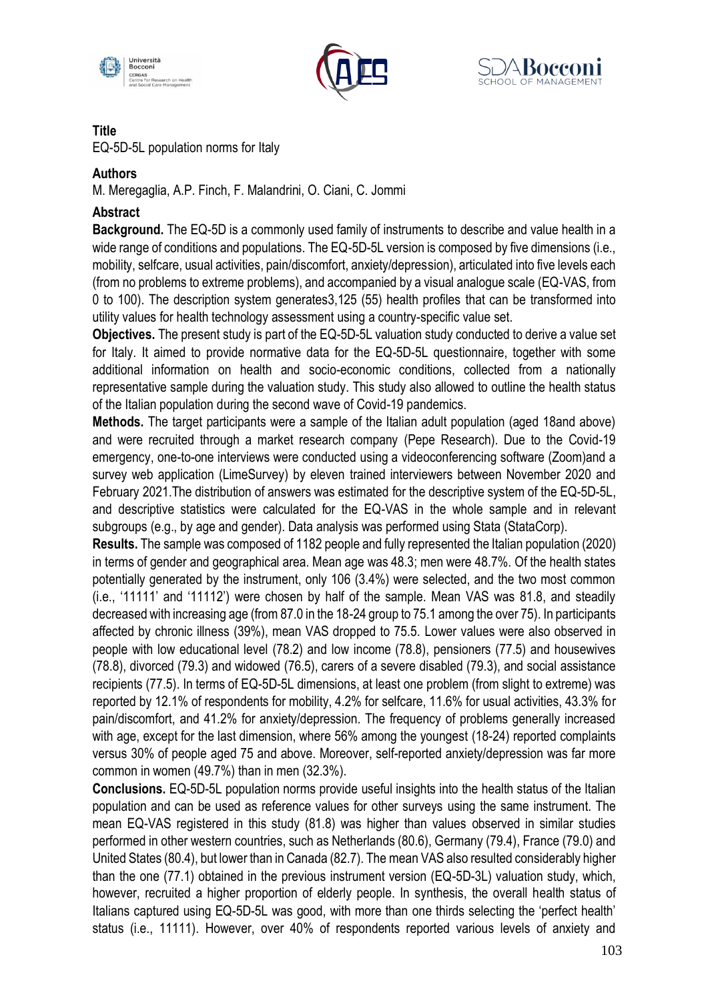





EQ-5D-5L population norms for Italy

#### **Authors**

M. Meregaglia, A.P. Finch, F. Malandrini, O. Ciani, C. Jommi

### **Abstract**

**Background.** The EQ-5D is a commonly used family of instruments to describe and value health in a wide range of conditions and populations. The EQ-5D-5L version is composed by five dimensions (i.e., mobility, selfcare, usual activities, pain/discomfort, anxiety/depression), articulated into five levels each (from no problems to extreme problems), and accompanied by a visual analogue scale (EQ-VAS, from 0 to 100). The description system generates3,125 (55) health profiles that can be transformed into utility values for health technology assessment using a country-specific value set.

**Objectives.** The present study is part of the EQ-5D-5L valuation study conducted to derive a value set for Italy. It aimed to provide normative data for the EQ-5D-5L questionnaire, together with some additional information on health and socio-economic conditions, collected from a nationally representative sample during the valuation study. This study also allowed to outline the health status of the Italian population during the second wave of Covid-19 pandemics.

**Methods.** The target participants were a sample of the Italian adult population (aged 18and above) and were recruited through a market research company (Pepe Research). Due to the Covid-19 emergency, one-to-one interviews were conducted using a videoconferencing software (Zoom)and a survey web application (LimeSurvey) by eleven trained interviewers between November 2020 and February 2021.The distribution of answers was estimated for the descriptive system of the EQ-5D-5L, and descriptive statistics were calculated for the EQ-VAS in the whole sample and in relevant subgroups (e.g., by age and gender). Data analysis was performed using Stata (StataCorp).

**Results.** The sample was composed of 1182 people and fully represented the Italian population (2020) in terms of gender and geographical area. Mean age was 48.3; men were 48.7%. Of the health states potentially generated by the instrument, only 106 (3.4%) were selected, and the two most common (i.e., '11111' and '11112') were chosen by half of the sample. Mean VAS was 81.8, and steadily decreased with increasing age (from 87.0 in the 18-24 group to 75.1 among the over 75). In participants affected by chronic illness (39%), mean VAS dropped to 75.5. Lower values were also observed in people with low educational level (78.2) and low income (78.8), pensioners (77.5) and housewives (78.8), divorced (79.3) and widowed (76.5), carers of a severe disabled (79.3), and social assistance recipients (77.5). In terms of EQ-5D-5L dimensions, at least one problem (from slight to extreme) was reported by 12.1% of respondents for mobility, 4.2% for selfcare, 11.6% for usual activities, 43.3% for pain/discomfort, and 41.2% for anxiety/depression. The frequency of problems generally increased with age, except for the last dimension, where 56% among the youngest (18-24) reported complaints versus 30% of people aged 75 and above. Moreover, self-reported anxiety/depression was far more common in women (49.7%) than in men (32.3%).

**Conclusions.** EQ-5D-5L population norms provide useful insights into the health status of the Italian population and can be used as reference values for other surveys using the same instrument. The mean EQ-VAS registered in this study (81.8) was higher than values observed in similar studies performed in other western countries, such as Netherlands (80.6), Germany (79.4), France (79.0) and United States (80.4), but lower than in Canada (82.7). The mean VAS also resulted considerably higher than the one (77.1) obtained in the previous instrument version (EQ-5D-3L) valuation study, which, however, recruited a higher proportion of elderly people. In synthesis, the overall health status of Italians captured using EQ-5D-5L was good, with more than one thirds selecting the 'perfect health' status (i.e., 11111). However, over 40% of respondents reported various levels of anxiety and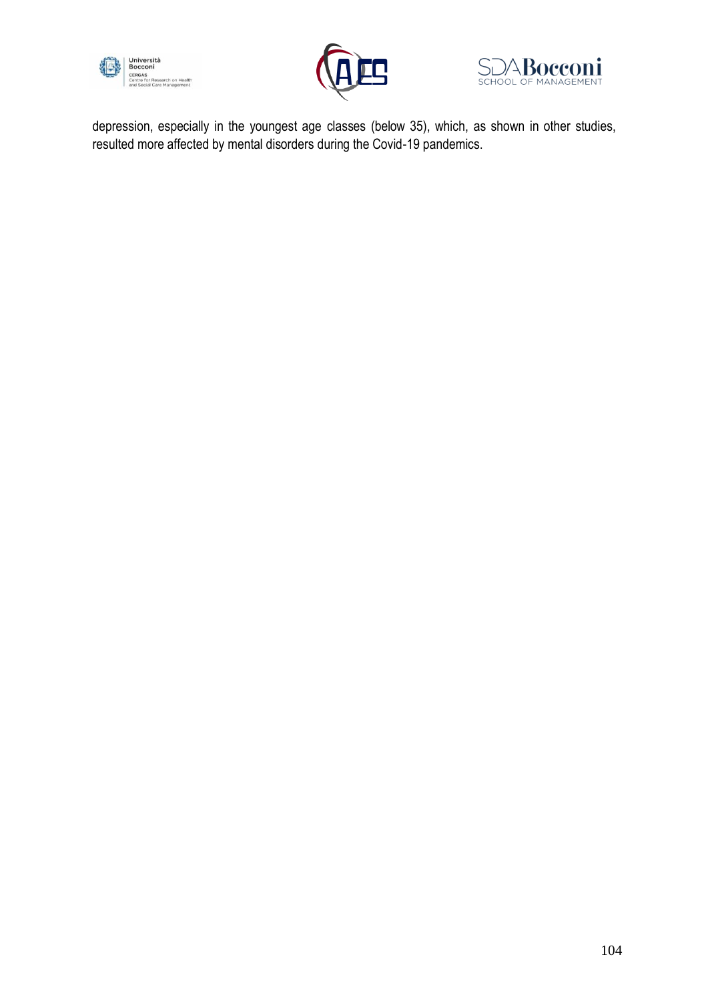





depression, especially in the youngest age classes (below 35), which, as shown in other studies, resulted more affected by mental disorders during the Covid-19 pandemics.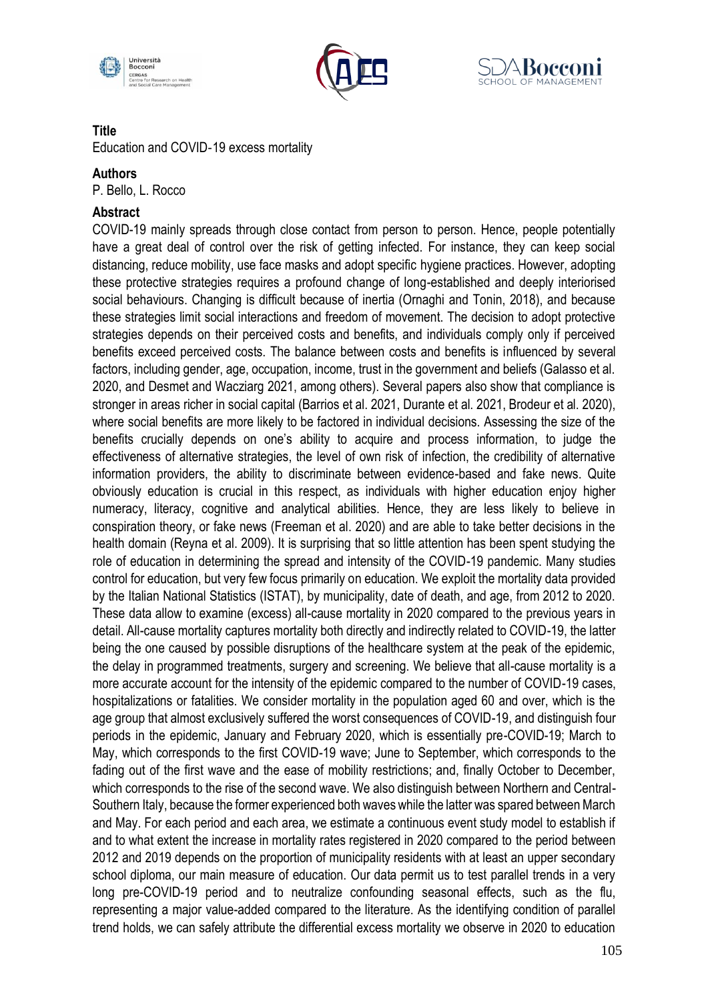





Education and COVID‐19 excess mortality

### **Authors**

P. Bello, L. Rocco

#### **Abstract**

COVID-19 mainly spreads through close contact from person to person. Hence, people potentially have a great deal of control over the risk of getting infected. For instance, they can keep social distancing, reduce mobility, use face masks and adopt specific hygiene practices. However, adopting these protective strategies requires a profound change of long-established and deeply interiorised social behaviours. Changing is difficult because of inertia (Ornaghi and Tonin, 2018), and because these strategies limit social interactions and freedom of movement. The decision to adopt protective strategies depends on their perceived costs and benefits, and individuals comply only if perceived benefits exceed perceived costs. The balance between costs and benefits is influenced by several factors, including gender, age, occupation, income, trust in the government and beliefs (Galasso et al. 2020, and Desmet and Wacziarg 2021, among others). Several papers also show that compliance is stronger in areas richer in social capital (Barrios et al. 2021, Durante et al. 2021, Brodeur et al. 2020), where social benefits are more likely to be factored in individual decisions. Assessing the size of the benefits crucially depends on one's ability to acquire and process information, to judge the effectiveness of alternative strategies, the level of own risk of infection, the credibility of alternative information providers, the ability to discriminate between evidence-based and fake news. Quite obviously education is crucial in this respect, as individuals with higher education enjoy higher numeracy, literacy, cognitive and analytical abilities. Hence, they are less likely to believe in conspiration theory, or fake news (Freeman et al. 2020) and are able to take better decisions in the health domain (Reyna et al. 2009). It is surprising that so little attention has been spent studying the role of education in determining the spread and intensity of the COVID-19 pandemic. Many studies control for education, but very few focus primarily on education. We exploit the mortality data provided by the Italian National Statistics (ISTAT), by municipality, date of death, and age, from 2012 to 2020. These data allow to examine (excess) all-cause mortality in 2020 compared to the previous years in detail. All-cause mortality captures mortality both directly and indirectly related to COVID-19, the latter being the one caused by possible disruptions of the healthcare system at the peak of the epidemic, the delay in programmed treatments, surgery and screening. We believe that all-cause mortality is a more accurate account for the intensity of the epidemic compared to the number of COVID-19 cases, hospitalizations or fatalities. We consider mortality in the population aged 60 and over, which is the age group that almost exclusively suffered the worst consequences of COVID-19, and distinguish four periods in the epidemic, January and February 2020, which is essentially pre-COVID-19; March to May, which corresponds to the first COVID-19 wave; June to September, which corresponds to the fading out of the first wave and the ease of mobility restrictions; and, finally October to December, which corresponds to the rise of the second wave. We also distinguish between Northern and Central-Southern Italy, because the former experienced both waves while the latter was spared between March and May. For each period and each area, we estimate a continuous event study model to establish if and to what extent the increase in mortality rates registered in 2020 compared to the period between 2012 and 2019 depends on the proportion of municipality residents with at least an upper secondary school diploma, our main measure of education. Our data permit us to test parallel trends in a very long pre-COVID-19 period and to neutralize confounding seasonal effects, such as the flu, representing a major value-added compared to the literature. As the identifying condition of parallel trend holds, we can safely attribute the differential excess mortality we observe in 2020 to education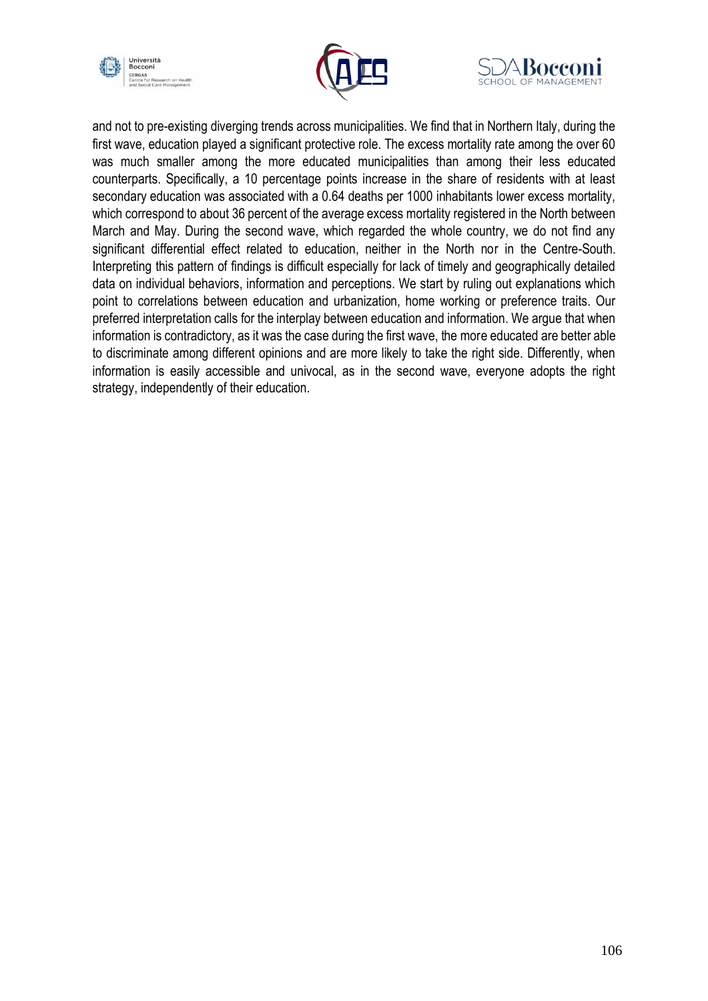





and not to pre-existing diverging trends across municipalities. We find that in Northern Italy, during the first wave, education played a significant protective role. The excess mortality rate among the over 60 was much smaller among the more educated municipalities than among their less educated counterparts. Specifically, a 10 percentage points increase in the share of residents with at least secondary education was associated with a 0.64 deaths per 1000 inhabitants lower excess mortality, which correspond to about 36 percent of the average excess mortality registered in the North between March and May. During the second wave, which regarded the whole country, we do not find any significant differential effect related to education, neither in the North nor in the Centre-South. Interpreting this pattern of findings is difficult especially for lack of timely and geographically detailed data on individual behaviors, information and perceptions. We start by ruling out explanations which point to correlations between education and urbanization, home working or preference traits. Our preferred interpretation calls for the interplay between education and information. We argue that when information is contradictory, as it was the case during the first wave, the more educated are better able to discriminate among different opinions and are more likely to take the right side. Differently, when information is easily accessible and univocal, as in the second wave, everyone adopts the right strategy, independently of their education.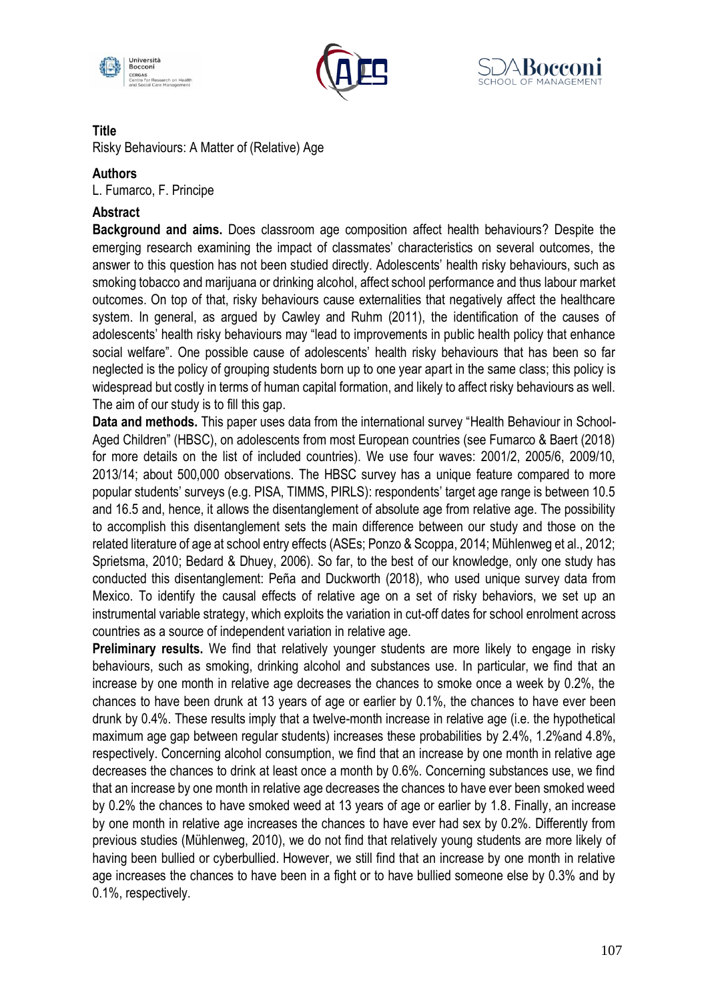





Risky Behaviours: A Matter of (Relative) Age

## **Authors**

L. Fumarco, F. Principe

## **Abstract**

**Background and aims.** Does classroom age composition affect health behaviours? Despite the emerging research examining the impact of classmates' characteristics on several outcomes, the answer to this question has not been studied directly. Adolescents' health risky behaviours, such as smoking tobacco and marijuana or drinking alcohol, affect school performance and thus labour market outcomes. On top of that, risky behaviours cause externalities that negatively affect the healthcare system. In general, as argued by Cawley and Ruhm (2011), the identification of the causes of adolescents' health risky behaviours may "lead to improvements in public health policy that enhance social welfare". One possible cause of adolescents' health risky behaviours that has been so far neglected is the policy of grouping students born up to one year apart in the same class; this policy is widespread but costly in terms of human capital formation, and likely to affect risky behaviours as well. The aim of our study is to fill this gap.

**Data and methods.** This paper uses data from the international survey "Health Behaviour in School-Aged Children" (HBSC), on adolescents from most European countries (see Fumarco & Baert (2018) for more details on the list of included countries). We use four waves: 2001/2, 2005/6, 2009/10, 2013/14; about 500,000 observations. The HBSC survey has a unique feature compared to more popular students' surveys (e.g. PISA, TIMMS, PIRLS): respondents' target age range is between 10.5 and 16.5 and, hence, it allows the disentanglement of absolute age from relative age. The possibility to accomplish this disentanglement sets the main difference between our study and those on the related literature of age at school entry effects (ASEs; Ponzo & Scoppa, 2014; Mühlenweg et al., 2012; Sprietsma, 2010; Bedard & Dhuey, 2006). So far, to the best of our knowledge, only one study has conducted this disentanglement: Peña and Duckworth (2018), who used unique survey data from Mexico. To identify the causal effects of relative age on a set of risky behaviors, we set up an instrumental variable strategy, which exploits the variation in cut-off dates for school enrolment across countries as a source of independent variation in relative age.

**Preliminary results.** We find that relatively younger students are more likely to engage in risky behaviours, such as smoking, drinking alcohol and substances use. In particular, we find that an increase by one month in relative age decreases the chances to smoke once a week by 0.2%, the chances to have been drunk at 13 years of age or earlier by 0.1%, the chances to have ever been drunk by 0.4%. These results imply that a twelve-month increase in relative age (i.e. the hypothetical maximum age gap between regular students) increases these probabilities by 2.4%, 1.2%and 4.8%, respectively. Concerning alcohol consumption, we find that an increase by one month in relative age decreases the chances to drink at least once a month by 0.6%. Concerning substances use, we find that an increase by one month in relative age decreases the chances to have ever been smoked weed by 0.2% the chances to have smoked weed at 13 years of age or earlier by 1.8. Finally, an increase by one month in relative age increases the chances to have ever had sex by 0.2%. Differently from previous studies (Mühlenweg, 2010), we do not find that relatively young students are more likely of having been bullied or cyberbullied. However, we still find that an increase by one month in relative age increases the chances to have been in a fight or to have bullied someone else by 0.3% and by 0.1%, respectively.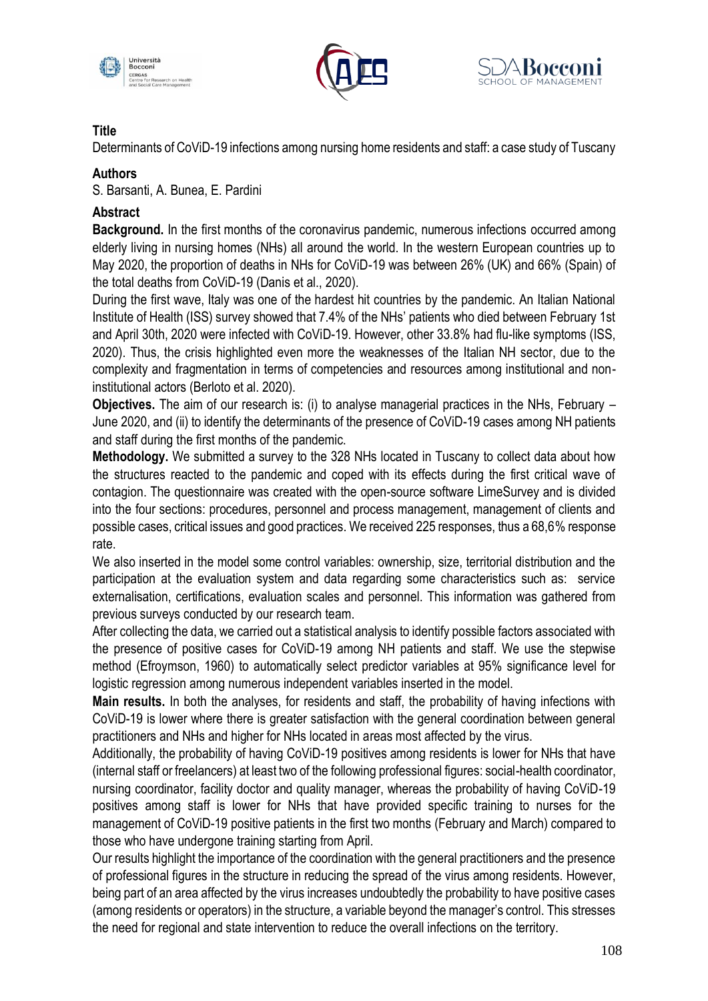





Determinants of CoViD-19 infections among nursing home residents and staff: a case study of Tuscany

## **Authors**

S. Barsanti, A. Bunea, E. Pardini

# **Abstract**

**Background.** In the first months of the coronavirus pandemic, numerous infections occurred among elderly living in nursing homes (NHs) all around the world. In the western European countries up to May 2020, the proportion of deaths in NHs for CoViD-19 was between 26% (UK) and 66% (Spain) of the total deaths from CoViD-19 (Danis et al., 2020).

During the first wave, Italy was one of the hardest hit countries by the pandemic. An Italian National Institute of Health (ISS) survey showed that 7.4% of the NHs' patients who died between February 1st and April 30th, 2020 were infected with CoViD-19. However, other 33.8% had flu-like symptoms (ISS, 2020). Thus, the crisis highlighted even more the weaknesses of the Italian NH sector, due to the complexity and fragmentation in terms of competencies and resources among institutional and noninstitutional actors (Berloto et al. 2020).

**Objectives.** The aim of our research is: (i) to analyse managerial practices in the NHs, February – June 2020, and (ii) to identify the determinants of the presence of CoViD-19 cases among NH patients and staff during the first months of the pandemic.

**Methodology.** We submitted a survey to the 328 NHs located in Tuscany to collect data about how the structures reacted to the pandemic and coped with its effects during the first critical wave of contagion. The questionnaire was created with the open-source software LimeSurvey and is divided into the four sections: procedures, personnel and process management, management of clients and possible cases, critical issues and good practices. We received 225 responses, thus a 68,6% response rate.

We also inserted in the model some control variables: ownership, size, territorial distribution and the participation at the evaluation system and data regarding some characteristics such as: service externalisation, certifications, evaluation scales and personnel. This information was gathered from previous surveys conducted by our research team.

After collecting the data, we carried out a statistical analysis to identify possible factors associated with the presence of positive cases for CoViD-19 among NH patients and staff. We use the stepwise method (Efroymson, 1960) to automatically select predictor variables at 95% significance level for logistic regression among numerous independent variables inserted in the model.

**Main results.** In both the analyses, for residents and staff, the probability of having infections with CoViD-19 is lower where there is greater satisfaction with the general coordination between general practitioners and NHs and higher for NHs located in areas most affected by the virus.

Additionally, the probability of having CoViD-19 positives among residents is lower for NHs that have (internal staff or freelancers) at least two of the following professional figures: social-health coordinator, nursing coordinator, facility doctor and quality manager, whereas the probability of having CoViD-19 positives among staff is lower for NHs that have provided specific training to nurses for the management of CoViD-19 positive patients in the first two months (February and March) compared to those who have undergone training starting from April.

Our results highlight the importance of the coordination with the general practitioners and the presence of professional figures in the structure in reducing the spread of the virus among residents. However, being part of an area affected by the virus increases undoubtedly the probability to have positive cases (among residents or operators) in the structure, a variable beyond the manager's control. This stresses the need for regional and state intervention to reduce the overall infections on the territory.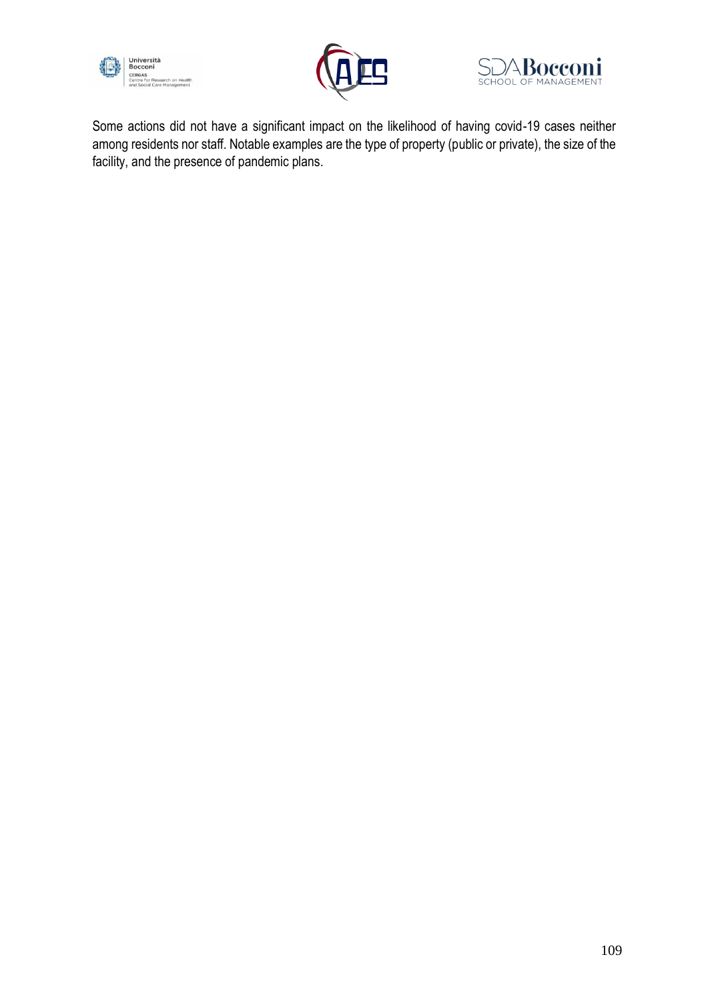





Some actions did not have a significant impact on the likelihood of having covid-19 cases neither among residents nor staff. Notable examples are the type of property (public or private), the size of the facility, and the presence of pandemic plans.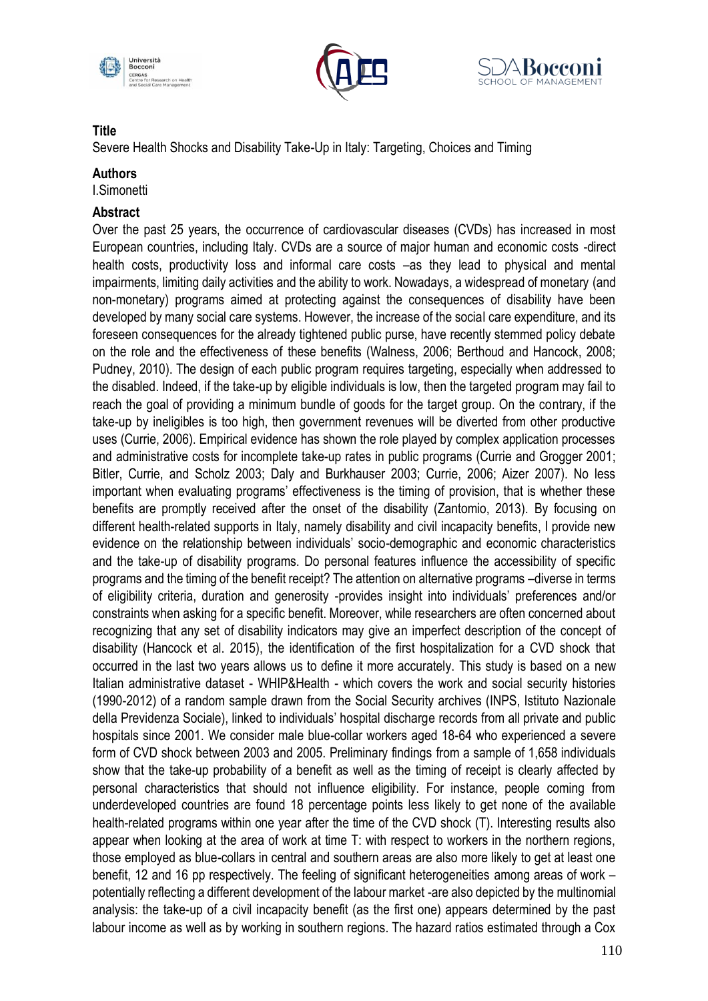





Severe Health Shocks and Disability Take-Up in Italy: Targeting, Choices and Timing

#### **Authors**

I.Simonetti

#### **Abstract**

Over the past 25 years, the occurrence of cardiovascular diseases (CVDs) has increased in most European countries, including Italy. CVDs are a source of major human and economic costs -direct health costs, productivity loss and informal care costs –as they lead to physical and mental impairments, limiting daily activities and the ability to work. Nowadays, a widespread of monetary (and non-monetary) programs aimed at protecting against the consequences of disability have been developed by many social care systems. However, the increase of the social care expenditure, and its foreseen consequences for the already tightened public purse, have recently stemmed policy debate on the role and the effectiveness of these benefits (Walness, 2006; Berthoud and Hancock, 2008; Pudney, 2010). The design of each public program requires targeting, especially when addressed to the disabled. Indeed, if the take-up by eligible individuals is low, then the targeted program may fail to reach the goal of providing a minimum bundle of goods for the target group. On the contrary, if the take-up by ineligibles is too high, then government revenues will be diverted from other productive uses (Currie, 2006). Empirical evidence has shown the role played by complex application processes and administrative costs for incomplete take-up rates in public programs (Currie and Grogger 2001; Bitler, Currie, and Scholz 2003; Daly and Burkhauser 2003; Currie, 2006; Aizer 2007). No less important when evaluating programs' effectiveness is the timing of provision, that is whether these benefits are promptly received after the onset of the disability (Zantomio, 2013). By focusing on different health-related supports in Italy, namely disability and civil incapacity benefits, I provide new evidence on the relationship between individuals' socio-demographic and economic characteristics and the take-up of disability programs. Do personal features influence the accessibility of specific programs and the timing of the benefit receipt? The attention on alternative programs –diverse in terms of eligibility criteria, duration and generosity -provides insight into individuals' preferences and/or constraints when asking for a specific benefit. Moreover, while researchers are often concerned about recognizing that any set of disability indicators may give an imperfect description of the concept of disability (Hancock et al. 2015), the identification of the first hospitalization for a CVD shock that occurred in the last two years allows us to define it more accurately. This study is based on a new Italian administrative dataset - WHIP&Health - which covers the work and social security histories (1990-2012) of a random sample drawn from the Social Security archives (INPS, Istituto Nazionale della Previdenza Sociale), linked to individuals' hospital discharge records from all private and public hospitals since 2001. We consider male blue-collar workers aged 18-64 who experienced a severe form of CVD shock between 2003 and 2005. Preliminary findings from a sample of 1,658 individuals show that the take-up probability of a benefit as well as the timing of receipt is clearly affected by personal characteristics that should not influence eligibility. For instance, people coming from underdeveloped countries are found 18 percentage points less likely to get none of the available health-related programs within one year after the time of the CVD shock (T). Interesting results also appear when looking at the area of work at time T: with respect to workers in the northern regions, those employed as blue-collars in central and southern areas are also more likely to get at least one benefit, 12 and 16 pp respectively. The feeling of significant heterogeneities among areas of work – potentially reflecting a different development of the labour market -are also depicted by the multinomial analysis: the take-up of a civil incapacity benefit (as the first one) appears determined by the past labour income as well as by working in southern regions. The hazard ratios estimated through a Cox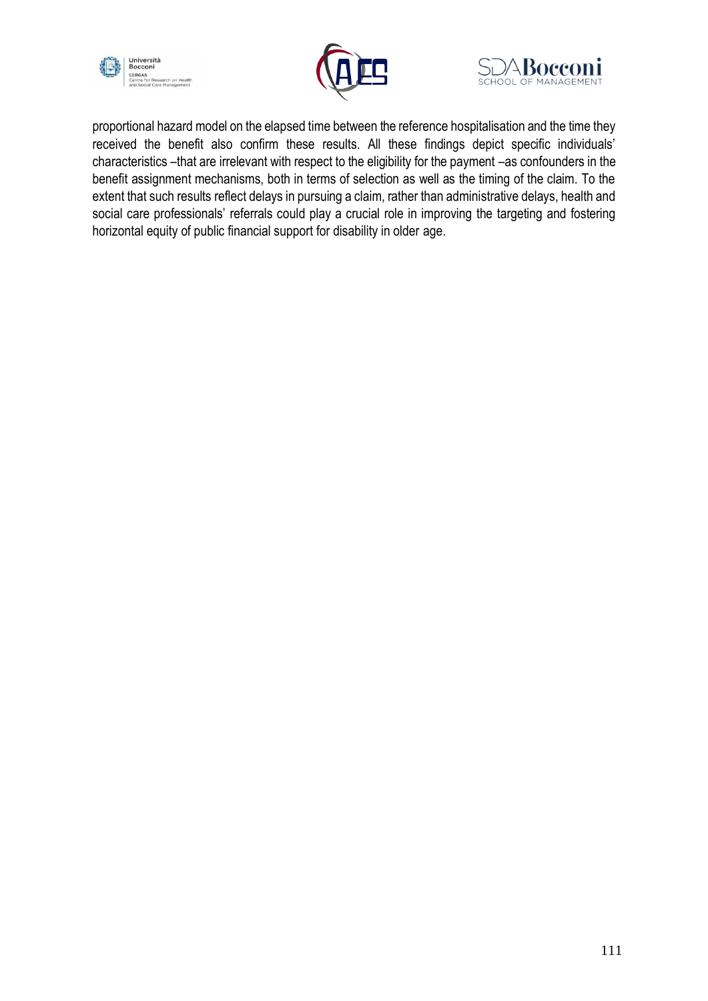





proportional hazard model on the elapsed time between the reference hospitalisation and the time they received the benefit also confirm these results. All these findings depict specific individuals' characteristics –that are irrelevant with respect to the eligibility for the payment –as confounders in the benefit assignment mechanisms, both in terms of selection as well as the timing of the claim. To the extent that such results reflect delays in pursuing a claim, rather than administrative delays, health and social care professionals' referrals could play a crucial role in improving the targeting and fostering horizontal equity of public financial support for disability in older age.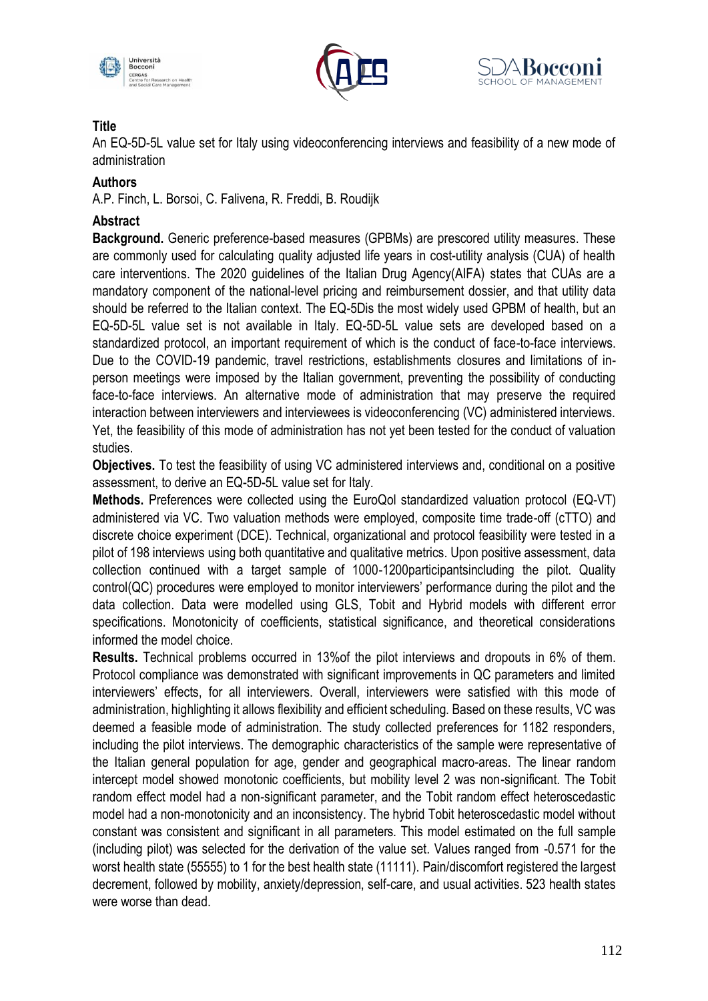





An EQ-5D-5L value set for Italy using videoconferencing interviews and feasibility of a new mode of administration

### **Authors**

A.P. Finch, L. Borsoi, C. Falivena, R. Freddi, B. Roudijk

### **Abstract**

**Background.** Generic preference-based measures (GPBMs) are prescored utility measures. These are commonly used for calculating quality adjusted life years in cost-utility analysis (CUA) of health care interventions. The 2020 guidelines of the Italian Drug Agency(AIFA) states that CUAs are a mandatory component of the national-level pricing and reimbursement dossier, and that utility data should be referred to the Italian context. The EQ-5Dis the most widely used GPBM of health, but an EQ-5D-5L value set is not available in Italy. EQ-5D-5L value sets are developed based on a standardized protocol, an important requirement of which is the conduct of face-to-face interviews. Due to the COVID-19 pandemic, travel restrictions, establishments closures and limitations of inperson meetings were imposed by the Italian government, preventing the possibility of conducting face-to-face interviews. An alternative mode of administration that may preserve the required interaction between interviewers and interviewees is videoconferencing (VC) administered interviews. Yet, the feasibility of this mode of administration has not yet been tested for the conduct of valuation studies.

**Objectives.** To test the feasibility of using VC administered interviews and, conditional on a positive assessment, to derive an EQ-5D-5L value set for Italy.

**Methods.** Preferences were collected using the EuroQol standardized valuation protocol (EQ-VT) administered via VC. Two valuation methods were employed, composite time trade-off (cTTO) and discrete choice experiment (DCE). Technical, organizational and protocol feasibility were tested in a pilot of 198 interviews using both quantitative and qualitative metrics. Upon positive assessment, data collection continued with a target sample of 1000-1200participantsincluding the pilot. Quality control(QC) procedures were employed to monitor interviewers' performance during the pilot and the data collection. Data were modelled using GLS, Tobit and Hybrid models with different error specifications. Monotonicity of coefficients, statistical significance, and theoretical considerations informed the model choice.

**Results.** Technical problems occurred in 13%of the pilot interviews and dropouts in 6% of them. Protocol compliance was demonstrated with significant improvements in QC parameters and limited interviewers' effects, for all interviewers. Overall, interviewers were satisfied with this mode of administration, highlighting it allows flexibility and efficient scheduling. Based on these results, VC was deemed a feasible mode of administration. The study collected preferences for 1182 responders, including the pilot interviews. The demographic characteristics of the sample were representative of the Italian general population for age, gender and geographical macro-areas. The linear random intercept model showed monotonic coefficients, but mobility level 2 was non-significant. The Tobit random effect model had a non-significant parameter, and the Tobit random effect heteroscedastic model had a non-monotonicity and an inconsistency. The hybrid Tobit heteroscedastic model without constant was consistent and significant in all parameters. This model estimated on the full sample (including pilot) was selected for the derivation of the value set. Values ranged from -0.571 for the worst health state (55555) to 1 for the best health state (11111). Pain/discomfort registered the largest decrement, followed by mobility, anxiety/depression, self-care, and usual activities. 523 health states were worse than dead.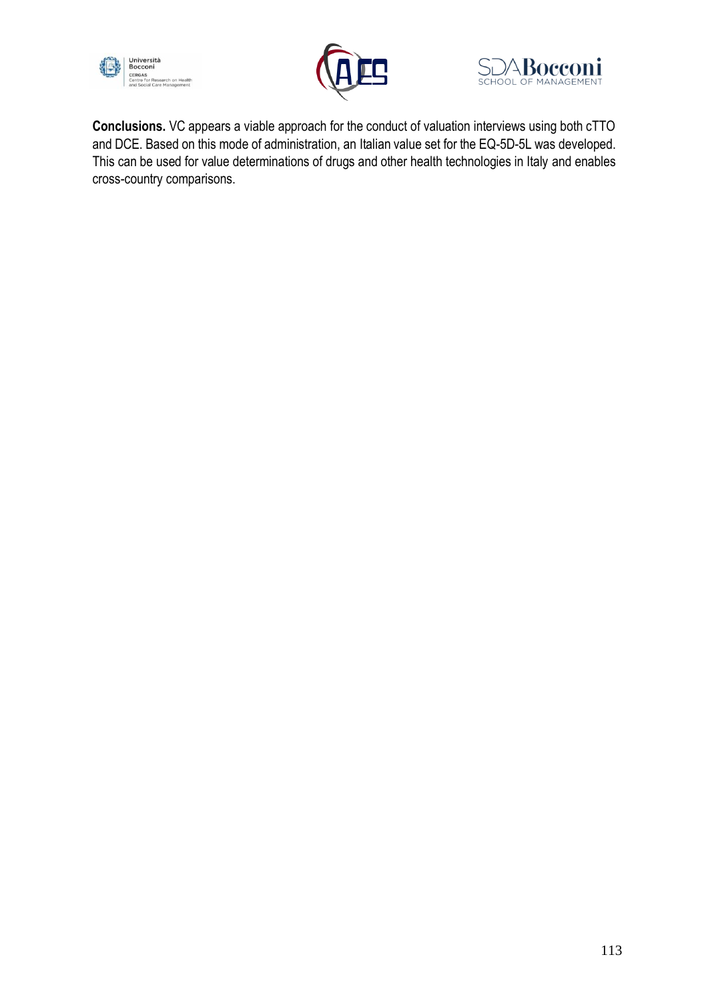





**Conclusions.** VC appears a viable approach for the conduct of valuation interviews using both cTTO and DCE. Based on this mode of administration, an Italian value set for the EQ-5D-5L was developed. This can be used for value determinations of drugs and other health technologies in Italy and enables cross-country comparisons.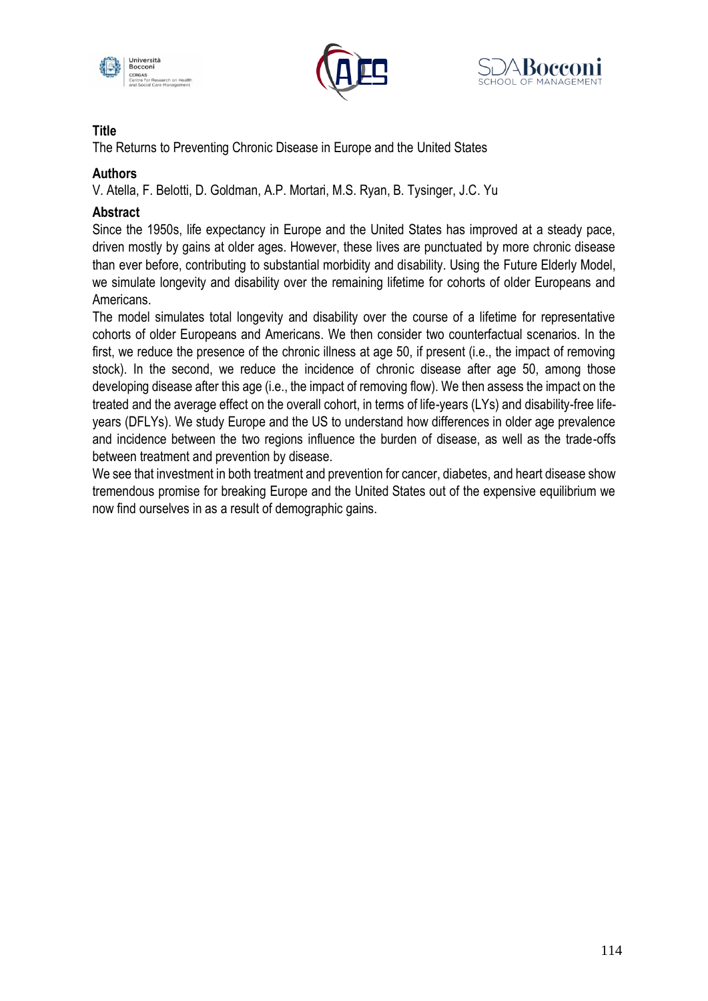





The Returns to Preventing Chronic Disease in Europe and the United States

## **Authors**

V. Atella, F. Belotti, D. Goldman, A.P. Mortari, M.S. Ryan, B. Tysinger, J.C. Yu

# **Abstract**

Since the 1950s, life expectancy in Europe and the United States has improved at a steady pace, driven mostly by gains at older ages. However, these lives are punctuated by more chronic disease than ever before, contributing to substantial morbidity and disability. Using the Future Elderly Model, we simulate longevity and disability over the remaining lifetime for cohorts of older Europeans and Americans.

The model simulates total longevity and disability over the course of a lifetime for representative cohorts of older Europeans and Americans. We then consider two counterfactual scenarios. In the first, we reduce the presence of the chronic illness at age 50, if present (i.e., the impact of removing stock). In the second, we reduce the incidence of chronic disease after age 50, among those developing disease after this age (i.e., the impact of removing flow). We then assess the impact on the treated and the average effect on the overall cohort, in terms of life-years (LYs) and disability-free lifeyears (DFLYs). We study Europe and the US to understand how differences in older age prevalence and incidence between the two regions influence the burden of disease, as well as the trade-offs between treatment and prevention by disease.

We see that investment in both treatment and prevention for cancer, diabetes, and heart disease show tremendous promise for breaking Europe and the United States out of the expensive equilibrium we now find ourselves in as a result of demographic gains.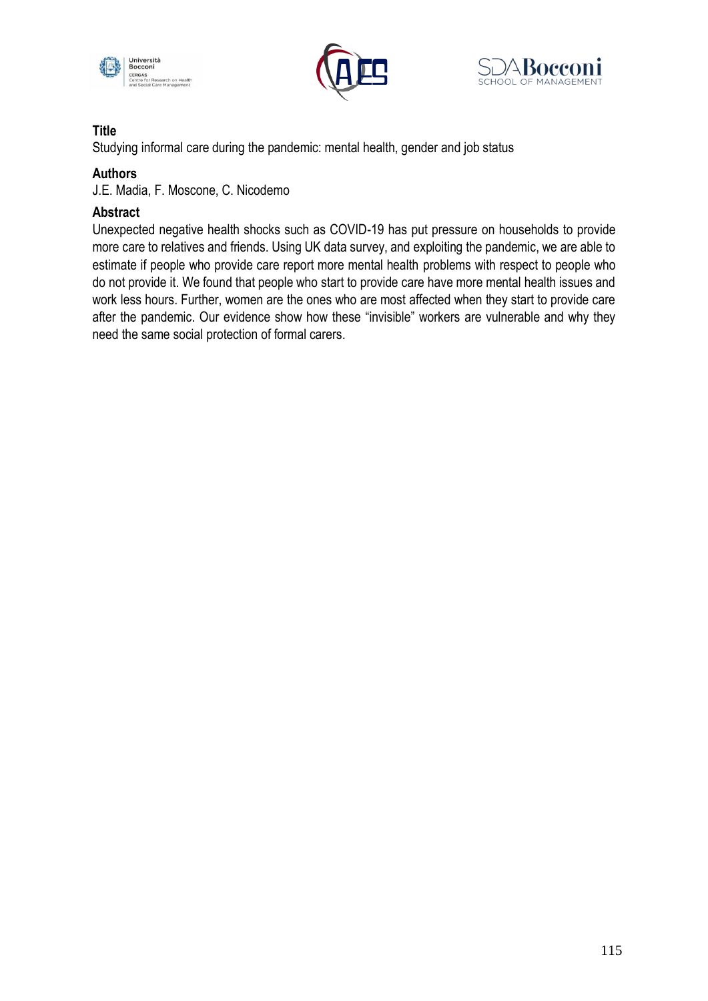





Studying informal care during the pandemic: mental health, gender and job status

#### **Authors**

J.E. Madia, F. Moscone, C. Nicodemo

### **Abstract**

Unexpected negative health shocks such as COVID-19 has put pressure on households to provide more care to relatives and friends. Using UK data survey, and exploiting the pandemic, we are able to estimate if people who provide care report more mental health problems with respect to people who do not provide it. We found that people who start to provide care have more mental health issues and work less hours. Further, women are the ones who are most affected when they start to provide care after the pandemic. Our evidence show how these "invisible" workers are vulnerable and why they need the same social protection of formal carers.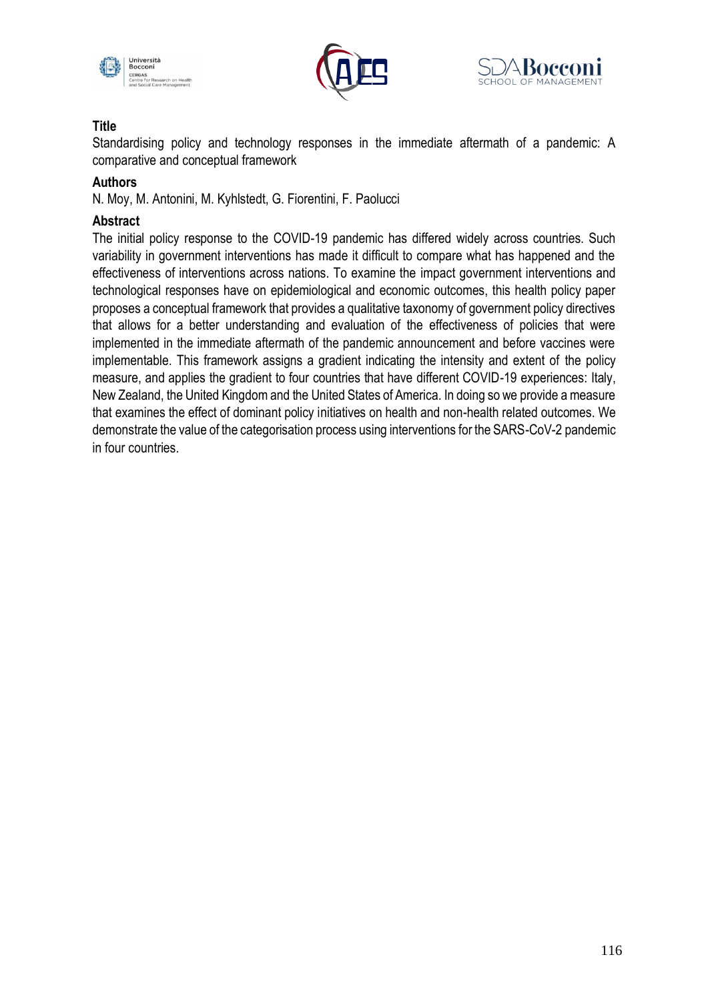





Standardising policy and technology responses in the immediate aftermath of a pandemic: A comparative and conceptual framework

#### **Authors**

N. Moy, M. Antonini, M. Kyhlstedt, G. Fiorentini, F. Paolucci

#### **Abstract**

The initial policy response to the COVID-19 pandemic has differed widely across countries. Such variability in government interventions has made it difficult to compare what has happened and the effectiveness of interventions across nations. To examine the impact government interventions and technological responses have on epidemiological and economic outcomes, this health policy paper proposes a conceptual framework that provides a qualitative taxonomy of government policy directives that allows for a better understanding and evaluation of the effectiveness of policies that were implemented in the immediate aftermath of the pandemic announcement and before vaccines were implementable. This framework assigns a gradient indicating the intensity and extent of the policy measure, and applies the gradient to four countries that have different COVID-19 experiences: Italy, New Zealand, the United Kingdom and the United States of America. In doing so we provide a measure that examines the effect of dominant policy initiatives on health and non-health related outcomes. We demonstrate the value of the categorisation process using interventions for the SARS-CoV-2 pandemic in four countries.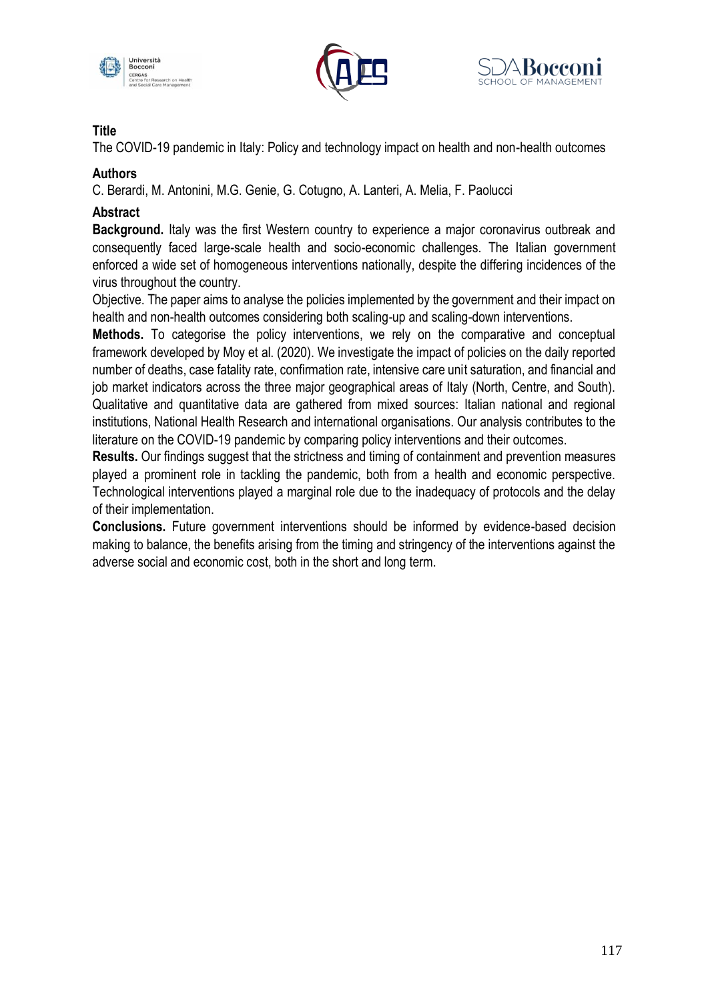





The COVID-19 pandemic in Italy: Policy and technology impact on health and non-health outcomes

### **Authors**

C. Berardi, M. Antonini, M.G. Genie, G. Cotugno, A. Lanteri, A. Melia, F. Paolucci

## **Abstract**

**Background.** Italy was the first Western country to experience a major coronavirus outbreak and consequently faced large-scale health and socio-economic challenges. The Italian government enforced a wide set of homogeneous interventions nationally, despite the differing incidences of the virus throughout the country.

Objective. The paper aims to analyse the policies implemented by the government and their impact on health and non-health outcomes considering both scaling-up and scaling-down interventions.

**Methods.** To categorise the policy interventions, we rely on the comparative and conceptual framework developed by Moy et al. (2020). We investigate the impact of policies on the daily reported number of deaths, case fatality rate, confirmation rate, intensive care unit saturation, and financial and job market indicators across the three major geographical areas of Italy (North, Centre, and South). Qualitative and quantitative data are gathered from mixed sources: Italian national and regional institutions, National Health Research and international organisations. Our analysis contributes to the literature on the COVID-19 pandemic by comparing policy interventions and their outcomes.

**Results.** Our findings suggest that the strictness and timing of containment and prevention measures played a prominent role in tackling the pandemic, both from a health and economic perspective. Technological interventions played a marginal role due to the inadequacy of protocols and the delay of their implementation.

**Conclusions.** Future government interventions should be informed by evidence-based decision making to balance, the benefits arising from the timing and stringency of the interventions against the adverse social and economic cost, both in the short and long term.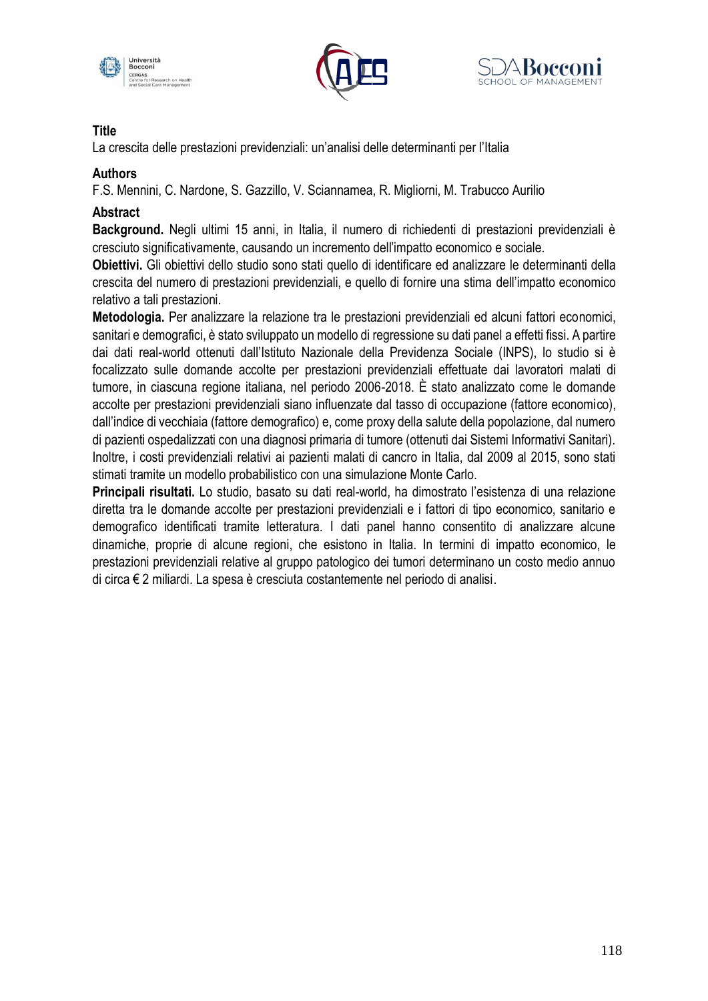





La crescita delle prestazioni previdenziali: un'analisi delle determinanti per l'Italia

## **Authors**

F.S. Mennini, C. Nardone, S. Gazzillo, V. Sciannamea, R. Migliorni, M. Trabucco Aurilio

# **Abstract**

**Background.** Negli ultimi 15 anni, in Italia, il numero di richiedenti di prestazioni previdenziali è cresciuto significativamente, causando un incremento dell'impatto economico e sociale.

**Obiettivi.** Gli obiettivi dello studio sono stati quello di identificare ed analizzare le determinanti della crescita del numero di prestazioni previdenziali, e quello di fornire una stima dell'impatto economico relativo a tali prestazioni.

**Metodologia.** Per analizzare la relazione tra le prestazioni previdenziali ed alcuni fattori economici, sanitari e demografici, è stato sviluppato un modello di regressione su dati panel a effetti fissi. A partire dai dati real-world ottenuti dall'Istituto Nazionale della Previdenza Sociale (INPS), lo studio si è focalizzato sulle domande accolte per prestazioni previdenziali effettuate dai lavoratori malati di tumore, in ciascuna regione italiana, nel periodo 2006-2018. È stato analizzato come le domande accolte per prestazioni previdenziali siano influenzate dal tasso di occupazione (fattore economico), dall'indice di vecchiaia (fattore demografico) e, come proxy della salute della popolazione, dal numero di pazienti ospedalizzati con una diagnosi primaria di tumore (ottenuti dai Sistemi Informativi Sanitari). Inoltre, i costi previdenziali relativi ai pazienti malati di cancro in Italia, dal 2009 al 2015, sono stati stimati tramite un modello probabilistico con una simulazione Monte Carlo.

**Principali risultati.** Lo studio, basato su dati real-world, ha dimostrato l'esistenza di una relazione diretta tra le domande accolte per prestazioni previdenziali e i fattori di tipo economico, sanitario e demografico identificati tramite letteratura. I dati panel hanno consentito di analizzare alcune dinamiche, proprie di alcune regioni, che esistono in Italia. In termini di impatto economico, le prestazioni previdenziali relative al gruppo patologico dei tumori determinano un costo medio annuo di circa € 2 miliardi. La spesa è cresciuta costantemente nel periodo di analisi.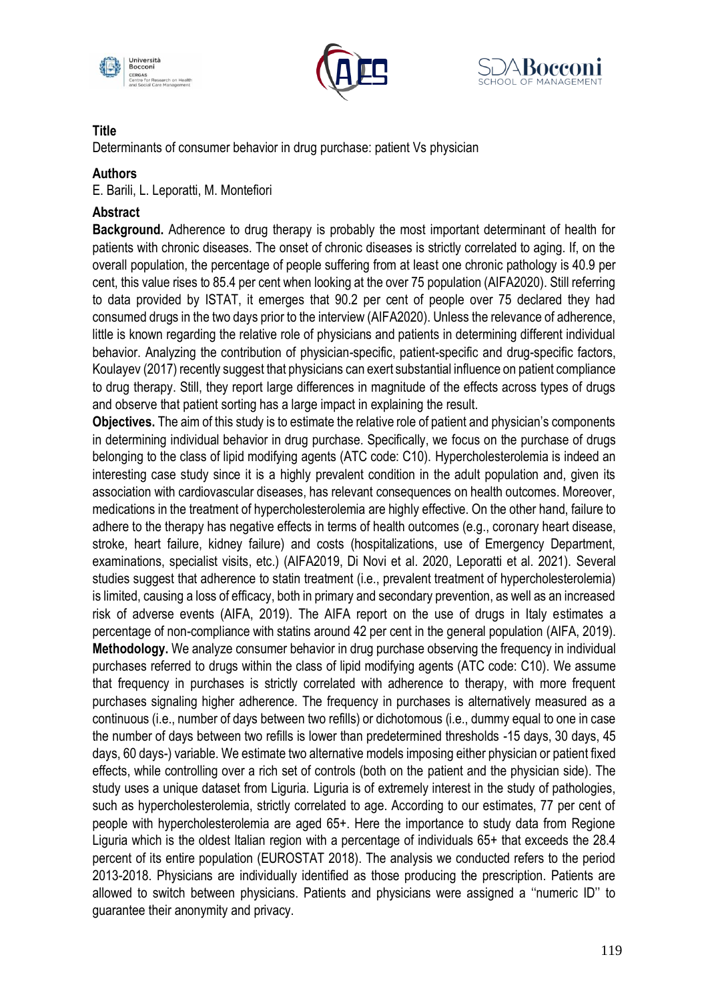





Determinants of consumer behavior in drug purchase: patient Vs physician

### **Authors**

E. Barili, L. Leporatti, M. Montefiori

# **Abstract**

**Background.** Adherence to drug therapy is probably the most important determinant of health for patients with chronic diseases. The onset of chronic diseases is strictly correlated to aging. If, on the overall population, the percentage of people suffering from at least one chronic pathology is 40.9 per cent, this value rises to 85.4 per cent when looking at the over 75 population (AIFA2020). Still referring to data provided by ISTAT, it emerges that 90.2 per cent of people over 75 declared they had consumed drugs in the two days prior to the interview (AIFA2020). Unless the relevance of adherence, little is known regarding the relative role of physicians and patients in determining different individual behavior. Analyzing the contribution of physician-specific, patient-specific and drug-specific factors, Koulayev (2017) recently suggest that physicians can exert substantial influence on patient compliance to drug therapy. Still, they report large differences in magnitude of the effects across types of drugs and observe that patient sorting has a large impact in explaining the result.

**Objectives.** The aim of this study is to estimate the relative role of patient and physician's components in determining individual behavior in drug purchase. Specifically, we focus on the purchase of drugs belonging to the class of lipid modifying agents (ATC code: C10). Hypercholesterolemia is indeed an interesting case study since it is a highly prevalent condition in the adult population and, given its association with cardiovascular diseases, has relevant consequences on health outcomes. Moreover, medications in the treatment of hypercholesterolemia are highly effective. On the other hand, failure to adhere to the therapy has negative effects in terms of health outcomes (e.g., coronary heart disease, stroke, heart failure, kidney failure) and costs (hospitalizations, use of Emergency Department, examinations, specialist visits, etc.) (AIFA2019, Di Novi et al. 2020, Leporatti et al. 2021). Several studies suggest that adherence to statin treatment (i.e., prevalent treatment of hypercholesterolemia) is limited, causing a loss of efficacy, both in primary and secondary prevention, as well as an increased risk of adverse events (AIFA, 2019). The AIFA report on the use of drugs in Italy estimates a percentage of non-compliance with statins around 42 per cent in the general population (AIFA, 2019). **Methodology.** We analyze consumer behavior in drug purchase observing the frequency in individual purchases referred to drugs within the class of lipid modifying agents (ATC code: C10). We assume that frequency in purchases is strictly correlated with adherence to therapy, with more frequent purchases signaling higher adherence. The frequency in purchases is alternatively measured as a continuous (i.e., number of days between two refills) or dichotomous (i.e., dummy equal to one in case the number of days between two refills is lower than predetermined thresholds -15 days, 30 days, 45 days, 60 days-) variable. We estimate two alternative models imposing either physician or patient fixed effects, while controlling over a rich set of controls (both on the patient and the physician side). The study uses a unique dataset from Liguria. Liguria is of extremely interest in the study of pathologies, such as hypercholesterolemia, strictly correlated to age. According to our estimates, 77 per cent of people with hypercholesterolemia are aged 65+. Here the importance to study data from Regione Liguria which is the oldest Italian region with a percentage of individuals 65+ that exceeds the 28.4 percent of its entire population (EUROSTAT 2018). The analysis we conducted refers to the period 2013-2018. Physicians are individually identified as those producing the prescription. Patients are allowed to switch between physicians. Patients and physicians were assigned a ''numeric ID'' to guarantee their anonymity and privacy.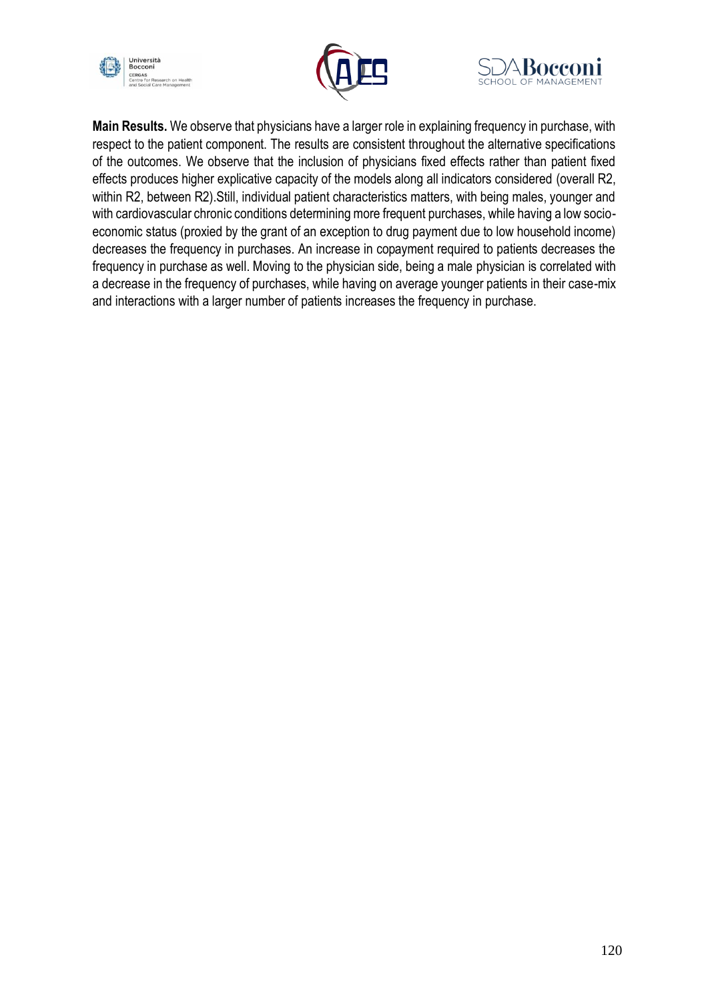





**Main Results.** We observe that physicians have a larger role in explaining frequency in purchase, with respect to the patient component. The results are consistent throughout the alternative specifications of the outcomes. We observe that the inclusion of physicians fixed effects rather than patient fixed effects produces higher explicative capacity of the models along all indicators considered (overall R2, within R2, between R2).Still, individual patient characteristics matters, with being males, younger and with cardiovascular chronic conditions determining more frequent purchases, while having a low socioeconomic status (proxied by the grant of an exception to drug payment due to low household income) decreases the frequency in purchases. An increase in copayment required to patients decreases the frequency in purchase as well. Moving to the physician side, being a male physician is correlated with a decrease in the frequency of purchases, while having on average younger patients in their case-mix and interactions with a larger number of patients increases the frequency in purchase.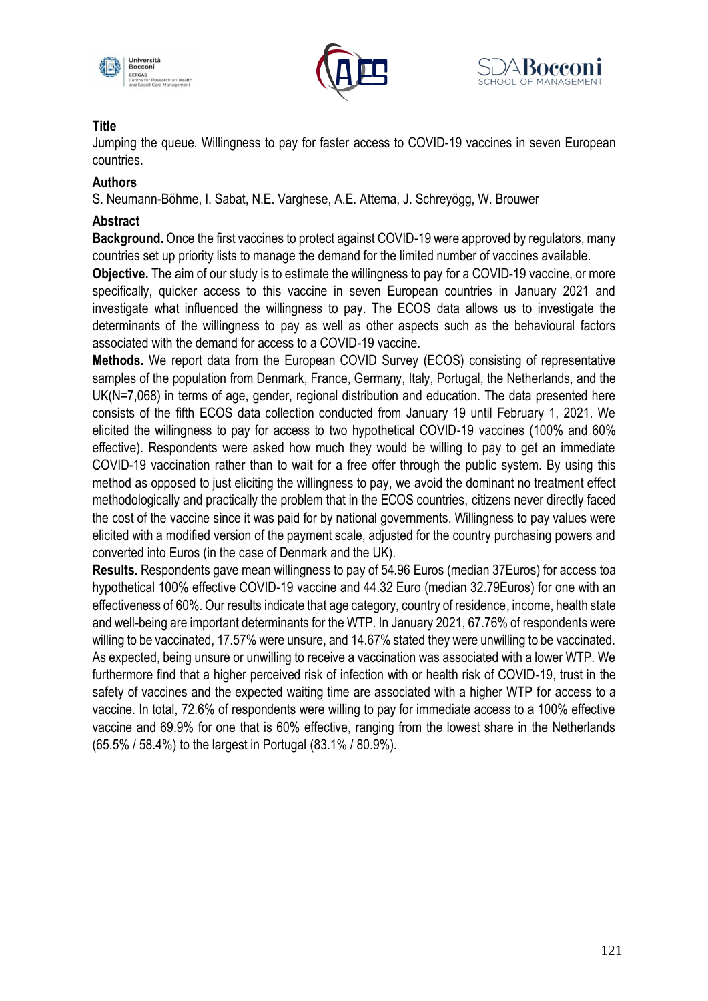





Jumping the queue. Willingness to pay for faster access to COVID-19 vaccines in seven European countries.

#### **Authors**

S. Neumann-Böhme, I. Sabat, N.E. Varghese, A.E. Attema, J. Schreyögg, W. Brouwer

#### **Abstract**

**Background.** Once the first vaccines to protect against COVID-19 were approved by regulators, many countries set up priority lists to manage the demand for the limited number of vaccines available.

**Objective.** The aim of our study is to estimate the willingness to pay for a COVID-19 vaccine, or more specifically, quicker access to this vaccine in seven European countries in January 2021 and investigate what influenced the willingness to pay. The ECOS data allows us to investigate the determinants of the willingness to pay as well as other aspects such as the behavioural factors associated with the demand for access to a COVID-19 vaccine.

**Methods.** We report data from the European COVID Survey (ECOS) consisting of representative samples of the population from Denmark, France, Germany, Italy, Portugal, the Netherlands, and the UK(N=7,068) in terms of age, gender, regional distribution and education. The data presented here consists of the fifth ECOS data collection conducted from January 19 until February 1, 2021. We elicited the willingness to pay for access to two hypothetical COVID-19 vaccines (100% and 60% effective). Respondents were asked how much they would be willing to pay to get an immediate COVID-19 vaccination rather than to wait for a free offer through the public system. By using this method as opposed to just eliciting the willingness to pay, we avoid the dominant no treatment effect methodologically and practically the problem that in the ECOS countries, citizens never directly faced the cost of the vaccine since it was paid for by national governments. Willingness to pay values were elicited with a modified version of the payment scale, adjusted for the country purchasing powers and converted into Euros (in the case of Denmark and the UK).

**Results.** Respondents gave mean willingness to pay of 54.96 Euros (median 37Euros) for access toa hypothetical 100% effective COVID-19 vaccine and 44.32 Euro (median 32.79Euros) for one with an effectiveness of 60%. Our results indicate that age category, country of residence, income, health state and well-being are important determinants for the WTP. In January 2021, 67.76% of respondents were willing to be vaccinated, 17.57% were unsure, and 14.67% stated they were unwilling to be vaccinated. As expected, being unsure or unwilling to receive a vaccination was associated with a lower WTP. We furthermore find that a higher perceived risk of infection with or health risk of COVID-19, trust in the safety of vaccines and the expected waiting time are associated with a higher WTP for access to a vaccine. In total, 72.6% of respondents were willing to pay for immediate access to a 100% effective vaccine and 69.9% for one that is 60% effective, ranging from the lowest share in the Netherlands (65.5% / 58.4%) to the largest in Portugal (83.1% / 80.9%).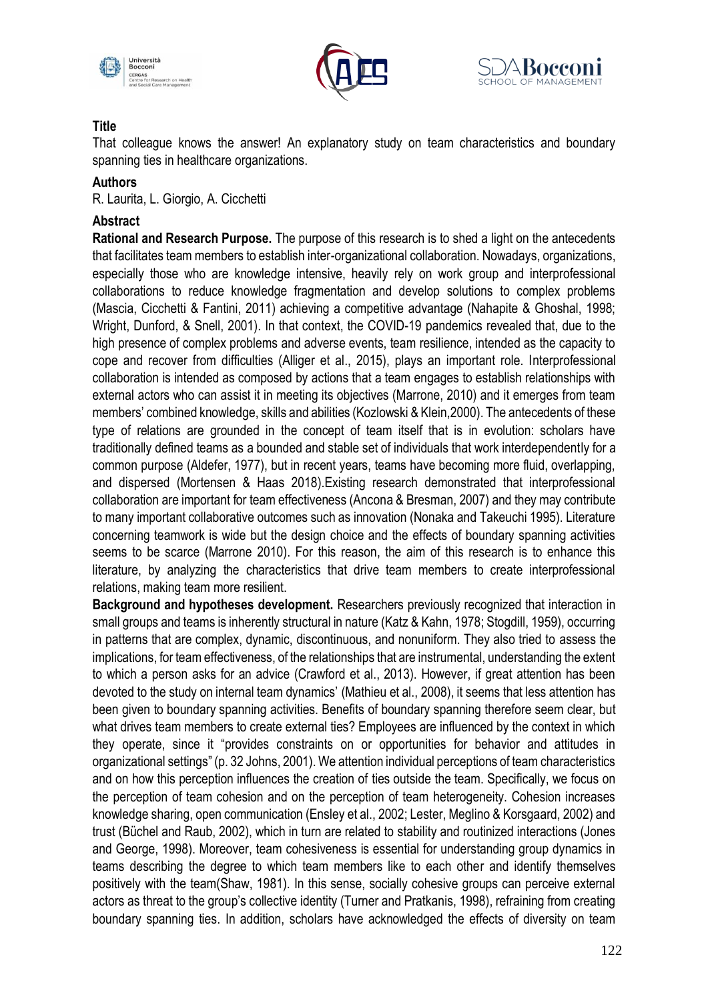





That colleague knows the answer! An explanatory study on team characteristics and boundary spanning ties in healthcare organizations.

#### **Authors**

R. Laurita, L. Giorgio, A. Cicchetti

## **Abstract**

**Rational and Research Purpose.** The purpose of this research is to shed a light on the antecedents that facilitates team members to establish inter-organizational collaboration. Nowadays, organizations, especially those who are knowledge intensive, heavily rely on work group and interprofessional collaborations to reduce knowledge fragmentation and develop solutions to complex problems (Mascia, Cicchetti & Fantini, 2011) achieving a competitive advantage (Nahapite & Ghoshal, 1998; Wright, Dunford, & Snell, 2001). In that context, the COVID-19 pandemics revealed that, due to the high presence of complex problems and adverse events, team resilience, intended as the capacity to cope and recover from difficulties (Alliger et al., 2015), plays an important role. Interprofessional collaboration is intended as composed by actions that a team engages to establish relationships with external actors who can assist it in meeting its objectives (Marrone, 2010) and it emerges from team members' combined knowledge, skills and abilities (Kozlowski & Klein,2000). The antecedents of these type of relations are grounded in the concept of team itself that is in evolution: scholars have traditionally defined teams as a bounded and stable set of individuals that work interdependently for a common purpose (Aldefer, 1977), but in recent years, teams have becoming more fluid, overlapping, and dispersed (Mortensen & Haas 2018).Existing research demonstrated that interprofessional collaboration are important for team effectiveness (Ancona & Bresman, 2007) and they may contribute to many important collaborative outcomes such as innovation (Nonaka and Takeuchi 1995). Literature concerning teamwork is wide but the design choice and the effects of boundary spanning activities seems to be scarce (Marrone 2010). For this reason, the aim of this research is to enhance this literature, by analyzing the characteristics that drive team members to create interprofessional relations, making team more resilient.

**Background and hypotheses development.** Researchers previously recognized that interaction in small groups and teams is inherently structural in nature (Katz & Kahn, 1978; Stogdill, 1959), occurring in patterns that are complex, dynamic, discontinuous, and nonuniform. They also tried to assess the implications, for team effectiveness, of the relationships that are instrumental, understanding the extent to which a person asks for an advice (Crawford et al., 2013). However, if great attention has been devoted to the study on internal team dynamics' (Mathieu et al., 2008), it seems that less attention has been given to boundary spanning activities. Benefits of boundary spanning therefore seem clear, but what drives team members to create external ties? Employees are influenced by the context in which they operate, since it "provides constraints on or opportunities for behavior and attitudes in organizational settings" (p. 32 Johns, 2001). We attention individual perceptions of team characteristics and on how this perception influences the creation of ties outside the team. Specifically, we focus on the perception of team cohesion and on the perception of team heterogeneity. Cohesion increases knowledge sharing, open communication (Ensley et al., 2002; Lester, Meglino & Korsgaard, 2002) and trust (Büchel and Raub, 2002), which in turn are related to stability and routinized interactions (Jones and George, 1998). Moreover, team cohesiveness is essential for understanding group dynamics in teams describing the degree to which team members like to each other and identify themselves positively with the team(Shaw, 1981). In this sense, socially cohesive groups can perceive external actors as threat to the group's collective identity (Turner and Pratkanis, 1998), refraining from creating boundary spanning ties. In addition, scholars have acknowledged the effects of diversity on team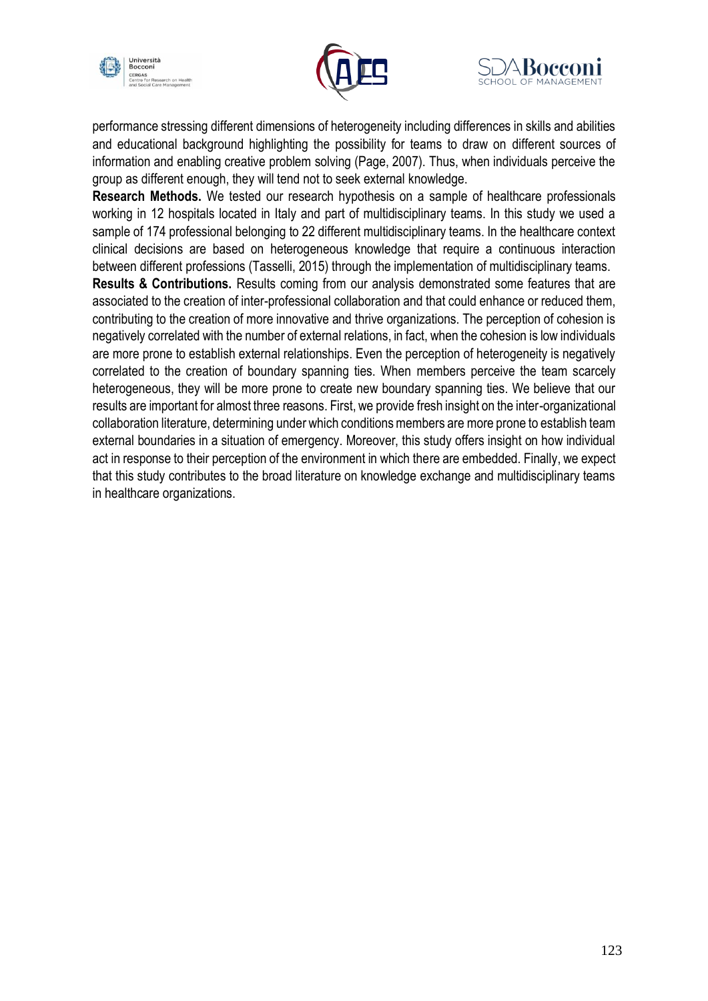





performance stressing different dimensions of heterogeneity including differences in skills and abilities and educational background highlighting the possibility for teams to draw on different sources of information and enabling creative problem solving (Page, 2007). Thus, when individuals perceive the group as different enough, they will tend not to seek external knowledge.

**Research Methods.** We tested our research hypothesis on a sample of healthcare professionals working in 12 hospitals located in Italy and part of multidisciplinary teams. In this study we used a sample of 174 professional belonging to 22 different multidisciplinary teams. In the healthcare context clinical decisions are based on heterogeneous knowledge that require a continuous interaction between different professions (Tasselli, 2015) through the implementation of multidisciplinary teams.

**Results & Contributions.** Results coming from our analysis demonstrated some features that are associated to the creation of inter-professional collaboration and that could enhance or reduced them, contributing to the creation of more innovative and thrive organizations. The perception of cohesion is negatively correlated with the number of external relations, in fact, when the cohesion is low individuals are more prone to establish external relationships. Even the perception of heterogeneity is negatively correlated to the creation of boundary spanning ties. When members perceive the team scarcely heterogeneous, they will be more prone to create new boundary spanning ties. We believe that our results are important for almost three reasons. First, we provide fresh insight on the inter-organizational collaboration literature, determining under which conditions members are more prone to establish team external boundaries in a situation of emergency. Moreover, this study offers insight on how individual act in response to their perception of the environment in which there are embedded. Finally, we expect that this study contributes to the broad literature on knowledge exchange and multidisciplinary teams in healthcare organizations.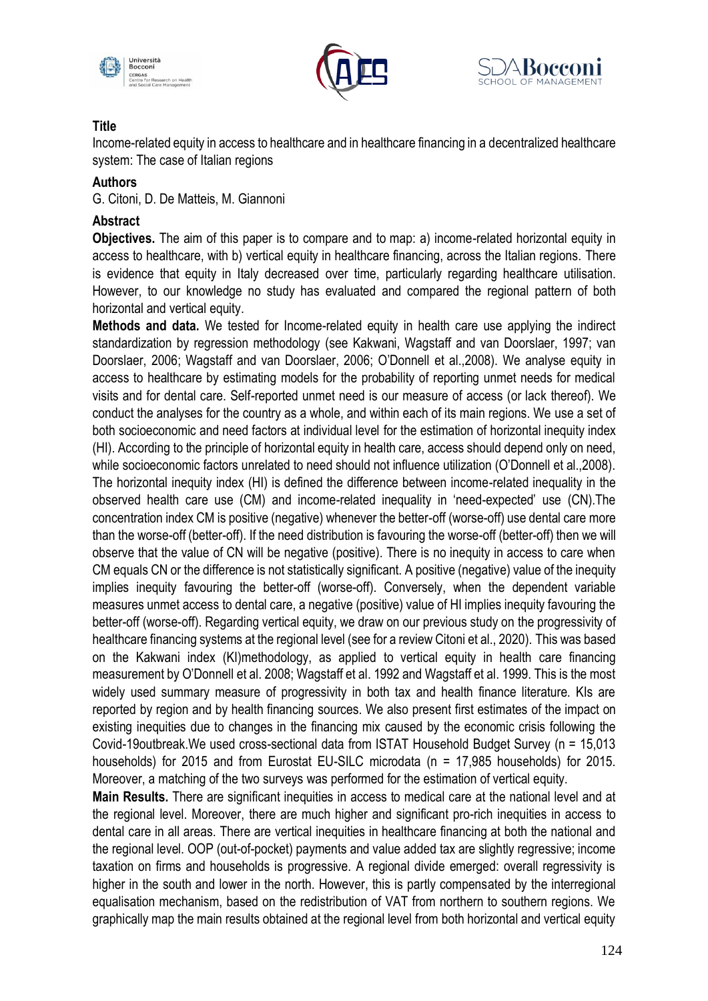





Income-related equity in access to healthcare and in healthcare financing in a decentralized healthcare system: The case of Italian regions

#### **Authors**

G. Citoni, D. De Matteis, M. Giannoni

#### **Abstract**

**Objectives.** The aim of this paper is to compare and to map: a) income-related horizontal equity in access to healthcare, with b) vertical equity in healthcare financing, across the Italian regions. There is evidence that equity in Italy decreased over time, particularly regarding healthcare utilisation. However, to our knowledge no study has evaluated and compared the regional pattern of both horizontal and vertical equity.

**Methods and data.** We tested for Income-related equity in health care use applying the indirect standardization by regression methodology (see Kakwani, Wagstaff and van Doorslaer, 1997; van Doorslaer, 2006; Wagstaff and van Doorslaer, 2006; O'Donnell et al.,2008). We analyse equity in access to healthcare by estimating models for the probability of reporting unmet needs for medical visits and for dental care. Self-reported unmet need is our measure of access (or lack thereof). We conduct the analyses for the country as a whole, and within each of its main regions. We use a set of both socioeconomic and need factors at individual level for the estimation of horizontal inequity index (HI). According to the principle of horizontal equity in health care, access should depend only on need, while socioeconomic factors unrelated to need should not influence utilization (O'Donnell et al.,2008). The horizontal inequity index (HI) is defined the difference between income-related inequality in the observed health care use (CM) and income-related inequality in 'need-expected' use (CN).The concentration index CM is positive (negative) whenever the better-off (worse-off) use dental care more than the worse-off (better-off). If the need distribution is favouring the worse-off (better-off) then we will observe that the value of CN will be negative (positive). There is no inequity in access to care when CM equals CN or the difference is not statistically significant. A positive (negative) value of the inequity implies inequity favouring the better-off (worse-off). Conversely, when the dependent variable measures unmet access to dental care, a negative (positive) value of HI implies inequity favouring the better-off (worse-off). Regarding vertical equity, we draw on our previous study on the progressivity of healthcare financing systems at the regional level (see for a review Citoni et al., 2020). This was based on the Kakwani index (KI)methodology, as applied to vertical equity in health care financing measurement by O'Donnell et al. 2008; Wagstaff et al. 1992 and Wagstaff et al. 1999. This is the most widely used summary measure of progressivity in both tax and health finance literature. KIs are reported by region and by health financing sources. We also present first estimates of the impact on existing inequities due to changes in the financing mix caused by the economic crisis following the Covid-19outbreak.We used cross-sectional data from ISTAT Household Budget Survey (n = 15,013 households) for 2015 and from Eurostat EU-SILC microdata (n = 17,985 households) for 2015. Moreover, a matching of the two surveys was performed for the estimation of vertical equity.

**Main Results.** There are significant inequities in access to medical care at the national level and at the regional level. Moreover, there are much higher and significant pro-rich inequities in access to dental care in all areas. There are vertical inequities in healthcare financing at both the national and the regional level. OOP (out-of-pocket) payments and value added tax are slightly regressive; income taxation on firms and households is progressive. A regional divide emerged: overall regressivity is higher in the south and lower in the north. However, this is partly compensated by the interregional equalisation mechanism, based on the redistribution of VAT from northern to southern regions. We graphically map the main results obtained at the regional level from both horizontal and vertical equity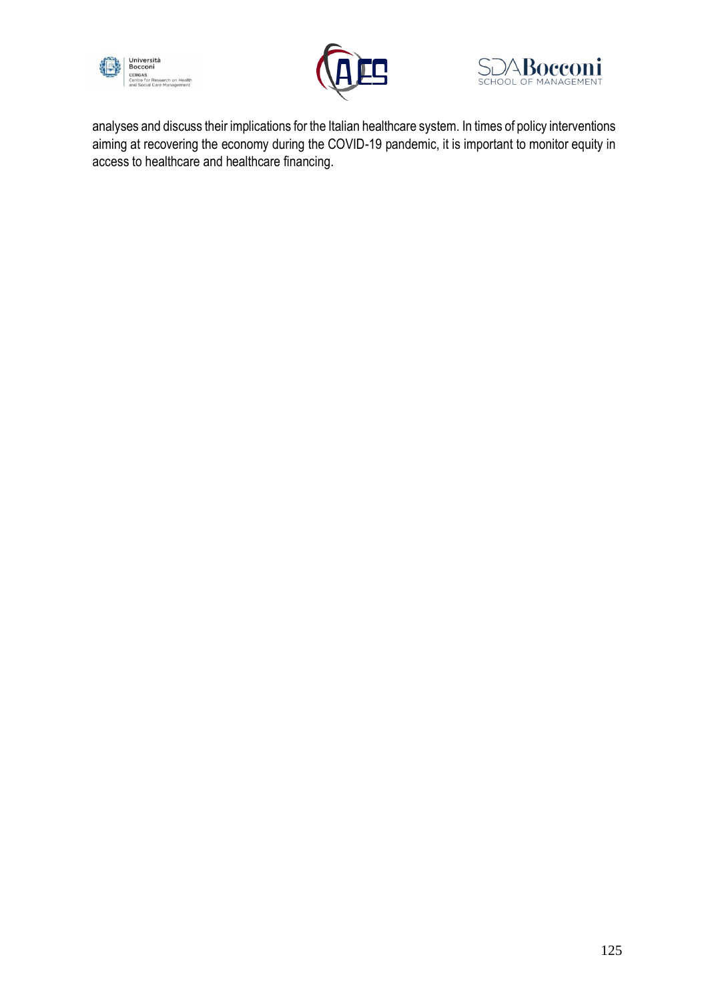





analyses and discuss their implications for the Italian healthcare system. In times of policy interventions aiming at recovering the economy during the COVID-19 pandemic, it is important to monitor equity in access to healthcare and healthcare financing.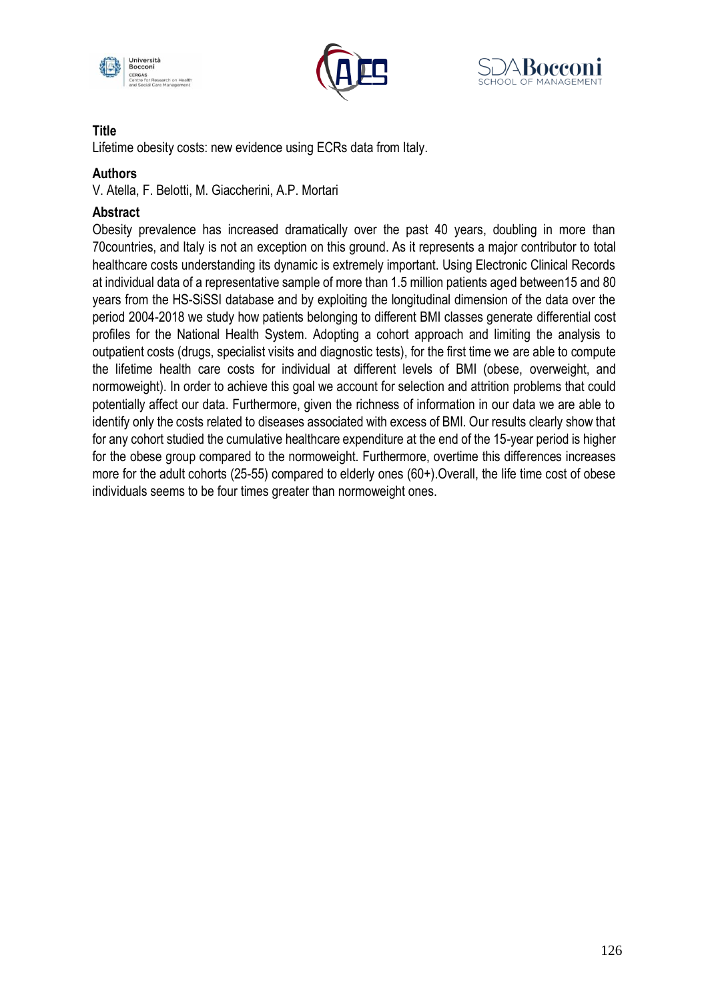





Lifetime obesity costs: new evidence using ECRs data from Italy.

#### **Authors**

V. Atella, F. Belotti, M. Giaccherini, A.P. Mortari

### **Abstract**

Obesity prevalence has increased dramatically over the past 40 years, doubling in more than 70countries, and Italy is not an exception on this ground. As it represents a major contributor to total healthcare costs understanding its dynamic is extremely important. Using Electronic Clinical Records at individual data of a representative sample of more than 1.5 million patients aged between15 and 80 years from the HS-SiSSI database and by exploiting the longitudinal dimension of the data over the period 2004-2018 we study how patients belonging to different BMI classes generate differential cost profiles for the National Health System. Adopting a cohort approach and limiting the analysis to outpatient costs (drugs, specialist visits and diagnostic tests), for the first time we are able to compute the lifetime health care costs for individual at different levels of BMI (obese, overweight, and normoweight). In order to achieve this goal we account for selection and attrition problems that could potentially affect our data. Furthermore, given the richness of information in our data we are able to identify only the costs related to diseases associated with excess of BMI. Our results clearly show that for any cohort studied the cumulative healthcare expenditure at the end of the 15-year period is higher for the obese group compared to the normoweight. Furthermore, overtime this differences increases more for the adult cohorts (25-55) compared to elderly ones (60+).Overall, the life time cost of obese individuals seems to be four times greater than normoweight ones.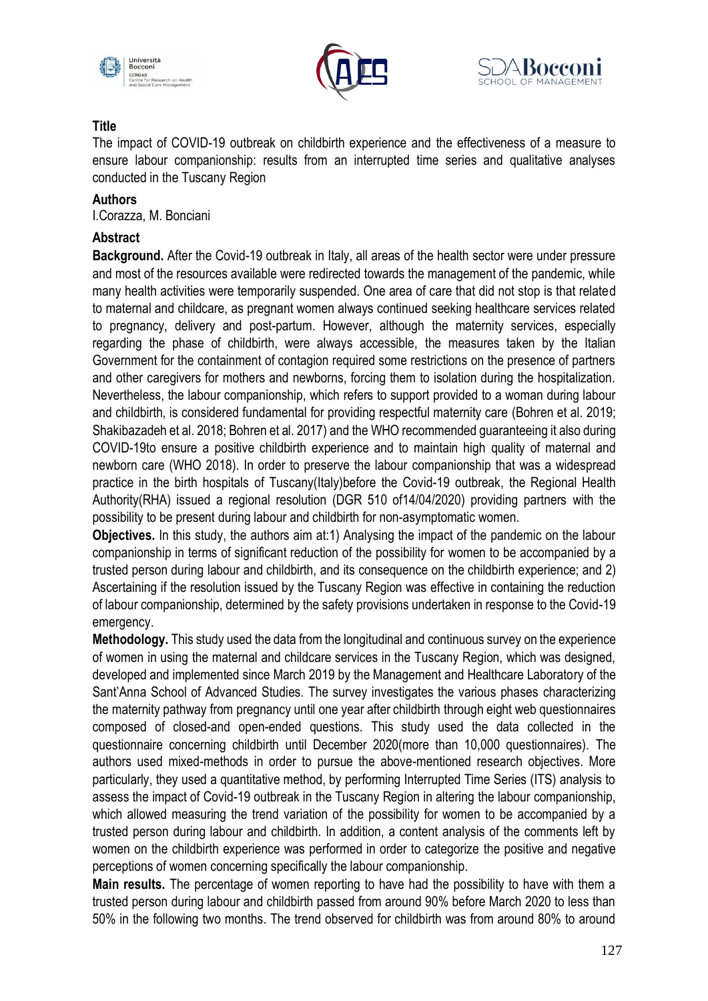





The impact of COVID-19 outbreak on childbirth experience and the effectiveness of a measure to ensure labour companionship: results from an interrupted time series and qualitative analyses conducted in the Tuscany Region

#### **Authors**

I.Corazza, M. Bonciani

#### **Abstract**

**Background.** After the Covid-19 outbreak in Italy, all areas of the health sector were under pressure and most of the resources available were redirected towards the management of the pandemic, while many health activities were temporarily suspended. One area of care that did not stop is that related to maternal and childcare, as pregnant women always continued seeking healthcare services related to pregnancy, delivery and post-partum. However, although the maternity services, especially regarding the phase of childbirth, were always accessible, the measures taken by the Italian Government for the containment of contagion required some restrictions on the presence of partners and other caregivers for mothers and newborns, forcing them to isolation during the hospitalization. Nevertheless, the labour companionship, which refers to support provided to a woman during labour and childbirth, is considered fundamental for providing respectful maternity care (Bohren et al. 2019; Shakibazadeh et al. 2018; Bohren et al. 2017) and the WHO recommended guaranteeing it also during COVID-19to ensure a positive childbirth experience and to maintain high quality of maternal and newborn care (WHO 2018). In order to preserve the labour companionship that was a widespread practice in the birth hospitals of Tuscany(Italy)before the Covid-19 outbreak, the Regional Health Authority(RHA) issued a regional resolution (DGR 510 of14/04/2020) providing partners with the possibility to be present during labour and childbirth for non-asymptomatic women.

**Objectives.** In this study, the authors aim at:1) Analysing the impact of the pandemic on the labour companionship in terms of significant reduction of the possibility for women to be accompanied by a trusted person during labour and childbirth, and its consequence on the childbirth experience; and 2) Ascertaining if the resolution issued by the Tuscany Region was effective in containing the reduction of labour companionship, determined by the safety provisions undertaken in response to the Covid-19 emergency.

**Methodology.** This study used the data from the longitudinal and continuous survey on the experience of women in using the maternal and childcare services in the Tuscany Region, which was designed, developed and implemented since March 2019 by the Management and Healthcare Laboratory of the Sant'Anna School of Advanced Studies. The survey investigates the various phases characterizing the maternity pathway from pregnancy until one year after childbirth through eight web questionnaires composed of closed-and open-ended questions. This study used the data collected in the questionnaire concerning childbirth until December 2020(more than 10,000 questionnaires). The authors used mixed-methods in order to pursue the above-mentioned research objectives. More particularly, they used a quantitative method, by performing Interrupted Time Series (ITS) analysis to assess the impact of Covid-19 outbreak in the Tuscany Region in altering the labour companionship, which allowed measuring the trend variation of the possibility for women to be accompanied by a trusted person during labour and childbirth. In addition, a content analysis of the comments left by women on the childbirth experience was performed in order to categorize the positive and negative perceptions of women concerning specifically the labour companionship.

**Main results.** The percentage of women reporting to have had the possibility to have with them a trusted person during labour and childbirth passed from around 90% before March 2020 to less than 50% in the following two months. The trend observed for childbirth was from around 80% to around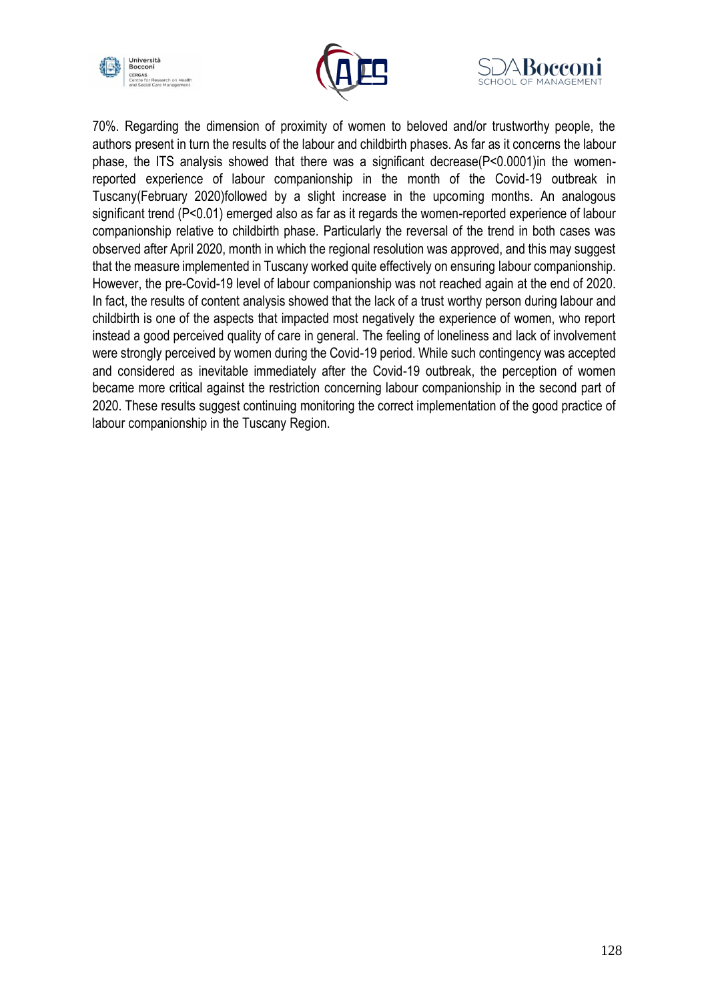





70%. Regarding the dimension of proximity of women to beloved and/or trustworthy people, the authors present in turn the results of the labour and childbirth phases. As far as it concerns the labour phase, the ITS analysis showed that there was a significant decrease(P<0.0001)in the womenreported experience of labour companionship in the month of the Covid-19 outbreak in Tuscany(February 2020)followed by a slight increase in the upcoming months. An analogous significant trend (P<0.01) emerged also as far as it regards the women-reported experience of labour companionship relative to childbirth phase. Particularly the reversal of the trend in both cases was observed after April 2020, month in which the regional resolution was approved, and this may suggest that the measure implemented in Tuscany worked quite effectively on ensuring labour companionship. However, the pre-Covid-19 level of labour companionship was not reached again at the end of 2020. In fact, the results of content analysis showed that the lack of a trust worthy person during labour and childbirth is one of the aspects that impacted most negatively the experience of women, who report instead a good perceived quality of care in general. The feeling of loneliness and lack of involvement were strongly perceived by women during the Covid-19 period. While such contingency was accepted and considered as inevitable immediately after the Covid-19 outbreak, the perception of women became more critical against the restriction concerning labour companionship in the second part of 2020. These results suggest continuing monitoring the correct implementation of the good practice of labour companionship in the Tuscany Region.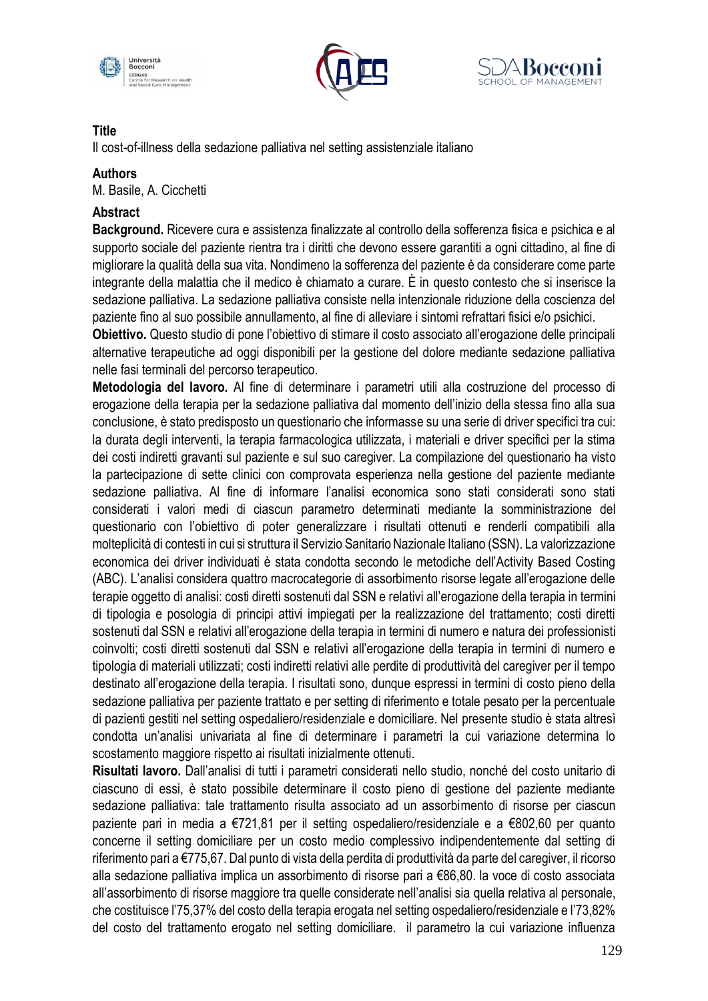





Il cost-of-illness della sedazione palliativa nel setting assistenziale italiano

#### **Authors**

M. Basile, A. Cicchetti

#### **Abstract**

**Background.** Ricevere cura e assistenza finalizzate al controllo della sofferenza fisica e psichica e al supporto sociale del paziente rientra tra i diritti che devono essere garantiti a ogni cittadino, al fine di migliorare la qualità della sua vita. Nondimeno la sofferenza del paziente è da considerare come parte integrante della malattia che il medico è chiamato a curare. È in questo contesto che si inserisce la sedazione palliativa. La sedazione palliativa consiste nella intenzionale riduzione della coscienza del paziente fino al suo possibile annullamento, al fine di alleviare i sintomi refrattari fisici e/o psichici.

**Obiettivo.** Questo studio di pone l'obiettivo di stimare il costo associato all'erogazione delle principali alternative terapeutiche ad oggi disponibili per la gestione del dolore mediante sedazione palliativa nelle fasi terminali del percorso terapeutico.

**Metodologia del lavoro.** Al fine di determinare i parametri utili alla costruzione del processo di erogazione della terapia per la sedazione palliativa dal momento dell'inizio della stessa fino alla sua conclusione, è stato predisposto un questionario che informasse su una serie di driver specifici tra cui: la durata degli interventi, la terapia farmacologica utilizzata, i materiali e driver specifici per la stima dei costi indiretti gravanti sul paziente e sul suo caregiver. La compilazione del questionario ha visto la partecipazione di sette clinici con comprovata esperienza nella gestione del paziente mediante sedazione palliativa. Al fine di informare l'analisi economica sono stati considerati sono stati considerati i valori medi di ciascun parametro determinati mediante la somministrazione del questionario con l'obiettivo di poter generalizzare i risultati ottenuti e renderli compatibili alla molteplicità di contesti in cui si struttura il Servizio Sanitario Nazionale Italiano (SSN). La valorizzazione economica dei driver individuati è stata condotta secondo le metodiche dell'Activity Based Costing (ABC). L'analisi considera quattro macrocategorie di assorbimento risorse legate all'erogazione delle terapie oggetto di analisi: costi diretti sostenuti dal SSN e relativi all'erogazione della terapia in termini di tipologia e posologia di principi attivi impiegati per la realizzazione del trattamento; costi diretti sostenuti dal SSN e relativi all'erogazione della terapia in termini di numero e natura dei professionisti coinvolti; costi diretti sostenuti dal SSN e relativi all'erogazione della terapia in termini di numero e tipologia di materiali utilizzati; costi indiretti relativi alle perdite di produttività del caregiver per il tempo destinato all'erogazione della terapia. I risultati sono, dunque espressi in termini di costo pieno della sedazione palliativa per paziente trattato e per setting di riferimento e totale pesato per la percentuale di pazienti gestiti nel setting ospedaliero/residenziale e domiciliare. Nel presente studio è stata altresì condotta un'analisi univariata al fine di determinare i parametri la cui variazione determina lo scostamento maggiore rispetto ai risultati inizialmente ottenuti.

**Risultati lavoro.** Dall'analisi di tutti i parametri considerati nello studio, nonché del costo unitario di ciascuno di essi, è stato possibile determinare il costo pieno di gestione del paziente mediante sedazione palliativa: tale trattamento risulta associato ad un assorbimento di risorse per ciascun paziente pari in media a €721,81 per il setting ospedaliero/residenziale e a €802,60 per quanto concerne il setting domiciliare per un costo medio complessivo indipendentemente dal setting di riferimento pari a €775,67. Dal punto di vista della perdita di produttività da parte del caregiver, il ricorso alla sedazione palliativa implica un assorbimento di risorse pari a €86,80. la voce di costo associata all'assorbimento di risorse maggiore tra quelle considerate nell'analisi sia quella relativa al personale, che costituisce l'75,37% del costo della terapia erogata nel setting ospedaliero/residenziale e l'73,82% del costo del trattamento erogato nel setting domiciliare. il parametro la cui variazione influenza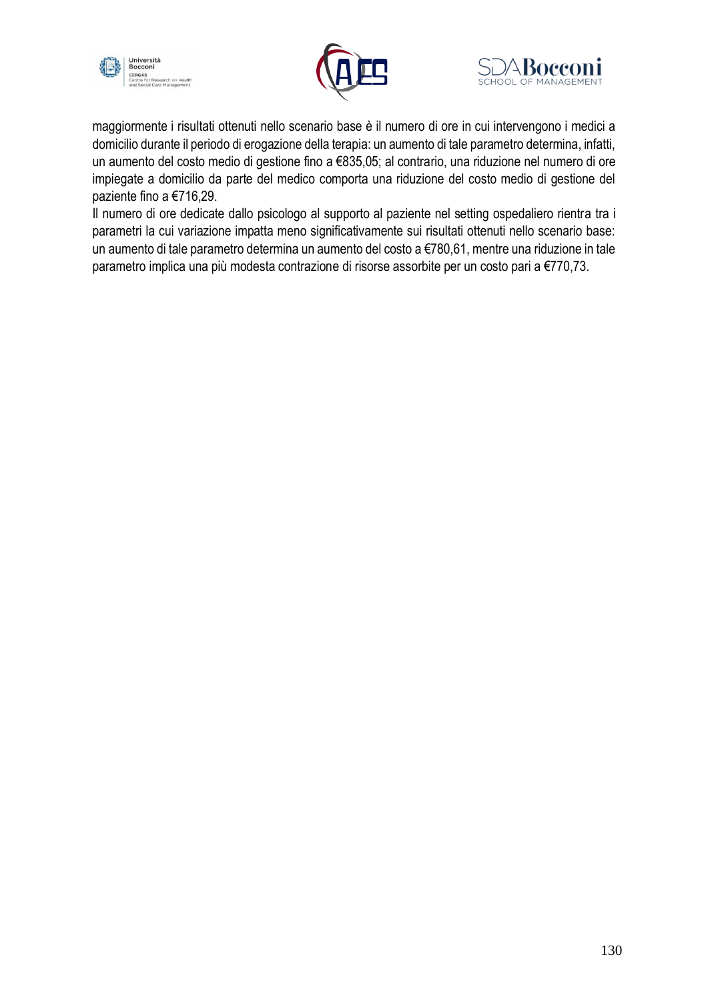





maggiormente i risultati ottenuti nello scenario base è il numero di ore in cui intervengono i medici a domicilio durante il periodo di erogazione della terapia: un aumento di tale parametro determina, infatti, un aumento del costo medio di gestione fino a €835,05; al contrario, una riduzione nel numero di ore impiegate a domicilio da parte del medico comporta una riduzione del costo medio di gestione del paziente fino a €716,29.

Il numero di ore dedicate dallo psicologo al supporto al paziente nel setting ospedaliero rientra tra i parametri la cui variazione impatta meno significativamente sui risultati ottenuti nello scenario base: un aumento di tale parametro determina un aumento del costo a €780,61, mentre una riduzione in tale parametro implica una più modesta contrazione di risorse assorbite per un costo pari a €770,73.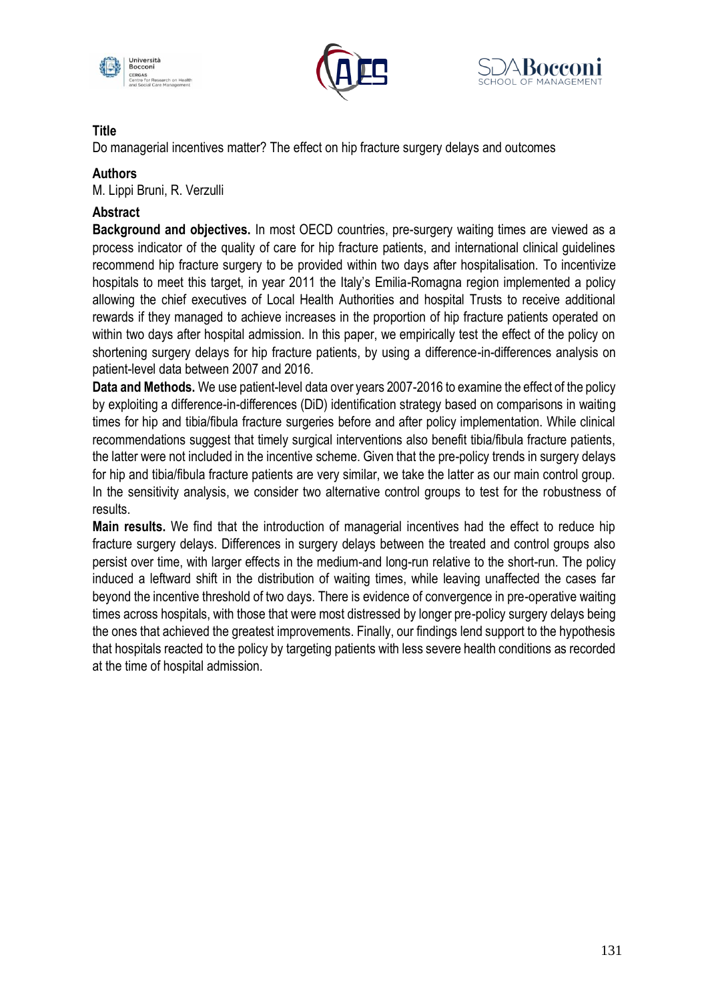





Do managerial incentives matter? The effect on hip fracture surgery delays and outcomes

## **Authors**

M. Lippi Bruni, R. Verzulli

## **Abstract**

**Background and objectives.** In most OECD countries, pre-surgery waiting times are viewed as a process indicator of the quality of care for hip fracture patients, and international clinical guidelines recommend hip fracture surgery to be provided within two days after hospitalisation. To incentivize hospitals to meet this target, in year 2011 the Italy's Emilia-Romagna region implemented a policy allowing the chief executives of Local Health Authorities and hospital Trusts to receive additional rewards if they managed to achieve increases in the proportion of hip fracture patients operated on within two days after hospital admission. In this paper, we empirically test the effect of the policy on shortening surgery delays for hip fracture patients, by using a difference-in-differences analysis on patient-level data between 2007 and 2016.

**Data and Methods.** We use patient-level data over years 2007-2016 to examine the effect of the policy by exploiting a difference-in-differences (DiD) identification strategy based on comparisons in waiting times for hip and tibia/fibula fracture surgeries before and after policy implementation. While clinical recommendations suggest that timely surgical interventions also benefit tibia/fibula fracture patients, the latter were not included in the incentive scheme. Given that the pre-policy trends in surgery delays for hip and tibia/fibula fracture patients are very similar, we take the latter as our main control group. In the sensitivity analysis, we consider two alternative control groups to test for the robustness of results.

**Main results.** We find that the introduction of managerial incentives had the effect to reduce hip fracture surgery delays. Differences in surgery delays between the treated and control groups also persist over time, with larger effects in the medium-and long-run relative to the short-run. The policy induced a leftward shift in the distribution of waiting times, while leaving unaffected the cases far beyond the incentive threshold of two days. There is evidence of convergence in pre-operative waiting times across hospitals, with those that were most distressed by longer pre-policy surgery delays being the ones that achieved the greatest improvements. Finally, our findings lend support to the hypothesis that hospitals reacted to the policy by targeting patients with less severe health conditions as recorded at the time of hospital admission.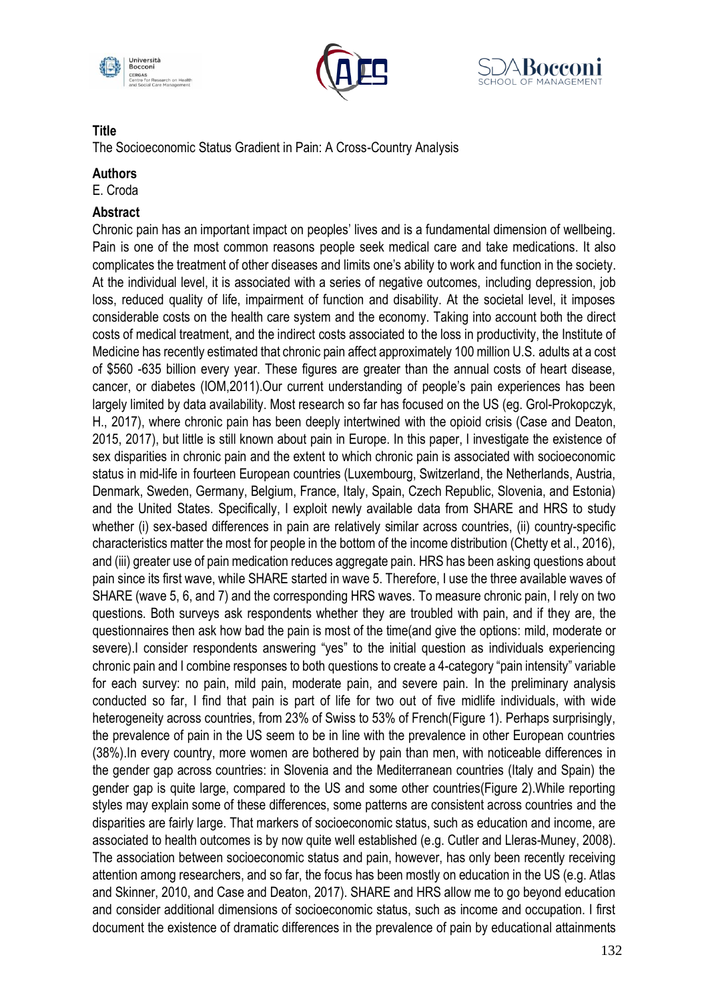





The Socioeconomic Status Gradient in Pain: A Cross-Country Analysis

## **Authors**

E. Croda

## **Abstract**

Chronic pain has an important impact on peoples' lives and is a fundamental dimension of wellbeing. Pain is one of the most common reasons people seek medical care and take medications. It also complicates the treatment of other diseases and limits one's ability to work and function in the society. At the individual level, it is associated with a series of negative outcomes, including depression, job loss, reduced quality of life, impairment of function and disability. At the societal level, it imposes considerable costs on the health care system and the economy. Taking into account both the direct costs of medical treatment, and the indirect costs associated to the loss in productivity, the Institute of Medicine has recently estimated that chronic pain affect approximately 100 million U.S. adults at a cost of \$560 -635 billion every year. These figures are greater than the annual costs of heart disease, cancer, or diabetes (IOM,2011).Our current understanding of people's pain experiences has been largely limited by data availability. Most research so far has focused on the US (eg. Grol-Prokopczyk, H., 2017), where chronic pain has been deeply intertwined with the opioid crisis (Case and Deaton, 2015, 2017), but little is still known about pain in Europe. In this paper, I investigate the existence of sex disparities in chronic pain and the extent to which chronic pain is associated with socioeconomic status in mid-life in fourteen European countries (Luxembourg, Switzerland, the Netherlands, Austria, Denmark, Sweden, Germany, Belgium, France, Italy, Spain, Czech Republic, Slovenia, and Estonia) and the United States. Specifically, I exploit newly available data from SHARE and HRS to study whether (i) sex-based differences in pain are relatively similar across countries, (ii) country-specific characteristics matter the most for people in the bottom of the income distribution (Chetty et al., 2016), and (iii) greater use of pain medication reduces aggregate pain. HRS has been asking questions about pain since its first wave, while SHARE started in wave 5. Therefore, I use the three available waves of SHARE (wave 5, 6, and 7) and the corresponding HRS waves. To measure chronic pain, I rely on two questions. Both surveys ask respondents whether they are troubled with pain, and if they are, the questionnaires then ask how bad the pain is most of the time(and give the options: mild, moderate or severe).I consider respondents answering "yes" to the initial question as individuals experiencing chronic pain and I combine responses to both questions to create a 4-category "pain intensity" variable for each survey: no pain, mild pain, moderate pain, and severe pain. In the preliminary analysis conducted so far, I find that pain is part of life for two out of five midlife individuals, with wide heterogeneity across countries, from 23% of Swiss to 53% of French(Figure 1). Perhaps surprisingly, the prevalence of pain in the US seem to be in line with the prevalence in other European countries (38%).In every country, more women are bothered by pain than men, with noticeable differences in the gender gap across countries: in Slovenia and the Mediterranean countries (Italy and Spain) the gender gap is quite large, compared to the US and some other countries(Figure 2).While reporting styles may explain some of these differences, some patterns are consistent across countries and the disparities are fairly large. That markers of socioeconomic status, such as education and income, are associated to health outcomes is by now quite well established (e.g. Cutler and Lleras-Muney, 2008). The association between socioeconomic status and pain, however, has only been recently receiving attention among researchers, and so far, the focus has been mostly on education in the US (e.g. Atlas and Skinner, 2010, and Case and Deaton, 2017). SHARE and HRS allow me to go beyond education and consider additional dimensions of socioeconomic status, such as income and occupation. I first document the existence of dramatic differences in the prevalence of pain by educational attainments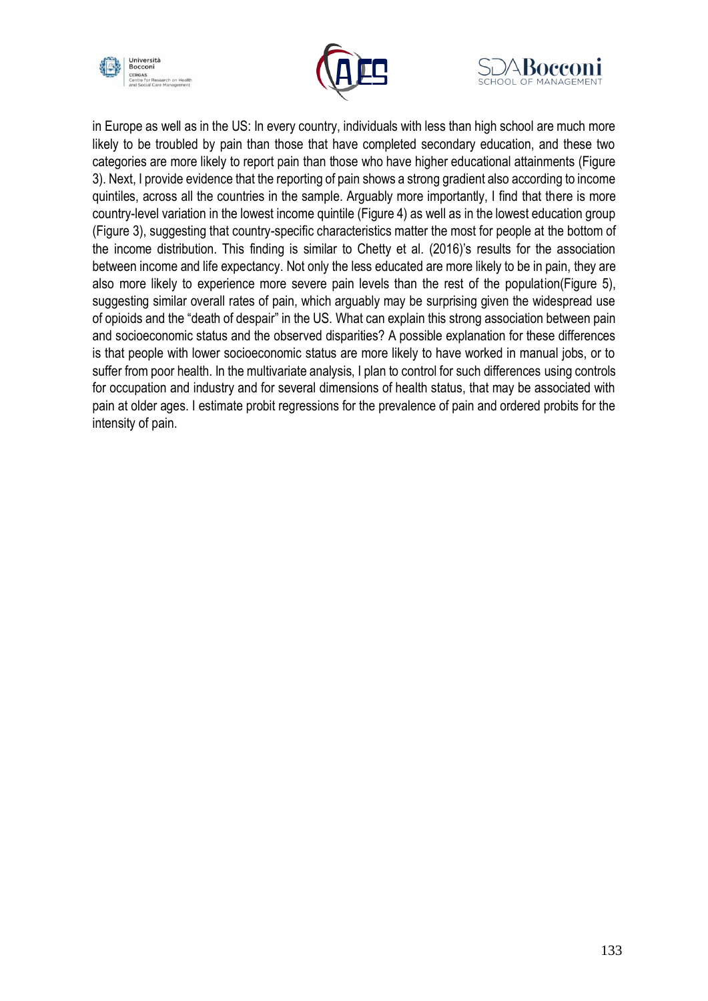





in Europe as well as in the US: In every country, individuals with less than high school are much more likely to be troubled by pain than those that have completed secondary education, and these two categories are more likely to report pain than those who have higher educational attainments (Figure 3). Next, I provide evidence that the reporting of pain shows a strong gradient also according to income quintiles, across all the countries in the sample. Arguably more importantly, I find that there is more country-level variation in the lowest income quintile (Figure 4) as well as in the lowest education group (Figure 3), suggesting that country-specific characteristics matter the most for people at the bottom of the income distribution. This finding is similar to Chetty et al. (2016)'s results for the association between income and life expectancy. Not only the less educated are more likely to be in pain, they are also more likely to experience more severe pain levels than the rest of the population(Figure 5), suggesting similar overall rates of pain, which arguably may be surprising given the widespread use of opioids and the "death of despair" in the US. What can explain this strong association between pain and socioeconomic status and the observed disparities? A possible explanation for these differences is that people with lower socioeconomic status are more likely to have worked in manual jobs, or to suffer from poor health. In the multivariate analysis, I plan to control for such differences using controls for occupation and industry and for several dimensions of health status, that may be associated with pain at older ages. I estimate probit regressions for the prevalence of pain and ordered probits for the intensity of pain.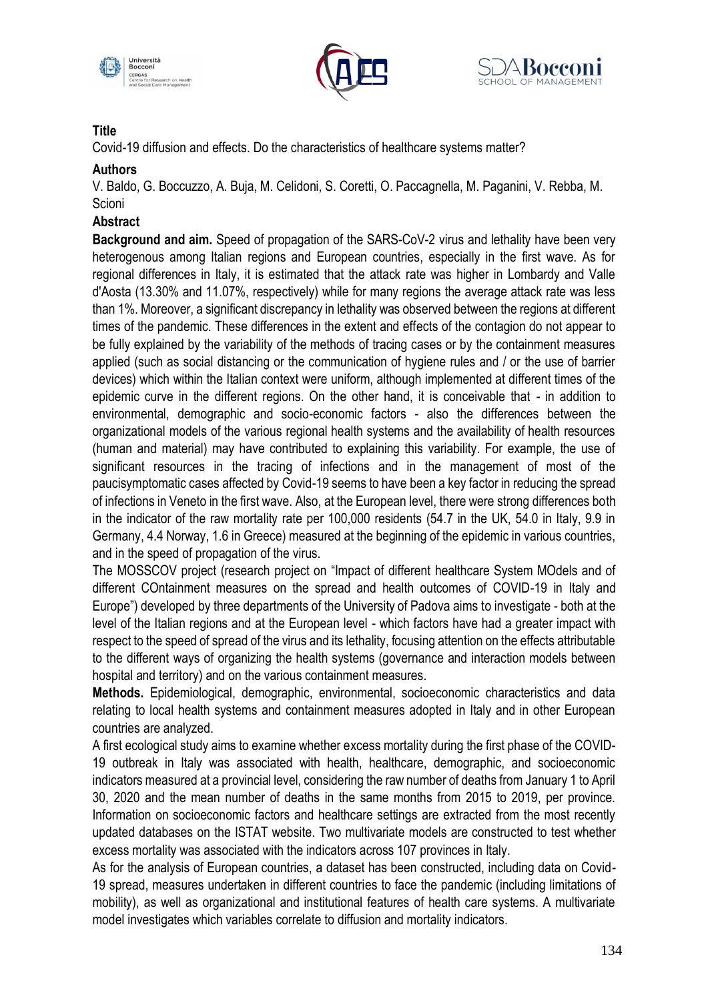





Covid-19 diffusion and effects. Do the characteristics of healthcare systems matter?

#### **Authors**

V. Baldo, G. Boccuzzo, A. Buja, M. Celidoni, S. Coretti, O. Paccagnella, M. Paganini, V. Rebba, M. Scioni

## **Abstract**

**Background and aim.** Speed of propagation of the SARS-CoV-2 virus and lethality have been very heterogenous among Italian regions and European countries, especially in the first wave. As for regional differences in Italy, it is estimated that the attack rate was higher in Lombardy and Valle d'Aosta (13.30% and 11.07%, respectively) while for many regions the average attack rate was less than 1%. Moreover, a significant discrepancy in lethality was observed between the regions at different times of the pandemic. These differences in the extent and effects of the contagion do not appear to be fully explained by the variability of the methods of tracing cases or by the containment measures applied (such as social distancing or the communication of hygiene rules and / or the use of barrier devices) which within the Italian context were uniform, although implemented at different times of the epidemic curve in the different regions. On the other hand, it is conceivable that - in addition to environmental, demographic and socio-economic factors - also the differences between the organizational models of the various regional health systems and the availability of health resources (human and material) may have contributed to explaining this variability. For example, the use of significant resources in the tracing of infections and in the management of most of the paucisymptomatic cases affected by Covid-19 seems to have been a key factor in reducing the spread of infections in Veneto in the first wave. Also, at the European level, there were strong differences both in the indicator of the raw mortality rate per 100,000 residents (54.7 in the UK, 54.0 in Italy, 9.9 in Germany, 4.4 Norway, 1.6 in Greece) measured at the beginning of the epidemic in various countries, and in the speed of propagation of the virus.

The MOSSCOV project (research project on "Impact of different healthcare System MOdels and of different COntainment measures on the spread and health outcomes of COVID-19 in Italy and Europe") developed by three departments of the University of Padova aims to investigate - both at the level of the Italian regions and at the European level - which factors have had a greater impact with respect to the speed of spread of the virus and its lethality, focusing attention on the effects attributable to the different ways of organizing the health systems (governance and interaction models between hospital and territory) and on the various containment measures.

**Methods.** Epidemiological, demographic, environmental, socioeconomic characteristics and data relating to local health systems and containment measures adopted in Italy and in other European countries are analyzed.

A first ecological study aims to examine whether excess mortality during the first phase of the COVID-19 outbreak in Italy was associated with health, healthcare, demographic, and socioeconomic indicators measured at a provincial level, considering the raw number of deaths from January 1 to April 30, 2020 and the mean number of deaths in the same months from 2015 to 2019, per province. Information on socioeconomic factors and healthcare settings are extracted from the most recently updated databases on the ISTAT website. Two multivariate models are constructed to test whether excess mortality was associated with the indicators across 107 provinces in Italy.

As for the analysis of European countries, a dataset has been constructed, including data on Covid-19 spread, measures undertaken in different countries to face the pandemic (including limitations of mobility), as well as organizational and institutional features of health care systems. A multivariate model investigates which variables correlate to diffusion and mortality indicators.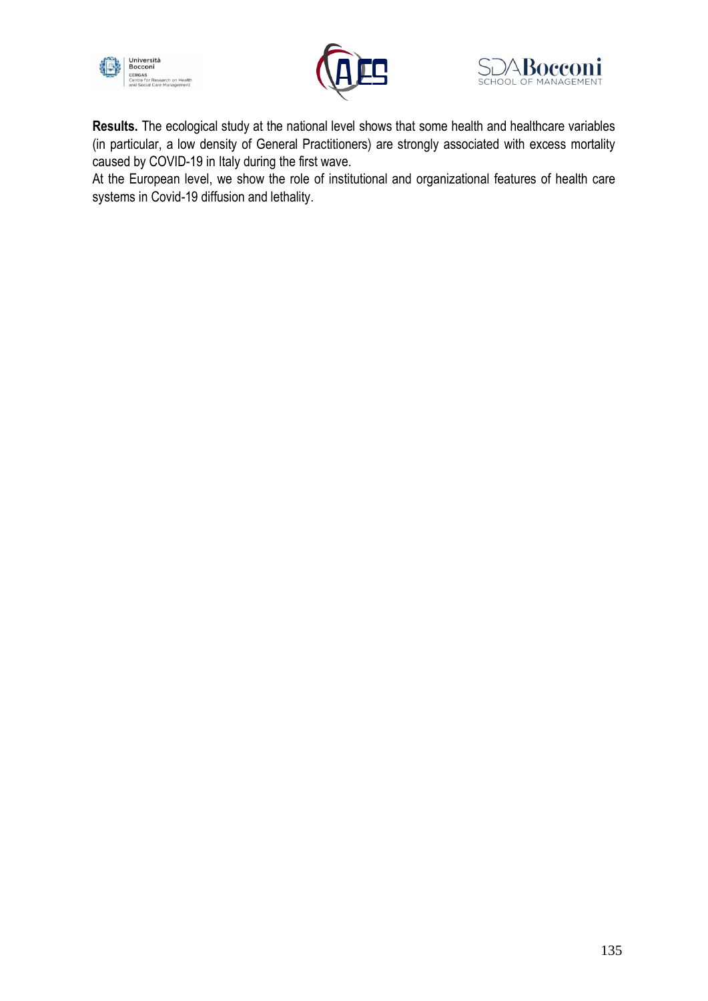





**Results.** The ecological study at the national level shows that some health and healthcare variables (in particular, a low density of General Practitioners) are strongly associated with excess mortality caused by COVID-19 in Italy during the first wave.

At the European level, we show the role of institutional and organizational features of health care systems in Covid-19 diffusion and lethality.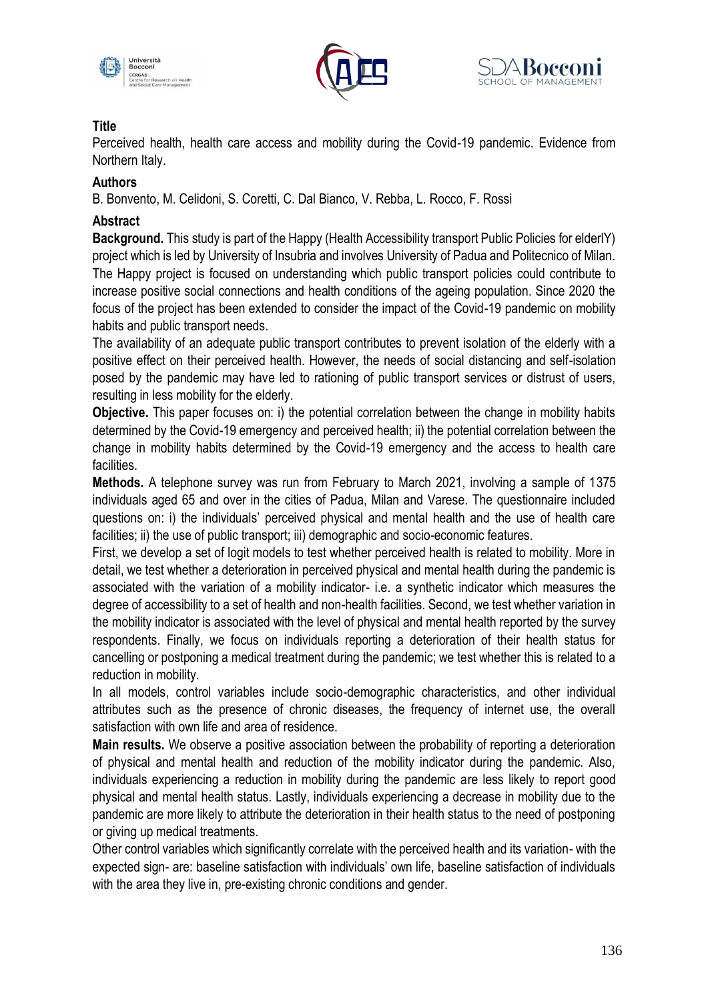





Perceived health, health care access and mobility during the Covid-19 pandemic. Evidence from Northern Italy.

### **Authors**

B. Bonvento, M. Celidoni, S. Coretti, C. Dal Bianco, V. Rebba, L. Rocco, F. Rossi

### **Abstract**

**Background.** This study is part of the Happy (Health Accessibility transport Public Policies for elderlY) project which is led by University of Insubria and involves University of Padua and Politecnico of Milan. The Happy project is focused on understanding which public transport policies could contribute to increase positive social connections and health conditions of the ageing population. Since 2020 the focus of the project has been extended to consider the impact of the Covid-19 pandemic on mobility habits and public transport needs.

The availability of an adequate public transport contributes to prevent isolation of the elderly with a positive effect on their perceived health. However, the needs of social distancing and self-isolation posed by the pandemic may have led to rationing of public transport services or distrust of users, resulting in less mobility for the elderly.

**Objective.** This paper focuses on: i) the potential correlation between the change in mobility habits determined by the Covid-19 emergency and perceived health; ii) the potential correlation between the change in mobility habits determined by the Covid-19 emergency and the access to health care facilities.

**Methods.** A telephone survey was run from February to March 2021, involving a sample of 1375 individuals aged 65 and over in the cities of Padua, Milan and Varese. The questionnaire included questions on: i) the individuals' perceived physical and mental health and the use of health care facilities; ii) the use of public transport; iii) demographic and socio-economic features.

First, we develop a set of logit models to test whether perceived health is related to mobility. More in detail, we test whether a deterioration in perceived physical and mental health during the pandemic is associated with the variation of a mobility indicator- i.e. a synthetic indicator which measures the degree of accessibility to a set of health and non-health facilities. Second, we test whether variation in the mobility indicator is associated with the level of physical and mental health reported by the survey respondents. Finally, we focus on individuals reporting a deterioration of their health status for cancelling or postponing a medical treatment during the pandemic; we test whether this is related to a reduction in mobility.

In all models, control variables include socio-demographic characteristics, and other individual attributes such as the presence of chronic diseases, the frequency of internet use, the overall satisfaction with own life and area of residence.

**Main results.** We observe a positive association between the probability of reporting a deterioration of physical and mental health and reduction of the mobility indicator during the pandemic. Also, individuals experiencing a reduction in mobility during the pandemic are less likely to report good physical and mental health status. Lastly, individuals experiencing a decrease in mobility due to the pandemic are more likely to attribute the deterioration in their health status to the need of postponing or giving up medical treatments.

Other control variables which significantly correlate with the perceived health and its variation- with the expected sign- are: baseline satisfaction with individuals' own life, baseline satisfaction of individuals with the area they live in, pre-existing chronic conditions and gender.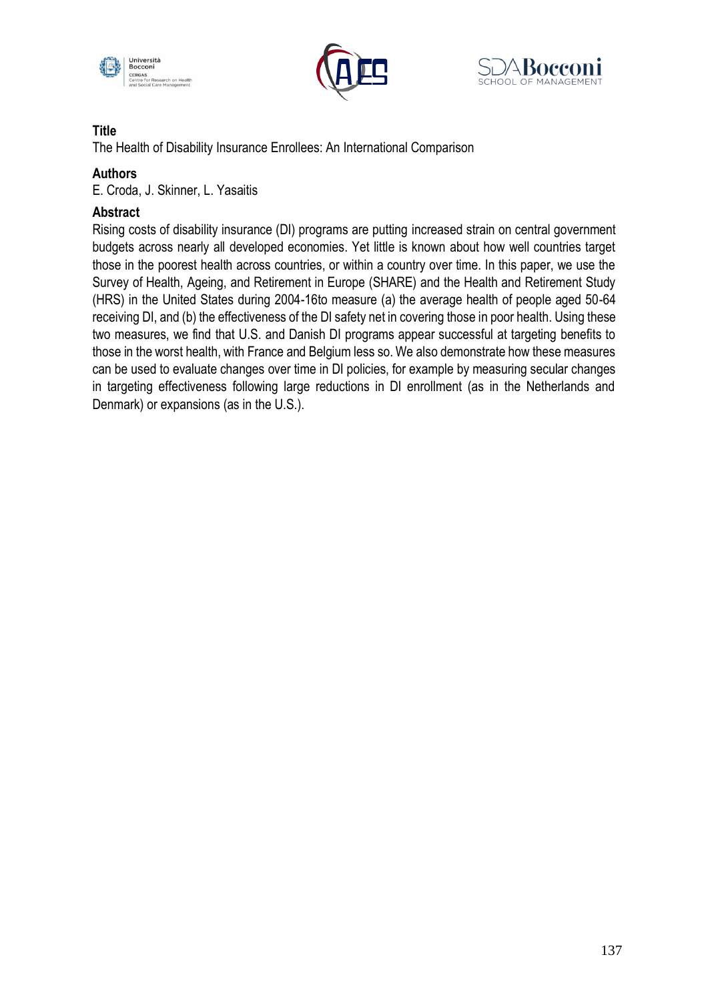





The Health of Disability Insurance Enrollees: An International Comparison

# **Authors**

E. Croda, J. Skinner, L. Yasaitis

# **Abstract**

Rising costs of disability insurance (DI) programs are putting increased strain on central government budgets across nearly all developed economies. Yet little is known about how well countries target those in the poorest health across countries, or within a country over time. In this paper, we use the Survey of Health, Ageing, and Retirement in Europe (SHARE) and the Health and Retirement Study (HRS) in the United States during 2004-16to measure (a) the average health of people aged 50-64 receiving DI, and (b) the effectiveness of the DI safety net in covering those in poor health. Using these two measures, we find that U.S. and Danish DI programs appear successful at targeting benefits to those in the worst health, with France and Belgium less so. We also demonstrate how these measures can be used to evaluate changes over time in DI policies, for example by measuring secular changes in targeting effectiveness following large reductions in DI enrollment (as in the Netherlands and Denmark) or expansions (as in the U.S.).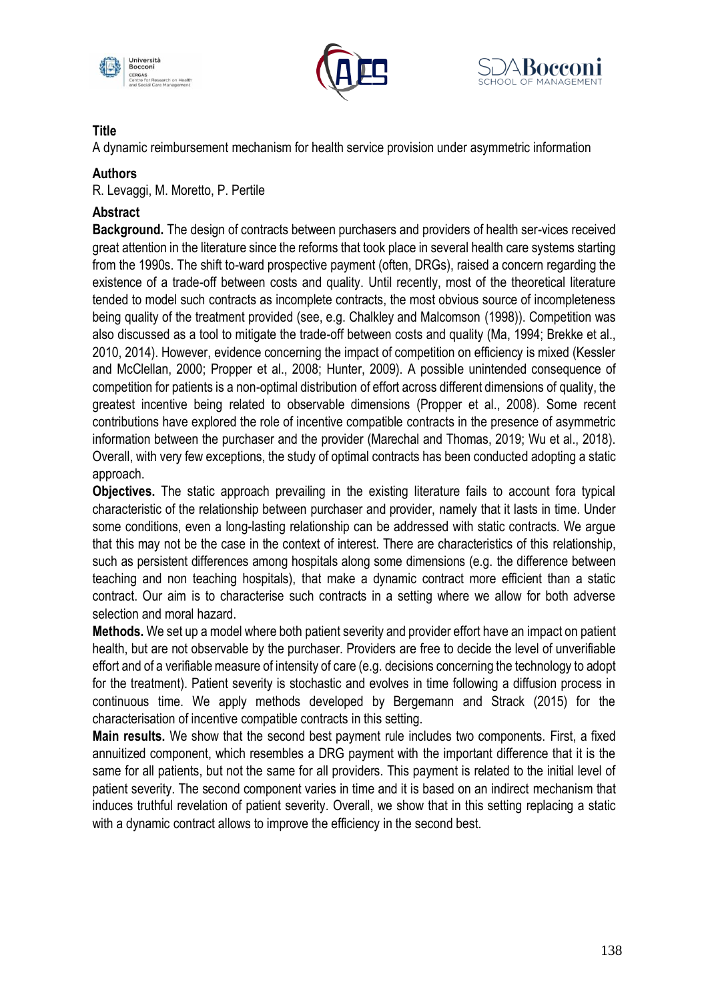





A dynamic reimbursement mechanism for health service provision under asymmetric information

### **Authors**

R. Levaggi, M. Moretto, P. Pertile

# **Abstract**

**Background.** The design of contracts between purchasers and providers of health ser-vices received great attention in the literature since the reforms that took place in several health care systems starting from the 1990s. The shift to-ward prospective payment (often, DRGs), raised a concern regarding the existence of a trade-off between costs and quality. Until recently, most of the theoretical literature tended to model such contracts as incomplete contracts, the most obvious source of incompleteness being quality of the treatment provided (see, e.g. Chalkley and Malcomson (1998)). Competition was also discussed as a tool to mitigate the trade-off between costs and quality (Ma, 1994; Brekke et al., 2010, 2014). However, evidence concerning the impact of competition on efficiency is mixed (Kessler and McClellan, 2000; Propper et al., 2008; Hunter, 2009). A possible unintended consequence of competition for patients is a non-optimal distribution of effort across different dimensions of quality, the greatest incentive being related to observable dimensions (Propper et al., 2008). Some recent contributions have explored the role of incentive compatible contracts in the presence of asymmetric information between the purchaser and the provider (Marechal and Thomas, 2019; Wu et al., 2018). Overall, with very few exceptions, the study of optimal contracts has been conducted adopting a static approach.

**Objectives.** The static approach prevailing in the existing literature fails to account fora typical characteristic of the relationship between purchaser and provider, namely that it lasts in time. Under some conditions, even a long-lasting relationship can be addressed with static contracts. We argue that this may not be the case in the context of interest. There are characteristics of this relationship, such as persistent differences among hospitals along some dimensions (e.g. the difference between teaching and non teaching hospitals), that make a dynamic contract more efficient than a static contract. Our aim is to characterise such contracts in a setting where we allow for both adverse selection and moral hazard.

**Methods.** We set up a model where both patient severity and provider effort have an impact on patient health, but are not observable by the purchaser. Providers are free to decide the level of unverifiable effort and of a verifiable measure of intensity of care (e.g. decisions concerning the technology to adopt for the treatment). Patient severity is stochastic and evolves in time following a diffusion process in continuous time. We apply methods developed by Bergemann and Strack (2015) for the characterisation of incentive compatible contracts in this setting.

**Main results.** We show that the second best payment rule includes two components. First, a fixed annuitized component, which resembles a DRG payment with the important difference that it is the same for all patients, but not the same for all providers. This payment is related to the initial level of patient severity. The second component varies in time and it is based on an indirect mechanism that induces truthful revelation of patient severity. Overall, we show that in this setting replacing a static with a dynamic contract allows to improve the efficiency in the second best.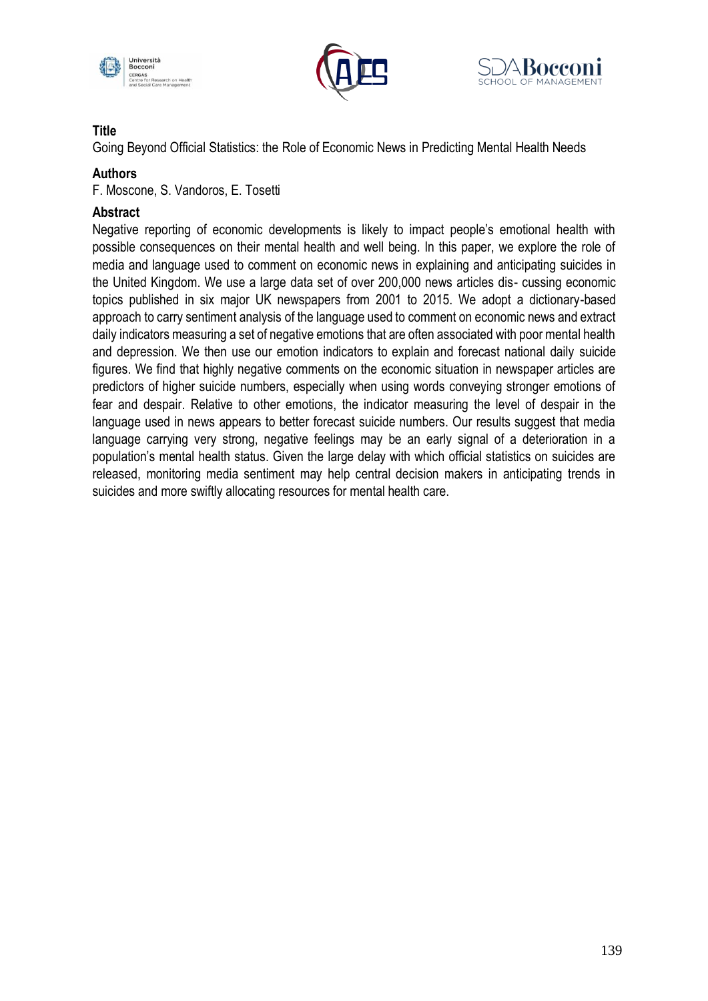





Going Beyond Official Statistics: the Role of Economic News in Predicting Mental Health Needs

#### **Authors**

F. Moscone, S. Vandoros, E. Tosetti

### **Abstract**

Negative reporting of economic developments is likely to impact people's emotional health with possible consequences on their mental health and well being. In this paper, we explore the role of media and language used to comment on economic news in explaining and anticipating suicides in the United Kingdom. We use a large data set of over 200,000 news articles dis- cussing economic topics published in six major UK newspapers from 2001 to 2015. We adopt a dictionary-based approach to carry sentiment analysis of the language used to comment on economic news and extract daily indicators measuring a set of negative emotions that are often associated with poor mental health and depression. We then use our emotion indicators to explain and forecast national daily suicide figures. We find that highly negative comments on the economic situation in newspaper articles are predictors of higher suicide numbers, especially when using words conveying stronger emotions of fear and despair. Relative to other emotions, the indicator measuring the level of despair in the language used in news appears to better forecast suicide numbers. Our results suggest that media language carrying very strong, negative feelings may be an early signal of a deterioration in a population's mental health status. Given the large delay with which official statistics on suicides are released, monitoring media sentiment may help central decision makers in anticipating trends in suicides and more swiftly allocating resources for mental health care.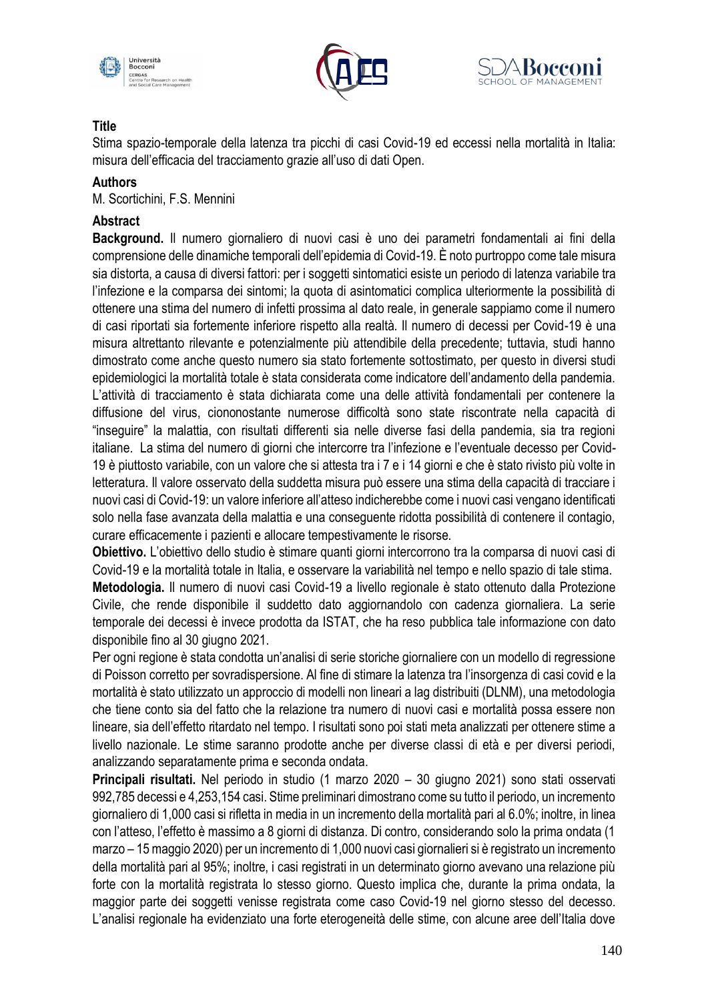





Stima spazio-temporale della latenza tra picchi di casi Covid-19 ed eccessi nella mortalità in Italia: misura dell'efficacia del tracciamento grazie all'uso di dati Open.

# **Authors**

M. Scortichini, F.S. Mennini

# **Abstract**

**Background.** Il numero giornaliero di nuovi casi è uno dei parametri fondamentali ai fini della comprensione delle dinamiche temporali dell'epidemia di Covid-19. È noto purtroppo come tale misura sia distorta, a causa di diversi fattori: per i soggetti sintomatici esiste un periodo di latenza variabile tra l'infezione e la comparsa dei sintomi; la quota di asintomatici complica ulteriormente la possibilità di ottenere una stima del numero di infetti prossima al dato reale, in generale sappiamo come il numero di casi riportati sia fortemente inferiore rispetto alla realtà. Il numero di decessi per Covid-19 è una misura altrettanto rilevante e potenzialmente più attendibile della precedente; tuttavia, studi hanno dimostrato come anche questo numero sia stato fortemente sottostimato, per questo in diversi studi epidemiologici la mortalità totale è stata considerata come indicatore dell'andamento della pandemia. L'attività di tracciamento è stata dichiarata come una delle attività fondamentali per contenere la diffusione del virus, ciononostante numerose difficoltà sono state riscontrate nella capacità di "inseguire" la malattia, con risultati differenti sia nelle diverse fasi della pandemia, sia tra regioni italiane. La stima del numero di giorni che intercorre tra l'infezione e l'eventuale decesso per Covid-19 è piuttosto variabile, con un valore che si attesta tra i 7 e i 14 giorni e che è stato rivisto più volte in letteratura. Il valore osservato della suddetta misura può essere una stima della capacità di tracciare i nuovi casi di Covid-19: un valore inferiore all'atteso indicherebbe come i nuovi casi vengano identificati solo nella fase avanzata della malattia e una conseguente ridotta possibilità di contenere il contagio, curare efficacemente i pazienti e allocare tempestivamente le risorse.

**Obiettivo.** L'obiettivo dello studio è stimare quanti giorni intercorrono tra la comparsa di nuovi casi di Covid-19 e la mortalità totale in Italia, e osservare la variabilità nel tempo e nello spazio di tale stima. **Metodologia.** Il numero di nuovi casi Covid-19 a livello regionale è stato ottenuto dalla Protezione Civile, che rende disponibile il suddetto dato aggiornandolo con cadenza giornaliera. La serie temporale dei decessi è invece prodotta da ISTAT, che ha reso pubblica tale informazione con dato disponibile fino al 30 giugno 2021.

Per ogni regione è stata condotta un'analisi di serie storiche giornaliere con un modello di regressione di Poisson corretto per sovradispersione. Al fine di stimare la latenza tra l'insorgenza di casi covid e la mortalità è stato utilizzato un approccio di modelli non lineari a lag distribuiti (DLNM), una metodologia che tiene conto sia del fatto che la relazione tra numero di nuovi casi e mortalità possa essere non lineare, sia dell'effetto ritardato nel tempo. I risultati sono poi stati meta analizzati per ottenere stime a livello nazionale. Le stime saranno prodotte anche per diverse classi di età e per diversi periodi, analizzando separatamente prima e seconda ondata.

**Principali risultati.** Nel periodo in studio (1 marzo 2020 – 30 giugno 2021) sono stati osservati 992,785 decessi e 4,253,154 casi. Stime preliminari dimostrano come su tutto il periodo, un incremento giornaliero di 1,000 casi si rifletta in media in un incremento della mortalità pari al 6.0%; inoltre, in linea con l'atteso, l'effetto è massimo a 8 giorni di distanza. Di contro, considerando solo la prima ondata (1 marzo – 15 maggio 2020) per un incremento di 1,000 nuovi casi giornalieri si è registrato un incremento della mortalità pari al 95%; inoltre, i casi registrati in un determinato giorno avevano una relazione più forte con la mortalità registrata lo stesso giorno. Questo implica che, durante la prima ondata, la maggior parte dei soggetti venisse registrata come caso Covid-19 nel giorno stesso del decesso. L'analisi regionale ha evidenziato una forte eterogeneità delle stime, con alcune aree dell'Italia dove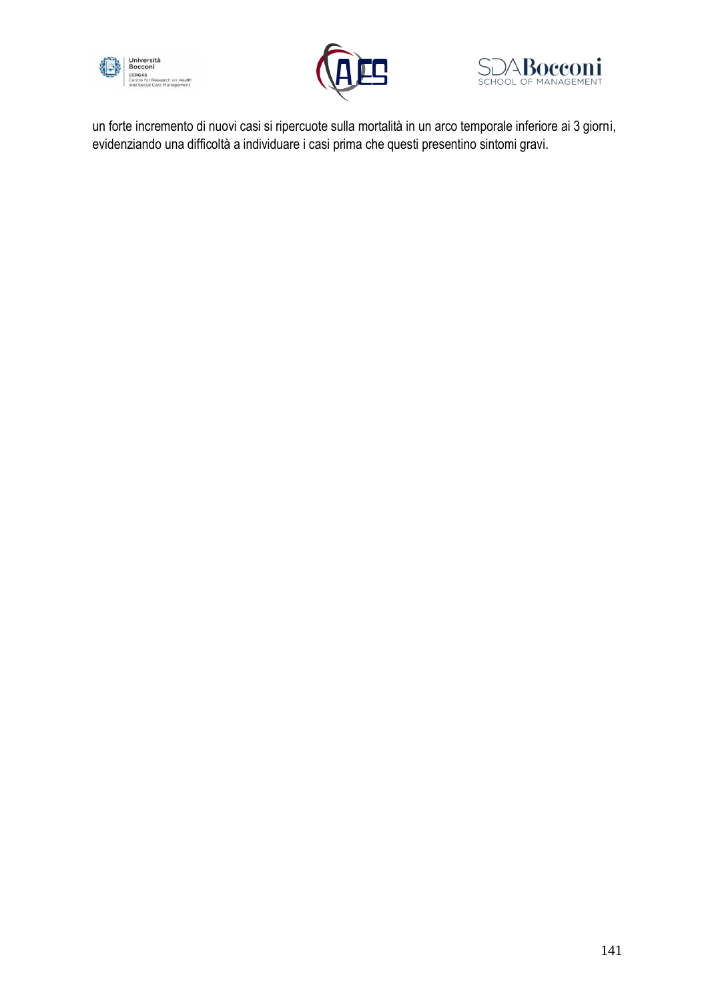





un forte incremento di nuovi casi si ripercuote sulla mortalità in un arco temporale inferiore ai 3 giorni, evidenziando una difficoltà a individuare i casi prima che questi presentino sintomi gravi.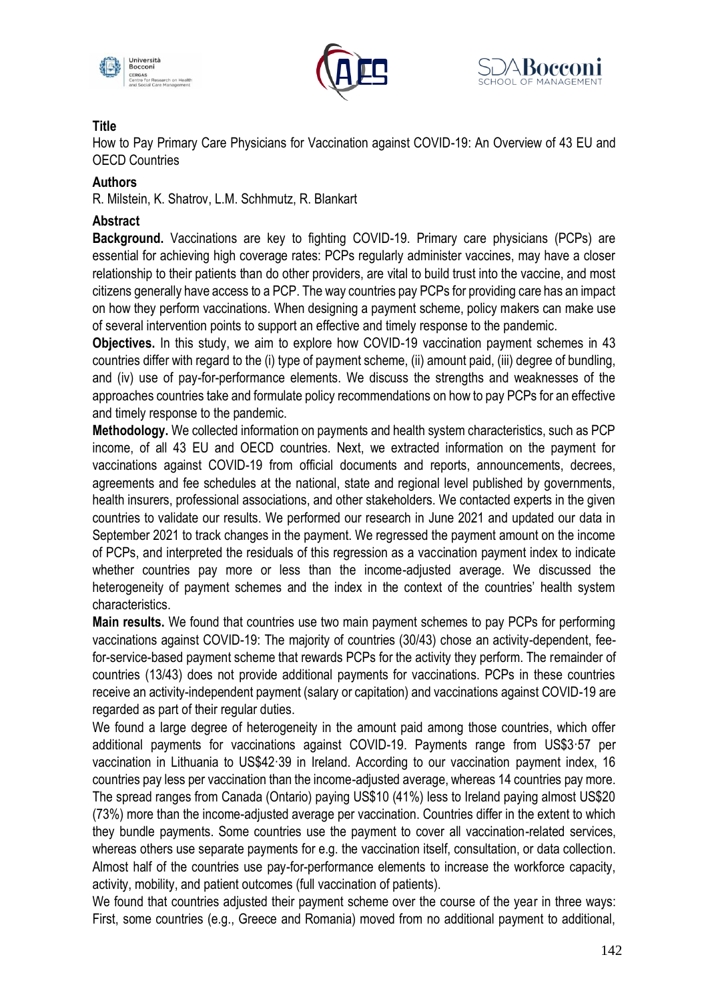





How to Pay Primary Care Physicians for Vaccination against COVID-19: An Overview of 43 EU and OECD Countries

### **Authors**

R. Milstein, K. Shatrov, L.M. Schhmutz, R. Blankart

### **Abstract**

**Background.** Vaccinations are key to fighting COVID-19. Primary care physicians (PCPs) are essential for achieving high coverage rates: PCPs regularly administer vaccines, may have a closer relationship to their patients than do other providers, are vital to build trust into the vaccine, and most citizens generally have access to a PCP. The way countries pay PCPs for providing care has an impact on how they perform vaccinations. When designing a payment scheme, policy makers can make use of several intervention points to support an effective and timely response to the pandemic.

**Objectives.** In this study, we aim to explore how COVID-19 vaccination payment schemes in 43 countries differ with regard to the (i) type of payment scheme, (ii) amount paid, (iii) degree of bundling, and (iv) use of pay-for-performance elements. We discuss the strengths and weaknesses of the approaches countries take and formulate policy recommendations on how to pay PCPs for an effective and timely response to the pandemic.

**Methodology.** We collected information on payments and health system characteristics, such as PCP income, of all 43 EU and OECD countries. Next, we extracted information on the payment for vaccinations against COVID-19 from official documents and reports, announcements, decrees, agreements and fee schedules at the national, state and regional level published by governments, health insurers, professional associations, and other stakeholders. We contacted experts in the given countries to validate our results. We performed our research in June 2021 and updated our data in September 2021 to track changes in the payment. We regressed the payment amount on the income of PCPs, and interpreted the residuals of this regression as a vaccination payment index to indicate whether countries pay more or less than the income-adjusted average. We discussed the heterogeneity of payment schemes and the index in the context of the countries' health system characteristics.

**Main results.** We found that countries use two main payment schemes to pay PCPs for performing vaccinations against COVID-19: The majority of countries (30/43) chose an activity-dependent, feefor-service-based payment scheme that rewards PCPs for the activity they perform. The remainder of countries (13/43) does not provide additional payments for vaccinations. PCPs in these countries receive an activity-independent payment (salary or capitation) and vaccinations against COVID-19 are regarded as part of their regular duties.

We found a large degree of heterogeneity in the amount paid among those countries, which offer additional payments for vaccinations against COVID-19. Payments range from US\$3·57 per vaccination in Lithuania to US\$42·39 in Ireland. According to our vaccination payment index, 16 countries pay less per vaccination than the income-adjusted average, whereas 14 countries pay more. The spread ranges from Canada (Ontario) paying US\$10 (41%) less to Ireland paying almost US\$20 (73%) more than the income-adjusted average per vaccination. Countries differ in the extent to which they bundle payments. Some countries use the payment to cover all vaccination-related services, whereas others use separate payments for e.g. the vaccination itself, consultation, or data collection. Almost half of the countries use pay-for-performance elements to increase the workforce capacity, activity, mobility, and patient outcomes (full vaccination of patients).

We found that countries adjusted their payment scheme over the course of the year in three ways: First, some countries (e.g., Greece and Romania) moved from no additional payment to additional,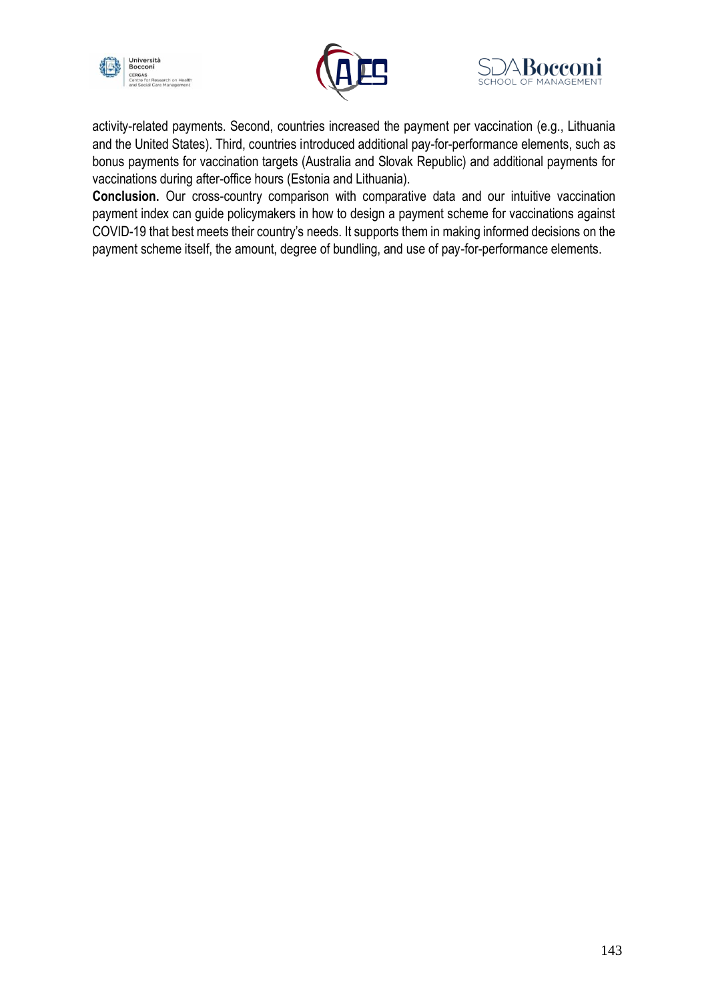





activity-related payments. Second, countries increased the payment per vaccination (e.g., Lithuania and the United States). Third, countries introduced additional pay-for-performance elements, such as bonus payments for vaccination targets (Australia and Slovak Republic) and additional payments for vaccinations during after-office hours (Estonia and Lithuania).

**Conclusion.** Our cross-country comparison with comparative data and our intuitive vaccination payment index can guide policymakers in how to design a payment scheme for vaccinations against COVID-19 that best meets their country's needs. It supports them in making informed decisions on the payment scheme itself, the amount, degree of bundling, and use of pay-for-performance elements.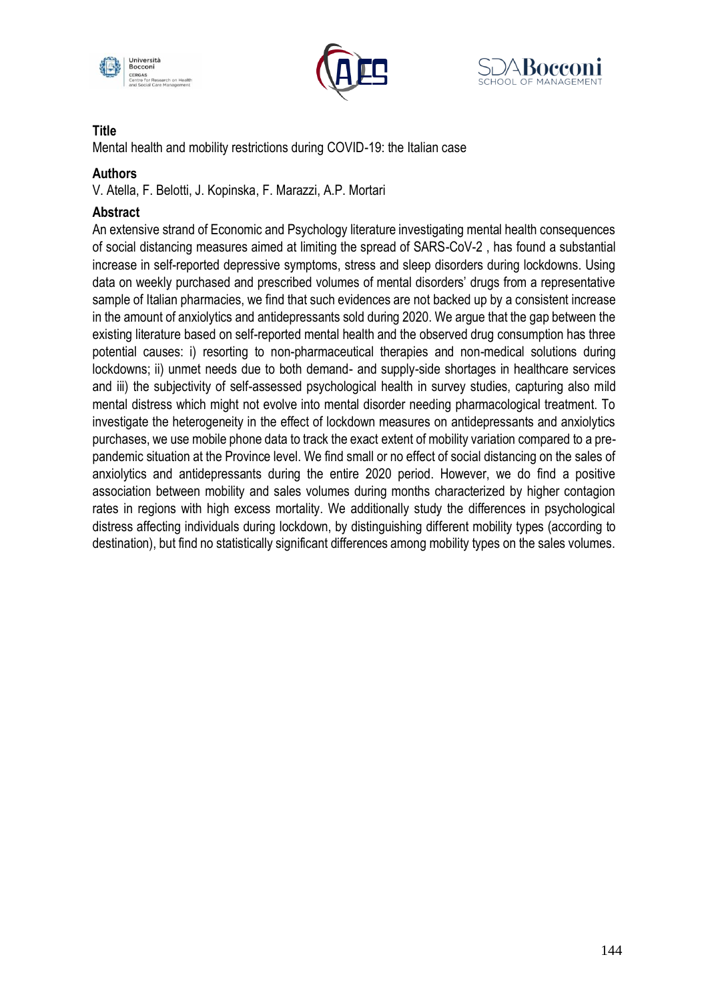





Mental health and mobility restrictions during COVID-19: the Italian case

#### **Authors**

V. Atella, F. Belotti, J. Kopinska, F. Marazzi, A.P. Mortari

## **Abstract**

An extensive strand of Economic and Psychology literature investigating mental health consequences of social distancing measures aimed at limiting the spread of SARS-CoV-2 , has found a substantial increase in self-reported depressive symptoms, stress and sleep disorders during lockdowns. Using data on weekly purchased and prescribed volumes of mental disorders' drugs from a representative sample of Italian pharmacies, we find that such evidences are not backed up by a consistent increase in the amount of anxiolytics and antidepressants sold during 2020. We argue that the gap between the existing literature based on self-reported mental health and the observed drug consumption has three potential causes: i) resorting to non-pharmaceutical therapies and non-medical solutions during lockdowns; ii) unmet needs due to both demand- and supply-side shortages in healthcare services and iii) the subjectivity of self-assessed psychological health in survey studies, capturing also mild mental distress which might not evolve into mental disorder needing pharmacological treatment. To investigate the heterogeneity in the effect of lockdown measures on antidepressants and anxiolytics purchases, we use mobile phone data to track the exact extent of mobility variation compared to a prepandemic situation at the Province level. We find small or no effect of social distancing on the sales of anxiolytics and antidepressants during the entire 2020 period. However, we do find a positive association between mobility and sales volumes during months characterized by higher contagion rates in regions with high excess mortality. We additionally study the differences in psychological distress affecting individuals during lockdown, by distinguishing different mobility types (according to destination), but find no statistically significant differences among mobility types on the sales volumes.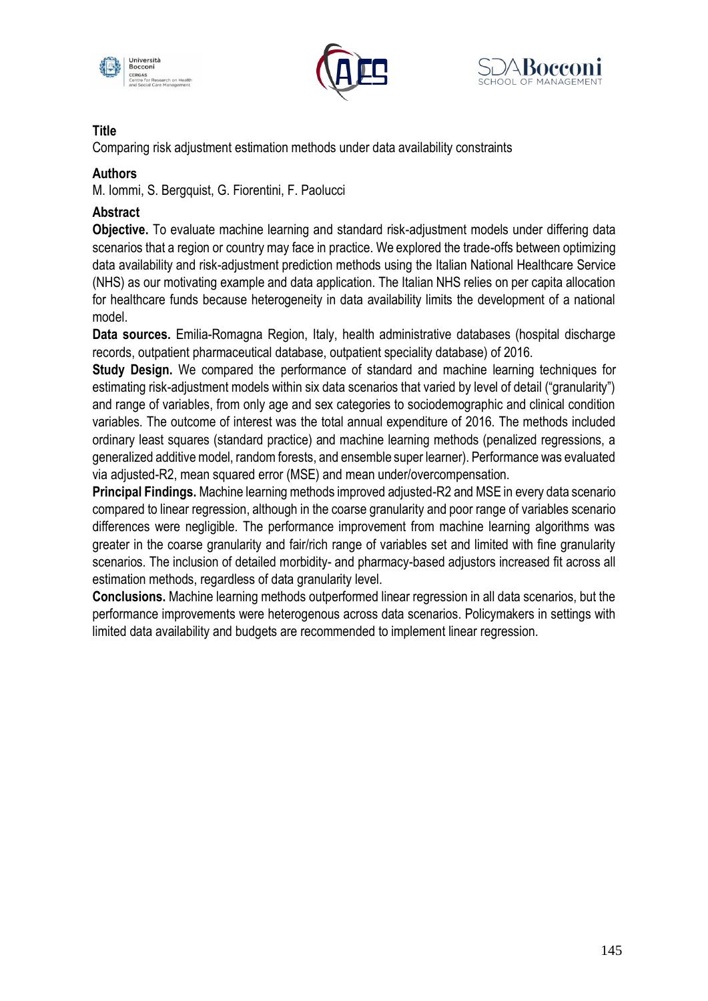





## **Title**

Comparing risk adjustment estimation methods under data availability constraints

### **Authors**

M. Iommi, S. Bergquist, G. Fiorentini, F. Paolucci

## **Abstract**

**Objective.** To evaluate machine learning and standard risk-adjustment models under differing data scenarios that a region or country may face in practice. We explored the trade-offs between optimizing data availability and risk-adjustment prediction methods using the Italian National Healthcare Service (NHS) as our motivating example and data application. The Italian NHS relies on per capita allocation for healthcare funds because heterogeneity in data availability limits the development of a national model.

**Data sources.** Emilia-Romagna Region, Italy, health administrative databases (hospital discharge records, outpatient pharmaceutical database, outpatient speciality database) of 2016.

**Study Design.** We compared the performance of standard and machine learning techniques for estimating risk-adjustment models within six data scenarios that varied by level of detail ("granularity") and range of variables, from only age and sex categories to sociodemographic and clinical condition variables. The outcome of interest was the total annual expenditure of 2016. The methods included ordinary least squares (standard practice) and machine learning methods (penalized regressions, a generalized additive model, random forests, and ensemble super learner). Performance was evaluated via adjusted-R2, mean squared error (MSE) and mean under/overcompensation.

**Principal Findings.** Machine learning methods improved adjusted-R2 and MSE in every data scenario compared to linear regression, although in the coarse granularity and poor range of variables scenario differences were negligible. The performance improvement from machine learning algorithms was greater in the coarse granularity and fair/rich range of variables set and limited with fine granularity scenarios. The inclusion of detailed morbidity- and pharmacy-based adjustors increased fit across all estimation methods, regardless of data granularity level.

**Conclusions.** Machine learning methods outperformed linear regression in all data scenarios, but the performance improvements were heterogenous across data scenarios. Policymakers in settings with limited data availability and budgets are recommended to implement linear regression.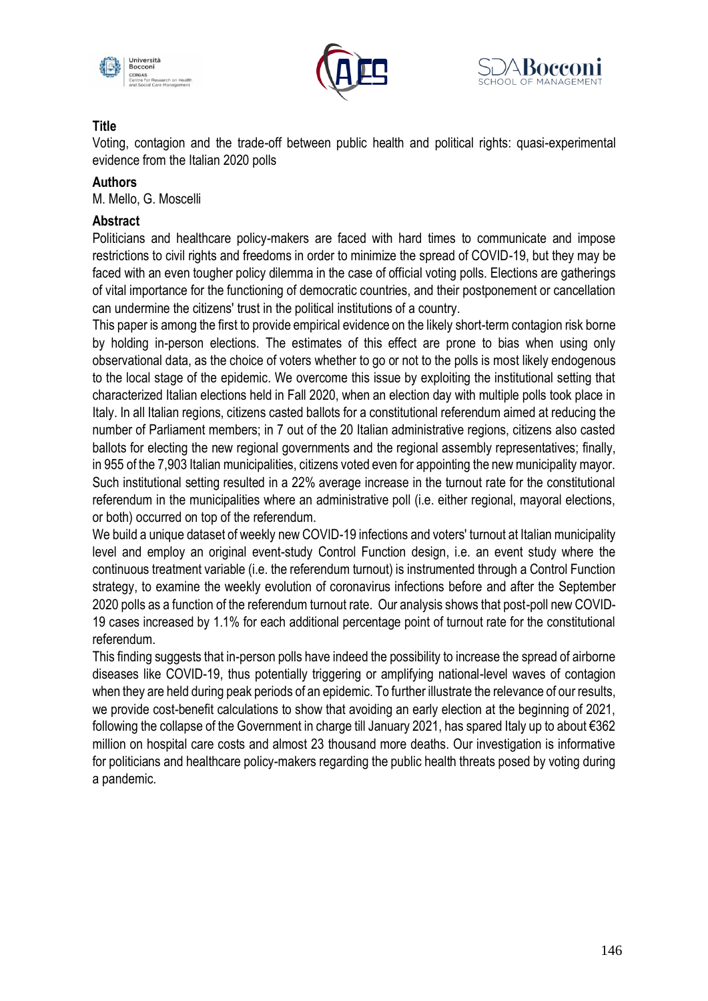





# **Title**

Voting, contagion and the trade-off between public health and political rights: quasi-experimental evidence from the Italian 2020 polls

#### **Authors**

M. Mello, G. Moscelli

#### **Abstract**

Politicians and healthcare policy-makers are faced with hard times to communicate and impose restrictions to civil rights and freedoms in order to minimize the spread of COVID-19, but they may be faced with an even tougher policy dilemma in the case of official voting polls. Elections are gatherings of vital importance for the functioning of democratic countries, and their postponement or cancellation can undermine the citizens' trust in the political institutions of a country.

This paper is among the first to provide empirical evidence on the likely short-term contagion risk borne by holding in-person elections. The estimates of this effect are prone to bias when using only observational data, as the choice of voters whether to go or not to the polls is most likely endogenous to the local stage of the epidemic. We overcome this issue by exploiting the institutional setting that characterized Italian elections held in Fall 2020, when an election day with multiple polls took place in Italy. In all Italian regions, citizens casted ballots for a constitutional referendum aimed at reducing the number of Parliament members; in 7 out of the 20 Italian administrative regions, citizens also casted ballots for electing the new regional governments and the regional assembly representatives; finally, in 955 of the 7,903 Italian municipalities, citizens voted even for appointing the new municipality mayor. Such institutional setting resulted in a 22% average increase in the turnout rate for the constitutional referendum in the municipalities where an administrative poll (i.e. either regional, mayoral elections, or both) occurred on top of the referendum.

We build a unique dataset of weekly new COVID-19 infections and voters' turnout at Italian municipality level and employ an original event-study Control Function design, i.e. an event study where the continuous treatment variable (i.e. the referendum turnout) is instrumented through a Control Function strategy, to examine the weekly evolution of coronavirus infections before and after the September 2020 polls as a function of the referendum turnout rate. Our analysis shows that post-poll new COVID-19 cases increased by 1.1% for each additional percentage point of turnout rate for the constitutional referendum.

This finding suggests that in-person polls have indeed the possibility to increase the spread of airborne diseases like COVID-19, thus potentially triggering or amplifying national-level waves of contagion when they are held during peak periods of an epidemic. To further illustrate the relevance of our results, we provide cost-benefit calculations to show that avoiding an early election at the beginning of 2021, following the collapse of the Government in charge till January 2021, has spared Italy up to about €362 million on hospital care costs and almost 23 thousand more deaths. Our investigation is informative for politicians and healthcare policy-makers regarding the public health threats posed by voting during a pandemic.